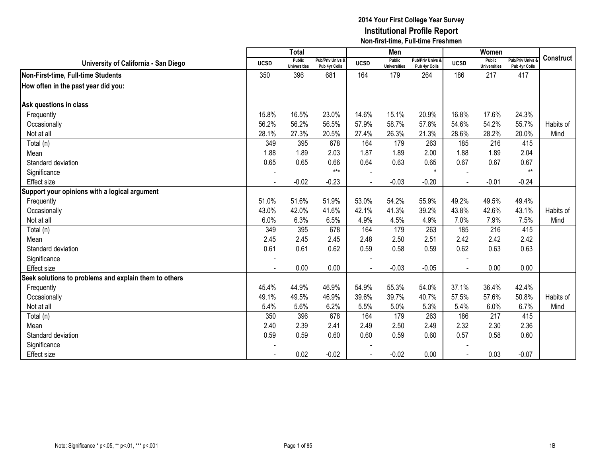|                                                       |                | <b>Total</b>                  |                                   |             | Men                           |                                   |                | Women                         |                                        |                  |
|-------------------------------------------------------|----------------|-------------------------------|-----------------------------------|-------------|-------------------------------|-----------------------------------|----------------|-------------------------------|----------------------------------------|------------------|
| University of California - San Diego                  | <b>UCSD</b>    | Public<br><b>Universities</b> | Pub/Priv Univs &<br>Pub 4yr Colls | <b>UCSD</b> | Public<br><b>Universities</b> | Pub/Priv Univs &<br>Pub 4yr Colls | <b>UCSD</b>    | Public<br><b>Universities</b> | <b>Pub/Priv Univs</b><br>Pub 4yr Colls | <b>Construct</b> |
| Non-First-time, Full-time Students                    | 350            | 396                           | 681                               | 164         | 179                           | 264                               | 186            | 217                           | 417                                    |                  |
| How often in the past year did you:                   |                |                               |                                   |             |                               |                                   |                |                               |                                        |                  |
|                                                       |                |                               |                                   |             |                               |                                   |                |                               |                                        |                  |
| Ask questions in class                                |                |                               |                                   |             |                               |                                   |                |                               |                                        |                  |
| Frequently                                            | 15.8%          | 16.5%                         | 23.0%                             | 14.6%       | 15.1%                         | 20.9%                             | 16.8%          | 17.6%                         | 24.3%                                  |                  |
| Occasionally                                          | 56.2%          | 56.2%                         | 56.5%                             | 57.9%       | 58.7%                         | 57.8%                             | 54.6%          | 54.2%                         | 55.7%                                  | Habits of        |
| Not at all                                            | 28.1%          | 27.3%                         | 20.5%                             | 27.4%       | 26.3%                         | 21.3%                             | 28.6%          | 28.2%                         | 20.0%                                  | Mind             |
| Total (n)                                             | 349            | 395                           | 678                               | 164         | 179                           | 263                               | 185            | 216                           | 415                                    |                  |
| Mean                                                  | 1.88           | 1.89                          | 2.03                              | 1.87        | 1.89                          | 2.00                              | 1.88           | 1.89                          | 2.04                                   |                  |
| Standard deviation                                    | 0.65           | 0.65                          | 0.66                              | 0.64        | 0.63                          | 0.65                              | 0.67           | 0.67                          | 0.67                                   |                  |
| Significance                                          |                |                               | $***$                             |             |                               |                                   |                |                               | $**$                                   |                  |
| <b>Effect</b> size                                    | $\blacksquare$ | $-0.02$                       | $-0.23$                           |             | $-0.03$                       | $-0.20$                           | $\blacksquare$ | $-0.01$                       | $-0.24$                                |                  |
| Support your opinions with a logical argument         |                |                               |                                   |             |                               |                                   |                |                               |                                        |                  |
| Frequently                                            | 51.0%          | 51.6%                         | 51.9%                             | 53.0%       | 54.2%                         | 55.9%                             | 49.2%          | 49.5%                         | 49.4%                                  |                  |
| Occasionally                                          | 43.0%          | 42.0%                         | 41.6%                             | 42.1%       | 41.3%                         | 39.2%                             | 43.8%          | 42.6%                         | 43.1%                                  | Habits of        |
| Not at all                                            | 6.0%           | 6.3%                          | 6.5%                              | 4.9%        | 4.5%                          | 4.9%                              | 7.0%           | 7.9%                          | 7.5%                                   | Mind             |
| Total (n)                                             | 349            | 395                           | 678                               | 164         | 179                           | 263                               | 185            | 216                           | 415                                    |                  |
| Mean                                                  | 2.45           | 2.45                          | 2.45                              | 2.48        | 2.50                          | 2.51                              | 2.42           | 2.42                          | 2.42                                   |                  |
| Standard deviation                                    | 0.61           | 0.61                          | 0.62                              | 0.59        | 0.58                          | 0.59                              | 0.62           | 0.63                          | 0.63                                   |                  |
| Significance                                          |                |                               |                                   |             |                               |                                   |                |                               |                                        |                  |
| <b>Effect size</b>                                    |                | 0.00                          | 0.00                              |             | $-0.03$                       | $-0.05$                           |                | 0.00                          | 0.00                                   |                  |
| Seek solutions to problems and explain them to others |                |                               |                                   |             |                               |                                   |                |                               |                                        |                  |
| Frequently                                            | 45.4%          | 44.9%                         | 46.9%                             | 54.9%       | 55.3%                         | 54.0%                             | 37.1%          | 36.4%                         | 42.4%                                  |                  |
| Occasionally                                          | 49.1%          | 49.5%                         | 46.9%                             | 39.6%       | 39.7%                         | 40.7%                             | 57.5%          | 57.6%                         | 50.8%                                  | Habits of        |
| Not at all                                            | 5.4%           | 5.6%                          | 6.2%                              | 5.5%        | 5.0%                          | 5.3%                              | 5.4%           | 6.0%                          | 6.7%                                   | Mind             |
| Total (n)                                             | 350            | 396                           | 678                               | 164         | 179                           | 263                               | 186            | 217                           | 415                                    |                  |
| Mean                                                  | 2.40           | 2.39                          | 2.41                              | 2.49        | 2.50                          | 2.49                              | 2.32           | 2.30                          | 2.36                                   |                  |
| Standard deviation                                    | 0.59           | 0.59                          | 0.60                              | 0.60        | 0.59                          | 0.60                              | 0.57           | 0.58                          | 0.60                                   |                  |
| Significance                                          |                |                               |                                   |             |                               |                                   |                |                               |                                        |                  |
| <b>Effect size</b>                                    |                | 0.02                          | $-0.02$                           |             | $-0.02$                       | 0.00                              |                | 0.03                          | $-0.07$                                |                  |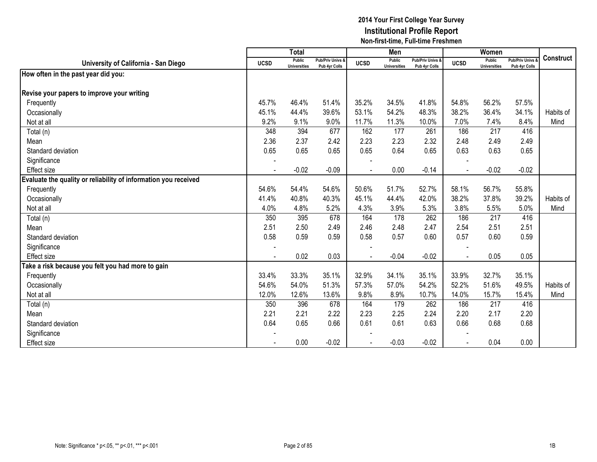|                                                                 |                | <b>Total</b>                         |                                   |                | Men                                  |                                   |             | Women                         |                                        |                  |
|-----------------------------------------------------------------|----------------|--------------------------------------|-----------------------------------|----------------|--------------------------------------|-----------------------------------|-------------|-------------------------------|----------------------------------------|------------------|
| University of California - San Diego                            | <b>UCSD</b>    | <b>Public</b><br><b>Universities</b> | Pub/Priv Univs &<br>Pub 4yr Colls | <b>UCSD</b>    | <b>Public</b><br><b>Universities</b> | Pub/Priv Univs &<br>Pub 4yr Colls | <b>UCSD</b> | Public<br><b>Universities</b> | <b>Pub/Priv Univs</b><br>Pub 4yr Colls | <b>Construct</b> |
| How often in the past year did you:                             |                |                                      |                                   |                |                                      |                                   |             |                               |                                        |                  |
| Revise your papers to improve your writing                      |                |                                      |                                   |                |                                      |                                   |             |                               |                                        |                  |
| Frequently                                                      | 45.7%          | 46.4%                                | 51.4%                             | 35.2%          | 34.5%                                | 41.8%                             | 54.8%       | 56.2%                         | 57.5%                                  |                  |
| Occasionally                                                    | 45.1%          | 44.4%                                | 39.6%                             | 53.1%          | 54.2%                                | 48.3%                             | 38.2%       | 36.4%                         | 34.1%                                  | Habits of        |
| Not at all                                                      | 9.2%           | 9.1%                                 | 9.0%                              | 11.7%          | 11.3%                                | 10.0%                             | 7.0%        | 7.4%                          | 8.4%                                   | Mind             |
| Total (n)                                                       | 348            | 394                                  | 677                               | 162            | 177                                  | 261                               | 186         | $\overline{217}$              | 416                                    |                  |
| Mean                                                            | 2.36           | 2.37                                 | 2.42                              | 2.23           | 2.23                                 | 2.32                              | 2.48        | 2.49                          | 2.49                                   |                  |
| Standard deviation                                              | 0.65           | 0.65                                 | 0.65                              | 0.65           | 0.64                                 | 0.65                              | 0.63        | 0.63                          | 0.65                                   |                  |
| Significance                                                    |                |                                      |                                   |                |                                      |                                   |             |                               |                                        |                  |
| <b>Effect size</b>                                              | $\blacksquare$ | $-0.02$                              | $-0.09$                           | $\blacksquare$ | 0.00                                 | $-0.14$                           | $\sim$      | $-0.02$                       | $-0.02$                                |                  |
| Evaluate the quality or reliability of information you received |                |                                      |                                   |                |                                      |                                   |             |                               |                                        |                  |
| Frequently                                                      | 54.6%          | 54.4%                                | 54.6%                             | 50.6%          | 51.7%                                | 52.7%                             | 58.1%       | 56.7%                         | 55.8%                                  |                  |
| Occasionally                                                    | 41.4%          | 40.8%                                | 40.3%                             | 45.1%          | 44.4%                                | 42.0%                             | 38.2%       | 37.8%                         | 39.2%                                  | Habits of        |
| Not at all                                                      | 4.0%           | 4.8%                                 | 5.2%                              | 4.3%           | 3.9%                                 | 5.3%                              | 3.8%        | 5.5%                          | 5.0%                                   | Mind             |
| Total (n)                                                       | 350            | 395                                  | 678                               | 164            | 178                                  | 262                               | 186         | 217                           | 416                                    |                  |
| Mean                                                            | 2.51           | 2.50                                 | 2.49                              | 2.46           | 2.48                                 | 2.47                              | 2.54        | 2.51                          | 2.51                                   |                  |
| Standard deviation                                              | 0.58           | 0.59                                 | 0.59                              | 0.58           | 0.57                                 | 0.60                              | 0.57        | 0.60                          | 0.59                                   |                  |
| Significance                                                    |                |                                      |                                   |                |                                      |                                   |             |                               |                                        |                  |
| Effect size                                                     |                | 0.02                                 | 0.03                              |                | $-0.04$                              | $-0.02$                           | $\sim$      | 0.05                          | 0.05                                   |                  |
| Take a risk because you felt you had more to gain               |                |                                      |                                   |                |                                      |                                   |             |                               |                                        |                  |
| Frequently                                                      | 33.4%          | 33.3%                                | 35.1%                             | 32.9%          | 34.1%                                | 35.1%                             | 33.9%       | 32.7%                         | 35.1%                                  |                  |
| Occasionally                                                    | 54.6%          | 54.0%                                | 51.3%                             | 57.3%          | 57.0%                                | 54.2%                             | 52.2%       | 51.6%                         | 49.5%                                  | Habits of        |
| Not at all                                                      | 12.0%          | 12.6%                                | 13.6%                             | 9.8%           | 8.9%                                 | 10.7%                             | 14.0%       | 15.7%                         | 15.4%                                  | Mind             |
| Total (n)                                                       | 350            | 396                                  | 678                               | 164            | 179                                  | 262                               | 186         | 217                           | 416                                    |                  |
| Mean                                                            | 2.21           | 2.21                                 | 2.22                              | 2.23           | 2.25                                 | 2.24                              | 2.20        | 2.17                          | 2.20                                   |                  |
| Standard deviation                                              | 0.64           | 0.65                                 | 0.66                              | 0.61           | 0.61                                 | 0.63                              | 0.66        | 0.68                          | 0.68                                   |                  |
| Significance                                                    |                |                                      |                                   |                |                                      |                                   |             |                               |                                        |                  |
| <b>Effect size</b>                                              |                | 0.00                                 | $-0.02$                           |                | $-0.03$                              | $-0.02$                           |             | 0.04                          | 0.00                                   |                  |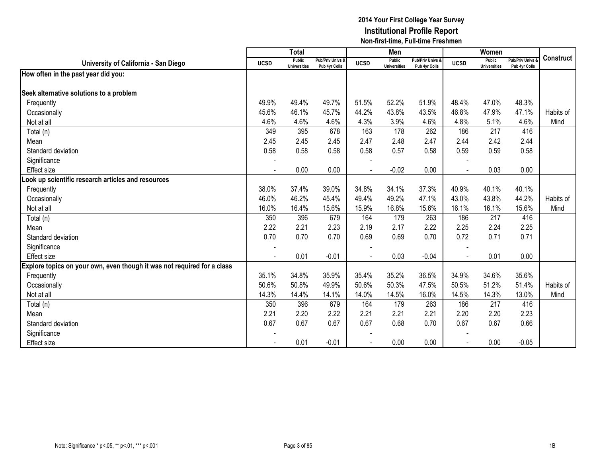|                                                                         |                          | <b>Total</b>                  |                                   |                | Men                                  |                                   |                | Women                         |                                        |                  |
|-------------------------------------------------------------------------|--------------------------|-------------------------------|-----------------------------------|----------------|--------------------------------------|-----------------------------------|----------------|-------------------------------|----------------------------------------|------------------|
| University of California - San Diego                                    | <b>UCSD</b>              | Public<br><b>Universities</b> | Pub/Priv Univs &<br>Pub 4yr Colls | <b>UCSD</b>    | <b>Public</b><br><b>Universities</b> | Pub/Priv Univs &<br>Pub 4yr Colls | <b>UCSD</b>    | Public<br><b>Universities</b> | <b>Pub/Priv Univs</b><br>Pub 4yr Colls | <b>Construct</b> |
| How often in the past year did you:                                     |                          |                               |                                   |                |                                      |                                   |                |                               |                                        |                  |
| Seek alternative solutions to a problem                                 |                          |                               |                                   |                |                                      |                                   |                |                               |                                        |                  |
| Frequently                                                              | 49.9%                    | 49.4%                         | 49.7%                             | 51.5%          | 52.2%                                | 51.9%                             | 48.4%          | 47.0%                         | 48.3%                                  |                  |
| Occasionally                                                            | 45.6%                    | 46.1%                         | 45.7%                             | 44.2%          | 43.8%                                | 43.5%                             | 46.8%          | 47.9%                         | 47.1%                                  | Habits of        |
| Not at all                                                              | 4.6%                     | 4.6%                          | 4.6%                              | 4.3%           | 3.9%                                 | 4.6%                              | 4.8%           | 5.1%                          | 4.6%                                   | Mind             |
| Total (n)                                                               | 349                      | 395                           | 678                               | 163            | 178                                  | 262                               | 186            | 217                           | 416                                    |                  |
| Mean                                                                    | 2.45                     | 2.45                          | 2.45                              | 2.47           | 2.48                                 | 2.47                              | 2.44           | 2.42                          | 2.44                                   |                  |
| Standard deviation                                                      | 0.58                     | 0.58                          | 0.58                              | 0.58           | 0.57                                 | 0.58                              | 0.59           | 0.59                          | 0.58                                   |                  |
| Significance                                                            |                          |                               |                                   |                |                                      |                                   |                |                               |                                        |                  |
| Effect size                                                             | $\blacksquare$           | 0.00                          | 0.00                              | $\blacksquare$ | $-0.02$                              | 0.00                              | $\blacksquare$ | 0.03                          | 0.00                                   |                  |
| ook up scientific research articles and resources                       |                          |                               |                                   |                |                                      |                                   |                |                               |                                        |                  |
| Frequently                                                              | 38.0%                    | 37.4%                         | 39.0%                             | 34.8%          | 34.1%                                | 37.3%                             | 40.9%          | 40.1%                         | 40.1%                                  |                  |
| Occasionally                                                            | 46.0%                    | 46.2%                         | 45.4%                             | 49.4%          | 49.2%                                | 47.1%                             | 43.0%          | 43.8%                         | 44.2%                                  | Habits of        |
| Not at all                                                              | 16.0%                    | 16.4%                         | 15.6%                             | 15.9%          | 16.8%                                | 15.6%                             | 16.1%          | 16.1%                         | 15.6%                                  | Mind             |
| Total (n)                                                               | 350                      | 396                           | 679                               | 164            | 179                                  | 263                               | 186            | 217                           | 416                                    |                  |
| Mean                                                                    | 2.22                     | 2.21                          | 2.23                              | 2.19           | 2.17                                 | 2.22                              | 2.25           | 2.24                          | 2.25                                   |                  |
| Standard deviation                                                      | 0.70                     | 0.70                          | 0.70                              | 0.69           | 0.69                                 | 0.70                              | 0.72           | 0.71                          | 0.71                                   |                  |
| Significance                                                            | $\overline{\phantom{a}}$ |                               |                                   |                |                                      |                                   |                |                               |                                        |                  |
| <b>Effect size</b>                                                      |                          | 0.01                          | $-0.01$                           |                | 0.03                                 | $-0.04$                           |                | 0.01                          | 0.00                                   |                  |
| Explore topics on your own, even though it was not required for a class |                          |                               |                                   |                |                                      |                                   |                |                               |                                        |                  |
| Frequently                                                              | 35.1%                    | 34.8%                         | 35.9%                             | 35.4%          | 35.2%                                | 36.5%                             | 34.9%          | 34.6%                         | 35.6%                                  |                  |
| Occasionally                                                            | 50.6%                    | 50.8%                         | 49.9%                             | 50.6%          | 50.3%                                | 47.5%                             | 50.5%          | 51.2%                         | 51.4%                                  | Habits of        |
| Not at all                                                              | 14.3%                    | 14.4%                         | 14.1%                             | 14.0%          | 14.5%                                | 16.0%                             | 14.5%          | 14.3%                         | 13.0%                                  | Mind             |
| Total (n)                                                               | 350                      | 396                           | 679                               | 164            | 179                                  | 263                               | 186            | 217                           | 416                                    |                  |
| Mean                                                                    | 2.21                     | 2.20                          | 2.22                              | 2.21           | 2.21                                 | 2.21                              | 2.20           | 2.20                          | 2.23                                   |                  |
| Standard deviation                                                      | 0.67                     | 0.67                          | 0.67                              | 0.67           | 0.68                                 | 0.70                              | 0.67           | 0.67                          | 0.66                                   |                  |
| Significance                                                            |                          |                               |                                   |                |                                      |                                   |                |                               |                                        |                  |
| Effect size                                                             |                          | 0.01                          | $-0.01$                           |                | 0.00                                 | 0.00                              |                | 0.00                          | $-0.05$                                |                  |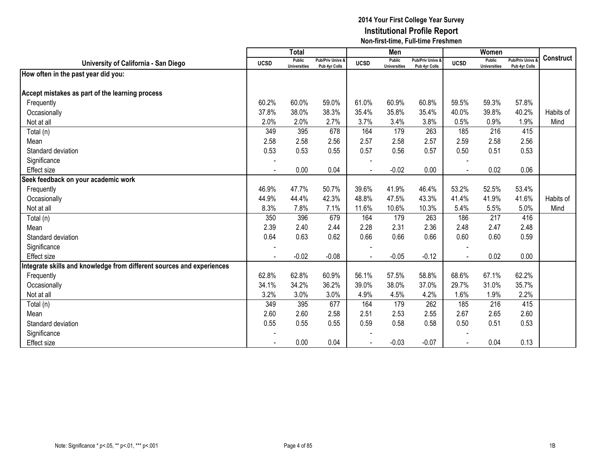|                                                                      |                | <b>Total</b>                  |                                   |                | Men                                  |                                   |             | Women                                |                                        |                  |
|----------------------------------------------------------------------|----------------|-------------------------------|-----------------------------------|----------------|--------------------------------------|-----------------------------------|-------------|--------------------------------------|----------------------------------------|------------------|
| University of California - San Diego                                 | <b>UCSD</b>    | Public<br><b>Universities</b> | Pub/Priv Univs &<br>Pub 4yr Colls | <b>UCSD</b>    | <b>Public</b><br><b>Universities</b> | Pub/Priv Univs &<br>Pub 4yr Colls | <b>UCSD</b> | <b>Public</b><br><b>Universities</b> | <b>Pub/Priv Univs</b><br>Pub 4yr Colls | <b>Construct</b> |
| How often in the past year did you:                                  |                |                               |                                   |                |                                      |                                   |             |                                      |                                        |                  |
|                                                                      |                |                               |                                   |                |                                      |                                   |             |                                      |                                        |                  |
| Accept mistakes as part of the learning process                      |                |                               |                                   |                |                                      |                                   |             |                                      |                                        |                  |
| Frequently                                                           | 60.2%          | 60.0%                         | 59.0%                             | 61.0%          | 60.9%                                | 60.8%                             | 59.5%       | 59.3%                                | 57.8%                                  |                  |
| Occasionally                                                         | 37.8%          | 38.0%                         | 38.3%                             | 35.4%          | 35.8%                                | 35.4%                             | 40.0%       | 39.8%                                | 40.2%                                  | Habits of        |
| Not at all                                                           | 2.0%           | 2.0%                          | 2.7%                              | 3.7%           | 3.4%                                 | 3.8%                              | 0.5%        | 0.9%                                 | 1.9%                                   | Mind             |
| Total (n)                                                            | 349            | 395                           | 678                               | 164            | 179                                  | 263                               | 185         | $\overline{216}$                     | 415                                    |                  |
| Mean                                                                 | 2.58           | 2.58                          | 2.56                              | 2.57           | 2.58                                 | 2.57                              | 2.59        | 2.58                                 | 2.56                                   |                  |
| Standard deviation                                                   | 0.53           | 0.53                          | 0.55                              | 0.57           | 0.56                                 | 0.57                              | 0.50        | 0.51                                 | 0.53                                   |                  |
| Significance                                                         |                |                               |                                   |                |                                      |                                   |             |                                      |                                        |                  |
| <b>Effect size</b>                                                   | $\blacksquare$ | 0.00                          | 0.04                              | $\blacksquare$ | $-0.02$                              | 0.00                              |             | 0.02                                 | 0.06                                   |                  |
| Seek feedback on your academic work                                  |                |                               |                                   |                |                                      |                                   |             |                                      |                                        |                  |
| Frequently                                                           | 46.9%          | 47.7%                         | 50.7%                             | 39.6%          | 41.9%                                | 46.4%                             | 53.2%       | 52.5%                                | 53.4%                                  |                  |
| Occasionally                                                         | 44.9%          | 44.4%                         | 42.3%                             | 48.8%          | 47.5%                                | 43.3%                             | 41.4%       | 41.9%                                | 41.6%                                  | Habits of        |
| Not at all                                                           | 8.3%           | 7.8%                          | 7.1%                              | 11.6%          | 10.6%                                | 10.3%                             | 5.4%        | 5.5%                                 | 5.0%                                   | Mind             |
| Total (n)                                                            | 350            | 396                           | 679                               | 164            | 179                                  | 263                               | 186         | 217                                  | 416                                    |                  |
| Mean                                                                 | 2.39           | 2.40                          | 2.44                              | 2.28           | 2.31                                 | 2.36                              | 2.48        | 2.47                                 | 2.48                                   |                  |
| Standard deviation                                                   | 0.64           | 0.63                          | 0.62                              | 0.66           | 0.66                                 | 0.66                              | 0.60        | 0.60                                 | 0.59                                   |                  |
| Significance                                                         | $\blacksquare$ |                               |                                   |                |                                      |                                   |             |                                      |                                        |                  |
| Effect size                                                          |                | $-0.02$                       | $-0.08$                           |                | $-0.05$                              | $-0.12$                           |             | 0.02                                 | 0.00                                   |                  |
| ntegrate skills and knowledge from different sources and experiences |                |                               |                                   |                |                                      |                                   |             |                                      |                                        |                  |
| Frequently                                                           | 62.8%          | 62.8%                         | 60.9%                             | 56.1%          | 57.5%                                | 58.8%                             | 68.6%       | 67.1%                                | 62.2%                                  |                  |
| Occasionally                                                         | 34.1%          | 34.2%                         | 36.2%                             | 39.0%          | 38.0%                                | 37.0%                             | 29.7%       | 31.0%                                | 35.7%                                  |                  |
| Not at all                                                           | 3.2%           | 3.0%                          | 3.0%                              | 4.9%           | 4.5%                                 | 4.2%                              | 1.6%        | 1.9%                                 | 2.2%                                   |                  |
| Total (n)                                                            | 349            | 395                           | 677                               | 164            | 179                                  | 262                               | 185         | 216                                  | 415                                    |                  |
| Mean                                                                 | 2.60           | 2.60                          | 2.58                              | 2.51           | 2.53                                 | 2.55                              | 2.67        | 2.65                                 | 2.60                                   |                  |
| Standard deviation                                                   | 0.55           | 0.55                          | 0.55                              | 0.59           | 0.58                                 | 0.58                              | 0.50        | 0.51                                 | 0.53                                   |                  |
| Significance                                                         |                |                               |                                   |                |                                      |                                   |             |                                      |                                        |                  |
| Effect size                                                          |                | 0.00                          | 0.04                              |                | $-0.03$                              | $-0.07$                           |             | 0.04                                 | 0.13                                   |                  |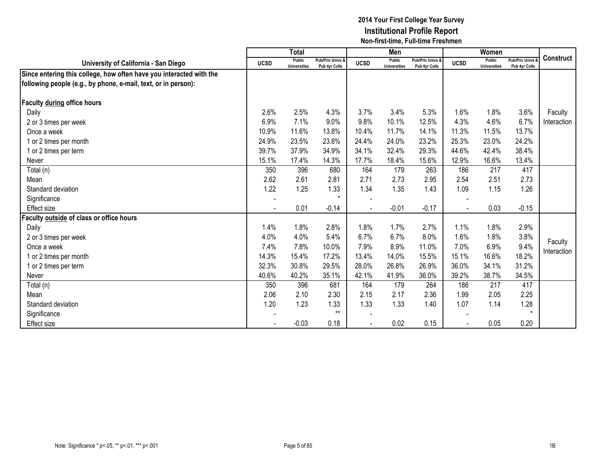|                                                                     |                          | Total                         |                                   |             | Men                           |                                   |             | Women                                |                                        |                  |
|---------------------------------------------------------------------|--------------------------|-------------------------------|-----------------------------------|-------------|-------------------------------|-----------------------------------|-------------|--------------------------------------|----------------------------------------|------------------|
| University of California - San Diego                                | <b>UCSD</b>              | Public<br><b>Universities</b> | Pub/Priv Univs &<br>Pub 4yr Colls | <b>UCSD</b> | Public<br><b>Universities</b> | Pub/Priv Univs &<br>Pub 4yr Colls | <b>UCSD</b> | <b>Public</b><br><b>Universities</b> | <b>Pub/Priv Univs</b><br>Pub 4yr Colls | <b>Construct</b> |
| Since entering this college, how often have you interacted with the |                          |                               |                                   |             |                               |                                   |             |                                      |                                        |                  |
| following people (e.g., by phone, e-mail, text, or in person):      |                          |                               |                                   |             |                               |                                   |             |                                      |                                        |                  |
| Faculty during office hours                                         |                          |                               |                                   |             |                               |                                   |             |                                      |                                        |                  |
| Daily                                                               | 2.6%                     | 2.5%                          | 4.3%                              | 3.7%        | 3.4%                          | 5.3%                              | 1.6%        | 1.8%                                 | 3.6%                                   | Faculty          |
| 2 or 3 times per week                                               | 6.9%                     | 7.1%                          | 9.0%                              | 9.8%        | 10.1%                         | 12.5%                             | 4.3%        | 4.6%                                 | 6.7%                                   | Interaction      |
| Once a week                                                         | 10.9%                    | 11.6%                         | 13.8%                             | 10.4%       | 11.7%                         | 14.1%                             | 11.3%       | 11.5%                                | 13.7%                                  |                  |
| 1 or 2 times per month                                              | 24.9%                    | 23.5%                         | 23.8%                             | 24.4%       | 24.0%                         | 23.2%                             | 25.3%       | 23.0%                                | 24.2%                                  |                  |
| 1 or 2 times per term                                               | 39.7%                    | 37.9%                         | 34.9%                             | 34.1%       | 32.4%                         | 29.3%                             | 44.6%       | 42.4%                                | 38.4%                                  |                  |
| Never                                                               | 15.1%                    | 17.4%                         | 14.3%                             | 17.7%       | 18.4%                         | 15.6%                             | 12.9%       | 16.6%                                | 13.4%                                  |                  |
| Total (n)                                                           | 350                      | 396                           | 680                               | 164         | 179                           | 263                               | 186         | 217                                  | 417                                    |                  |
| Mean                                                                | 2.62                     | 2.61                          | 2.81                              | 2.71        | 2.73                          | 2.95                              | 2.54        | 2.51                                 | 2.73                                   |                  |
| Standard deviation                                                  | 1.22                     | 1.25                          | 1.33                              | 1.34        | 1.35                          | 1.43                              | 1.09        | 1.15                                 | 1.26                                   |                  |
| Significance                                                        | $\overline{\phantom{a}}$ |                               | $\star$                           |             |                               |                                   |             |                                      |                                        |                  |
| Effect size                                                         | $\blacksquare$           | 0.01                          | $-0.14$                           |             | $-0.01$                       | $-0.17$                           |             | 0.03                                 | $-0.15$                                |                  |
| Faculty outside of class or office hours                            |                          |                               |                                   |             |                               |                                   |             |                                      |                                        |                  |
| Daily                                                               | 1.4%                     | 1.8%                          | 2.8%                              | 1.8%        | 1.7%                          | 2.7%                              | 1.1%        | 1.8%                                 | 2.9%                                   |                  |
| 2 or 3 times per week                                               | 4.0%                     | 4.0%                          | 5.4%                              | 6.7%        | 6.7%                          | 8.0%                              | 1.6%        | 1.8%                                 | 3.8%                                   | Faculty          |
| Once a week                                                         | 7.4%                     | 7.8%                          | 10.0%                             | 7.9%        | 8.9%                          | 11.0%                             | 7.0%        | 6.9%                                 | 9.4%                                   | Interaction      |
| 1 or 2 times per month                                              | 14.3%                    | 15.4%                         | 17.2%                             | 13.4%       | 14.0%                         | 15.5%                             | 15.1%       | 16.6%                                | 18.2%                                  |                  |
| 1 or 2 times per term                                               | 32.3%                    | 30.8%                         | 29.5%                             | 28.0%       | 26.8%                         | 26.9%                             | 36.0%       | 34.1%                                | 31.2%                                  |                  |
| Never                                                               | 40.6%                    | 40.2%                         | 35.1%                             | 42.1%       | 41.9%                         | 36.0%                             | 39.2%       | 38.7%                                | 34.5%                                  |                  |
| Total (n)                                                           | 350                      | 396                           | 681                               | 164         | 179                           | 264                               | 186         | 217                                  | 417                                    |                  |
| Mean                                                                | 2.06                     | 2.10                          | 2.30                              | 2.15        | 2.17                          | 2.36                              | 1.99        | 2.05                                 | 2.25                                   |                  |
| Standard deviation                                                  | 1.20                     | 1.23                          | 1.33                              | 1.33        | 1.33                          | 1.40                              | 1.07        | 1.14                                 | 1.28                                   |                  |
| Significance                                                        |                          |                               | $**$                              |             |                               |                                   |             |                                      |                                        |                  |
| <b>Effect size</b>                                                  |                          | $-0.03$                       | 0.18                              |             | 0.02                          | 0.15                              |             | 0.05                                 | 0.20                                   |                  |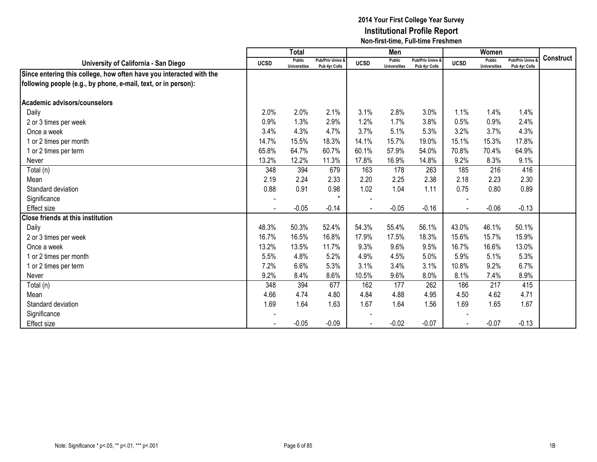|                                                                     |                          | <b>Total</b>                  |                                   |             | Men                                  |                                   |             | Women                                |                                        |                  |
|---------------------------------------------------------------------|--------------------------|-------------------------------|-----------------------------------|-------------|--------------------------------------|-----------------------------------|-------------|--------------------------------------|----------------------------------------|------------------|
| University of California - San Diego                                | <b>UCSD</b>              | Public<br><b>Universities</b> | Pub/Priv Univs &<br>Pub 4yr Colls | <b>UCSD</b> | <b>Public</b><br><b>Universities</b> | Pub/Priv Univs &<br>Pub 4yr Colls | <b>UCSD</b> | <b>Public</b><br><b>Universities</b> | <b>Pub/Priv Univs</b><br>Pub 4yr Colls | <b>Construct</b> |
| Since entering this college, how often have you interacted with the |                          |                               |                                   |             |                                      |                                   |             |                                      |                                        |                  |
| following people (e.g., by phone, e-mail, text, or in person):      |                          |                               |                                   |             |                                      |                                   |             |                                      |                                        |                  |
| Academic advisors/counselors                                        |                          |                               |                                   |             |                                      |                                   |             |                                      |                                        |                  |
| Daily                                                               | 2.0%                     | 2.0%                          | 2.1%                              | 3.1%        | 2.8%                                 | 3.0%                              | 1.1%        | 1.4%                                 | 1.4%                                   |                  |
| 2 or 3 times per week                                               | 0.9%                     | 1.3%                          | 2.9%                              | 1.2%        | 1.7%                                 | 3.8%                              | 0.5%        | 0.9%                                 | 2.4%                                   |                  |
| Once a week                                                         | 3.4%                     | 4.3%                          | 4.7%                              | 3.7%        | 5.1%                                 | 5.3%                              | 3.2%        | 3.7%                                 | 4.3%                                   |                  |
| 1 or 2 times per month                                              | 14.7%                    | 15.5%                         | 18.3%                             | 14.1%       | 15.7%                                | 19.0%                             | 15.1%       | 15.3%                                | 17.8%                                  |                  |
| 1 or 2 times per term                                               | 65.8%                    | 64.7%                         | 60.7%                             | 60.1%       | 57.9%                                | 54.0%                             | 70.8%       | 70.4%                                | 64.9%                                  |                  |
| Never                                                               | 13.2%                    | 12.2%                         | 11.3%                             | 17.8%       | 16.9%                                | 14.8%                             | 9.2%        | 8.3%                                 | 9.1%                                   |                  |
| Total (n)                                                           | 348                      | 394                           | 679                               | 163         | 178                                  | 263                               | 185         | 216                                  | 416                                    |                  |
| Mean                                                                | 2.19                     | 2.24                          | 2.33                              | 2.20        | 2.25                                 | 2.38                              | 2.18        | 2.23                                 | 2.30                                   |                  |
| Standard deviation                                                  | 0.88                     | 0.91                          | 0.98                              | 1.02        | 1.04                                 | 1.11                              | 0.75        | 0.80                                 | 0.89                                   |                  |
| Significance                                                        | $\overline{\phantom{a}}$ |                               | $\star$                           |             |                                      |                                   |             |                                      |                                        |                  |
| Effect size                                                         |                          | $-0.05$                       | $-0.14$                           |             | $-0.05$                              | $-0.16$                           |             | $-0.06$                              | $-0.13$                                |                  |
| <b>Close friends at this institution</b>                            |                          |                               |                                   |             |                                      |                                   |             |                                      |                                        |                  |
| Daily                                                               | 48.3%                    | 50.3%                         | 52.4%                             | 54.3%       | 55.4%                                | 56.1%                             | 43.0%       | 46.1%                                | 50.1%                                  |                  |
| 2 or 3 times per week                                               | 16.7%                    | 16.5%                         | 16.8%                             | 17.9%       | 17.5%                                | 18.3%                             | 15.6%       | 15.7%                                | 15.9%                                  |                  |
| Once a week                                                         | 13.2%                    | 13.5%                         | 11.7%                             | 9.3%        | 9.6%                                 | 9.5%                              | 16.7%       | 16.6%                                | 13.0%                                  |                  |
| 1 or 2 times per month                                              | 5.5%                     | 4.8%                          | 5.2%                              | 4.9%        | 4.5%                                 | 5.0%                              | 5.9%        | 5.1%                                 | 5.3%                                   |                  |
| 1 or 2 times per term                                               | 7.2%                     | 6.6%                          | 5.3%                              | 3.1%        | 3.4%                                 | 3.1%                              | 10.8%       | 9.2%                                 | 6.7%                                   |                  |
| Never                                                               | 9.2%                     | 8.4%                          | 8.6%                              | 10.5%       | 9.6%                                 | 8.0%                              | 8.1%        | 7.4%                                 | 8.9%                                   |                  |
| Total (n)                                                           | 348                      | 394                           | 677                               | 162         | 177                                  | 262                               | 186         | 217                                  | 415                                    |                  |
| Mean                                                                | 4.66                     | 4.74                          | 4.80                              | 4.84        | 4.88                                 | 4.95                              | 4.50        | 4.62                                 | 4.71                                   |                  |
| Standard deviation                                                  | 1.69                     | 1.64                          | 1.63                              | 1.67        | 1.64                                 | 1.56                              | 1.69        | 1.65                                 | 1.67                                   |                  |
| Significance                                                        |                          |                               |                                   |             |                                      |                                   |             |                                      |                                        |                  |
| <b>Effect size</b>                                                  |                          | $-0.05$                       | $-0.09$                           |             | $-0.02$                              | $-0.07$                           |             | $-0.07$                              | $-0.13$                                |                  |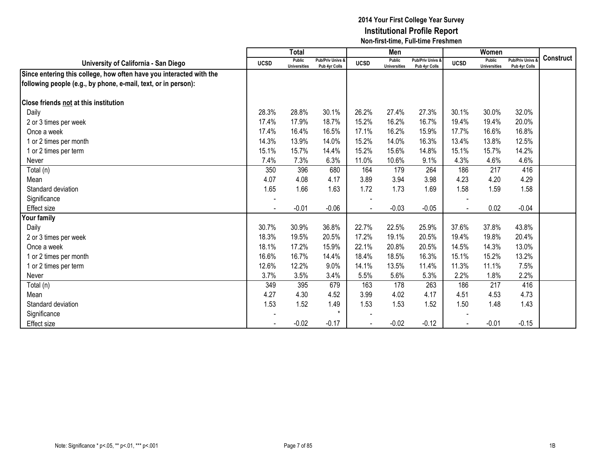|                                                                     |             | <b>Total</b>                  |                                   |             | Men                                  |                                   |             | Women                                |                                        |                  |
|---------------------------------------------------------------------|-------------|-------------------------------|-----------------------------------|-------------|--------------------------------------|-----------------------------------|-------------|--------------------------------------|----------------------------------------|------------------|
| University of California - San Diego                                | <b>UCSD</b> | Public<br><b>Universities</b> | Pub/Priv Univs &<br>Pub 4yr Colls | <b>UCSD</b> | <b>Public</b><br><b>Universities</b> | Pub/Priv Univs &<br>Pub 4yr Colls | <b>UCSD</b> | <b>Public</b><br><b>Universities</b> | <b>Pub/Priv Univs</b><br>Pub 4yr Colls | <b>Construct</b> |
| Since entering this college, how often have you interacted with the |             |                               |                                   |             |                                      |                                   |             |                                      |                                        |                  |
| following people (e.g., by phone, e-mail, text, or in person):      |             |                               |                                   |             |                                      |                                   |             |                                      |                                        |                  |
| <b>Close friends not at this institution</b>                        |             |                               |                                   |             |                                      |                                   |             |                                      |                                        |                  |
| Daily                                                               | 28.3%       | 28.8%                         | 30.1%                             | 26.2%       | 27.4%                                | 27.3%                             | 30.1%       | 30.0%                                | 32.0%                                  |                  |
| 2 or 3 times per week                                               | 17.4%       | 17.9%                         | 18.7%                             | 15.2%       | 16.2%                                | 16.7%                             | 19.4%       | 19.4%                                | 20.0%                                  |                  |
| Once a week                                                         | 17.4%       | 16.4%                         | 16.5%                             | 17.1%       | 16.2%                                | 15.9%                             | 17.7%       | 16.6%                                | 16.8%                                  |                  |
| 1 or 2 times per month                                              | 14.3%       | 13.9%                         | 14.0%                             | 15.2%       | 14.0%                                | 16.3%                             | 13.4%       | 13.8%                                | 12.5%                                  |                  |
| 1 or 2 times per term                                               | 15.1%       | 15.7%                         | 14.4%                             | 15.2%       | 15.6%                                | 14.8%                             | 15.1%       | 15.7%                                | 14.2%                                  |                  |
| Never                                                               | 7.4%        | 7.3%                          | 6.3%                              | 11.0%       | 10.6%                                | 9.1%                              | 4.3%        | 4.6%                                 | 4.6%                                   |                  |
| Total (n)                                                           | 350         | 396                           | 680                               | 164         | 179                                  | 264                               | 186         | 217                                  | 416                                    |                  |
| Mean                                                                | 4.07        | 4.08                          | 4.17                              | 3.89        | 3.94                                 | 3.98                              | 4.23        | 4.20                                 | 4.29                                   |                  |
| Standard deviation                                                  | 1.65        | 1.66                          | 1.63                              | 1.72        | 1.73                                 | 1.69                              | 1.58        | 1.59                                 | 1.58                                   |                  |
| Significance                                                        |             |                               |                                   |             |                                      |                                   |             |                                      |                                        |                  |
| <b>Effect size</b>                                                  |             | $-0.01$                       | $-0.06$                           |             | $-0.03$                              | $-0.05$                           |             | 0.02                                 | $-0.04$                                |                  |
| Your family                                                         |             |                               |                                   |             |                                      |                                   |             |                                      |                                        |                  |
| Daily                                                               | 30.7%       | 30.9%                         | 36.8%                             | 22.7%       | 22.5%                                | 25.9%                             | 37.6%       | 37.8%                                | 43.8%                                  |                  |
| 2 or 3 times per week                                               | 18.3%       | 19.5%                         | 20.5%                             | 17.2%       | 19.1%                                | 20.5%                             | 19.4%       | 19.8%                                | 20.4%                                  |                  |
| Once a week                                                         | 18.1%       | 17.2%                         | 15.9%                             | 22.1%       | 20.8%                                | 20.5%                             | 14.5%       | 14.3%                                | 13.0%                                  |                  |
| 1 or 2 times per month                                              | 16.6%       | 16.7%                         | 14.4%                             | 18.4%       | 18.5%                                | 16.3%                             | 15.1%       | 15.2%                                | 13.2%                                  |                  |
| 1 or 2 times per term                                               | 12.6%       | 12.2%                         | 9.0%                              | 14.1%       | 13.5%                                | 11.4%                             | 11.3%       | 11.1%                                | 7.5%                                   |                  |
| Never                                                               | 3.7%        | 3.5%                          | 3.4%                              | 5.5%        | 5.6%                                 | 5.3%                              | 2.2%        | 1.8%                                 | 2.2%                                   |                  |
| Total (n)                                                           | 349         | 395                           | 679                               | 163         | 178                                  | 263                               | 186         | 217                                  | 416                                    |                  |
| Mean                                                                | 4.27        | 4.30                          | 4.52                              | 3.99        | 4.02                                 | 4.17                              | 4.51        | 4.53                                 | 4.73                                   |                  |
| Standard deviation                                                  | 1.53        | 1.52                          | 1.49                              | 1.53        | 1.53                                 | 1.52                              | 1.50        | 1.48                                 | 1.43                                   |                  |
| Significance                                                        |             |                               | $\star$                           |             |                                      |                                   |             |                                      |                                        |                  |
| Effect size                                                         |             | $-0.02$                       | $-0.17$                           |             | $-0.02$                              | $-0.12$                           |             | $-0.01$                              | $-0.15$                                |                  |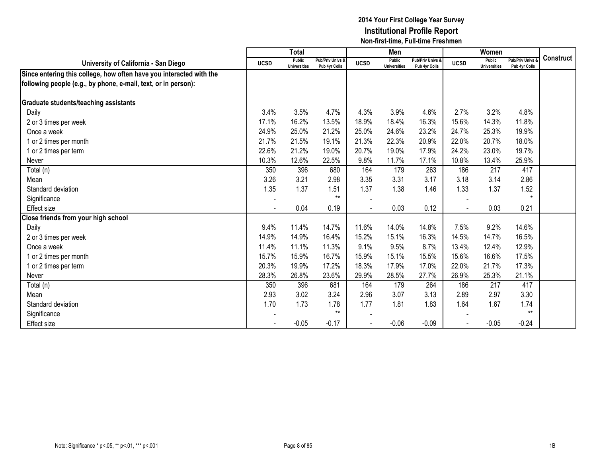|                                                                     |                          | <b>Total</b>                  |                                   |             | Men                                  |                                   |             | Women                                |                                        |                  |
|---------------------------------------------------------------------|--------------------------|-------------------------------|-----------------------------------|-------------|--------------------------------------|-----------------------------------|-------------|--------------------------------------|----------------------------------------|------------------|
| University of California - San Diego                                | <b>UCSD</b>              | Public<br><b>Universities</b> | Pub/Priv Univs &<br>Pub 4yr Colls | <b>UCSD</b> | <b>Public</b><br><b>Universities</b> | Pub/Priv Univs &<br>Pub 4yr Colls | <b>UCSD</b> | <b>Public</b><br><b>Universities</b> | <b>Pub/Priv Univs</b><br>Pub 4yr Colls | <b>Construct</b> |
| Since entering this college, how often have you interacted with the |                          |                               |                                   |             |                                      |                                   |             |                                      |                                        |                  |
| following people (e.g., by phone, e-mail, text, or in person):      |                          |                               |                                   |             |                                      |                                   |             |                                      |                                        |                  |
| <b>Graduate students/teaching assistants</b>                        |                          |                               |                                   |             |                                      |                                   |             |                                      |                                        |                  |
| Daily                                                               | 3.4%                     | 3.5%                          | 4.7%                              | 4.3%        | 3.9%                                 | 4.6%                              | 2.7%        | 3.2%                                 | 4.8%                                   |                  |
| 2 or 3 times per week                                               | 17.1%                    | 16.2%                         | 13.5%                             | 18.9%       | 18.4%                                | 16.3%                             | 15.6%       | 14.3%                                | 11.8%                                  |                  |
| Once a week                                                         | 24.9%                    | 25.0%                         | 21.2%                             | 25.0%       | 24.6%                                | 23.2%                             | 24.7%       | 25.3%                                | 19.9%                                  |                  |
| 1 or 2 times per month                                              | 21.7%                    | 21.5%                         | 19.1%                             | 21.3%       | 22.3%                                | 20.9%                             | 22.0%       | 20.7%                                | 18.0%                                  |                  |
| 1 or 2 times per term                                               | 22.6%                    | 21.2%                         | 19.0%                             | 20.7%       | 19.0%                                | 17.9%                             | 24.2%       | 23.0%                                | 19.7%                                  |                  |
| Never                                                               | 10.3%                    | 12.6%                         | 22.5%                             | 9.8%        | 11.7%                                | 17.1%                             | 10.8%       | 13.4%                                | 25.9%                                  |                  |
| Total (n)                                                           | 350                      | 396                           | 680                               | 164         | 179                                  | 263                               | 186         | 217                                  | 417                                    |                  |
| Mean                                                                | 3.26                     | 3.21                          | 2.98                              | 3.35        | 3.31                                 | 3.17                              | 3.18        | 3.14                                 | 2.86                                   |                  |
| Standard deviation                                                  | 1.35                     | 1.37                          | 1.51                              | 1.37        | 1.38                                 | 1.46                              | 1.33        | 1.37                                 | 1.52                                   |                  |
| Significance                                                        | $\overline{\phantom{a}}$ |                               | $**$                              |             |                                      |                                   |             |                                      | $\star$                                |                  |
| <b>Effect size</b>                                                  |                          | 0.04                          | 0.19                              |             | 0.03                                 | 0.12                              |             | 0.03                                 | 0.21                                   |                  |
| Close friends from your high school                                 |                          |                               |                                   |             |                                      |                                   |             |                                      |                                        |                  |
| Daily                                                               | 9.4%                     | 11.4%                         | 14.7%                             | 11.6%       | 14.0%                                | 14.8%                             | 7.5%        | 9.2%                                 | 14.6%                                  |                  |
| 2 or 3 times per week                                               | 14.9%                    | 14.9%                         | 16.4%                             | 15.2%       | 15.1%                                | 16.3%                             | 14.5%       | 14.7%                                | 16.5%                                  |                  |
| Once a week                                                         | 11.4%                    | 11.1%                         | 11.3%                             | 9.1%        | 9.5%                                 | 8.7%                              | 13.4%       | 12.4%                                | 12.9%                                  |                  |
| 1 or 2 times per month                                              | 15.7%                    | 15.9%                         | 16.7%                             | 15.9%       | 15.1%                                | 15.5%                             | 15.6%       | 16.6%                                | 17.5%                                  |                  |
| 1 or 2 times per term                                               | 20.3%                    | 19.9%                         | 17.2%                             | 18.3%       | 17.9%                                | 17.0%                             | 22.0%       | 21.7%                                | 17.3%                                  |                  |
| Never                                                               | 28.3%                    | 26.8%                         | 23.6%                             | 29.9%       | 28.5%                                | 27.7%                             | 26.9%       | 25.3%                                | 21.1%                                  |                  |
| Total (n)                                                           | 350                      | 396                           | 681                               | 164         | 179                                  | 264                               | 186         | 217                                  | 417                                    |                  |
| Mean                                                                | 2.93                     | 3.02                          | 3.24                              | 2.96        | 3.07                                 | 3.13                              | 2.89        | 2.97                                 | 3.30                                   |                  |
| Standard deviation                                                  | 1.70                     | 1.73                          | 1.78                              | 1.77        | 1.81                                 | 1.83                              | 1.64        | 1.67                                 | 1.74                                   |                  |
| Significance                                                        |                          |                               | $***$                             |             |                                      |                                   |             |                                      | $**$                                   |                  |
| <b>Effect size</b>                                                  |                          | $-0.05$                       | $-0.17$                           |             | $-0.06$                              | $-0.09$                           |             | $-0.05$                              | $-0.24$                                |                  |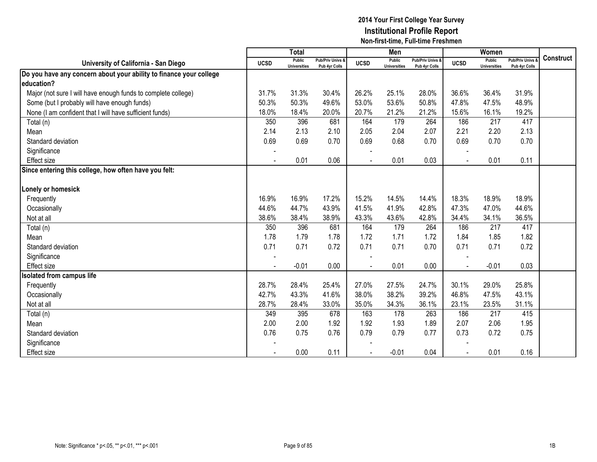|                                                                    |             | <b>Total</b>                         |                                   |             | Men                                  |                                   |             | <b>Women</b>                         |                                        |                  |
|--------------------------------------------------------------------|-------------|--------------------------------------|-----------------------------------|-------------|--------------------------------------|-----------------------------------|-------------|--------------------------------------|----------------------------------------|------------------|
| University of California - San Diego                               | <b>UCSD</b> | <b>Public</b><br><b>Universities</b> | Pub/Priv Univs &<br>Pub 4yr Colls | <b>UCSD</b> | <b>Public</b><br><b>Universities</b> | Pub/Priv Univs &<br>Pub 4yr Colls | <b>UCSD</b> | <b>Public</b><br><b>Universities</b> | <b>Pub/Priv Univs</b><br>Pub 4yr Colls | <b>Construct</b> |
| Do you have any concern about your ability to finance your college |             |                                      |                                   |             |                                      |                                   |             |                                      |                                        |                  |
| education?                                                         |             |                                      |                                   |             |                                      |                                   |             |                                      |                                        |                  |
| Major (not sure I will have enough funds to complete college)      | 31.7%       | 31.3%                                | 30.4%                             | 26.2%       | 25.1%                                | 28.0%                             | 36.6%       | 36.4%                                | 31.9%                                  |                  |
| Some (but I probably will have enough funds)                       | 50.3%       | 50.3%                                | 49.6%                             | 53.0%       | 53.6%                                | 50.8%                             | 47.8%       | 47.5%                                | 48.9%                                  |                  |
| None (I am confident that I will have sufficient funds)            | 18.0%       | 18.4%                                | 20.0%                             | 20.7%       | 21.2%                                | 21.2%                             | 15.6%       | 16.1%                                | 19.2%                                  |                  |
| Total (n)                                                          | 350         | 396                                  | 681                               | 164         | 179                                  | 264                               | 186         | 217                                  | 417                                    |                  |
| Mean                                                               | 2.14        | 2.13                                 | 2.10                              | 2.05        | 2.04                                 | 2.07                              | 2.21        | 2.20                                 | 2.13                                   |                  |
| Standard deviation                                                 | 0.69        | 0.69                                 | 0.70                              | 0.69        | 0.68                                 | 0.70                              | 0.69        | 0.70                                 | 0.70                                   |                  |
| Significance                                                       |             |                                      |                                   |             |                                      |                                   |             |                                      |                                        |                  |
| <b>Effect</b> size                                                 |             | 0.01                                 | 0.06                              |             | 0.01                                 | 0.03                              |             | 0.01                                 | 0.11                                   |                  |
| Since entering this college, how often have you felt:              |             |                                      |                                   |             |                                      |                                   |             |                                      |                                        |                  |
|                                                                    |             |                                      |                                   |             |                                      |                                   |             |                                      |                                        |                  |
| Lonely or homesick                                                 |             |                                      |                                   |             |                                      |                                   |             |                                      |                                        |                  |
| Frequently                                                         | 16.9%       | 16.9%                                | 17.2%                             | 15.2%       | 14.5%                                | 14.4%                             | 18.3%       | 18.9%                                | 18.9%                                  |                  |
| Occasionally                                                       | 44.6%       | 44.7%                                | 43.9%                             | 41.5%       | 41.9%                                | 42.8%                             | 47.3%       | 47.0%                                | 44.6%                                  |                  |
| Not at all                                                         | 38.6%       | 38.4%                                | 38.9%                             | 43.3%       | 43.6%                                | 42.8%                             | 34.4%       | 34.1%                                | 36.5%                                  |                  |
| Total (n)                                                          | 350         | 396                                  | 681                               | 164         | 179                                  | 264                               | 186         | 217                                  | 417                                    |                  |
| Mean                                                               | 1.78        | 1.79                                 | 1.78                              | 1.72        | 1.71                                 | 1.72                              | 1.84        | 1.85                                 | 1.82                                   |                  |
| Standard deviation                                                 | 0.71        | 0.71                                 | 0.72                              | 0.71        | 0.71                                 | 0.70                              | 0.71        | 0.71                                 | 0.72                                   |                  |
| Significance                                                       |             |                                      |                                   |             |                                      |                                   |             |                                      |                                        |                  |
| Effect size                                                        |             | $-0.01$                              | 0.00                              |             | 0.01                                 | 0.00                              |             | $-0.01$                              | 0.03                                   |                  |
| <b>Isolated from campus life</b>                                   |             |                                      |                                   |             |                                      |                                   |             |                                      |                                        |                  |
| Frequently                                                         | 28.7%       | 28.4%                                | 25.4%                             | 27.0%       | 27.5%                                | 24.7%                             | 30.1%       | 29.0%                                | 25.8%                                  |                  |
| Occasionally                                                       | 42.7%       | 43.3%                                | 41.6%                             | 38.0%       | 38.2%                                | 39.2%                             | 46.8%       | 47.5%                                | 43.1%                                  |                  |
| Not at all                                                         | 28.7%       | 28.4%                                | 33.0%                             | 35.0%       | 34.3%                                | 36.1%                             | 23.1%       | 23.5%                                | 31.1%                                  |                  |
| Total (n)                                                          | 349         | 395                                  | 678                               | 163         | 178                                  | 263                               | 186         | 217                                  | 415                                    |                  |
| Mean                                                               | 2.00        | 2.00                                 | 1.92                              | 1.92        | 1.93                                 | 1.89                              | 2.07        | 2.06                                 | 1.95                                   |                  |
| Standard deviation                                                 | 0.76        | 0.75                                 | 0.76                              | 0.79        | 0.79                                 | 0.77                              | 0.73        | 0.72                                 | 0.75                                   |                  |
| Significance                                                       |             |                                      |                                   |             |                                      |                                   |             |                                      |                                        |                  |
| <b>Effect size</b>                                                 |             | 0.00                                 | 0.11                              |             | $-0.01$                              | 0.04                              |             | 0.01                                 | 0.16                                   |                  |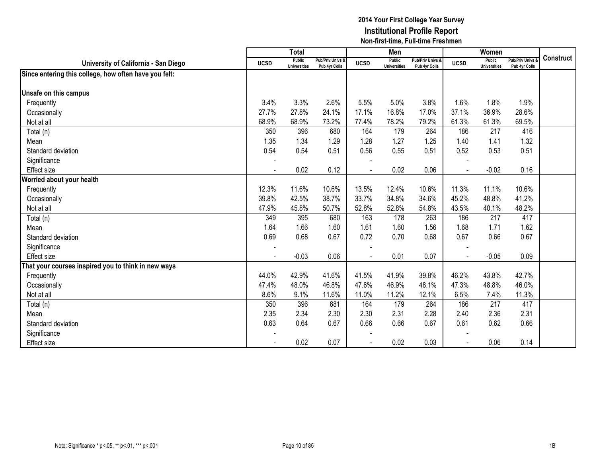|                                                       |                | <b>Total</b>                  |                                   |                | Men                                  |                                   |             | Women                         |                                        |                  |
|-------------------------------------------------------|----------------|-------------------------------|-----------------------------------|----------------|--------------------------------------|-----------------------------------|-------------|-------------------------------|----------------------------------------|------------------|
| University of California - San Diego                  | <b>UCSD</b>    | Public<br><b>Universities</b> | Pub/Priv Univs &<br>Pub 4yr Colls | <b>UCSD</b>    | <b>Public</b><br><b>Universities</b> | Pub/Priv Univs &<br>Pub 4yr Colls | <b>UCSD</b> | Public<br><b>Universities</b> | <b>Pub/Priv Univs</b><br>Pub 4yr Colls | <b>Construct</b> |
| Since entering this college, how often have you felt: |                |                               |                                   |                |                                      |                                   |             |                               |                                        |                  |
|                                                       |                |                               |                                   |                |                                      |                                   |             |                               |                                        |                  |
| Unsafe on this campus                                 |                |                               |                                   |                |                                      |                                   |             |                               |                                        |                  |
| Frequently                                            | 3.4%           | 3.3%                          | 2.6%                              | 5.5%           | 5.0%                                 | 3.8%                              | 1.6%        | 1.8%                          | 1.9%                                   |                  |
| Occasionally                                          | 27.7%          | 27.8%                         | 24.1%                             | 17.1%          | 16.8%                                | 17.0%                             | 37.1%       | 36.9%                         | 28.6%                                  |                  |
| Not at all                                            | 68.9%          | 68.9%                         | 73.2%                             | 77.4%          | 78.2%                                | 79.2%                             | 61.3%       | 61.3%                         | 69.5%                                  |                  |
| Total (n)                                             | 350            | 396                           | 680                               | 164            | 179                                  | 264                               | 186         | 217                           | 416                                    |                  |
| Mean                                                  | 1.35           | 1.34                          | 1.29                              | 1.28           | 1.27                                 | 1.25                              | 1.40        | 1.41                          | 1.32                                   |                  |
| Standard deviation                                    | 0.54           | 0.54                          | 0.51                              | 0.56           | 0.55                                 | 0.51                              | 0.52        | 0.53                          | 0.51                                   |                  |
| Significance                                          |                |                               |                                   |                |                                      |                                   |             |                               |                                        |                  |
| <b>Effect size</b>                                    | $\blacksquare$ | 0.02                          | 0.12                              | $\blacksquare$ | 0.02                                 | 0.06                              |             | $-0.02$                       | 0.16                                   |                  |
| Worried about your health                             |                |                               |                                   |                |                                      |                                   |             |                               |                                        |                  |
| Frequently                                            | 12.3%          | 11.6%                         | 10.6%                             | 13.5%          | 12.4%                                | 10.6%                             | 11.3%       | 11.1%                         | 10.6%                                  |                  |
| Occasionally                                          | 39.8%          | 42.5%                         | 38.7%                             | 33.7%          | 34.8%                                | 34.6%                             | 45.2%       | 48.8%                         | 41.2%                                  |                  |
| Not at all                                            | 47.9%          | 45.8%                         | 50.7%                             | 52.8%          | 52.8%                                | 54.8%                             | 43.5%       | 40.1%                         | 48.2%                                  |                  |
| Total (n)                                             | 349            | 395                           | 680                               | 163            | 178                                  | 263                               | 186         | 217                           | 417                                    |                  |
| Mean                                                  | 1.64           | 1.66                          | 1.60                              | 1.61           | 1.60                                 | 1.56                              | 1.68        | 1.71                          | 1.62                                   |                  |
| Standard deviation                                    | 0.69           | 0.68                          | 0.67                              | 0.72           | 0.70                                 | 0.68                              | 0.67        | 0.66                          | 0.67                                   |                  |
| Significance                                          | $\sim$         |                               |                                   |                |                                      |                                   |             |                               |                                        |                  |
| Effect size                                           |                | $-0.03$                       | 0.06                              | $\sim$         | 0.01                                 | 0.07                              |             | $-0.05$                       | 0.09                                   |                  |
| That your courses inspired you to think in new ways   |                |                               |                                   |                |                                      |                                   |             |                               |                                        |                  |
| Frequently                                            | 44.0%          | 42.9%                         | 41.6%                             | 41.5%          | 41.9%                                | 39.8%                             | 46.2%       | 43.8%                         | 42.7%                                  |                  |
| Occasionally                                          | 47.4%          | 48.0%                         | 46.8%                             | 47.6%          | 46.9%                                | 48.1%                             | 47.3%       | 48.8%                         | 46.0%                                  |                  |
| Not at all                                            | 8.6%           | 9.1%                          | 11.6%                             | 11.0%          | 11.2%                                | 12.1%                             | 6.5%        | 7.4%                          | 11.3%                                  |                  |
| Total (n)                                             | 350            | 396                           | 681                               | 164            | 179                                  | 264                               | 186         | 217                           | 417                                    |                  |
| Mean                                                  | 2.35           | 2.34                          | 2.30                              | 2.30           | 2.31                                 | 2.28                              | 2.40        | 2.36                          | 2.31                                   |                  |
| Standard deviation                                    | 0.63           | 0.64                          | 0.67                              | 0.66           | 0.66                                 | 0.67                              | 0.61        | 0.62                          | 0.66                                   |                  |
| Significance                                          |                |                               |                                   |                |                                      |                                   |             |                               |                                        |                  |
| <b>Effect size</b>                                    |                | 0.02                          | 0.07                              |                | 0.02                                 | 0.03                              |             | 0.06                          | 0.14                                   |                  |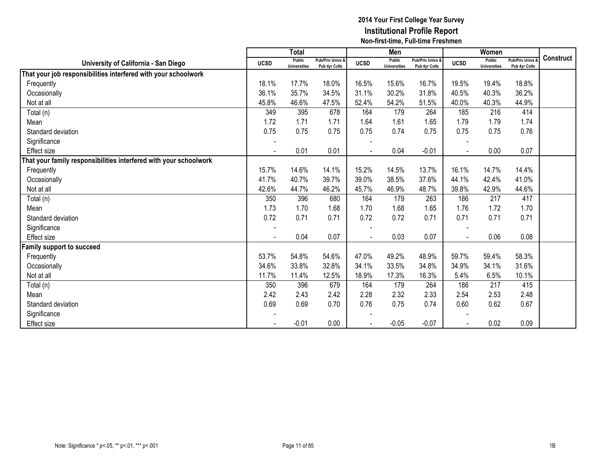|                                                                   |                          | <b>Total</b>                  |                                              |             | Men                                  |                                   |             | Women                                |                                 |                  |
|-------------------------------------------------------------------|--------------------------|-------------------------------|----------------------------------------------|-------------|--------------------------------------|-----------------------------------|-------------|--------------------------------------|---------------------------------|------------------|
| University of California - San Diego                              | <b>UCSD</b>              | Public<br><b>Universities</b> | <b>Pub/Priv Univs &amp;</b><br>Pub 4yr Colls | <b>UCSD</b> | <b>Public</b><br><b>Universities</b> | Pub/Priv Univs &<br>Pub 4yr Colls | <b>UCSD</b> | <b>Public</b><br><b>Universities</b> | Pub/Priv Univs<br>Pub 4yr Colls | <b>Construct</b> |
| That your job responsibilities interfered with your schoolwork    |                          |                               |                                              |             |                                      |                                   |             |                                      |                                 |                  |
| Frequently                                                        | 18.1%                    | 17.7%                         | 18.0%                                        | 16.5%       | 15.6%                                | 16.7%                             | 19.5%       | 19.4%                                | 18.8%                           |                  |
| Occasionally                                                      | 36.1%                    | 35.7%                         | 34.5%                                        | 31.1%       | 30.2%                                | 31.8%                             | 40.5%       | 40.3%                                | 36.2%                           |                  |
| Not at all                                                        | 45.8%                    | 46.6%                         | 47.5%                                        | 52.4%       | 54.2%                                | 51.5%                             | 40.0%       | 40.3%                                | 44.9%                           |                  |
| Total (n)                                                         | 349                      | 395                           | 678                                          | 164         | 179                                  | 264                               | 185         | 216                                  | 414                             |                  |
| Mean                                                              | 1.72                     | 1.71                          | 1.71                                         | 1.64        | 1.61                                 | 1.65                              | 1.79        | 1.79                                 | 1.74                            |                  |
| Standard deviation                                                | 0.75                     | 0.75                          | 0.75                                         | 0.75        | 0.74                                 | 0.75                              | 0.75        | 0.75                                 | 0.76                            |                  |
| Significance                                                      |                          |                               |                                              |             |                                      |                                   |             |                                      |                                 |                  |
| Effect size                                                       |                          | 0.01                          | 0.01                                         |             | 0.04                                 | $-0.01$                           |             | 0.00                                 | 0.07                            |                  |
| That your family responsibilities interfered with your schoolwork |                          |                               |                                              |             |                                      |                                   |             |                                      |                                 |                  |
| Frequently                                                        | 15.7%                    | 14.6%                         | 14.1%                                        | 15.2%       | 14.5%                                | 13.7%                             | 16.1%       | 14.7%                                | 14.4%                           |                  |
| Occasionally                                                      | 41.7%                    | 40.7%                         | 39.7%                                        | 39.0%       | 38.5%                                | 37.6%                             | 44.1%       | 42.4%                                | 41.0%                           |                  |
| Not at all                                                        | 42.6%                    | 44.7%                         | 46.2%                                        | 45.7%       | 46.9%                                | 48.7%                             | 39.8%       | 42.9%                                | 44.6%                           |                  |
| Total (n)                                                         | 350                      | 396                           | 680                                          | 164         | 179                                  | 263                               | 186         | 217                                  | 417                             |                  |
| Mean                                                              | 1.73                     | 1.70                          | 1.68                                         | 1.70        | 1.68                                 | 1.65                              | 1.76        | 1.72                                 | 1.70                            |                  |
| Standard deviation                                                | 0.72                     | 0.71                          | 0.71                                         | 0.72        | 0.72                                 | 0.71                              | 0.71        | 0.71                                 | 0.71                            |                  |
| Significance                                                      | $\overline{\phantom{a}}$ |                               |                                              |             |                                      |                                   |             |                                      |                                 |                  |
| Effect size                                                       | $\overline{a}$           | 0.04                          | 0.07                                         |             | 0.03                                 | 0.07                              |             | 0.06                                 | 0.08                            |                  |
| amily support to succeed                                          |                          |                               |                                              |             |                                      |                                   |             |                                      |                                 |                  |
| Frequently                                                        | 53.7%                    | 54.8%                         | 54.6%                                        | 47.0%       | 49.2%                                | 48.9%                             | 59.7%       | 59.4%                                | 58.3%                           |                  |
| Occasionally                                                      | 34.6%                    | 33.8%                         | 32.8%                                        | 34.1%       | 33.5%                                | 34.8%                             | 34.9%       | 34.1%                                | 31.6%                           |                  |
| Not at all                                                        | 11.7%                    | 11.4%                         | 12.5%                                        | 18.9%       | 17.3%                                | 16.3%                             | 5.4%        | 6.5%                                 | 10.1%                           |                  |
| Total (n)                                                         | 350                      | 396                           | 679                                          | 164         | 179                                  | 264                               | 186         | 217                                  | 415                             |                  |
| Mean                                                              | 2.42                     | 2.43                          | 2.42                                         | 2.28        | 2.32                                 | 2.33                              | 2.54        | 2.53                                 | 2.48                            |                  |
| Standard deviation                                                | 0.69                     | 0.69                          | 0.70                                         | 0.76        | 0.75                                 | 0.74                              | 0.60        | 0.62                                 | 0.67                            |                  |
| Significance                                                      |                          |                               |                                              |             |                                      |                                   |             |                                      |                                 |                  |
| Effect size                                                       |                          | $-0.01$                       | 0.00                                         |             | $-0.05$                              | $-0.07$                           |             | 0.02                                 | 0.09                            |                  |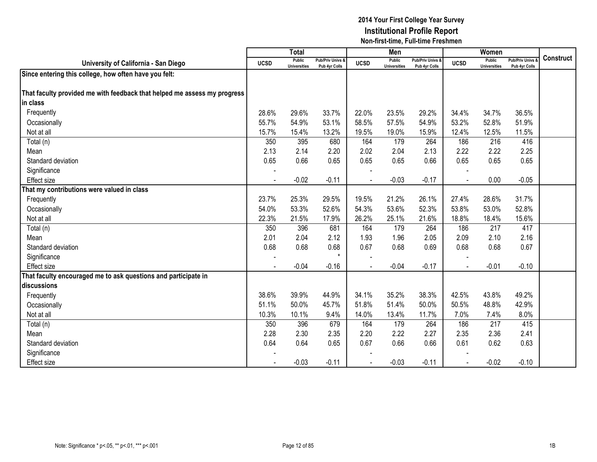|                                                                          |             | <b>Total</b>                         |                                   |             | Men                                  |                                   |             | Women                                |                                        |           |
|--------------------------------------------------------------------------|-------------|--------------------------------------|-----------------------------------|-------------|--------------------------------------|-----------------------------------|-------------|--------------------------------------|----------------------------------------|-----------|
| University of California - San Diego                                     | <b>UCSD</b> | <b>Public</b><br><b>Universities</b> | Pub/Priv Univs &<br>Pub 4yr Colls | <b>UCSD</b> | <b>Public</b><br><b>Universities</b> | Pub/Priv Univs &<br>Pub 4yr Colls | <b>UCSD</b> | <b>Public</b><br><b>Universities</b> | <b>Pub/Priv Univs</b><br>Pub 4yr Colls | Construct |
| Since entering this college, how often have you felt:                    |             |                                      |                                   |             |                                      |                                   |             |                                      |                                        |           |
|                                                                          |             |                                      |                                   |             |                                      |                                   |             |                                      |                                        |           |
| That faculty provided me with feedback that helped me assess my progress |             |                                      |                                   |             |                                      |                                   |             |                                      |                                        |           |
| in class                                                                 |             |                                      |                                   |             |                                      |                                   |             |                                      |                                        |           |
| Frequently                                                               | 28.6%       | 29.6%                                | 33.7%                             | 22.0%       | 23.5%                                | 29.2%                             | 34.4%       | 34.7%                                | 36.5%                                  |           |
| Occasionally                                                             | 55.7%       | 54.9%                                | 53.1%                             | 58.5%       | 57.5%                                | 54.9%                             | 53.2%       | 52.8%                                | 51.9%                                  |           |
| Not at all                                                               | 15.7%       | 15.4%                                | 13.2%                             | 19.5%       | 19.0%                                | 15.9%                             | 12.4%       | 12.5%                                | 11.5%                                  |           |
| Total (n)                                                                | 350         | 395                                  | 680                               | 164         | 179                                  | 264                               | 186         | 216                                  | 416                                    |           |
| Mean                                                                     | 2.13        | 2.14                                 | 2.20                              | 2.02        | 2.04                                 | 2.13                              | 2.22        | 2.22                                 | 2.25                                   |           |
| Standard deviation                                                       | 0.65        | 0.66                                 | 0.65                              | 0.65        | 0.65                                 | 0.66                              | 0.65        | 0.65                                 | 0.65                                   |           |
| Significance                                                             |             |                                      |                                   |             |                                      |                                   |             |                                      |                                        |           |
| <b>Effect size</b>                                                       |             | $-0.02$                              | $-0.11$                           |             | $-0.03$                              | $-0.17$                           |             | 0.00                                 | $-0.05$                                |           |
| That my contributions were valued in class                               |             |                                      |                                   |             |                                      |                                   |             |                                      |                                        |           |
| Frequently                                                               | 23.7%       | 25.3%                                | 29.5%                             | 19.5%       | 21.2%                                | 26.1%                             | 27.4%       | 28.6%                                | 31.7%                                  |           |
| Occasionally                                                             | 54.0%       | 53.3%                                | 52.6%                             | 54.3%       | 53.6%                                | 52.3%                             | 53.8%       | 53.0%                                | 52.8%                                  |           |
| Not at all                                                               | 22.3%       | 21.5%                                | 17.9%                             | 26.2%       | 25.1%                                | 21.6%                             | 18.8%       | 18.4%                                | 15.6%                                  |           |
| Total (n)                                                                | 350         | 396                                  | 681                               | 164         | 179                                  | 264                               | 186         | 217                                  | 417                                    |           |
| Mean                                                                     | 2.01        | 2.04                                 | 2.12                              | 1.93        | 1.96                                 | 2.05                              | 2.09        | 2.10                                 | 2.16                                   |           |
| Standard deviation                                                       | 0.68        | 0.68                                 | 0.68                              | 0.67        | 0.68                                 | 0.69                              | 0.68        | 0.68                                 | 0.67                                   |           |
| Significance                                                             |             |                                      | $\star$                           |             |                                      |                                   |             |                                      |                                        |           |
| <b>Effect size</b>                                                       |             | $-0.04$                              | $-0.16$                           |             | $-0.04$                              | $-0.17$                           |             | $-0.01$                              | $-0.10$                                |           |
| That faculty encouraged me to ask questions and participate in           |             |                                      |                                   |             |                                      |                                   |             |                                      |                                        |           |
| discussions                                                              |             |                                      |                                   |             |                                      |                                   |             |                                      |                                        |           |
| Frequently                                                               | 38.6%       | 39.9%                                | 44.9%                             | 34.1%       | 35.2%                                | 38.3%                             | 42.5%       | 43.8%                                | 49.2%                                  |           |
| Occasionally                                                             | 51.1%       | 50.0%                                | 45.7%                             | 51.8%       | 51.4%                                | 50.0%                             | 50.5%       | 48.8%                                | 42.9%                                  |           |
| Not at all                                                               | 10.3%       | 10.1%                                | 9.4%                              | 14.0%       | 13.4%                                | 11.7%                             | 7.0%        | 7.4%                                 | 8.0%                                   |           |
| Total (n)                                                                | 350         | 396                                  | 679                               | 164         | 179                                  | 264                               | 186         | 217                                  | 415                                    |           |
| Mean                                                                     | 2.28        | 2.30                                 | 2.35                              | 2.20        | 2.22                                 | 2.27                              | 2.35        | 2.36                                 | 2.41                                   |           |
| Standard deviation                                                       | 0.64        | 0.64                                 | 0.65                              | 0.67        | 0.66                                 | 0.66                              | 0.61        | 0.62                                 | 0.63                                   |           |
| Significance                                                             |             |                                      |                                   |             |                                      |                                   |             |                                      |                                        |           |
| <b>Effect size</b>                                                       |             | $-0.03$                              | $-0.11$                           |             | $-0.03$                              | $-0.11$                           |             | $-0.02$                              | $-0.10$                                |           |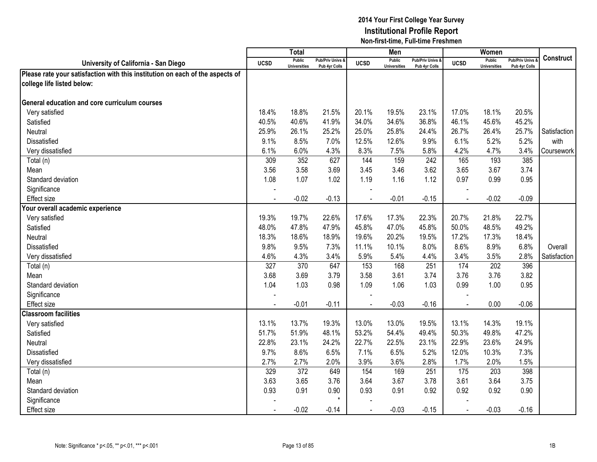|                                                                               |                  | <b>Total</b>                         |                                   |                | Men                                  |                                              |                | Women                                |                                        |                  |
|-------------------------------------------------------------------------------|------------------|--------------------------------------|-----------------------------------|----------------|--------------------------------------|----------------------------------------------|----------------|--------------------------------------|----------------------------------------|------------------|
| University of California - San Diego                                          | <b>UCSD</b>      | <b>Public</b><br><b>Universities</b> | Pub/Priv Univs &<br>Pub 4yr Colls | <b>UCSD</b>    | <b>Public</b><br><b>Universities</b> | <b>Pub/Priv Univs &amp;</b><br>Pub 4yr Colls | <b>UCSD</b>    | <b>Public</b><br><b>Universities</b> | <b>Pub/Priv Univs</b><br>Pub 4yr Colls | <b>Construct</b> |
| Please rate your satisfaction with this institution on each of the aspects of |                  |                                      |                                   |                |                                      |                                              |                |                                      |                                        |                  |
| college life listed below:                                                    |                  |                                      |                                   |                |                                      |                                              |                |                                      |                                        |                  |
|                                                                               |                  |                                      |                                   |                |                                      |                                              |                |                                      |                                        |                  |
| <b>General education and core curriculum courses</b>                          |                  |                                      |                                   |                |                                      |                                              |                |                                      |                                        |                  |
| Very satisfied                                                                | 18.4%            | 18.8%                                | 21.5%                             | 20.1%          | 19.5%                                | 23.1%                                        | 17.0%          | 18.1%                                | 20.5%                                  |                  |
| Satisfied                                                                     | 40.5%            | 40.6%                                | 41.9%                             | 34.0%          | 34.6%                                | 36.8%                                        | 46.1%          | 45.6%                                | 45.2%                                  |                  |
| Neutral                                                                       | 25.9%            | 26.1%                                | 25.2%                             | 25.0%          | 25.8%                                | 24.4%                                        | 26.7%          | 26.4%                                | 25.7%                                  | Satisfaction     |
| Dissatisfied                                                                  | 9.1%             | 8.5%                                 | 7.0%                              | 12.5%          | 12.6%                                | 9.9%                                         | 6.1%           | 5.2%                                 | 5.2%                                   | with             |
| Very dissatisfied                                                             | 6.1%             | 6.0%                                 | 4.3%                              | 8.3%           | 7.5%                                 | 5.8%                                         | 4.2%           | 4.7%                                 | 3.4%                                   | Coursework       |
| Total (n)                                                                     | 309              | 352                                  | 627                               | 144            | 159                                  | $\overline{242}$                             | 165            | 193                                  | 385                                    |                  |
| Mean                                                                          | 3.56             | 3.58                                 | 3.69                              | 3.45           | 3.46                                 | 3.62                                         | 3.65           | 3.67                                 | 3.74                                   |                  |
| Standard deviation                                                            | 1.08             | 1.07                                 | 1.02                              | 1.19           | 1.16                                 | 1.12                                         | 0.97           | 0.99                                 | 0.95                                   |                  |
| Significance                                                                  |                  |                                      |                                   |                |                                      |                                              |                |                                      |                                        |                  |
| <b>Effect size</b>                                                            |                  | $-0.02$                              | $-0.13$                           |                | $-0.01$                              | $-0.15$                                      |                | $-0.02$                              | $-0.09$                                |                  |
| Your overall academic experience                                              |                  |                                      |                                   |                |                                      |                                              |                |                                      |                                        |                  |
| Very satisfied                                                                | 19.3%            | 19.7%                                | 22.6%                             | 17.6%          | 17.3%                                | 22.3%                                        | 20.7%          | 21.8%                                | 22.7%                                  |                  |
| Satisfied                                                                     | 48.0%            | 47.8%                                | 47.9%                             | 45.8%          | 47.0%                                | 45.8%                                        | 50.0%          | 48.5%                                | 49.2%                                  |                  |
| Neutral                                                                       | 18.3%            | 18.6%                                | 18.9%                             | 19.6%          | 20.2%                                | 19.5%                                        | 17.2%          | 17.3%                                | 18.4%                                  |                  |
| Dissatisfied                                                                  | 9.8%             | 9.5%                                 | 7.3%                              | 11.1%          | 10.1%                                | 8.0%                                         | 8.6%           | 8.9%                                 | 6.8%                                   | Overall          |
| Very dissatisfied                                                             | 4.6%             | 4.3%                                 | 3.4%                              | 5.9%           | 5.4%                                 | 4.4%                                         | 3.4%           | 3.5%                                 | 2.8%                                   | Satisfaction     |
| Total (n)                                                                     | $\overline{327}$ | 370                                  | 647                               | 153            | 168                                  | 251                                          | 174            | 202                                  | 396                                    |                  |
| Mean                                                                          | 3.68             | 3.69                                 | 3.79                              | 3.58           | 3.61                                 | 3.74                                         | 3.76           | 3.76                                 | 3.82                                   |                  |
| Standard deviation                                                            | 1.04             | 1.03                                 | 0.98                              | 1.09           | 1.06                                 | 1.03                                         | 0.99           | 1.00                                 | 0.95                                   |                  |
| Significance                                                                  |                  |                                      |                                   |                |                                      |                                              |                |                                      |                                        |                  |
| <b>Effect size</b>                                                            |                  | $-0.01$                              | $-0.11$                           |                | $-0.03$                              | $-0.16$                                      | $\sim$         | 0.00                                 | $-0.06$                                |                  |
| <b>Classroom facilities</b>                                                   |                  |                                      |                                   |                |                                      |                                              |                |                                      |                                        |                  |
| Very satisfied                                                                | 13.1%            | 13.7%                                | 19.3%                             | 13.0%          | 13.0%                                | 19.5%                                        | 13.1%          | 14.3%                                | 19.1%                                  |                  |
| Satisfied                                                                     | 51.7%            | 51.9%                                | 48.1%                             | 53.2%          | 54.4%                                | 49.4%                                        | 50.3%          | 49.8%                                | 47.2%                                  |                  |
| Neutral                                                                       | 22.8%            | 23.1%                                | 24.2%                             | 22.7%          | 22.5%                                | 23.1%                                        | 22.9%          | 23.6%                                | 24.9%                                  |                  |
| Dissatisfied                                                                  | 9.7%             | 8.6%                                 | 6.5%                              | 7.1%           | 6.5%                                 | 5.2%                                         | 12.0%          | 10.3%                                | 7.3%                                   |                  |
| Very dissatisfied                                                             | 2.7%             | 2.7%                                 | 2.0%                              | 3.9%           | 3.6%                                 | 2.8%                                         | 1.7%           | 2.0%                                 | 1.5%                                   |                  |
| Total (n)                                                                     | 329              | 372                                  | 649                               | 154            | 169                                  | 251                                          | 175            | 203                                  | 398                                    |                  |
| Mean                                                                          | 3.63             | 3.65                                 | 3.76                              | 3.64           | 3.67                                 | 3.78                                         | 3.61           | 3.64                                 | 3.75                                   |                  |
| Standard deviation                                                            | 0.93             | 0.91                                 | 0.90                              | 0.93           | 0.91                                 | 0.92                                         | 0.92           | 0.92                                 | 0.90                                   |                  |
| Significance                                                                  |                  |                                      | $\star$                           |                |                                      |                                              |                |                                      |                                        |                  |
| <b>Effect size</b>                                                            |                  | $-0.02$                              | $-0.14$                           | $\blacksquare$ | $-0.03$                              | $-0.15$                                      | $\blacksquare$ | $-0.03$                              | $-0.16$                                |                  |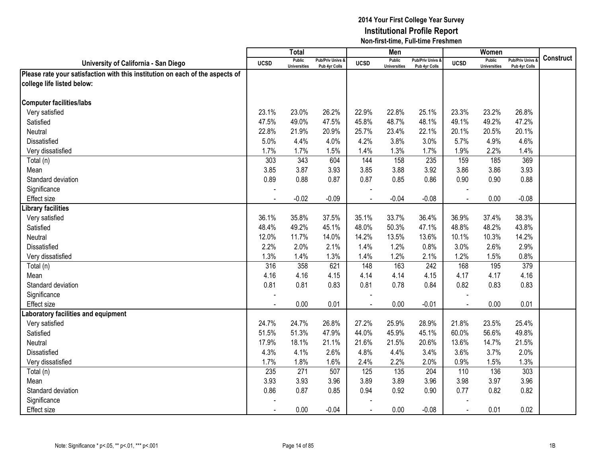|                                                                               |                | <b>Total</b>                         |                                   |             | Men                                  |                                              |                | Women                                |                                        |                  |
|-------------------------------------------------------------------------------|----------------|--------------------------------------|-----------------------------------|-------------|--------------------------------------|----------------------------------------------|----------------|--------------------------------------|----------------------------------------|------------------|
| University of California - San Diego                                          | <b>UCSD</b>    | <b>Public</b><br><b>Universities</b> | Pub/Priv Univs &<br>Pub 4yr Colls | <b>UCSD</b> | <b>Public</b><br><b>Universities</b> | <b>Pub/Priv Univs &amp;</b><br>Pub 4yr Colls | <b>UCSD</b>    | <b>Public</b><br><b>Universities</b> | <b>Pub/Priv Univs</b><br>Pub 4yr Colls | <b>Construct</b> |
| Please rate your satisfaction with this institution on each of the aspects of |                |                                      |                                   |             |                                      |                                              |                |                                      |                                        |                  |
| college life listed below:                                                    |                |                                      |                                   |             |                                      |                                              |                |                                      |                                        |                  |
|                                                                               |                |                                      |                                   |             |                                      |                                              |                |                                      |                                        |                  |
| <b>Computer facilities/labs</b>                                               |                |                                      |                                   |             |                                      |                                              |                |                                      |                                        |                  |
| Very satisfied                                                                | 23.1%          | 23.0%                                | 26.2%                             | 22.9%       | 22.8%                                | 25.1%                                        | 23.3%          | 23.2%                                | 26.8%                                  |                  |
| Satisfied                                                                     | 47.5%          | 49.0%                                | 47.5%                             | 45.8%       | 48.7%                                | 48.1%                                        | 49.1%          | 49.2%                                | 47.2%                                  |                  |
| Neutral                                                                       | 22.8%          | 21.9%                                | 20.9%                             | 25.7%       | 23.4%                                | 22.1%                                        | 20.1%          | 20.5%                                | 20.1%                                  |                  |
| Dissatisfied                                                                  | 5.0%           | 4.4%                                 | 4.0%                              | 4.2%        | 3.8%                                 | 3.0%                                         | 5.7%           | 4.9%                                 | 4.6%                                   |                  |
| Very dissatisfied                                                             | 1.7%           | 1.7%                                 | 1.5%                              | 1.4%        | 1.3%                                 | 1.7%                                         | 1.9%           | 2.2%                                 | 1.4%                                   |                  |
| Total (n)                                                                     | 303            | 343                                  | 604                               | 144         | 158                                  | 235                                          | 159            | 185                                  | 369                                    |                  |
| Mean                                                                          | 3.85           | 3.87                                 | 3.93                              | 3.85        | 3.88                                 | 3.92                                         | 3.86           | 3.86                                 | 3.93                                   |                  |
| Standard deviation                                                            | 0.89           | 0.88                                 | 0.87                              | 0.87        | 0.85                                 | 0.86                                         | 0.90           | 0.90                                 | 0.88                                   |                  |
| Significance                                                                  |                |                                      |                                   |             |                                      |                                              |                |                                      |                                        |                  |
| Effect size                                                                   |                | $-0.02$                              | $-0.09$                           |             | $-0.04$                              | $-0.08$                                      |                | 0.00                                 | $-0.08$                                |                  |
| ibrary facilities                                                             |                |                                      |                                   |             |                                      |                                              |                |                                      |                                        |                  |
| Very satisfied                                                                | 36.1%          | 35.8%                                | 37.5%                             | 35.1%       | 33.7%                                | 36.4%                                        | 36.9%          | 37.4%                                | 38.3%                                  |                  |
| Satisfied                                                                     | 48.4%          | 49.2%                                | 45.1%                             | 48.0%       | 50.3%                                | 47.1%                                        | 48.8%          | 48.2%                                | 43.8%                                  |                  |
| <b>Neutral</b>                                                                | 12.0%          | 11.7%                                | 14.0%                             | 14.2%       | 13.5%                                | 13.6%                                        | 10.1%          | 10.3%                                | 14.2%                                  |                  |
| Dissatisfied                                                                  | 2.2%           | 2.0%                                 | 2.1%                              | 1.4%        | 1.2%                                 | 0.8%                                         | 3.0%           | 2.6%                                 | 2.9%                                   |                  |
| Very dissatisfied                                                             | 1.3%           | 1.4%                                 | 1.3%                              | 1.4%        | 1.2%                                 | 2.1%                                         | 1.2%           | 1.5%                                 | 0.8%                                   |                  |
| Total (n)                                                                     | 316            | 358                                  | 621                               | 148         | 163                                  | 242                                          | 168            | 195                                  | 379                                    |                  |
| Mean                                                                          | 4.16           | 4.16                                 | 4.15                              | 4.14        | 4.14                                 | 4.15                                         | 4.17           | 4.17                                 | 4.16                                   |                  |
| Standard deviation                                                            | 0.81           | 0.81                                 | 0.83                              | 0.81        | 0.78                                 | 0.84                                         | 0.82           | 0.83                                 | 0.83                                   |                  |
| Significance                                                                  |                |                                      |                                   |             |                                      |                                              |                |                                      |                                        |                  |
| <b>Effect size</b>                                                            |                | 0.00                                 | 0.01                              |             | 0.00                                 | $-0.01$                                      |                | 0.00                                 | 0.01                                   |                  |
| aboratory facilities and equipment                                            |                |                                      |                                   |             |                                      |                                              |                |                                      |                                        |                  |
| Very satisfied                                                                | 24.7%          | 24.7%                                | 26.8%                             | 27.2%       | 25.9%                                | 28.9%                                        | 21.8%          | 23.5%                                | 25.4%                                  |                  |
| Satisfied                                                                     | 51.5%          | 51.3%                                | 47.9%                             | 44.0%       | 45.9%                                | 45.1%                                        | 60.0%          | 56.6%                                | 49.8%                                  |                  |
| Neutral                                                                       | 17.9%          | 18.1%                                | 21.1%                             | 21.6%       | 21.5%                                | 20.6%                                        | 13.6%          | 14.7%                                | 21.5%                                  |                  |
| Dissatisfied                                                                  | 4.3%           | 4.1%                                 | 2.6%                              | 4.8%        | 4.4%                                 | 3.4%                                         | 3.6%           | 3.7%                                 | 2.0%                                   |                  |
| Very dissatisfied                                                             | 1.7%           | 1.8%                                 | 1.6%                              | 2.4%        | 2.2%                                 | 2.0%                                         | 0.9%           | 1.5%                                 | 1.3%                                   |                  |
| Total (n)                                                                     | 235            | 271                                  | 507                               | 125         | 135                                  | 204                                          | 110            | 136                                  | 303                                    |                  |
| Mean                                                                          | 3.93           | 3.93                                 | 3.96                              | 3.89        | 3.89                                 | 3.96                                         | 3.98           | 3.97                                 | 3.96                                   |                  |
| Standard deviation                                                            | 0.86           | 0.87                                 | 0.85                              | 0.94        | 0.92                                 | 0.90                                         | 0.77           | 0.82                                 | 0.82                                   |                  |
| Significance                                                                  |                |                                      |                                   |             |                                      |                                              |                |                                      |                                        |                  |
| <b>Effect size</b>                                                            | $\blacksquare$ | 0.00                                 | $-0.04$                           | $\sim$      | 0.00                                 | $-0.08$                                      | $\blacksquare$ | 0.01                                 | 0.02                                   |                  |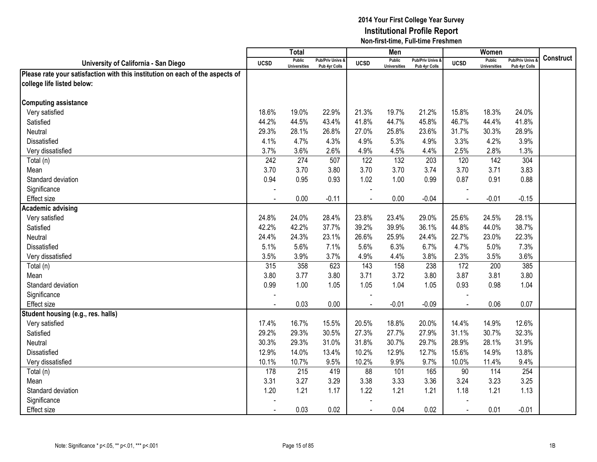|                                                                               |                | Total                         |                                   |             | Men                                  |                                   |                | Women                                |                                        |                  |
|-------------------------------------------------------------------------------|----------------|-------------------------------|-----------------------------------|-------------|--------------------------------------|-----------------------------------|----------------|--------------------------------------|----------------------------------------|------------------|
| University of California - San Diego                                          | <b>UCSD</b>    | Public<br><b>Universities</b> | Pub/Priv Univs &<br>Pub 4yr Colls | <b>UCSD</b> | <b>Public</b><br><b>Universities</b> | Pub/Priv Univs &<br>Pub 4yr Colls | <b>UCSD</b>    | <b>Public</b><br><b>Universities</b> | <b>Pub/Priv Univs</b><br>Pub 4yr Colls | <b>Construct</b> |
| Please rate your satisfaction with this institution on each of the aspects of |                |                               |                                   |             |                                      |                                   |                |                                      |                                        |                  |
| college life listed below:                                                    |                |                               |                                   |             |                                      |                                   |                |                                      |                                        |                  |
|                                                                               |                |                               |                                   |             |                                      |                                   |                |                                      |                                        |                  |
| <b>Computing assistance</b>                                                   |                |                               |                                   |             |                                      |                                   |                |                                      |                                        |                  |
| Very satisfied                                                                | 18.6%          | 19.0%                         | 22.9%                             | 21.3%       | 19.7%                                | 21.2%                             | 15.8%          | 18.3%                                | 24.0%                                  |                  |
| Satisfied                                                                     | 44.2%          | 44.5%                         | 43.4%                             | 41.8%       | 44.7%                                | 45.8%                             | 46.7%          | 44.4%                                | 41.8%                                  |                  |
| Neutral                                                                       | 29.3%          | 28.1%                         | 26.8%                             | 27.0%       | 25.8%                                | 23.6%                             | 31.7%          | 30.3%                                | 28.9%                                  |                  |
| Dissatisfied                                                                  | 4.1%           | 4.7%                          | 4.3%                              | 4.9%        | 5.3%                                 | 4.9%                              | 3.3%           | 4.2%                                 | 3.9%                                   |                  |
| Very dissatisfied                                                             | 3.7%           | 3.6%                          | 2.6%                              | 4.9%        | 4.5%                                 | 4.4%                              | 2.5%           | 2.8%                                 | 1.3%                                   |                  |
| Total (n)                                                                     | 242            | 274                           | 507                               | 122         | 132                                  | 203                               | 120            | 142                                  | 304                                    |                  |
| Mean                                                                          | 3.70           | 3.70                          | 3.80                              | 3.70        | 3.70                                 | 3.74                              | 3.70           | 3.71                                 | 3.83                                   |                  |
| Standard deviation                                                            | 0.94           | 0.95                          | 0.93                              | 1.02        | 1.00                                 | 0.99                              | 0.87           | 0.91                                 | 0.88                                   |                  |
| Significance                                                                  |                |                               |                                   |             |                                      |                                   |                |                                      |                                        |                  |
| Effect size                                                                   |                | 0.00                          | $-0.11$                           |             | 0.00                                 | $-0.04$                           |                | $-0.01$                              | $-0.15$                                |                  |
| <b>Academic advising</b>                                                      |                |                               |                                   |             |                                      |                                   |                |                                      |                                        |                  |
| Very satisfied                                                                | 24.8%          | 24.0%                         | 28.4%                             | 23.8%       | 23.4%                                | 29.0%                             | 25.6%          | 24.5%                                | 28.1%                                  |                  |
| Satisfied                                                                     | 42.2%          | 42.2%                         | 37.7%                             | 39.2%       | 39.9%                                | 36.1%                             | 44.8%          | 44.0%                                | 38.7%                                  |                  |
| Neutral                                                                       | 24.4%          | 24.3%                         | 23.1%                             | 26.6%       | 25.9%                                | 24.4%                             | 22.7%          | 23.0%                                | 22.3%                                  |                  |
| Dissatisfied                                                                  | 5.1%           | 5.6%                          | 7.1%                              | 5.6%        | 6.3%                                 | 6.7%                              | 4.7%           | 5.0%                                 | 7.3%                                   |                  |
| Very dissatisfied                                                             | 3.5%           | 3.9%                          | 3.7%                              | 4.9%        | 4.4%                                 | 3.8%                              | 2.3%           | 3.5%                                 | 3.6%                                   |                  |
| Total (n)                                                                     | 315            | 358                           | 623                               | 143         | 158                                  | 238                               | 172            | 200                                  | 385                                    |                  |
| Mean                                                                          | 3.80           | 3.77                          | 3.80                              | 3.71        | 3.72                                 | 3.80                              | 3.87           | 3.81                                 | 3.80                                   |                  |
| Standard deviation                                                            | 0.99           | 1.00                          | 1.05                              | 1.05        | 1.04                                 | 1.05                              | 0.93           | 0.98                                 | 1.04                                   |                  |
| Significance                                                                  |                |                               |                                   |             |                                      |                                   |                |                                      |                                        |                  |
| Effect size                                                                   |                | 0.03                          | 0.00                              |             | $-0.01$                              | $-0.09$                           | $\blacksquare$ | 0.06                                 | 0.07                                   |                  |
| Student housing (e.g., res. halls)                                            |                |                               |                                   |             |                                      |                                   |                |                                      |                                        |                  |
| Very satisfied                                                                | 17.4%          | 16.7%                         | 15.5%                             | 20.5%       | 18.8%                                | 20.0%                             | 14.4%          | 14.9%                                | 12.6%                                  |                  |
| Satisfied                                                                     | 29.2%          | 29.3%                         | 30.5%                             | 27.3%       | 27.7%                                | 27.9%                             | 31.1%          | 30.7%                                | 32.3%                                  |                  |
| Neutral                                                                       | 30.3%          | 29.3%                         | 31.0%                             | 31.8%       | 30.7%                                | 29.7%                             | 28.9%          | 28.1%                                | 31.9%                                  |                  |
| Dissatisfied                                                                  | 12.9%          | 14.0%                         | 13.4%                             | 10.2%       | 12.9%                                | 12.7%                             | 15.6%          | 14.9%                                | 13.8%                                  |                  |
| Very dissatisfied                                                             | 10.1%          | 10.7%                         | 9.5%                              | 10.2%       | 9.9%                                 | 9.7%                              | 10.0%          | 11.4%                                | 9.4%                                   |                  |
| Total (n)                                                                     | 178            | 215                           | 419                               | 88          | 101                                  | 165                               | 90             | 114                                  | 254                                    |                  |
| Mean                                                                          | 3.31           | 3.27                          | 3.29                              | 3.38        | 3.33                                 | 3.36                              | 3.24           | 3.23                                 | 3.25                                   |                  |
| Standard deviation                                                            | 1.20           | 1.21                          | 1.17                              | 1.22        | 1.21                                 | 1.21                              | 1.18           | 1.21                                 | 1.13                                   |                  |
| Significance                                                                  |                |                               |                                   |             |                                      |                                   |                |                                      |                                        |                  |
| <b>Effect size</b>                                                            | $\blacksquare$ | 0.03                          | 0.02                              | $\sim$      | 0.04                                 | 0.02                              | $\blacksquare$ | 0.01                                 | $-0.01$                                |                  |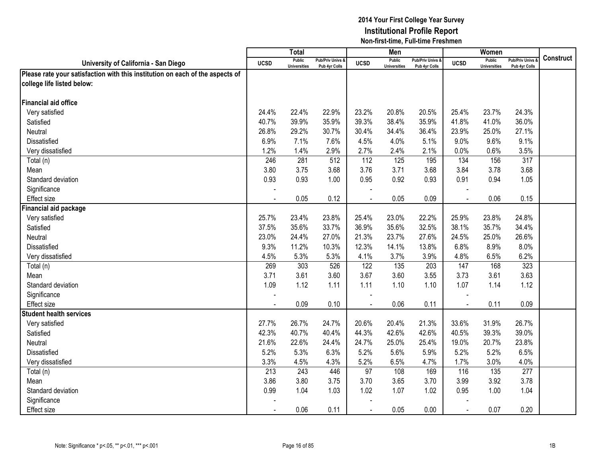|                                                                               |                | <b>Total</b>                         |                                   |                | Men                                  |                                   |                | Women                                |                                        |                  |
|-------------------------------------------------------------------------------|----------------|--------------------------------------|-----------------------------------|----------------|--------------------------------------|-----------------------------------|----------------|--------------------------------------|----------------------------------------|------------------|
| University of California - San Diego                                          | <b>UCSD</b>    | <b>Public</b><br><b>Universities</b> | Pub/Priv Univs &<br>Pub 4yr Colls | <b>UCSD</b>    | <b>Public</b><br><b>Universities</b> | Pub/Priv Univs &<br>Pub 4yr Colls | <b>UCSD</b>    | <b>Public</b><br><b>Universities</b> | <b>Pub/Priv Univs</b><br>Pub 4yr Colls | <b>Construct</b> |
| Please rate your satisfaction with this institution on each of the aspects of |                |                                      |                                   |                |                                      |                                   |                |                                      |                                        |                  |
| college life listed below:                                                    |                |                                      |                                   |                |                                      |                                   |                |                                      |                                        |                  |
|                                                                               |                |                                      |                                   |                |                                      |                                   |                |                                      |                                        |                  |
| Financial aid office                                                          |                |                                      |                                   |                |                                      |                                   |                |                                      |                                        |                  |
| Very satisfied                                                                | 24.4%          | 22.4%                                | 22.9%                             | 23.2%          | 20.8%                                | 20.5%                             | 25.4%          | 23.7%                                | 24.3%                                  |                  |
| Satisfied                                                                     | 40.7%          | 39.9%                                | 35.9%                             | 39.3%          | 38.4%                                | 35.9%                             | 41.8%          | 41.0%                                | 36.0%                                  |                  |
| Neutral                                                                       | 26.8%          | 29.2%                                | 30.7%                             | 30.4%          | 34.4%                                | 36.4%                             | 23.9%          | 25.0%                                | 27.1%                                  |                  |
| Dissatisfied                                                                  | 6.9%           | 7.1%                                 | 7.6%                              | 4.5%           | 4.0%                                 | 5.1%                              | 9.0%           | 9.6%                                 | 9.1%                                   |                  |
| Very dissatisfied                                                             | 1.2%           | 1.4%                                 | 2.9%                              | 2.7%           | 2.4%                                 | 2.1%                              | 0.0%           | 0.6%                                 | 3.5%                                   |                  |
| Total (n)                                                                     | 246            | 281                                  | 512                               | 112            | 125                                  | 195                               | 134            | 156                                  | $\overline{317}$                       |                  |
| Mean                                                                          | 3.80           | 3.75                                 | 3.68                              | 3.76           | 3.71                                 | 3.68                              | 3.84           | 3.78                                 | 3.68                                   |                  |
| Standard deviation                                                            | 0.93           | 0.93                                 | 1.00                              | 0.95           | 0.92                                 | 0.93                              | 0.91           | 0.94                                 | 1.05                                   |                  |
| Significance                                                                  |                |                                      |                                   |                |                                      |                                   |                |                                      |                                        |                  |
| Effect size                                                                   |                | 0.05                                 | 0.12                              |                | 0.05                                 | 0.09                              |                | 0.06                                 | 0.15                                   |                  |
| Financial aid package                                                         |                |                                      |                                   |                |                                      |                                   |                |                                      |                                        |                  |
| Very satisfied                                                                | 25.7%          | 23.4%                                | 23.8%                             | 25.4%          | 23.0%                                | 22.2%                             | 25.9%          | 23.8%                                | 24.8%                                  |                  |
| Satisfied                                                                     | 37.5%          | 35.6%                                | 33.7%                             | 36.9%          | 35.6%                                | 32.5%                             | 38.1%          | 35.7%                                | 34.4%                                  |                  |
| Neutral                                                                       | 23.0%          | 24.4%                                | 27.0%                             | 21.3%          | 23.7%                                | 27.6%                             | 24.5%          | 25.0%                                | 26.6%                                  |                  |
| Dissatisfied                                                                  | 9.3%           | 11.2%                                | 10.3%                             | 12.3%          | 14.1%                                | 13.8%                             | 6.8%           | 8.9%                                 | 8.0%                                   |                  |
| Very dissatisfied                                                             | 4.5%           | 5.3%                                 | 5.3%                              | 4.1%           | 3.7%                                 | 3.9%                              | 4.8%           | 6.5%                                 | 6.2%                                   |                  |
| Total (n)                                                                     | 269            | 303                                  | 526                               | 122            | 135                                  | 203                               | 147            | 168                                  | 323                                    |                  |
| Mean                                                                          | 3.71           | 3.61                                 | 3.60                              | 3.67           | 3.60                                 | 3.55                              | 3.73           | 3.61                                 | 3.63                                   |                  |
| Standard deviation                                                            | 1.09           | 1.12                                 | 1.11                              | 1.11           | 1.10                                 | 1.10                              | 1.07           | 1.14                                 | 1.12                                   |                  |
| Significance                                                                  |                |                                      |                                   |                |                                      |                                   |                |                                      |                                        |                  |
| <b>Effect size</b>                                                            |                | 0.09                                 | 0.10                              | $\overline{a}$ | 0.06                                 | 0.11                              | $\sim$         | 0.11                                 | 0.09                                   |                  |
| <b>Student health services</b>                                                |                |                                      |                                   |                |                                      |                                   |                |                                      |                                        |                  |
| Very satisfied                                                                | 27.7%          | 26.7%                                | 24.7%                             | 20.6%          | 20.4%                                | 21.3%                             | 33.6%          | 31.9%                                | 26.7%                                  |                  |
| Satisfied                                                                     | 42.3%          | 40.7%                                | 40.4%                             | 44.3%          | 42.6%                                | 42.6%                             | 40.5%          | 39.3%                                | 39.0%                                  |                  |
| Neutral                                                                       | 21.6%          | 22.6%                                | 24.4%                             | 24.7%          | 25.0%                                | 25.4%                             | 19.0%          | 20.7%                                | 23.8%                                  |                  |
| Dissatisfied                                                                  | 5.2%           | 5.3%                                 | 6.3%                              | 5.2%           | 5.6%                                 | 5.9%                              | 5.2%           | 5.2%                                 | 6.5%                                   |                  |
| Very dissatisfied                                                             | 3.3%           | 4.5%                                 | 4.3%                              | 5.2%           | 6.5%                                 | 4.7%                              | 1.7%           | 3.0%                                 | 4.0%                                   |                  |
| Total (n)                                                                     | 213            | 243                                  | 446                               | 97             | 108                                  | 169                               | 116            | 135                                  | 277                                    |                  |
| Mean                                                                          | 3.86           | 3.80                                 | 3.75                              | 3.70           | 3.65                                 | 3.70                              | 3.99           | 3.92                                 | 3.78                                   |                  |
| Standard deviation                                                            | 0.99           | 1.04                                 | 1.03                              | 1.02           | 1.07                                 | 1.02                              | 0.95           | 1.00                                 | 1.04                                   |                  |
| Significance                                                                  |                |                                      |                                   |                |                                      |                                   |                |                                      |                                        |                  |
| <b>Effect size</b>                                                            | $\blacksquare$ | 0.06                                 | 0.11                              | $\blacksquare$ | 0.05                                 | 0.00                              | $\blacksquare$ | 0.07                                 | 0.20                                   |                  |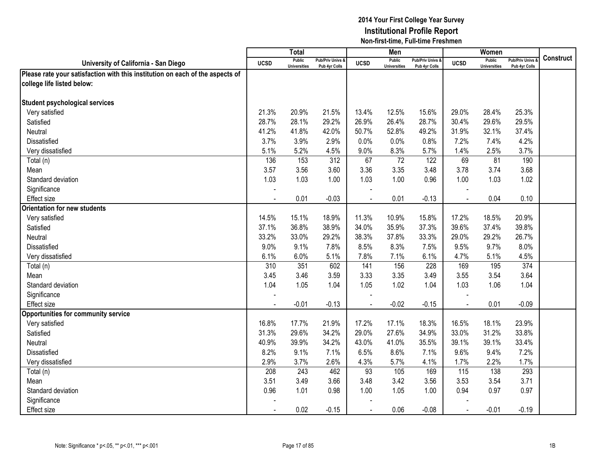|                                                                               |                | <b>Total</b>                  |                                   |                          | Men                           |                                   |                | Women                                |                                        |                  |
|-------------------------------------------------------------------------------|----------------|-------------------------------|-----------------------------------|--------------------------|-------------------------------|-----------------------------------|----------------|--------------------------------------|----------------------------------------|------------------|
| University of California - San Diego                                          | <b>UCSD</b>    | Public<br><b>Universities</b> | Pub/Priv Univs &<br>Pub 4yr Colls | <b>UCSD</b>              | Public<br><b>Universities</b> | Pub/Priv Univs &<br>Pub 4yr Colls | <b>UCSD</b>    | <b>Public</b><br><b>Universities</b> | <b>Pub/Priv Univs</b><br>Pub 4yr Colls | <b>Construct</b> |
| Please rate your satisfaction with this institution on each of the aspects of |                |                               |                                   |                          |                               |                                   |                |                                      |                                        |                  |
| college life listed below:                                                    |                |                               |                                   |                          |                               |                                   |                |                                      |                                        |                  |
|                                                                               |                |                               |                                   |                          |                               |                                   |                |                                      |                                        |                  |
| <b>Student psychological services</b>                                         |                |                               |                                   |                          |                               |                                   |                |                                      |                                        |                  |
| Very satisfied                                                                | 21.3%          | 20.9%                         | 21.5%                             | 13.4%                    | 12.5%                         | 15.6%                             | 29.0%          | 28.4%                                | 25.3%                                  |                  |
| Satisfied                                                                     | 28.7%          | 28.1%                         | 29.2%                             | 26.9%                    | 26.4%                         | 28.7%                             | 30.4%          | 29.6%                                | 29.5%                                  |                  |
| Neutral                                                                       | 41.2%          | 41.8%                         | 42.0%                             | 50.7%                    | 52.8%                         | 49.2%                             | 31.9%          | 32.1%                                | 37.4%                                  |                  |
| Dissatisfied                                                                  | 3.7%           | 3.9%                          | 2.9%                              | 0.0%                     | 0.0%                          | 0.8%                              | 7.2%           | 7.4%                                 | 4.2%                                   |                  |
| Very dissatisfied                                                             | 5.1%           | 5.2%                          | 4.5%                              | 9.0%                     | 8.3%                          | 5.7%                              | 1.4%           | 2.5%                                 | 3.7%                                   |                  |
| Total (n)                                                                     | 136            | 153                           | $\overline{312}$                  | 67                       | $\overline{72}$               | 122                               | 69             | 81                                   | 190                                    |                  |
| Mean                                                                          | 3.57           | 3.56                          | 3.60                              | 3.36                     | 3.35                          | 3.48                              | 3.78           | 3.74                                 | 3.68                                   |                  |
| Standard deviation                                                            | 1.03           | 1.03                          | 1.00                              | 1.03                     | 1.00                          | 0.96                              | 1.00           | 1.03                                 | 1.02                                   |                  |
| Significance                                                                  |                |                               |                                   |                          |                               |                                   |                |                                      |                                        |                  |
| <b>Effect size</b>                                                            |                | 0.01                          | $-0.03$                           |                          | 0.01                          | $-0.13$                           |                | 0.04                                 | 0.10                                   |                  |
| Orientation for new students                                                  |                |                               |                                   |                          |                               |                                   |                |                                      |                                        |                  |
| Very satisfied                                                                | 14.5%          | 15.1%                         | 18.9%                             | 11.3%                    | 10.9%                         | 15.8%                             | 17.2%          | 18.5%                                | 20.9%                                  |                  |
| Satisfied                                                                     | 37.1%          | 36.8%                         | 38.9%                             | 34.0%                    | 35.9%                         | 37.3%                             | 39.6%          | 37.4%                                | 39.8%                                  |                  |
| Neutral                                                                       | 33.2%          | 33.0%                         | 29.2%                             | 38.3%                    | 37.8%                         | 33.3%                             | 29.0%          | 29.2%                                | 26.7%                                  |                  |
| <b>Dissatisfied</b>                                                           | 9.0%           | 9.1%                          | 7.8%                              | 8.5%                     | 8.3%                          | 7.5%                              | 9.5%           | 9.7%                                 | 8.0%                                   |                  |
| Very dissatisfied                                                             | 6.1%           | 6.0%                          | 5.1%                              | 7.8%                     | 7.1%                          | 6.1%                              | 4.7%           | 5.1%                                 | 4.5%                                   |                  |
| Total (n)                                                                     | 310            | 351                           | 602                               | 141                      | 156                           | 228                               | 169            | 195                                  | 374                                    |                  |
| Mean                                                                          | 3.45           | 3.46                          | 3.59                              | 3.33                     | 3.35                          | 3.49                              | 3.55           | 3.54                                 | 3.64                                   |                  |
| Standard deviation                                                            | 1.04           | 1.05                          | 1.04                              | 1.05                     | 1.02                          | 1.04                              | 1.03           | 1.06                                 | 1.04                                   |                  |
| Significance                                                                  |                |                               |                                   |                          |                               |                                   |                |                                      |                                        |                  |
| <b>Effect size</b>                                                            |                | $-0.01$                       | $-0.13$                           | $\overline{\phantom{a}}$ | $-0.02$                       | $-0.15$                           | $\sim$         | 0.01                                 | $-0.09$                                |                  |
| <b>Opportunities for community service</b>                                    |                |                               |                                   |                          |                               |                                   |                |                                      |                                        |                  |
| Very satisfied                                                                | 16.8%          | 17.7%                         | 21.9%                             | 17.2%                    | 17.1%                         | 18.3%                             | 16.5%          | 18.1%                                | 23.9%                                  |                  |
| Satisfied                                                                     | 31.3%          | 29.6%                         | 34.2%                             | 29.0%                    | 27.6%                         | 34.9%                             | 33.0%          | 31.2%                                | 33.8%                                  |                  |
| Neutral                                                                       | 40.9%          | 39.9%                         | 34.2%                             | 43.0%                    | 41.0%                         | 35.5%                             | 39.1%          | 39.1%                                | 33.4%                                  |                  |
| <b>Dissatisfied</b>                                                           | 8.2%           | 9.1%                          | 7.1%                              | 6.5%                     | 8.6%                          | 7.1%                              | 9.6%           | 9.4%                                 | 7.2%                                   |                  |
| Very dissatisfied                                                             | 2.9%           | 3.7%                          | 2.6%                              | 4.3%                     | 5.7%                          | 4.1%                              | 1.7%           | 2.2%                                 | 1.7%                                   |                  |
| Total (n)                                                                     | 208            | 243                           | 462                               | 93                       | 105                           | 169                               | 115            | 138                                  | 293                                    |                  |
| Mean                                                                          | 3.51           | 3.49                          | 3.66                              | 3.48                     | 3.42                          | 3.56                              | 3.53           | 3.54                                 | 3.71                                   |                  |
| Standard deviation                                                            | 0.96           | 1.01                          | 0.98                              | 1.00                     | 1.05                          | 1.00                              | 0.94           | 0.97                                 | 0.97                                   |                  |
| Significance                                                                  |                |                               |                                   |                          |                               |                                   |                |                                      |                                        |                  |
| <b>Effect size</b>                                                            | $\blacksquare$ | 0.02                          | $-0.15$                           | $\blacksquare$           | 0.06                          | $-0.08$                           | $\blacksquare$ | $-0.01$                              | $-0.19$                                |                  |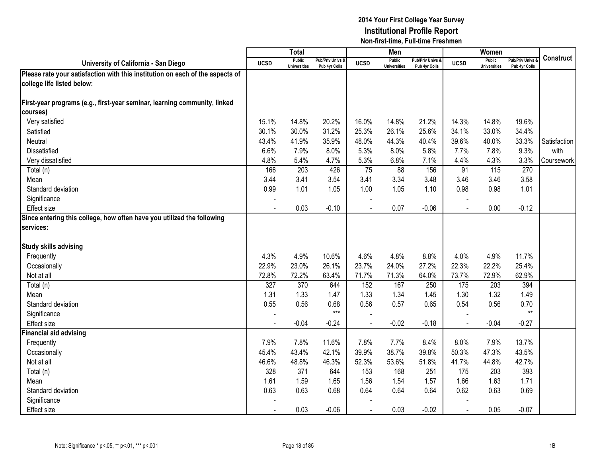|                                                                               |                | <b>Total</b>                         |                                   |                | Men                                  |                                   |                | Women                                |                                        |                  |
|-------------------------------------------------------------------------------|----------------|--------------------------------------|-----------------------------------|----------------|--------------------------------------|-----------------------------------|----------------|--------------------------------------|----------------------------------------|------------------|
| University of California - San Diego                                          | <b>UCSD</b>    | <b>Public</b><br><b>Universities</b> | Pub/Priv Univs &<br>Pub 4yr Colls | <b>UCSD</b>    | <b>Public</b><br><b>Universities</b> | Pub/Priv Univs &<br>Pub 4yr Colls | <b>UCSD</b>    | <b>Public</b><br><b>Universities</b> | <b>Pub/Priv Univs</b><br>Pub 4yr Colls | <b>Construct</b> |
| Please rate your satisfaction with this institution on each of the aspects of |                |                                      |                                   |                |                                      |                                   |                |                                      |                                        |                  |
| college life listed below:                                                    |                |                                      |                                   |                |                                      |                                   |                |                                      |                                        |                  |
|                                                                               |                |                                      |                                   |                |                                      |                                   |                |                                      |                                        |                  |
| First-year programs (e.g., first-year seminar, learning community, linked     |                |                                      |                                   |                |                                      |                                   |                |                                      |                                        |                  |
| courses)                                                                      |                |                                      |                                   |                |                                      |                                   |                |                                      |                                        |                  |
| Very satisfied                                                                | 15.1%          | 14.8%                                | 20.2%                             | 16.0%          | 14.8%                                | 21.2%                             | 14.3%          | 14.8%                                | 19.6%                                  |                  |
| Satisfied                                                                     | 30.1%          | 30.0%                                | 31.2%                             | 25.3%          | 26.1%                                | 25.6%                             | 34.1%          | 33.0%                                | 34.4%                                  |                  |
| Neutral                                                                       | 43.4%          | 41.9%                                | 35.9%                             | 48.0%          | 44.3%                                | 40.4%                             | 39.6%          | 40.0%                                | 33.3%                                  | Satisfaction     |
| Dissatisfied                                                                  | 6.6%           | 7.9%                                 | 8.0%                              | 5.3%           | 8.0%                                 | 5.8%                              | 7.7%           | 7.8%                                 | 9.3%                                   | with             |
| Very dissatisfied                                                             | 4.8%           | 5.4%                                 | 4.7%                              | 5.3%           | 6.8%                                 | 7.1%                              | 4.4%           | 4.3%                                 | 3.3%                                   | Coursework       |
| Total (n)                                                                     | 166            | 203                                  | 426                               | 75             | 88                                   | 156                               | 91             | 115                                  | 270                                    |                  |
| Mean                                                                          | 3.44           | 3.41                                 | 3.54                              | 3.41           | 3.34                                 | 3.48                              | 3.46           | 3.46                                 | 3.58                                   |                  |
| Standard deviation                                                            | 0.99           | 1.01                                 | 1.05                              | 1.00           | 1.05                                 | 1.10                              | 0.98           | 0.98                                 | 1.01                                   |                  |
| Significance                                                                  |                |                                      |                                   |                |                                      |                                   |                |                                      |                                        |                  |
| <b>Effect size</b>                                                            |                | 0.03                                 | $-0.10$                           |                | 0.07                                 | $-0.06$                           |                | 0.00                                 | $-0.12$                                |                  |
| Since entering this college, how often have you utilized the following        |                |                                      |                                   |                |                                      |                                   |                |                                      |                                        |                  |
| services:                                                                     |                |                                      |                                   |                |                                      |                                   |                |                                      |                                        |                  |
|                                                                               |                |                                      |                                   |                |                                      |                                   |                |                                      |                                        |                  |
| <b>Study skills advising</b>                                                  |                |                                      |                                   |                |                                      |                                   |                |                                      |                                        |                  |
| Frequently                                                                    | 4.3%           | 4.9%                                 | 10.6%                             | 4.6%           | 4.8%                                 | 8.8%                              | 4.0%           | 4.9%                                 | 11.7%                                  |                  |
| Occasionally                                                                  | 22.9%          | 23.0%                                | 26.1%                             | 23.7%          | 24.0%                                | 27.2%                             | 22.3%          | 22.2%                                | 25.4%                                  |                  |
| Not at all                                                                    | 72.8%          | 72.2%                                | 63.4%                             | 71.7%          | 71.3%                                | 64.0%                             | 73.7%          | 72.9%                                | 62.9%                                  |                  |
| Total (n)                                                                     | 327            | 370                                  | 644                               | 152            | 167                                  | 250                               | 175            | 203                                  | 394                                    |                  |
| Mean                                                                          | 1.31           | 1.33                                 | 1.47                              | 1.33           | 1.34                                 | 1.45                              | 1.30           | 1.32                                 | 1.49                                   |                  |
| Standard deviation                                                            | 0.55           | 0.56                                 | 0.68                              | 0.56           | 0.57                                 | 0.65                              | 0.54           | 0.56                                 | 0.70                                   |                  |
| Significance                                                                  |                |                                      | $***$                             |                |                                      |                                   |                |                                      | $***$                                  |                  |
| <b>Effect size</b>                                                            | $\mathbf{r}$   | $-0.04$                              | $-0.24$                           | $\overline{a}$ | $-0.02$                              | $-0.18$                           | $\sim$         | $-0.04$                              | $-0.27$                                |                  |
| Financial aid advising                                                        |                |                                      |                                   |                |                                      |                                   |                |                                      |                                        |                  |
| Frequently                                                                    | 7.9%           | 7.8%                                 | 11.6%                             | 7.8%           | 7.7%                                 | 8.4%                              | 8.0%           | 7.9%                                 | 13.7%                                  |                  |
| Occasionally                                                                  | 45.4%          | 43.4%                                | 42.1%                             | 39.9%          | 38.7%                                | 39.8%                             | 50.3%          | 47.3%                                | 43.5%                                  |                  |
| Not at all                                                                    | 46.6%          | 48.8%                                | 46.3%                             | 52.3%          | 53.6%                                | 51.8%                             | 41.7%          | 44.8%                                | 42.7%                                  |                  |
| Total (n)                                                                     | 328            | 371                                  | 644                               | 153            | 168                                  | 251                               | 175            | 203                                  | 393                                    |                  |
| Mean                                                                          | 1.61           | 1.59                                 | 1.65                              | 1.56           | 1.54                                 | 1.57                              | 1.66           | 1.63                                 | 1.71                                   |                  |
| Standard deviation                                                            | 0.63           | 0.63                                 | 0.68                              | 0.64           | 0.64                                 | 0.64                              | 0.62           | 0.63                                 | 0.69                                   |                  |
| Significance                                                                  |                |                                      |                                   |                |                                      |                                   |                |                                      |                                        |                  |
| <b>Effect size</b>                                                            | $\blacksquare$ | 0.03                                 | $-0.06$                           | $\blacksquare$ | 0.03                                 | $-0.02$                           | $\blacksquare$ | 0.05                                 | $-0.07$                                |                  |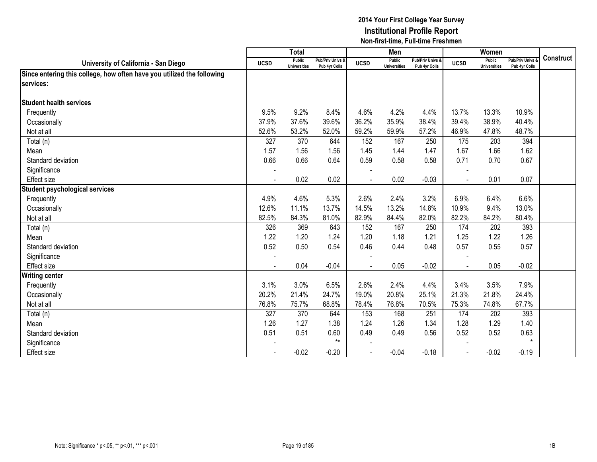|                                                                        |                | <b>Total</b>                  |                                   |                | Men                           |                                   |                | Women                         |                                        |                  |
|------------------------------------------------------------------------|----------------|-------------------------------|-----------------------------------|----------------|-------------------------------|-----------------------------------|----------------|-------------------------------|----------------------------------------|------------------|
| University of California - San Diego                                   | <b>UCSD</b>    | Public<br><b>Universities</b> | Pub/Priv Univs &<br>Pub 4yr Colls | <b>UCSD</b>    | Public<br><b>Universities</b> | Pub/Priv Univs &<br>Pub 4yr Colls | <b>UCSD</b>    | Public<br><b>Universities</b> | <b>Pub/Priv Univs</b><br>Pub 4yr Colls | <b>Construct</b> |
| Since entering this college, how often have you utilized the following |                |                               |                                   |                |                               |                                   |                |                               |                                        |                  |
| services:                                                              |                |                               |                                   |                |                               |                                   |                |                               |                                        |                  |
|                                                                        |                |                               |                                   |                |                               |                                   |                |                               |                                        |                  |
| <b>Student health services</b>                                         |                |                               |                                   |                |                               |                                   |                |                               |                                        |                  |
| Frequently                                                             | 9.5%           | 9.2%                          | 8.4%                              | 4.6%           | 4.2%                          | 4.4%                              | 13.7%          | 13.3%                         | 10.9%                                  |                  |
| Occasionally                                                           | 37.9%          | 37.6%                         | 39.6%                             | 36.2%          | 35.9%                         | 38.4%                             | 39.4%          | 38.9%                         | 40.4%                                  |                  |
| Not at all                                                             | 52.6%          | 53.2%                         | 52.0%                             | 59.2%          | 59.9%                         | 57.2%                             | 46.9%          | 47.8%                         | 48.7%                                  |                  |
| Total (n)                                                              | 327            | 370                           | 644                               | 152            | 167                           | 250                               | 175            | 203                           | 394                                    |                  |
| Mean                                                                   | 1.57           | 1.56                          | 1.56                              | 1.45           | 1.44                          | 1.47                              | 1.67           | 1.66                          | 1.62                                   |                  |
| Standard deviation                                                     | 0.66           | 0.66                          | 0.64                              | 0.59           | 0.58                          | 0.58                              | 0.71           | 0.70                          | 0.67                                   |                  |
| Significance                                                           |                |                               |                                   |                |                               |                                   |                |                               |                                        |                  |
| <b>Effect size</b>                                                     | $\blacksquare$ | 0.02                          | 0.02                              |                | 0.02                          | $-0.03$                           | $\sim$         | 0.01                          | 0.07                                   |                  |
| <b>Student psychological services</b>                                  |                |                               |                                   |                |                               |                                   |                |                               |                                        |                  |
| Frequently                                                             | 4.9%           | 4.6%                          | 5.3%                              | 2.6%           | 2.4%                          | 3.2%                              | 6.9%           | 6.4%                          | 6.6%                                   |                  |
| Occasionally                                                           | 12.6%          | 11.1%                         | 13.7%                             | 14.5%          | 13.2%                         | 14.8%                             | 10.9%          | 9.4%                          | 13.0%                                  |                  |
| Not at all                                                             | 82.5%          | 84.3%                         | 81.0%                             | 82.9%          | 84.4%                         | 82.0%                             | 82.2%          | 84.2%                         | 80.4%                                  |                  |
| Total (n)                                                              | 326            | 369                           | 643                               | 152            | 167                           | 250                               | 174            | 202                           | 393                                    |                  |
| Mean                                                                   | 1.22           | 1.20                          | 1.24                              | 1.20           | 1.18                          | 1.21                              | 1.25           | 1.22                          | 1.26                                   |                  |
| Standard deviation                                                     | 0.52           | 0.50                          | 0.54                              | 0.46           | 0.44                          | 0.48                              | 0.57           | 0.55                          | 0.57                                   |                  |
| Significance                                                           |                |                               |                                   |                |                               |                                   |                |                               |                                        |                  |
| <b>Effect size</b>                                                     |                | 0.04                          | $-0.04$                           |                | 0.05                          | $-0.02$                           | $\blacksquare$ | 0.05                          | $-0.02$                                |                  |
| <b>Writing center</b>                                                  |                |                               |                                   |                |                               |                                   |                |                               |                                        |                  |
| Frequently                                                             | 3.1%           | 3.0%                          | 6.5%                              | 2.6%           | 2.4%                          | 4.4%                              | 3.4%           | 3.5%                          | 7.9%                                   |                  |
| Occasionally                                                           | 20.2%          | 21.4%                         | 24.7%                             | 19.0%          | 20.8%                         | 25.1%                             | 21.3%          | 21.8%                         | 24.4%                                  |                  |
| Not at all                                                             | 76.8%          | 75.7%                         | 68.8%                             | 78.4%          | 76.8%                         | 70.5%                             | 75.3%          | 74.8%                         | 67.7%                                  |                  |
| Total (n)                                                              | 327            | 370                           | 644                               | 153            | 168                           | 251                               | 174            | 202                           | 393                                    |                  |
| Mean                                                                   | 1.26           | 1.27                          | 1.38                              | 1.24           | 1.26                          | 1.34                              | 1.28           | 1.29                          | 1.40                                   |                  |
| Standard deviation                                                     | 0.51           | 0.51                          | 0.60                              | 0.49           | 0.49                          | 0.56                              | 0.52           | 0.52                          | 0.63                                   |                  |
| Significance                                                           |                |                               | $***$                             |                |                               |                                   |                |                               | $\star$                                |                  |
| <b>Effect size</b>                                                     | $\blacksquare$ | $-0.02$                       | $-0.20$                           | $\blacksquare$ | $-0.04$                       | $-0.18$                           | $\blacksquare$ | $-0.02$                       | $-0.19$                                |                  |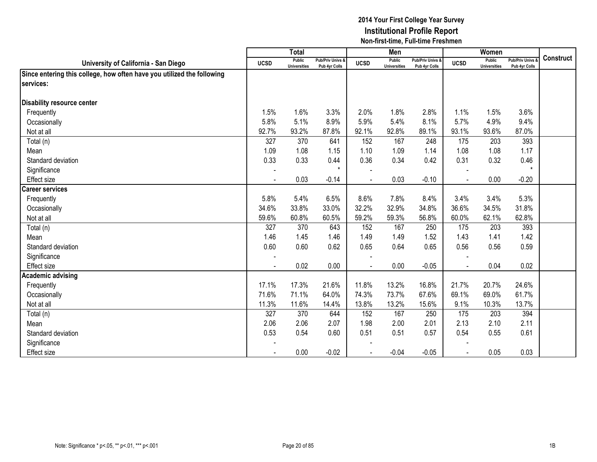|                                                                        |                | <b>Total</b>                  |                                   |             | Men                           |                                   |             | Women                         |                                        |                  |
|------------------------------------------------------------------------|----------------|-------------------------------|-----------------------------------|-------------|-------------------------------|-----------------------------------|-------------|-------------------------------|----------------------------------------|------------------|
| University of California - San Diego                                   | <b>UCSD</b>    | Public<br><b>Universities</b> | Pub/Priv Univs &<br>Pub 4yr Colls | <b>UCSD</b> | Public<br><b>Universities</b> | Pub/Priv Univs &<br>Pub 4yr Colls | <b>UCSD</b> | Public<br><b>Universities</b> | <b>Pub/Priv Univs</b><br>Pub 4yr Colls | <b>Construct</b> |
| Since entering this college, how often have you utilized the following |                |                               |                                   |             |                               |                                   |             |                               |                                        |                  |
| services:                                                              |                |                               |                                   |             |                               |                                   |             |                               |                                        |                  |
|                                                                        |                |                               |                                   |             |                               |                                   |             |                               |                                        |                  |
| <b>Disability resource center</b>                                      |                |                               |                                   |             |                               |                                   |             |                               |                                        |                  |
| Frequently                                                             | 1.5%           | 1.6%                          | 3.3%                              | 2.0%        | 1.8%                          | 2.8%                              | 1.1%        | 1.5%                          | 3.6%                                   |                  |
| Occasionally                                                           | 5.8%           | 5.1%                          | 8.9%                              | 5.9%        | 5.4%                          | 8.1%                              | 5.7%        | 4.9%                          | 9.4%                                   |                  |
| Not at all                                                             | 92.7%          | 93.2%                         | 87.8%                             | 92.1%       | 92.8%                         | 89.1%                             | 93.1%       | 93.6%                         | 87.0%                                  |                  |
| Total (n)                                                              | 327            | 370                           | 641                               | 152         | 167                           | 248                               | 175         | 203                           | 393                                    |                  |
| Mean                                                                   | 1.09           | 1.08                          | 1.15                              | 1.10        | 1.09                          | 1.14                              | 1.08        | 1.08                          | 1.17                                   |                  |
| Standard deviation                                                     | 0.33           | 0.33                          | 0.44                              | 0.36        | 0.34                          | 0.42                              | 0.31        | 0.32                          | 0.46                                   |                  |
| Significance                                                           |                |                               | $\star$                           |             |                               |                                   |             |                               | $\star$                                |                  |
| <b>Effect size</b>                                                     | $\blacksquare$ | 0.03                          | $-0.14$                           |             | 0.03                          | $-0.10$                           | $\sim$      | 0.00                          | $-0.20$                                |                  |
| <b>Career services</b>                                                 |                |                               |                                   |             |                               |                                   |             |                               |                                        |                  |
| Frequently                                                             | 5.8%           | 5.4%                          | 6.5%                              | 8.6%        | 7.8%                          | 8.4%                              | 3.4%        | 3.4%                          | 5.3%                                   |                  |
| Occasionally                                                           | 34.6%          | 33.8%                         | 33.0%                             | 32.2%       | 32.9%                         | 34.8%                             | 36.6%       | 34.5%                         | 31.8%                                  |                  |
| Not at all                                                             | 59.6%          | 60.8%                         | 60.5%                             | 59.2%       | 59.3%                         | 56.8%                             | 60.0%       | 62.1%                         | 62.8%                                  |                  |
| Total (n)                                                              | 327            | 370                           | 643                               | 152         | 167                           | 250                               | 175         | 203                           | 393                                    |                  |
| Mean                                                                   | 1.46           | 1.45                          | 1.46                              | 1.49        | 1.49                          | 1.52                              | 1.43        | 1.41                          | 1.42                                   |                  |
| Standard deviation                                                     | 0.60           | 0.60                          | 0.62                              | 0.65        | 0.64                          | 0.65                              | 0.56        | 0.56                          | 0.59                                   |                  |
| Significance                                                           |                |                               |                                   |             |                               |                                   |             |                               |                                        |                  |
| Effect size                                                            |                | 0.02                          | 0.00                              |             | 0.00                          | $-0.05$                           |             | 0.04                          | 0.02                                   |                  |
| <b>Academic advising</b>                                               |                |                               |                                   |             |                               |                                   |             |                               |                                        |                  |
| Frequently                                                             | 17.1%          | 17.3%                         | 21.6%                             | 11.8%       | 13.2%                         | 16.8%                             | 21.7%       | 20.7%                         | 24.6%                                  |                  |
| Occasionally                                                           | 71.6%          | 71.1%                         | 64.0%                             | 74.3%       | 73.7%                         | 67.6%                             | 69.1%       | 69.0%                         | 61.7%                                  |                  |
| Not at all                                                             | 11.3%          | 11.6%                         | 14.4%                             | 13.8%       | 13.2%                         | 15.6%                             | 9.1%        | 10.3%                         | 13.7%                                  |                  |
| Total (n)                                                              | 327            | 370                           | 644                               | 152         | 167                           | 250                               | 175         | 203                           | 394                                    |                  |
| Mean                                                                   | 2.06           | 2.06                          | 2.07                              | 1.98        | 2.00                          | 2.01                              | 2.13        | 2.10                          | 2.11                                   |                  |
| Standard deviation                                                     | 0.53           | 0.54                          | 0.60                              | 0.51        | 0.51                          | 0.57                              | 0.54        | 0.55                          | 0.61                                   |                  |
| Significance                                                           |                |                               |                                   |             |                               |                                   |             |                               |                                        |                  |
| <b>Effect size</b>                                                     |                | 0.00                          | $-0.02$                           |             | $-0.04$                       | $-0.05$                           | $\sim$      | 0.05                          | 0.03                                   |                  |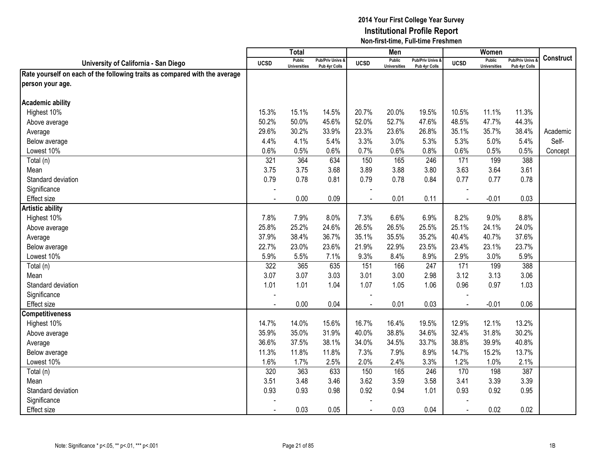|                                                                            |             | <b>Total</b>                         |                                   |                | Men                                  |                                   |                | Women                                |                                   |                  |
|----------------------------------------------------------------------------|-------------|--------------------------------------|-----------------------------------|----------------|--------------------------------------|-----------------------------------|----------------|--------------------------------------|-----------------------------------|------------------|
| University of California - San Diego                                       | <b>UCSD</b> | <b>Public</b><br><b>Universities</b> | Pub/Priv Univs &<br>Pub 4yr Colls | <b>UCSD</b>    | <b>Public</b><br><b>Universities</b> | Pub/Priv Univs &<br>Pub 4yr Colls | <b>UCSD</b>    | <b>Public</b><br><b>Universities</b> | Pub/Priv Univs &<br>Pub 4yr Colls | <b>Construct</b> |
| Rate yourself on each of the following traits as compared with the average |             |                                      |                                   |                |                                      |                                   |                |                                      |                                   |                  |
| person your age.                                                           |             |                                      |                                   |                |                                      |                                   |                |                                      |                                   |                  |
|                                                                            |             |                                      |                                   |                |                                      |                                   |                |                                      |                                   |                  |
| <b>Academic ability</b>                                                    |             |                                      |                                   |                |                                      |                                   |                |                                      |                                   |                  |
| Highest 10%                                                                | 15.3%       | 15.1%                                | 14.5%                             | 20.7%          | 20.0%                                | 19.5%                             | 10.5%          | 11.1%                                | 11.3%                             |                  |
| Above average                                                              | 50.2%       | 50.0%                                | 45.6%                             | 52.0%          | 52.7%                                | 47.6%                             | 48.5%          | 47.7%                                | 44.3%                             |                  |
| Average                                                                    | 29.6%       | 30.2%                                | 33.9%                             | 23.3%          | 23.6%                                | 26.8%                             | 35.1%          | 35.7%                                | 38.4%                             | Academic         |
| Below average                                                              | 4.4%        | 4.1%                                 | 5.4%                              | 3.3%           | 3.0%                                 | 5.3%                              | 5.3%           | 5.0%                                 | 5.4%                              | Self-            |
| Lowest 10%                                                                 | 0.6%        | 0.5%                                 | 0.6%                              | 0.7%           | 0.6%                                 | 0.8%                              | 0.6%           | 0.5%                                 | 0.5%                              | Concept          |
| Total (n)                                                                  | 321         | 364                                  | 634                               | 150            | 165                                  | 246                               | 171            | 199                                  | 388                               |                  |
| Mean                                                                       | 3.75        | 3.75                                 | 3.68                              | 3.89           | 3.88                                 | 3.80                              | 3.63           | 3.64                                 | 3.61                              |                  |
| Standard deviation                                                         | 0.79        | 0.78                                 | 0.81                              | 0.79           | 0.78                                 | 0.84                              | 0.77           | 0.77                                 | 0.78                              |                  |
| Significance                                                               |             |                                      |                                   |                |                                      |                                   |                |                                      |                                   |                  |
| <b>Effect size</b>                                                         |             | 0.00                                 | 0.09                              |                | 0.01                                 | 0.11                              |                | $-0.01$                              | 0.03                              |                  |
| <b>Artistic ability</b>                                                    |             |                                      |                                   |                |                                      |                                   |                |                                      |                                   |                  |
| Highest 10%                                                                | 7.8%        | 7.9%                                 | 8.0%                              | 7.3%           | 6.6%                                 | 6.9%                              | 8.2%           | 9.0%                                 | 8.8%                              |                  |
| Above average                                                              | 25.8%       | 25.2%                                | 24.6%                             | 26.5%          | 26.5%                                | 25.5%                             | 25.1%          | 24.1%                                | 24.0%                             |                  |
| Average                                                                    | 37.9%       | 38.4%                                | 36.7%                             | 35.1%          | 35.5%                                | 35.2%                             | 40.4%          | 40.7%                                | 37.6%                             |                  |
| Below average                                                              | 22.7%       | 23.0%                                | 23.6%                             | 21.9%          | 22.9%                                | 23.5%                             | 23.4%          | 23.1%                                | 23.7%                             |                  |
| Lowest 10%                                                                 | 5.9%        | 5.5%                                 | 7.1%                              | 9.3%           | 8.4%                                 | 8.9%                              | 2.9%           | 3.0%                                 | 5.9%                              |                  |
| Total (n)                                                                  | 322         | 365                                  | 635                               | 151            | 166                                  | 247                               | 171            | 199                                  | 388                               |                  |
| Mean                                                                       | 3.07        | 3.07                                 | 3.03                              | 3.01           | 3.00                                 | 2.98                              | 3.12           | 3.13                                 | 3.06                              |                  |
| Standard deviation                                                         | 1.01        | 1.01                                 | 1.04                              | 1.07           | 1.05                                 | 1.06                              | 0.96           | 0.97                                 | 1.03                              |                  |
| Significance                                                               |             |                                      |                                   |                |                                      |                                   |                |                                      |                                   |                  |
| <b>Effect size</b>                                                         |             | 0.00                                 | 0.04                              |                | 0.01                                 | 0.03                              | $\blacksquare$ | $-0.01$                              | 0.06                              |                  |
| <b>Competitiveness</b>                                                     |             |                                      |                                   |                |                                      |                                   |                |                                      |                                   |                  |
| Highest 10%                                                                | 14.7%       | 14.0%                                | 15.6%                             | 16.7%          | 16.4%                                | 19.5%                             | 12.9%          | 12.1%                                | 13.2%                             |                  |
| Above average                                                              | 35.9%       | 35.0%                                | 31.9%                             | 40.0%          | 38.8%                                | 34.6%                             | 32.4%          | 31.8%                                | 30.2%                             |                  |
| Average                                                                    | 36.6%       | 37.5%                                | 38.1%                             | 34.0%          | 34.5%                                | 33.7%                             | 38.8%          | 39.9%                                | 40.8%                             |                  |
| Below average                                                              | 11.3%       | 11.8%                                | 11.8%                             | 7.3%           | 7.9%                                 | 8.9%                              | 14.7%          | 15.2%                                | 13.7%                             |                  |
| Lowest 10%                                                                 | 1.6%        | 1.7%                                 | 2.5%                              | 2.0%           | 2.4%                                 | 3.3%                              | 1.2%           | 1.0%                                 | 2.1%                              |                  |
| Total (n)                                                                  | 320         | 363                                  | 633                               | 150            | 165                                  | 246                               | 170            | 198                                  | 387                               |                  |
| Mean                                                                       | 3.51        | 3.48                                 | 3.46                              | 3.62           | 3.59                                 | 3.58                              | 3.41           | 3.39                                 | 3.39                              |                  |
| Standard deviation                                                         | 0.93        | 0.93                                 | 0.98                              | 0.92           | 0.94                                 | 1.01                              | 0.93           | 0.92                                 | 0.95                              |                  |
| Significance                                                               |             |                                      |                                   |                |                                      |                                   |                |                                      |                                   |                  |
| <b>Effect size</b>                                                         |             | 0.03                                 | 0.05                              | $\blacksquare$ | 0.03                                 | 0.04                              | $\blacksquare$ | 0.02                                 | 0.02                              |                  |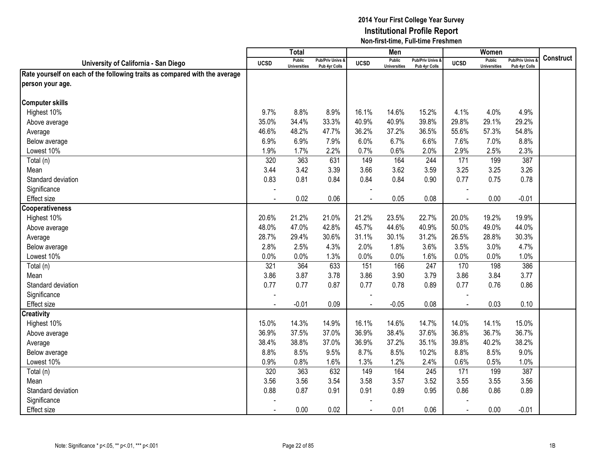|                                                                            |                | <b>Total</b>                         |                                   |                | Men                           |                                   |                | Women                                |                                        |                  |
|----------------------------------------------------------------------------|----------------|--------------------------------------|-----------------------------------|----------------|-------------------------------|-----------------------------------|----------------|--------------------------------------|----------------------------------------|------------------|
| University of California - San Diego                                       | <b>UCSD</b>    | <b>Public</b><br><b>Universities</b> | Pub/Priv Univs &<br>Pub 4yr Colls | <b>UCSD</b>    | Public<br><b>Universities</b> | Pub/Priv Univs &<br>Pub 4yr Colls | <b>UCSD</b>    | <b>Public</b><br><b>Universities</b> | <b>Pub/Priv Univs</b><br>Pub 4yr Colls | <b>Construct</b> |
| Rate yourself on each of the following traits as compared with the average |                |                                      |                                   |                |                               |                                   |                |                                      |                                        |                  |
| person your age.                                                           |                |                                      |                                   |                |                               |                                   |                |                                      |                                        |                  |
|                                                                            |                |                                      |                                   |                |                               |                                   |                |                                      |                                        |                  |
| <b>Computer skills</b>                                                     |                |                                      |                                   |                |                               |                                   |                |                                      |                                        |                  |
| Highest 10%                                                                | 9.7%           | 8.8%                                 | 8.9%                              | 16.1%          | 14.6%                         | 15.2%                             | 4.1%           | 4.0%                                 | 4.9%                                   |                  |
| Above average                                                              | 35.0%          | 34.4%                                | 33.3%                             | 40.9%          | 40.9%                         | 39.8%                             | 29.8%          | 29.1%                                | 29.2%                                  |                  |
| Average                                                                    | 46.6%          | 48.2%                                | 47.7%                             | 36.2%          | 37.2%                         | 36.5%                             | 55.6%          | 57.3%                                | 54.8%                                  |                  |
| Below average                                                              | 6.9%           | 6.9%                                 | 7.9%                              | 6.0%           | 6.7%                          | 6.6%                              | 7.6%           | 7.0%                                 | 8.8%                                   |                  |
| Lowest 10%                                                                 | 1.9%           | 1.7%                                 | 2.2%                              | 0.7%           | 0.6%                          | 2.0%                              | 2.9%           | 2.5%                                 | 2.3%                                   |                  |
| Total (n)                                                                  | 320            | 363                                  | 631                               | 149            | 164                           | 244                               | 171            | 199                                  | 387                                    |                  |
| Mean                                                                       | 3.44           | 3.42                                 | 3.39                              | 3.66           | 3.62                          | 3.59                              | 3.25           | 3.25                                 | 3.26                                   |                  |
| Standard deviation                                                         | 0.83           | 0.81                                 | 0.84                              | 0.84           | 0.84                          | 0.90                              | 0.77           | 0.75                                 | 0.78                                   |                  |
| Significance                                                               | $\blacksquare$ |                                      |                                   |                |                               |                                   |                |                                      |                                        |                  |
| <b>Effect size</b>                                                         |                | 0.02                                 | 0.06                              |                | 0.05                          | 0.08                              |                | 0.00                                 | $-0.01$                                |                  |
| <b>Cooperativeness</b>                                                     |                |                                      |                                   |                |                               |                                   |                |                                      |                                        |                  |
| Highest 10%                                                                | 20.6%          | 21.2%                                | 21.0%                             | 21.2%          | 23.5%                         | 22.7%                             | 20.0%          | 19.2%                                | 19.9%                                  |                  |
| Above average                                                              | 48.0%          | 47.0%                                | 42.8%                             | 45.7%          | 44.6%                         | 40.9%                             | 50.0%          | 49.0%                                | 44.0%                                  |                  |
| Average                                                                    | 28.7%          | 29.4%                                | 30.6%                             | 31.1%          | 30.1%                         | 31.2%                             | 26.5%          | 28.8%                                | 30.3%                                  |                  |
| Below average                                                              | 2.8%           | 2.5%                                 | 4.3%                              | 2.0%           | 1.8%                          | 3.6%                              | 3.5%           | 3.0%                                 | 4.7%                                   |                  |
| Lowest 10%                                                                 | 0.0%           | 0.0%                                 | 1.3%                              | 0.0%           | 0.0%                          | 1.6%                              | 0.0%           | 0.0%                                 | 1.0%                                   |                  |
| Total (n)                                                                  | 321            | 364                                  | 633                               | 151            | 166                           | 247                               | 170            | 198                                  | 386                                    |                  |
| Mean                                                                       | 3.86           | 3.87                                 | 3.78                              | 3.86           | 3.90                          | 3.79                              | 3.86           | 3.84                                 | 3.77                                   |                  |
| Standard deviation                                                         | 0.77           | 0.77                                 | 0.87                              | 0.77           | 0.78                          | 0.89                              | 0.77           | 0.76                                 | 0.86                                   |                  |
| Significance                                                               |                |                                      |                                   |                |                               |                                   |                |                                      |                                        |                  |
| Effect size                                                                |                | $-0.01$                              | 0.09                              |                | $-0.05$                       | 0.08                              | $\overline{a}$ | 0.03                                 | 0.10                                   |                  |
| <b>Creativity</b>                                                          |                |                                      |                                   |                |                               |                                   |                |                                      |                                        |                  |
| Highest 10%                                                                | 15.0%          | 14.3%                                | 14.9%                             | 16.1%          | 14.6%                         | 14.7%                             | 14.0%          | 14.1%                                | 15.0%                                  |                  |
| Above average                                                              | 36.9%          | 37.5%                                | 37.0%                             | 36.9%          | 38.4%                         | 37.6%                             | 36.8%          | 36.7%                                | 36.7%                                  |                  |
| Average                                                                    | 38.4%          | 38.8%                                | 37.0%                             | 36.9%          | 37.2%                         | 35.1%                             | 39.8%          | 40.2%                                | 38.2%                                  |                  |
| Below average                                                              | 8.8%           | 8.5%                                 | 9.5%                              | 8.7%           | 8.5%                          | 10.2%                             | 8.8%           | 8.5%                                 | 9.0%                                   |                  |
| Lowest 10%                                                                 | 0.9%           | 0.8%                                 | 1.6%                              | 1.3%           | 1.2%                          | 2.4%                              | 0.6%           | 0.5%                                 | 1.0%                                   |                  |
| Total (n)                                                                  | 320            | 363                                  | 632                               | 149            | 164                           | 245                               | 171            | 199                                  | 387                                    |                  |
| Mean                                                                       | 3.56           | 3.56                                 | 3.54                              | 3.58           | 3.57                          | 3.52                              | 3.55           | 3.55                                 | 3.56                                   |                  |
| Standard deviation                                                         | 0.88           | 0.87                                 | 0.91                              | 0.91           | 0.89                          | 0.95                              | 0.86           | 0.86                                 | 0.89                                   |                  |
| Significance                                                               |                |                                      |                                   |                |                               |                                   |                |                                      |                                        |                  |
| Effect size                                                                | $\blacksquare$ | 0.00                                 | 0.02                              | $\blacksquare$ | 0.01                          | 0.06                              | $\blacksquare$ | 0.00                                 | $-0.01$                                |                  |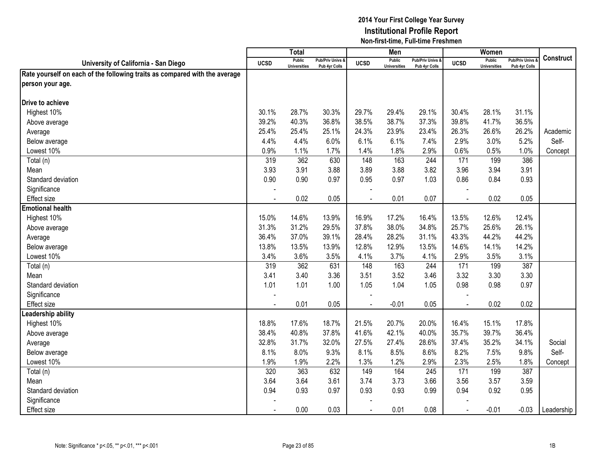|                                                                            |                | <b>Total</b>                         |                                   |             | Men                                  |                                              |                | Women                                |                                        |                  |
|----------------------------------------------------------------------------|----------------|--------------------------------------|-----------------------------------|-------------|--------------------------------------|----------------------------------------------|----------------|--------------------------------------|----------------------------------------|------------------|
| University of California - San Diego                                       | <b>UCSD</b>    | <b>Public</b><br><b>Universities</b> | Pub/Priv Univs &<br>Pub 4yr Colls | <b>UCSD</b> | <b>Public</b><br><b>Universities</b> | <b>Pub/Priv Univs &amp;</b><br>Pub 4yr Colls | <b>UCSD</b>    | <b>Public</b><br><b>Universities</b> | <b>Pub/Priv Univs</b><br>Pub 4yr Colls | <b>Construct</b> |
| Rate yourself on each of the following traits as compared with the average |                |                                      |                                   |             |                                      |                                              |                |                                      |                                        |                  |
| person your age.                                                           |                |                                      |                                   |             |                                      |                                              |                |                                      |                                        |                  |
|                                                                            |                |                                      |                                   |             |                                      |                                              |                |                                      |                                        |                  |
| Drive to achieve                                                           |                |                                      |                                   |             |                                      |                                              |                |                                      |                                        |                  |
| Highest 10%                                                                | 30.1%          | 28.7%                                | 30.3%                             | 29.7%       | 29.4%                                | 29.1%                                        | 30.4%          | 28.1%                                | 31.1%                                  |                  |
| Above average                                                              | 39.2%          | 40.3%                                | 36.8%                             | 38.5%       | 38.7%                                | 37.3%                                        | 39.8%          | 41.7%                                | 36.5%                                  |                  |
| Average                                                                    | 25.4%          | 25.4%                                | 25.1%                             | 24.3%       | 23.9%                                | 23.4%                                        | 26.3%          | 26.6%                                | 26.2%                                  | Academic         |
| Below average                                                              | 4.4%           | 4.4%                                 | 6.0%                              | 6.1%        | 6.1%                                 | 7.4%                                         | 2.9%           | 3.0%                                 | 5.2%                                   | Self-            |
| Lowest 10%                                                                 | 0.9%           | 1.1%                                 | 1.7%                              | 1.4%        | 1.8%                                 | 2.9%                                         | 0.6%           | 0.5%                                 | 1.0%                                   | Concept          |
| Total (n)                                                                  | 319            | 362                                  | 630                               | 148         | 163                                  | 244                                          | 171            | 199                                  | 386                                    |                  |
| Mean                                                                       | 3.93           | 3.91                                 | 3.88                              | 3.89        | 3.88                                 | 3.82                                         | 3.96           | 3.94                                 | 3.91                                   |                  |
| Standard deviation                                                         | 0.90           | 0.90                                 | 0.97                              | 0.95        | 0.97                                 | 1.03                                         | 0.86           | 0.84                                 | 0.93                                   |                  |
| Significance                                                               |                |                                      |                                   |             |                                      |                                              |                |                                      |                                        |                  |
| Effect size                                                                |                | 0.02                                 | 0.05                              |             | 0.01                                 | 0.07                                         |                | 0.02                                 | 0.05                                   |                  |
| <b>Emotional health</b>                                                    |                |                                      |                                   |             |                                      |                                              |                |                                      |                                        |                  |
| Highest 10%                                                                | 15.0%          | 14.6%                                | 13.9%                             | 16.9%       | 17.2%                                | 16.4%                                        | 13.5%          | 12.6%                                | 12.4%                                  |                  |
| Above average                                                              | 31.3%          | 31.2%                                | 29.5%                             | 37.8%       | 38.0%                                | 34.8%                                        | 25.7%          | 25.6%                                | 26.1%                                  |                  |
| Average                                                                    | 36.4%          | 37.0%                                | 39.1%                             | 28.4%       | 28.2%                                | 31.1%                                        | 43.3%          | 44.2%                                | 44.2%                                  |                  |
| Below average                                                              | 13.8%          | 13.5%                                | 13.9%                             | 12.8%       | 12.9%                                | 13.5%                                        | 14.6%          | 14.1%                                | 14.2%                                  |                  |
| Lowest 10%                                                                 | 3.4%           | 3.6%                                 | 3.5%                              | 4.1%        | 3.7%                                 | 4.1%                                         | 2.9%           | 3.5%                                 | 3.1%                                   |                  |
| Total (n)                                                                  | 319            | 362                                  | 631                               | 148         | 163                                  | 244                                          | 171            | 199                                  | 387                                    |                  |
| Mean                                                                       | 3.41           | 3.40                                 | 3.36                              | 3.51        | 3.52                                 | 3.46                                         | 3.32           | 3.30                                 | 3.30                                   |                  |
| Standard deviation                                                         | 1.01           | 1.01                                 | 1.00                              | 1.05        | 1.04                                 | 1.05                                         | 0.98           | 0.98                                 | 0.97                                   |                  |
| Significance                                                               |                |                                      |                                   |             |                                      |                                              |                |                                      |                                        |                  |
| <b>Effect size</b>                                                         |                | 0.01                                 | 0.05                              |             | $-0.01$                              | 0.05                                         |                | 0.02                                 | 0.02                                   |                  |
| eadership ability                                                          |                |                                      |                                   |             |                                      |                                              |                |                                      |                                        |                  |
| Highest 10%                                                                | 18.8%          | 17.6%                                | 18.7%                             | 21.5%       | 20.7%                                | 20.0%                                        | 16.4%          | 15.1%                                | 17.8%                                  |                  |
| Above average                                                              | 38.4%          | 40.8%                                | 37.8%                             | 41.6%       | 42.1%                                | 40.0%                                        | 35.7%          | 39.7%                                | 36.4%                                  |                  |
| Average                                                                    | 32.8%          | 31.7%                                | 32.0%                             | 27.5%       | 27.4%                                | 28.6%                                        | 37.4%          | 35.2%                                | 34.1%                                  | Social           |
| Below average                                                              | 8.1%           | 8.0%                                 | 9.3%                              | 8.1%        | 8.5%                                 | 8.6%                                         | 8.2%           | 7.5%                                 | 9.8%                                   | Self-            |
| Lowest 10%                                                                 | 1.9%           | 1.9%                                 | 2.2%                              | 1.3%        | 1.2%                                 | 2.9%                                         | 2.3%           | 2.5%                                 | 1.8%                                   | Concept          |
| Total (n)                                                                  | 320            | 363                                  | 632                               | 149         | 164                                  | 245                                          | 171            | 199                                  | 387                                    |                  |
| Mean                                                                       | 3.64           | 3.64                                 | 3.61                              | 3.74        | 3.73                                 | 3.66                                         | 3.56           | 3.57                                 | 3.59                                   |                  |
| Standard deviation                                                         | 0.94           | 0.93                                 | 0.97                              | 0.93        | 0.93                                 | 0.99                                         | 0.94           | 0.92                                 | 0.95                                   |                  |
| Significance                                                               |                |                                      |                                   |             |                                      |                                              |                |                                      |                                        |                  |
| <b>Effect size</b>                                                         | $\blacksquare$ | 0.00                                 | 0.03                              | $\sim$      | 0.01                                 | 0.08                                         | $\blacksquare$ | $-0.01$                              | $-0.03$                                | Leadership       |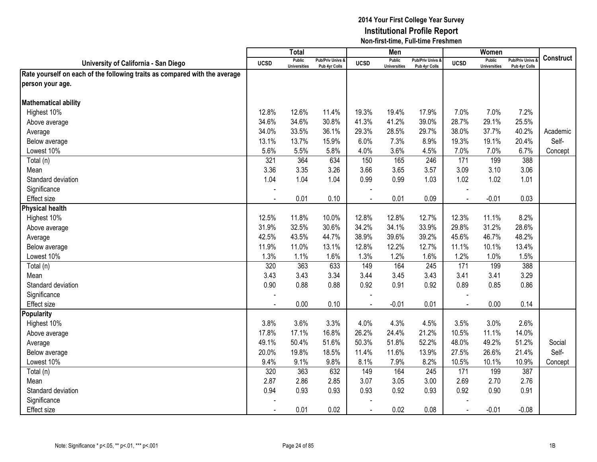|                                                                            |                | <b>Total</b>                         |                                   |                | Men                                  |                                   |                | Women                                |                                        |                  |
|----------------------------------------------------------------------------|----------------|--------------------------------------|-----------------------------------|----------------|--------------------------------------|-----------------------------------|----------------|--------------------------------------|----------------------------------------|------------------|
| University of California - San Diego                                       | <b>UCSD</b>    | <b>Public</b><br><b>Universities</b> | Pub/Priv Univs &<br>Pub 4yr Colls | <b>UCSD</b>    | <b>Public</b><br><b>Universities</b> | Pub/Priv Univs &<br>Pub 4yr Colls | <b>UCSD</b>    | <b>Public</b><br><b>Universities</b> | <b>Pub/Priv Univs</b><br>Pub 4yr Colls | <b>Construct</b> |
| Rate yourself on each of the following traits as compared with the average |                |                                      |                                   |                |                                      |                                   |                |                                      |                                        |                  |
| person your age.                                                           |                |                                      |                                   |                |                                      |                                   |                |                                      |                                        |                  |
|                                                                            |                |                                      |                                   |                |                                      |                                   |                |                                      |                                        |                  |
| <b>Mathematical ability</b>                                                |                |                                      |                                   |                |                                      |                                   |                |                                      |                                        |                  |
| Highest 10%                                                                | 12.8%          | 12.6%                                | 11.4%                             | 19.3%          | 19.4%                                | 17.9%                             | 7.0%           | 7.0%                                 | 7.2%                                   |                  |
| Above average                                                              | 34.6%          | 34.6%                                | 30.8%                             | 41.3%          | 41.2%                                | 39.0%                             | 28.7%          | 29.1%                                | 25.5%                                  |                  |
| Average                                                                    | 34.0%          | 33.5%                                | 36.1%                             | 29.3%          | 28.5%                                | 29.7%                             | 38.0%          | 37.7%                                | 40.2%                                  | Academic         |
| Below average                                                              | 13.1%          | 13.7%                                | 15.9%                             | 6.0%           | 7.3%                                 | 8.9%                              | 19.3%          | 19.1%                                | 20.4%                                  | Self-            |
| Lowest 10%                                                                 | 5.6%           | 5.5%                                 | 5.8%                              | 4.0%           | 3.6%                                 | 4.5%                              | 7.0%           | 7.0%                                 | 6.7%                                   | Concept          |
| Total (n)                                                                  | 321            | 364                                  | 634                               | 150            | 165                                  | 246                               | 171            | 199                                  | 388                                    |                  |
| Mean                                                                       | 3.36           | 3.35                                 | 3.26                              | 3.66           | 3.65                                 | 3.57                              | 3.09           | 3.10                                 | 3.06                                   |                  |
| Standard deviation                                                         | 1.04           | 1.04                                 | 1.04                              | 0.99           | 0.99                                 | 1.03                              | 1.02           | 1.02                                 | 1.01                                   |                  |
| Significance                                                               |                |                                      |                                   |                |                                      |                                   |                |                                      |                                        |                  |
| <b>Effect size</b>                                                         |                | 0.01                                 | 0.10                              |                | 0.01                                 | 0.09                              |                | $-0.01$                              | 0.03                                   |                  |
| <b>Physical health</b>                                                     |                |                                      |                                   |                |                                      |                                   |                |                                      |                                        |                  |
| Highest 10%                                                                | 12.5%          | 11.8%                                | 10.0%                             | 12.8%          | 12.8%                                | 12.7%                             | 12.3%          | 11.1%                                | 8.2%                                   |                  |
| Above average                                                              | 31.9%          | 32.5%                                | 30.6%                             | 34.2%          | 34.1%                                | 33.9%                             | 29.8%          | 31.2%                                | 28.6%                                  |                  |
| Average                                                                    | 42.5%          | 43.5%                                | 44.7%                             | 38.9%          | 39.6%                                | 39.2%                             | 45.6%          | 46.7%                                | 48.2%                                  |                  |
| Below average                                                              | 11.9%          | 11.0%                                | 13.1%                             | 12.8%          | 12.2%                                | 12.7%                             | 11.1%          | 10.1%                                | 13.4%                                  |                  |
| Lowest 10%                                                                 | 1.3%           | 1.1%                                 | 1.6%                              | 1.3%           | 1.2%                                 | 1.6%                              | 1.2%           | 1.0%                                 | 1.5%                                   |                  |
| Total (n)                                                                  | 320            | 363                                  | 633                               | 149            | 164                                  | 245                               | 171            | 199                                  | 388                                    |                  |
| Mean                                                                       | 3.43           | 3.43                                 | 3.34                              | 3.44           | 3.45                                 | 3.43                              | 3.41           | 3.41                                 | 3.29                                   |                  |
| Standard deviation                                                         | 0.90           | 0.88                                 | 0.88                              | 0.92           | 0.91                                 | 0.92                              | 0.89           | 0.85                                 | 0.86                                   |                  |
| Significance                                                               |                |                                      |                                   |                |                                      |                                   |                |                                      |                                        |                  |
| <b>Effect size</b>                                                         |                | 0.00                                 | 0.10                              | $\overline{a}$ | $-0.01$                              | 0.01                              | $\sim$         | 0.00                                 | 0.14                                   |                  |
| <b>Popularity</b>                                                          |                |                                      |                                   |                |                                      |                                   |                |                                      |                                        |                  |
| Highest 10%                                                                | 3.8%           | 3.6%                                 | 3.3%                              | 4.0%           | 4.3%                                 | 4.5%                              | 3.5%           | 3.0%                                 | 2.6%                                   |                  |
| Above average                                                              | 17.8%          | 17.1%                                | 16.8%                             | 26.2%          | 24.4%                                | 21.2%                             | 10.5%          | 11.1%                                | 14.0%                                  |                  |
| Average                                                                    | 49.1%          | 50.4%                                | 51.6%                             | 50.3%          | 51.8%                                | 52.2%                             | 48.0%          | 49.2%                                | 51.2%                                  | Social           |
| Below average                                                              | 20.0%          | 19.8%                                | 18.5%                             | 11.4%          | 11.6%                                | 13.9%                             | 27.5%          | 26.6%                                | 21.4%                                  | Self-            |
| Lowest 10%                                                                 | 9.4%           | 9.1%                                 | 9.8%                              | 8.1%           | 7.9%                                 | 8.2%                              | 10.5%          | 10.1%                                | 10.9%                                  | Concept          |
| Total (n)                                                                  | 320            | 363                                  | 632                               | 149            | 164                                  | 245                               | 171            | 199                                  | 387                                    |                  |
| Mean                                                                       | 2.87           | 2.86                                 | 2.85                              | 3.07           | 3.05                                 | 3.00                              | 2.69           | 2.70                                 | 2.76                                   |                  |
| Standard deviation                                                         | 0.94           | 0.93                                 | 0.93                              | 0.93           | 0.92                                 | 0.93                              | 0.92           | 0.90                                 | 0.91                                   |                  |
| Significance                                                               |                |                                      |                                   |                |                                      |                                   |                |                                      |                                        |                  |
| Effect size                                                                | $\blacksquare$ | 0.01                                 | 0.02                              | $\sim$         | 0.02                                 | 0.08                              | $\blacksquare$ | $-0.01$                              | $-0.08$                                |                  |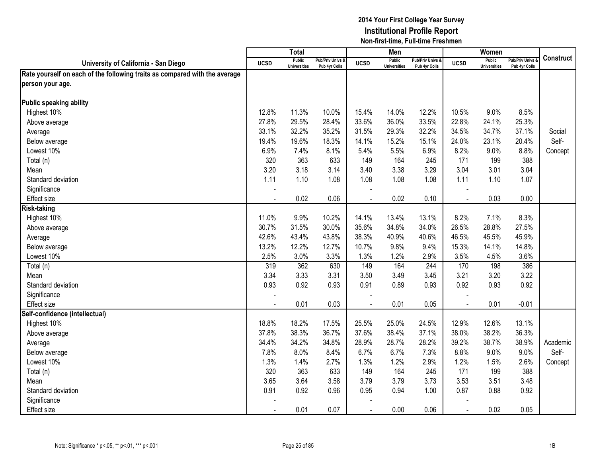|                                                                            |                | <b>Total</b>                         |                                   |                | Men                                  |                                   |                | Women                                |                                        |                  |
|----------------------------------------------------------------------------|----------------|--------------------------------------|-----------------------------------|----------------|--------------------------------------|-----------------------------------|----------------|--------------------------------------|----------------------------------------|------------------|
| University of California - San Diego                                       | <b>UCSD</b>    | <b>Public</b><br><b>Universities</b> | Pub/Priv Univs &<br>Pub 4yr Colls | <b>UCSD</b>    | <b>Public</b><br><b>Universities</b> | Pub/Priv Univs &<br>Pub 4yr Colls | <b>UCSD</b>    | <b>Public</b><br><b>Universities</b> | <b>Pub/Priv Univs</b><br>Pub 4yr Colls | <b>Construct</b> |
| Rate yourself on each of the following traits as compared with the average |                |                                      |                                   |                |                                      |                                   |                |                                      |                                        |                  |
| person your age.                                                           |                |                                      |                                   |                |                                      |                                   |                |                                      |                                        |                  |
|                                                                            |                |                                      |                                   |                |                                      |                                   |                |                                      |                                        |                  |
| Public speaking ability                                                    |                |                                      |                                   |                |                                      |                                   |                |                                      |                                        |                  |
| Highest 10%                                                                | 12.8%          | 11.3%                                | 10.0%                             | 15.4%          | 14.0%                                | 12.2%                             | 10.5%          | 9.0%                                 | 8.5%                                   |                  |
| Above average                                                              | 27.8%          | 29.5%                                | 28.4%                             | 33.6%          | 36.0%                                | 33.5%                             | 22.8%          | 24.1%                                | 25.3%                                  |                  |
| Average                                                                    | 33.1%          | 32.2%                                | 35.2%                             | 31.5%          | 29.3%                                | 32.2%                             | 34.5%          | 34.7%                                | 37.1%                                  | Social           |
| Below average                                                              | 19.4%          | 19.6%                                | 18.3%                             | 14.1%          | 15.2%                                | 15.1%                             | 24.0%          | 23.1%                                | 20.4%                                  | Self-            |
| Lowest 10%                                                                 | 6.9%           | 7.4%                                 | 8.1%                              | 5.4%           | 5.5%                                 | 6.9%                              | 8.2%           | 9.0%                                 | 8.8%                                   | Concept          |
| Total (n)                                                                  | 320            | 363                                  | 633                               | 149            | 164                                  | 245                               | 171            | 199                                  | 388                                    |                  |
| Mean                                                                       | 3.20           | 3.18                                 | 3.14                              | 3.40           | 3.38                                 | 3.29                              | 3.04           | 3.01                                 | 3.04                                   |                  |
| Standard deviation                                                         | 1.11           | 1.10                                 | 1.08                              | 1.08           | 1.08                                 | 1.08                              | 1.11           | 1.10                                 | 1.07                                   |                  |
| Significance                                                               |                |                                      |                                   |                |                                      |                                   |                |                                      |                                        |                  |
| Effect size                                                                |                | 0.02                                 | 0.06                              |                | 0.02                                 | 0.10                              |                | 0.03                                 | 0.00                                   |                  |
| <b>Risk-taking</b>                                                         |                |                                      |                                   |                |                                      |                                   |                |                                      |                                        |                  |
| Highest 10%                                                                | 11.0%          | 9.9%                                 | 10.2%                             | 14.1%          | 13.4%                                | 13.1%                             | 8.2%           | 7.1%                                 | 8.3%                                   |                  |
| Above average                                                              | 30.7%          | 31.5%                                | 30.0%                             | 35.6%          | 34.8%                                | 34.0%                             | 26.5%          | 28.8%                                | 27.5%                                  |                  |
| Average                                                                    | 42.6%          | 43.4%                                | 43.8%                             | 38.3%          | 40.9%                                | 40.6%                             | 46.5%          | 45.5%                                | 45.9%                                  |                  |
| Below average                                                              | 13.2%          | 12.2%                                | 12.7%                             | 10.7%          | 9.8%                                 | 9.4%                              | 15.3%          | 14.1%                                | 14.8%                                  |                  |
| Lowest 10%                                                                 | 2.5%           | 3.0%                                 | 3.3%                              | 1.3%           | 1.2%                                 | 2.9%                              | 3.5%           | 4.5%                                 | 3.6%                                   |                  |
| Total (n)                                                                  | 319            | 362                                  | 630                               | 149            | 164                                  | 244                               | 170            | 198                                  | 386                                    |                  |
| Mean                                                                       | 3.34           | 3.33                                 | 3.31                              | 3.50           | 3.49                                 | 3.45                              | 3.21           | 3.20                                 | 3.22                                   |                  |
| Standard deviation                                                         | 0.93           | 0.92                                 | 0.93                              | 0.91           | 0.89                                 | 0.93                              | 0.92           | 0.93                                 | 0.92                                   |                  |
| Significance                                                               |                |                                      |                                   |                |                                      |                                   |                |                                      |                                        |                  |
| <b>Effect size</b>                                                         |                | 0.01                                 | 0.03                              | $\overline{a}$ | 0.01                                 | 0.05                              | $\sim$         | 0.01                                 | $-0.01$                                |                  |
| Self-confidence (intellectual)                                             |                |                                      |                                   |                |                                      |                                   |                |                                      |                                        |                  |
| Highest 10%                                                                | 18.8%          | 18.2%                                | 17.5%                             | 25.5%          | 25.0%                                | 24.5%                             | 12.9%          | 12.6%                                | 13.1%                                  |                  |
| Above average                                                              | 37.8%          | 38.3%                                | 36.7%                             | 37.6%          | 38.4%                                | 37.1%                             | 38.0%          | 38.2%                                | 36.3%                                  |                  |
| Average                                                                    | 34.4%          | 34.2%                                | 34.8%                             | 28.9%          | 28.7%                                | 28.2%                             | 39.2%          | 38.7%                                | 38.9%                                  | Academic         |
| Below average                                                              | 7.8%           | 8.0%                                 | 8.4%                              | 6.7%           | 6.7%                                 | 7.3%                              | 8.8%           | 9.0%                                 | 9.0%                                   | Self-            |
| Lowest 10%                                                                 | 1.3%           | 1.4%                                 | 2.7%                              | 1.3%           | 1.2%                                 | 2.9%                              | 1.2%           | 1.5%                                 | 2.6%                                   | Concept          |
| Total (n)                                                                  | 320            | 363                                  | 633                               | 149            | 164                                  | 245                               | 171            | 199                                  | 388                                    |                  |
| Mean                                                                       | 3.65           | 3.64                                 | 3.58                              | 3.79           | 3.79                                 | 3.73                              | 3.53           | 3.51                                 | 3.48                                   |                  |
| Standard deviation                                                         | 0.91           | 0.92                                 | 0.96                              | 0.95           | 0.94                                 | 1.00                              | 0.87           | 0.88                                 | 0.92                                   |                  |
| Significance                                                               |                |                                      |                                   |                |                                      |                                   |                |                                      |                                        |                  |
| <b>Effect size</b>                                                         | $\blacksquare$ | 0.01                                 | 0.07                              | $\blacksquare$ | 0.00                                 | 0.06                              | $\blacksquare$ | 0.02                                 | 0.05                                   |                  |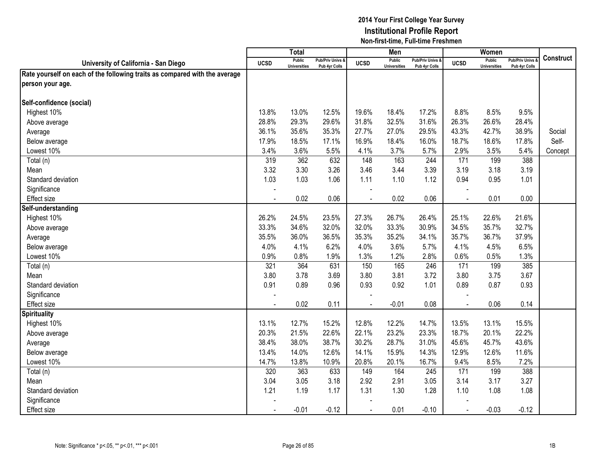|                                                                            |             | <b>Total</b>                         |                                   |                | Men                                  |                                   |                | Women                                |                                        |           |
|----------------------------------------------------------------------------|-------------|--------------------------------------|-----------------------------------|----------------|--------------------------------------|-----------------------------------|----------------|--------------------------------------|----------------------------------------|-----------|
| University of California - San Diego                                       | <b>UCSD</b> | <b>Public</b><br><b>Universities</b> | Pub/Priv Univs &<br>Pub 4yr Colls | <b>UCSD</b>    | <b>Public</b><br><b>Universities</b> | Pub/Priv Univs &<br>Pub 4yr Colls | <b>UCSD</b>    | <b>Public</b><br><b>Universities</b> | <b>Pub/Priv Univs</b><br>Pub 4yr Colls | Construct |
| Rate yourself on each of the following traits as compared with the average |             |                                      |                                   |                |                                      |                                   |                |                                      |                                        |           |
| person your age.                                                           |             |                                      |                                   |                |                                      |                                   |                |                                      |                                        |           |
|                                                                            |             |                                      |                                   |                |                                      |                                   |                |                                      |                                        |           |
| Self-confidence (social)                                                   |             |                                      |                                   |                |                                      |                                   |                |                                      |                                        |           |
| Highest 10%                                                                | 13.8%       | 13.0%                                | 12.5%                             | 19.6%          | 18.4%                                | 17.2%                             | 8.8%           | 8.5%                                 | 9.5%                                   |           |
| Above average                                                              | 28.8%       | 29.3%                                | 29.6%                             | 31.8%          | 32.5%                                | 31.6%                             | 26.3%          | 26.6%                                | 28.4%                                  |           |
| Average                                                                    | 36.1%       | 35.6%                                | 35.3%                             | 27.7%          | 27.0%                                | 29.5%                             | 43.3%          | 42.7%                                | 38.9%                                  | Social    |
| Below average                                                              | 17.9%       | 18.5%                                | 17.1%                             | 16.9%          | 18.4%                                | 16.0%                             | 18.7%          | 18.6%                                | 17.8%                                  | Self-     |
| Lowest 10%                                                                 | 3.4%        | 3.6%                                 | 5.5%                              | 4.1%           | 3.7%                                 | 5.7%                              | 2.9%           | 3.5%                                 | 5.4%                                   | Concept   |
| Total (n)                                                                  | 319         | 362                                  | 632                               | 148            | 163                                  | 244                               | 171            | 199                                  | 388                                    |           |
| Mean                                                                       | 3.32        | 3.30                                 | 3.26                              | 3.46           | 3.44                                 | 3.39                              | 3.19           | 3.18                                 | 3.19                                   |           |
| Standard deviation                                                         | 1.03        | 1.03                                 | 1.06                              | 1.11           | 1.10                                 | 1.12                              | 0.94           | 0.95                                 | 1.01                                   |           |
| Significance                                                               |             |                                      |                                   |                |                                      |                                   |                |                                      |                                        |           |
| Effect size                                                                |             | 0.02                                 | 0.06                              |                | 0.02                                 | 0.06                              |                | 0.01                                 | 0.00                                   |           |
| Self-understanding                                                         |             |                                      |                                   |                |                                      |                                   |                |                                      |                                        |           |
| Highest 10%                                                                | 26.2%       | 24.5%                                | 23.5%                             | 27.3%          | 26.7%                                | 26.4%                             | 25.1%          | 22.6%                                | 21.6%                                  |           |
| Above average                                                              | 33.3%       | 34.6%                                | 32.0%                             | 32.0%          | 33.3%                                | 30.9%                             | 34.5%          | 35.7%                                | 32.7%                                  |           |
| Average                                                                    | 35.5%       | 36.0%                                | 36.5%                             | 35.3%          | 35.2%                                | 34.1%                             | 35.7%          | 36.7%                                | 37.9%                                  |           |
| Below average                                                              | 4.0%        | 4.1%                                 | 6.2%                              | 4.0%           | 3.6%                                 | 5.7%                              | 4.1%           | 4.5%                                 | 6.5%                                   |           |
| Lowest 10%                                                                 | 0.9%        | 0.8%                                 | 1.9%                              | 1.3%           | 1.2%                                 | 2.8%                              | 0.6%           | 0.5%                                 | 1.3%                                   |           |
| Total (n)                                                                  | 321         | 364                                  | 631                               | 150            | 165                                  | 246                               | 171            | 199                                  | 385                                    |           |
| Mean                                                                       | 3.80        | 3.78                                 | 3.69                              | 3.80           | 3.81                                 | 3.72                              | 3.80           | 3.75                                 | 3.67                                   |           |
| Standard deviation                                                         | 0.91        | 0.89                                 | 0.96                              | 0.93           | 0.92                                 | 1.01                              | 0.89           | 0.87                                 | 0.93                                   |           |
| Significance                                                               |             |                                      |                                   |                |                                      |                                   |                |                                      |                                        |           |
| <b>Effect size</b>                                                         |             | 0.02                                 | 0.11                              |                | $-0.01$                              | 0.08                              | $\blacksquare$ | 0.06                                 | 0.14                                   |           |
| <b>Spirituality</b>                                                        |             |                                      |                                   |                |                                      |                                   |                |                                      |                                        |           |
| Highest 10%                                                                | 13.1%       | 12.7%                                | 15.2%                             | 12.8%          | 12.2%                                | 14.7%                             | 13.5%          | 13.1%                                | 15.5%                                  |           |
| Above average                                                              | 20.3%       | 21.5%                                | 22.6%                             | 22.1%          | 23.2%                                | 23.3%                             | 18.7%          | 20.1%                                | 22.2%                                  |           |
| Average                                                                    | 38.4%       | 38.0%                                | 38.7%                             | 30.2%          | 28.7%                                | 31.0%                             | 45.6%          | 45.7%                                | 43.6%                                  |           |
| Below average                                                              | 13.4%       | 14.0%                                | 12.6%                             | 14.1%          | 15.9%                                | 14.3%                             | 12.9%          | 12.6%                                | 11.6%                                  |           |
| Lowest 10%                                                                 | 14.7%       | 13.8%                                | 10.9%                             | 20.8%          | 20.1%                                | 16.7%                             | 9.4%           | 8.5%                                 | 7.2%                                   |           |
| Total (n)                                                                  | 320         | 363                                  | 633                               | 149            | 164                                  | 245                               | 171            | 199                                  | 388                                    |           |
| Mean                                                                       | 3.04        | 3.05                                 | 3.18                              | 2.92           | 2.91                                 | 3.05                              | 3.14           | 3.17                                 | 3.27                                   |           |
| Standard deviation                                                         | 1.21        | 1.19                                 | 1.17                              | 1.31           | 1.30                                 | 1.28                              | 1.10           | 1.08                                 | 1.08                                   |           |
| Significance                                                               |             |                                      |                                   |                |                                      |                                   |                |                                      |                                        |           |
| <b>Effect size</b>                                                         |             | $-0.01$                              | $-0.12$                           | $\blacksquare$ | 0.01                                 | $-0.10$                           | $\blacksquare$ | $-0.03$                              | $-0.12$                                |           |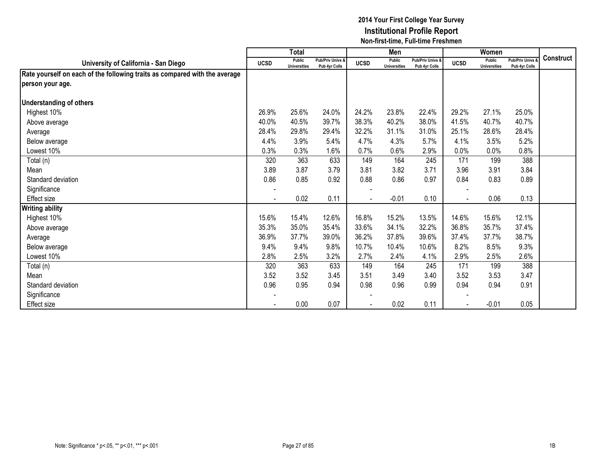|                                                                            |                | <b>Total</b>                  |                                   |             | Men                                  |                                   |             | Women                                |                                        |                  |
|----------------------------------------------------------------------------|----------------|-------------------------------|-----------------------------------|-------------|--------------------------------------|-----------------------------------|-------------|--------------------------------------|----------------------------------------|------------------|
| University of California - San Diego                                       | <b>UCSD</b>    | Public<br><b>Universities</b> | Pub/Priv Univs &<br>Pub 4yr Colls | <b>UCSD</b> | <b>Public</b><br><b>Universities</b> | Pub/Priv Univs &<br>Pub 4yr Colls | <b>UCSD</b> | <b>Public</b><br><b>Universities</b> | <b>Pub/Priv Univs</b><br>Pub 4yr Colls | <b>Construct</b> |
| Rate yourself on each of the following traits as compared with the average |                |                               |                                   |             |                                      |                                   |             |                                      |                                        |                  |
| person your age.                                                           |                |                               |                                   |             |                                      |                                   |             |                                      |                                        |                  |
|                                                                            |                |                               |                                   |             |                                      |                                   |             |                                      |                                        |                  |
| <b>Understanding of others</b>                                             |                |                               |                                   |             |                                      |                                   |             |                                      |                                        |                  |
| Highest 10%                                                                | 26.9%          | 25.6%                         | 24.0%                             | 24.2%       | 23.8%                                | 22.4%                             | 29.2%       | 27.1%                                | 25.0%                                  |                  |
| Above average                                                              | 40.0%          | 40.5%                         | 39.7%                             | 38.3%       | 40.2%                                | 38.0%                             | 41.5%       | 40.7%                                | 40.7%                                  |                  |
| Average                                                                    | 28.4%          | 29.8%                         | 29.4%                             | 32.2%       | 31.1%                                | 31.0%                             | 25.1%       | 28.6%                                | 28.4%                                  |                  |
| Below average                                                              | 4.4%           | 3.9%                          | 5.4%                              | 4.7%        | 4.3%                                 | 5.7%                              | 4.1%        | 3.5%                                 | 5.2%                                   |                  |
| Lowest 10%                                                                 | 0.3%           | 0.3%                          | 1.6%                              | 0.7%        | 0.6%                                 | 2.9%                              | 0.0%        | 0.0%                                 | 0.8%                                   |                  |
| Total (n)                                                                  | 320            | 363                           | 633                               | 149         | 164                                  | 245                               | 171         | 199                                  | 388                                    |                  |
| Mean                                                                       | 3.89           | 3.87                          | 3.79                              | 3.81        | 3.82                                 | 3.71                              | 3.96        | 3.91                                 | 3.84                                   |                  |
| Standard deviation                                                         | 0.86           | 0.85                          | 0.92                              | 0.88        | 0.86                                 | 0.97                              | 0.84        | 0.83                                 | 0.89                                   |                  |
| Significance                                                               | $\blacksquare$ |                               |                                   |             |                                      |                                   |             |                                      |                                        |                  |
| <b>Effect size</b>                                                         |                | 0.02                          | 0.11                              |             | $-0.01$                              | 0.10                              |             | 0.06                                 | 0.13                                   |                  |
| <b>Writing ability</b>                                                     |                |                               |                                   |             |                                      |                                   |             |                                      |                                        |                  |
| Highest 10%                                                                | 15.6%          | 15.4%                         | 12.6%                             | 16.8%       | 15.2%                                | 13.5%                             | 14.6%       | 15.6%                                | 12.1%                                  |                  |
| Above average                                                              | 35.3%          | 35.0%                         | 35.4%                             | 33.6%       | 34.1%                                | 32.2%                             | 36.8%       | 35.7%                                | 37.4%                                  |                  |
| Average                                                                    | 36.9%          | 37.7%                         | 39.0%                             | 36.2%       | 37.8%                                | 39.6%                             | 37.4%       | 37.7%                                | 38.7%                                  |                  |
| Below average                                                              | 9.4%           | 9.4%                          | 9.8%                              | 10.7%       | 10.4%                                | 10.6%                             | 8.2%        | 8.5%                                 | 9.3%                                   |                  |
| Lowest 10%                                                                 | 2.8%           | 2.5%                          | 3.2%                              | 2.7%        | 2.4%                                 | 4.1%                              | 2.9%        | 2.5%                                 | 2.6%                                   |                  |
| Total (n)                                                                  | 320            | 363                           | 633                               | 149         | 164                                  | 245                               | 171         | 199                                  | 388                                    |                  |
| Mean                                                                       | 3.52           | 3.52                          | 3.45                              | 3.51        | 3.49                                 | 3.40                              | 3.52        | 3.53                                 | 3.47                                   |                  |
| Standard deviation                                                         | 0.96           | 0.95                          | 0.94                              | 0.98        | 0.96                                 | 0.99                              | 0.94        | 0.94                                 | 0.91                                   |                  |
| Significance                                                               |                |                               |                                   |             |                                      |                                   |             |                                      |                                        |                  |
| Effect size                                                                |                | 0.00                          | 0.07                              |             | 0.02                                 | 0.11                              |             | $-0.01$                              | 0.05                                   |                  |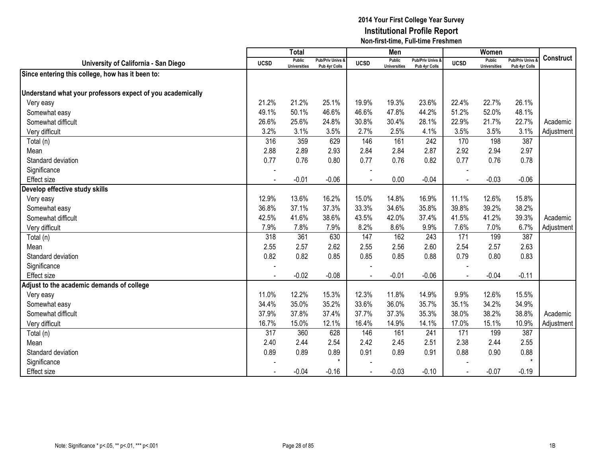|                                                            |                | <b>Total</b>                         |                                              |             | Men                                  |                                   |             | Women                                |                                        |                  |
|------------------------------------------------------------|----------------|--------------------------------------|----------------------------------------------|-------------|--------------------------------------|-----------------------------------|-------------|--------------------------------------|----------------------------------------|------------------|
| University of California - San Diego                       | <b>UCSD</b>    | <b>Public</b><br><b>Universities</b> | <b>Pub/Priv Univs &amp;</b><br>Pub 4yr Colls | <b>UCSD</b> | <b>Public</b><br><b>Universities</b> | Pub/Priv Univs &<br>Pub 4yr Colls | <b>UCSD</b> | <b>Public</b><br><b>Universities</b> | <b>Pub/Priv Univs</b><br>Pub 4yr Colls | <b>Construct</b> |
| Since entering this college, how has it been to:           |                |                                      |                                              |             |                                      |                                   |             |                                      |                                        |                  |
|                                                            |                |                                      |                                              |             |                                      |                                   |             |                                      |                                        |                  |
| Understand what your professors expect of you academically |                |                                      |                                              |             |                                      |                                   |             |                                      |                                        |                  |
| Very easy                                                  | 21.2%          | 21.2%                                | 25.1%                                        | 19.9%       | 19.3%                                | 23.6%                             | 22.4%       | 22.7%                                | 26.1%                                  |                  |
| Somewhat easy                                              | 49.1%          | 50.1%                                | 46.6%                                        | 46.6%       | 47.8%                                | 44.2%                             | 51.2%       | 52.0%                                | 48.1%                                  |                  |
| Somewhat difficult                                         | 26.6%          | 25.6%                                | 24.8%                                        | 30.8%       | 30.4%                                | 28.1%                             | 22.9%       | 21.7%                                | 22.7%                                  | Academic         |
| Very difficult                                             | 3.2%           | 3.1%                                 | 3.5%                                         | 2.7%        | 2.5%                                 | 4.1%                              | 3.5%        | 3.5%                                 | 3.1%                                   | Adjustment       |
| Total (n)                                                  | 316            | 359                                  | 629                                          | 146         | 161                                  | 242                               | 170         | 198                                  | 387                                    |                  |
| Mean                                                       | 2.88           | 2.89                                 | 2.93                                         | 2.84        | 2.84                                 | 2.87                              | 2.92        | 2.94                                 | 2.97                                   |                  |
| Standard deviation                                         | 0.77           | 0.76                                 | 0.80                                         | 0.77        | 0.76                                 | 0.82                              | 0.77        | 0.76                                 | 0.78                                   |                  |
| Significance                                               |                |                                      |                                              |             |                                      |                                   |             |                                      |                                        |                  |
| <b>Effect size</b>                                         | $\blacksquare$ | $-0.01$                              | $-0.06$                                      | $\sim$      | 0.00                                 | $-0.04$                           |             | $-0.03$                              | $-0.06$                                |                  |
| Develop effective study skills                             |                |                                      |                                              |             |                                      |                                   |             |                                      |                                        |                  |
| Very easy                                                  | 12.9%          | 13.6%                                | 16.2%                                        | 15.0%       | 14.8%                                | 16.9%                             | 11.1%       | 12.6%                                | 15.8%                                  |                  |
| Somewhat easy                                              | 36.8%          | 37.1%                                | 37.3%                                        | 33.3%       | 34.6%                                | 35.8%                             | 39.8%       | 39.2%                                | 38.2%                                  |                  |
| Somewhat difficult                                         | 42.5%          | 41.6%                                | 38.6%                                        | 43.5%       | 42.0%                                | 37.4%                             | 41.5%       | 41.2%                                | 39.3%                                  | Academic         |
| Very difficult                                             | 7.9%           | 7.8%                                 | 7.9%                                         | 8.2%        | 8.6%                                 | 9.9%                              | 7.6%        | 7.0%                                 | 6.7%                                   | Adjustment       |
| Total (n)                                                  | 318            | 361                                  | 630                                          | 147         | 162                                  | 243                               | 171         | 199                                  | 387                                    |                  |
| Mean                                                       | 2.55           | 2.57                                 | 2.62                                         | 2.55        | 2.56                                 | 2.60                              | 2.54        | 2.57                                 | 2.63                                   |                  |
| Standard deviation                                         | 0.82           | 0.82                                 | 0.85                                         | 0.85        | 0.85                                 | 0.88                              | 0.79        | 0.80                                 | 0.83                                   |                  |
| Significance                                               |                |                                      |                                              |             |                                      |                                   |             |                                      |                                        |                  |
| <b>Effect size</b>                                         |                | $-0.02$                              | $-0.08$                                      |             | $-0.01$                              | $-0.06$                           |             | $-0.04$                              | $-0.11$                                |                  |
| Adjust to the academic demands of college                  |                |                                      |                                              |             |                                      |                                   |             |                                      |                                        |                  |
| Very easy                                                  | 11.0%          | 12.2%                                | 15.3%                                        | 12.3%       | 11.8%                                | 14.9%                             | 9.9%        | 12.6%                                | 15.5%                                  |                  |
| Somewhat easy                                              | 34.4%          | 35.0%                                | 35.2%                                        | 33.6%       | 36.0%                                | 35.7%                             | 35.1%       | 34.2%                                | 34.9%                                  |                  |
| Somewhat difficult                                         | 37.9%          | 37.8%                                | 37.4%                                        | 37.7%       | 37.3%                                | 35.3%                             | 38.0%       | 38.2%                                | 38.8%                                  | Academic         |
| Very difficult                                             | 16.7%          | 15.0%                                | 12.1%                                        | 16.4%       | 14.9%                                | 14.1%                             | 17.0%       | 15.1%                                | 10.9%                                  | Adjustment       |
| Total (n)                                                  | 317            | 360                                  | 628                                          | 146         | 161                                  | 241                               | 171         | 199                                  | 387                                    |                  |
| Mean                                                       | 2.40           | 2.44                                 | 2.54                                         | 2.42        | 2.45                                 | 2.51                              | 2.38        | 2.44                                 | 2.55                                   |                  |
| Standard deviation                                         | 0.89           | 0.89                                 | 0.89                                         | 0.91        | 0.89                                 | 0.91                              | 0.88        | 0.90                                 | 0.88                                   |                  |
| Significance                                               |                |                                      | $\star$                                      |             |                                      |                                   |             |                                      |                                        |                  |
| <b>Effect size</b>                                         |                | $-0.04$                              | $-0.16$                                      |             | $-0.03$                              | $-0.10$                           |             | $-0.07$                              | $-0.19$                                |                  |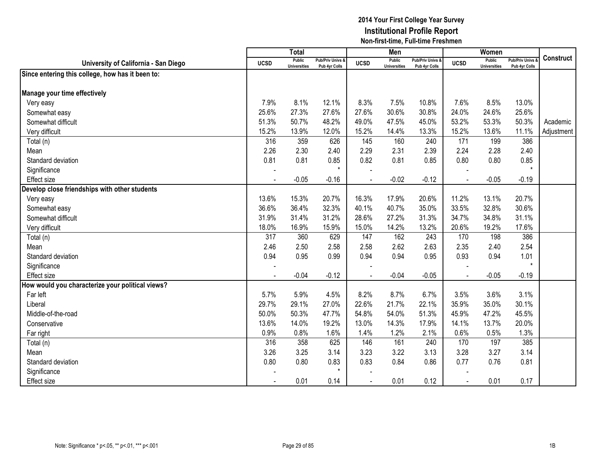|                                                  |             | <b>Total</b>                         |                                   |             | Men                                  |                                   |             | Women                                |                                        |                  |
|--------------------------------------------------|-------------|--------------------------------------|-----------------------------------|-------------|--------------------------------------|-----------------------------------|-------------|--------------------------------------|----------------------------------------|------------------|
| University of California - San Diego             | <b>UCSD</b> | <b>Public</b><br><b>Universities</b> | Pub/Priv Univs &<br>Pub 4yr Colls | <b>UCSD</b> | <b>Public</b><br><b>Universities</b> | Pub/Priv Univs &<br>Pub 4yr Colls | <b>UCSD</b> | <b>Public</b><br><b>Universities</b> | <b>Pub/Priv Univs</b><br>Pub 4yr Colls | <b>Construct</b> |
| Since entering this college, how has it been to: |             |                                      |                                   |             |                                      |                                   |             |                                      |                                        |                  |
|                                                  |             |                                      |                                   |             |                                      |                                   |             |                                      |                                        |                  |
| Manage your time effectively                     |             |                                      |                                   |             |                                      |                                   |             |                                      |                                        |                  |
| Very easy                                        | 7.9%        | 8.1%                                 | 12.1%                             | 8.3%        | 7.5%                                 | 10.8%                             | 7.6%        | 8.5%                                 | 13.0%                                  |                  |
| Somewhat easy                                    | 25.6%       | 27.3%                                | 27.6%                             | 27.6%       | 30.6%                                | 30.8%                             | 24.0%       | 24.6%                                | 25.6%                                  |                  |
| Somewhat difficult                               | 51.3%       | 50.7%                                | 48.2%                             | 49.0%       | 47.5%                                | 45.0%                             | 53.2%       | 53.3%                                | 50.3%                                  | Academic         |
| Very difficult                                   | 15.2%       | 13.9%                                | 12.0%                             | 15.2%       | 14.4%                                | 13.3%                             | 15.2%       | 13.6%                                | 11.1%                                  | Adjustment       |
| Total (n)                                        | 316         | 359                                  | 626                               | 145         | 160                                  | 240                               | 171         | 199                                  | 386                                    |                  |
| Mean                                             | 2.26        | 2.30                                 | 2.40                              | 2.29        | 2.31                                 | 2.39                              | 2.24        | 2.28                                 | 2.40                                   |                  |
| Standard deviation                               | 0.81        | 0.81                                 | 0.85                              | 0.82        | 0.81                                 | 0.85                              | 0.80        | 0.80                                 | 0.85                                   |                  |
| Significance                                     |             |                                      | $\star$                           |             |                                      |                                   |             |                                      | $\star$                                |                  |
| <b>Effect size</b>                               |             | $-0.05$                              | $-0.16$                           |             | $-0.02$                              | $-0.12$                           |             | $-0.05$                              | $-0.19$                                |                  |
| Develop close friendships with other students    |             |                                      |                                   |             |                                      |                                   |             |                                      |                                        |                  |
| Very easy                                        | 13.6%       | 15.3%                                | 20.7%                             | 16.3%       | 17.9%                                | 20.6%                             | 11.2%       | 13.1%                                | 20.7%                                  |                  |
| Somewhat easy                                    | 36.6%       | 36.4%                                | 32.3%                             | 40.1%       | 40.7%                                | 35.0%                             | 33.5%       | 32.8%                                | 30.6%                                  |                  |
| Somewhat difficult                               | 31.9%       | 31.4%                                | 31.2%                             | 28.6%       | 27.2%                                | 31.3%                             | 34.7%       | 34.8%                                | 31.1%                                  |                  |
| Very difficult                                   | 18.0%       | 16.9%                                | 15.9%                             | 15.0%       | 14.2%                                | 13.2%                             | 20.6%       | 19.2%                                | 17.6%                                  |                  |
| Total (n)                                        | 317         | 360                                  | 629                               | 147         | 162                                  | 243                               | 170         | 198                                  | 386                                    |                  |
| Mean                                             | 2.46        | 2.50                                 | 2.58                              | 2.58        | 2.62                                 | 2.63                              | 2.35        | 2.40                                 | 2.54                                   |                  |
| Standard deviation                               | 0.94        | 0.95                                 | 0.99                              | 0.94        | 0.94                                 | 0.95                              | 0.93        | 0.94                                 | 1.01                                   |                  |
| Significance                                     |             |                                      |                                   |             |                                      |                                   |             |                                      | $\star$                                |                  |
| <b>Effect size</b>                               |             | $-0.04$                              | $-0.12$                           |             | $-0.04$                              | $-0.05$                           |             | $-0.05$                              | $-0.19$                                |                  |
| How would you characterize your political views? |             |                                      |                                   |             |                                      |                                   |             |                                      |                                        |                  |
| Far left                                         | 5.7%        | 5.9%                                 | 4.5%                              | 8.2%        | 8.7%                                 | 6.7%                              | 3.5%        | 3.6%                                 | 3.1%                                   |                  |
| Liberal                                          | 29.7%       | 29.1%                                | 27.0%                             | 22.6%       | 21.7%                                | 22.1%                             | 35.9%       | 35.0%                                | 30.1%                                  |                  |
| Middle-of-the-road                               | 50.0%       | 50.3%                                | 47.7%                             | 54.8%       | 54.0%                                | 51.3%                             | 45.9%       | 47.2%                                | 45.5%                                  |                  |
| Conservative                                     | 13.6%       | 14.0%                                | 19.2%                             | 13.0%       | 14.3%                                | 17.9%                             | 14.1%       | 13.7%                                | 20.0%                                  |                  |
| Far right                                        | 0.9%        | 0.8%                                 | 1.6%                              | 1.4%        | 1.2%                                 | 2.1%                              | 0.6%        | 0.5%                                 | 1.3%                                   |                  |
| Total (n)                                        | 316         | 358                                  | 625                               | 146         | 161                                  | 240                               | 170         | 197                                  | 385                                    |                  |
| Mean                                             | 3.26        | 3.25                                 | 3.14                              | 3.23        | 3.22                                 | 3.13                              | 3.28        | 3.27                                 | 3.14                                   |                  |
| Standard deviation                               | 0.80        | 0.80                                 | 0.83                              | 0.83        | 0.84                                 | 0.86                              | 0.77        | 0.76                                 | 0.81                                   |                  |
| Significance                                     |             |                                      | $\star$                           |             |                                      |                                   |             |                                      |                                        |                  |
| <b>Effect</b> size                               |             | 0.01                                 | 0.14                              |             | 0.01                                 | 0.12                              |             | 0.01                                 | 0.17                                   |                  |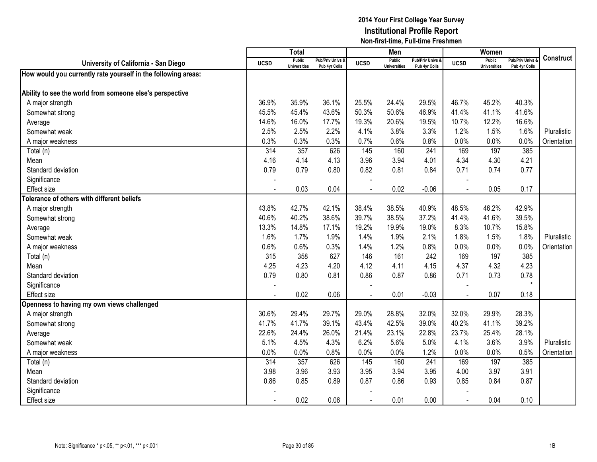|                                                               |             | <b>Total</b>                         |                                   |                | Men                           |                                   |                | Women                         |                                        |                  |
|---------------------------------------------------------------|-------------|--------------------------------------|-----------------------------------|----------------|-------------------------------|-----------------------------------|----------------|-------------------------------|----------------------------------------|------------------|
| University of California - San Diego                          | <b>UCSD</b> | <b>Public</b><br><b>Universities</b> | Pub/Priv Univs &<br>Pub 4yr Colls | <b>UCSD</b>    | Public<br><b>Universities</b> | Pub/Priv Univs &<br>Pub 4yr Colls | <b>UCSD</b>    | Public<br><b>Universities</b> | <b>Pub/Priv Univs</b><br>Pub 4yr Colls | <b>Construct</b> |
| How would you currently rate yourself in the following areas: |             |                                      |                                   |                |                               |                                   |                |                               |                                        |                  |
|                                                               |             |                                      |                                   |                |                               |                                   |                |                               |                                        |                  |
| Ability to see the world from someone else's perspective      |             |                                      |                                   |                |                               |                                   |                |                               |                                        |                  |
| A major strength                                              | 36.9%       | 35.9%                                | 36.1%                             | 25.5%          | 24.4%                         | 29.5%                             | 46.7%          | 45.2%                         | 40.3%                                  |                  |
| Somewhat strong                                               | 45.5%       | 45.4%                                | 43.6%                             | 50.3%          | 50.6%                         | 46.9%                             | 41.4%          | 41.1%                         | 41.6%                                  |                  |
| Average                                                       | 14.6%       | 16.0%                                | 17.7%                             | 19.3%          | 20.6%                         | 19.5%                             | 10.7%          | 12.2%                         | 16.6%                                  |                  |
| Somewhat weak                                                 | 2.5%        | 2.5%                                 | 2.2%                              | 4.1%           | 3.8%                          | 3.3%                              | 1.2%           | 1.5%                          | 1.6%                                   | Pluralistic      |
| A major weakness                                              | 0.3%        | 0.3%                                 | 0.3%                              | 0.7%           | 0.6%                          | 0.8%                              | 0.0%           | 0.0%                          | 0.0%                                   | Orientation      |
| Total (n)                                                     | 314         | 357                                  | 626                               | 145            | 160                           | 241                               | 169            | 197                           | 385                                    |                  |
| Mean                                                          | 4.16        | 4.14                                 | 4.13                              | 3.96           | 3.94                          | 4.01                              | 4.34           | 4.30                          | 4.21                                   |                  |
| Standard deviation                                            | 0.79        | 0.79                                 | 0.80                              | 0.82           | 0.81                          | 0.84                              | 0.71           | 0.74                          | 0.77                                   |                  |
| Significance                                                  |             |                                      |                                   |                |                               |                                   |                |                               |                                        |                  |
| Effect size                                                   |             | 0.03                                 | 0.04                              | $\overline{a}$ | 0.02                          | $-0.06$                           | $\blacksquare$ | 0.05                          | 0.17                                   |                  |
| <b>Tolerance of others with different beliefs</b>             |             |                                      |                                   |                |                               |                                   |                |                               |                                        |                  |
| A major strength                                              | 43.8%       | 42.7%                                | 42.1%                             | 38.4%          | 38.5%                         | 40.9%                             | 48.5%          | 46.2%                         | 42.9%                                  |                  |
| Somewhat strong                                               | 40.6%       | 40.2%                                | 38.6%                             | 39.7%          | 38.5%                         | 37.2%                             | 41.4%          | 41.6%                         | 39.5%                                  |                  |
| Average                                                       | 13.3%       | 14.8%                                | 17.1%                             | 19.2%          | 19.9%                         | 19.0%                             | 8.3%           | 10.7%                         | 15.8%                                  |                  |
| Somewhat weak                                                 | 1.6%        | 1.7%                                 | 1.9%                              | 1.4%           | 1.9%                          | 2.1%                              | 1.8%           | 1.5%                          | 1.8%                                   | Pluralistic      |
| A major weakness                                              | 0.6%        | 0.6%                                 | 0.3%                              | 1.4%           | 1.2%                          | 0.8%                              | 0.0%           | 0.0%                          | 0.0%                                   | Orientation      |
| Total (n)                                                     | 315         | 358                                  | 627                               | 146            | 161                           | 242                               | 169            | 197                           | 385                                    |                  |
| Mean                                                          | 4.25        | 4.23                                 | 4.20                              | 4.12           | 4.11                          | 4.15                              | 4.37           | 4.32                          | 4.23                                   |                  |
| Standard deviation                                            | 0.79        | 0.80                                 | 0.81                              | 0.86           | 0.87                          | 0.86                              | 0.71           | 0.73                          | 0.78                                   |                  |
| Significance                                                  |             |                                      |                                   |                |                               |                                   |                |                               | $\star$                                |                  |
| <b>Effect size</b>                                            |             | 0.02                                 | 0.06                              |                | 0.01                          | $-0.03$                           |                | 0.07                          | 0.18                                   |                  |
| Openness to having my own views challenged                    |             |                                      |                                   |                |                               |                                   |                |                               |                                        |                  |
| A major strength                                              | 30.6%       | 29.4%                                | 29.7%                             | 29.0%          | 28.8%                         | 32.0%                             | 32.0%          | 29.9%                         | 28.3%                                  |                  |
| Somewhat strong                                               | 41.7%       | 41.7%                                | 39.1%                             | 43.4%          | 42.5%                         | 39.0%                             | 40.2%          | 41.1%                         | 39.2%                                  |                  |
| Average                                                       | 22.6%       | 24.4%                                | 26.0%                             | 21.4%          | 23.1%                         | 22.8%                             | 23.7%          | 25.4%                         | 28.1%                                  |                  |
| Somewhat weak                                                 | 5.1%        | 4.5%                                 | 4.3%                              | 6.2%           | 5.6%                          | 5.0%                              | 4.1%           | 3.6%                          | 3.9%                                   | Pluralistic      |
| A major weakness                                              | 0.0%        | 0.0%                                 | 0.8%                              | 0.0%           | 0.0%                          | 1.2%                              | 0.0%           | 0.0%                          | 0.5%                                   | Orientation      |
| Total (n)                                                     | 314         | 357                                  | 626                               | 145            | 160                           | 241                               | 169            | 197                           | 385                                    |                  |
| Mean                                                          | 3.98        | 3.96                                 | 3.93                              | 3.95           | 3.94                          | 3.95                              | 4.00           | 3.97                          | 3.91                                   |                  |
| Standard deviation                                            | 0.86        | 0.85                                 | 0.89                              | 0.87           | 0.86                          | 0.93                              | 0.85           | 0.84                          | 0.87                                   |                  |
| Significance                                                  |             |                                      |                                   |                |                               |                                   |                |                               |                                        |                  |
| <b>Effect size</b>                                            |             | 0.02                                 | 0.06                              |                | 0.01                          | 0.00                              |                | 0.04                          | 0.10                                   |                  |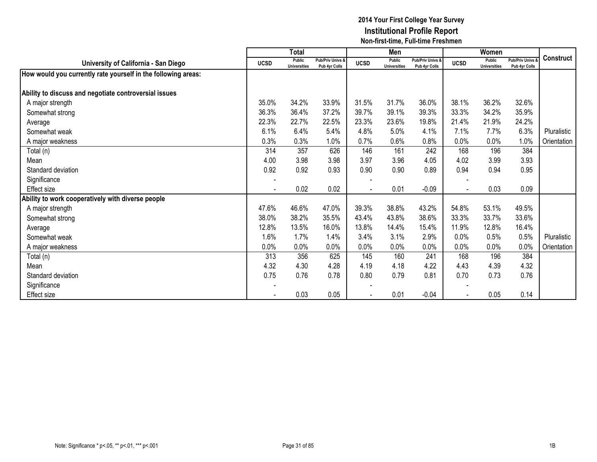|                                                               |             | <b>Total</b>                  |                                   |             | Men                                  |                                   |             | Women                                |                                        |                  |
|---------------------------------------------------------------|-------------|-------------------------------|-----------------------------------|-------------|--------------------------------------|-----------------------------------|-------------|--------------------------------------|----------------------------------------|------------------|
| University of California - San Diego                          | <b>UCSD</b> | Public<br><b>Universities</b> | Pub/Priv Univs &<br>Pub 4yr Colls | <b>UCSD</b> | <b>Public</b><br><b>Universities</b> | Pub/Priv Univs &<br>Pub 4yr Colls | <b>UCSD</b> | <b>Public</b><br><b>Universities</b> | <b>Pub/Priv Univs</b><br>Pub 4yr Colls | <b>Construct</b> |
| How would you currently rate yourself in the following areas: |             |                               |                                   |             |                                      |                                   |             |                                      |                                        |                  |
| Ability to discuss and negotiate controversial issues         |             |                               |                                   |             |                                      |                                   |             |                                      |                                        |                  |
| A major strength                                              | 35.0%       | 34.2%                         | 33.9%                             | 31.5%       | 31.7%                                | 36.0%                             | 38.1%       | 36.2%                                | 32.6%                                  |                  |
|                                                               |             |                               |                                   |             |                                      |                                   |             |                                      |                                        |                  |
| Somewhat strong                                               | 36.3%       | 36.4%                         | 37.2%                             | 39.7%       | 39.1%                                | 39.3%                             | 33.3%       | 34.2%                                | 35.9%                                  |                  |
| Average                                                       | 22.3%       | 22.7%                         | 22.5%                             | 23.3%       | 23.6%                                | 19.8%                             | 21.4%       | 21.9%                                | 24.2%                                  |                  |
| Somewhat weak                                                 | 6.1%        | 6.4%                          | 5.4%                              | 4.8%        | 5.0%                                 | 4.1%                              | 7.1%        | 7.7%                                 | 6.3%                                   | Pluralistic      |
| A major weakness                                              | 0.3%        | 0.3%                          | 1.0%                              | 0.7%        | 0.6%                                 | 0.8%                              | 0.0%        | 0.0%                                 | 1.0%                                   | Orientation      |
| Total (n)                                                     | 314         | 357                           | 626                               | 146         | 161                                  | 242                               | 168         | 196                                  | 384                                    |                  |
| Mean                                                          | 4.00        | 3.98                          | 3.98                              | 3.97        | 3.96                                 | 4.05                              | 4.02        | 3.99                                 | 3.93                                   |                  |
| Standard deviation                                            | 0.92        | 0.92                          | 0.93                              | 0.90        | 0.90                                 | 0.89                              | 0.94        | 0.94                                 | 0.95                                   |                  |
| Significance                                                  |             |                               |                                   |             |                                      |                                   |             |                                      |                                        |                  |
| Effect size                                                   |             | 0.02                          | 0.02                              |             | 0.01                                 | $-0.09$                           |             | 0.03                                 | 0.09                                   |                  |
| Ability to work cooperatively with diverse people             |             |                               |                                   |             |                                      |                                   |             |                                      |                                        |                  |
| A major strength                                              | 47.6%       | 46.6%                         | 47.0%                             | 39.3%       | 38.8%                                | 43.2%                             | 54.8%       | 53.1%                                | 49.5%                                  |                  |
| Somewhat strong                                               | 38.0%       | 38.2%                         | 35.5%                             | 43.4%       | 43.8%                                | 38.6%                             | 33.3%       | 33.7%                                | 33.6%                                  |                  |
| Average                                                       | 12.8%       | 13.5%                         | 16.0%                             | 13.8%       | 14.4%                                | 15.4%                             | 11.9%       | 12.8%                                | 16.4%                                  |                  |
| Somewhat weak                                                 | 1.6%        | 1.7%                          | 1.4%                              | 3.4%        | 3.1%                                 | 2.9%                              | 0.0%        | 0.5%                                 | 0.5%                                   | Pluralistic      |
| A major weakness                                              | 0.0%        | 0.0%                          | 0.0%                              | 0.0%        | 0.0%                                 | 0.0%                              | 0.0%        | 0.0%                                 | 0.0%                                   | Orientation      |
| Total (n)                                                     | 313         | 356                           | 625                               | 145         | 160                                  | 241                               | 168         | 196                                  | 384                                    |                  |
| Mean                                                          | 4.32        | 4.30                          | 4.28                              | 4.19        | 4.18                                 | 4.22                              | 4.43        | 4.39                                 | 4.32                                   |                  |
| Standard deviation                                            | 0.75        | 0.76                          | 0.78                              | 0.80        | 0.79                                 | 0.81                              | 0.70        | 0.73                                 | 0.76                                   |                  |
| Significance                                                  |             |                               |                                   |             |                                      |                                   |             |                                      |                                        |                  |
|                                                               |             | 0.03                          | 0.05                              |             | 0.01                                 | $-0.04$                           |             | 0.05                                 | 0.14                                   |                  |
| Effect size                                                   |             |                               |                                   |             |                                      |                                   |             |                                      |                                        |                  |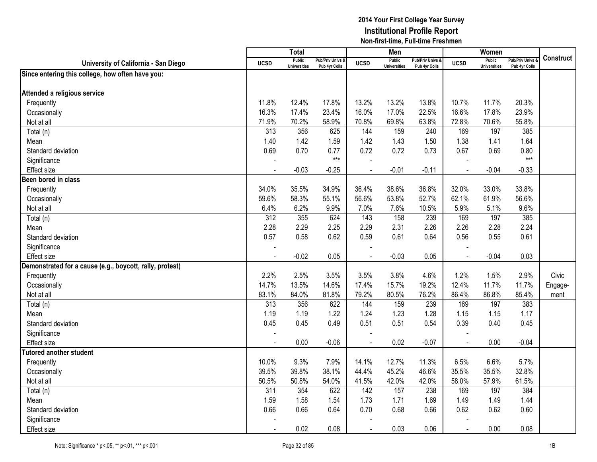|                                                          |                | <b>Total</b>                         |                                   |                | Men                                  |                                              |                          | Women                                |                                        |                  |
|----------------------------------------------------------|----------------|--------------------------------------|-----------------------------------|----------------|--------------------------------------|----------------------------------------------|--------------------------|--------------------------------------|----------------------------------------|------------------|
| University of California - San Diego                     | <b>UCSD</b>    | <b>Public</b><br><b>Universities</b> | Pub/Priv Univs &<br>Pub 4yr Colls | <b>UCSD</b>    | <b>Public</b><br><b>Universities</b> | <b>Pub/Priv Univs &amp;</b><br>Pub 4yr Colls | <b>UCSD</b>              | <b>Public</b><br><b>Universities</b> | <b>Pub/Priv Univs</b><br>Pub 4yr Colls | <b>Construct</b> |
| Since entering this college, how often have you:         |                |                                      |                                   |                |                                      |                                              |                          |                                      |                                        |                  |
|                                                          |                |                                      |                                   |                |                                      |                                              |                          |                                      |                                        |                  |
| Attended a religious service                             |                |                                      |                                   |                |                                      |                                              |                          |                                      |                                        |                  |
| Frequently                                               | 11.8%          | 12.4%                                | 17.8%                             | 13.2%          | 13.2%                                | 13.8%                                        | 10.7%                    | 11.7%                                | 20.3%                                  |                  |
| Occasionally                                             | 16.3%          | 17.4%                                | 23.4%                             | 16.0%          | 17.0%                                | 22.5%                                        | 16.6%                    | 17.8%                                | 23.9%                                  |                  |
| Not at all                                               | 71.9%          | 70.2%                                | 58.9%                             | 70.8%          | 69.8%                                | 63.8%                                        | 72.8%                    | 70.6%                                | 55.8%                                  |                  |
| Total (n)                                                | 313            | 356                                  | 625                               | 144            | 159                                  | 240                                          | 169                      | 197                                  | 385                                    |                  |
| Mean                                                     | 1.40           | 1.42                                 | 1.59                              | 1.42           | 1.43                                 | 1.50                                         | 1.38                     | 1.41                                 | 1.64                                   |                  |
| Standard deviation                                       | 0.69           | 0.70                                 | 0.77                              | 0.72           | 0.72                                 | 0.73                                         | 0.67                     | 0.69                                 | 0.80                                   |                  |
| Significance                                             |                |                                      | $***$                             |                |                                      |                                              |                          |                                      | $***$                                  |                  |
| <b>Effect size</b>                                       | $\blacksquare$ | $-0.03$                              | $-0.25$                           |                | $-0.01$                              | $-0.11$                                      | $\sim$                   | $-0.04$                              | $-0.33$                                |                  |
| Been bored in class                                      |                |                                      |                                   |                |                                      |                                              |                          |                                      |                                        |                  |
| Frequently                                               | 34.0%          | 35.5%                                | 34.9%                             | 36.4%          | 38.6%                                | 36.8%                                        | 32.0%                    | 33.0%                                | 33.8%                                  |                  |
| Occasionally                                             | 59.6%          | 58.3%                                | 55.1%                             | 56.6%          | 53.8%                                | 52.7%                                        | 62.1%                    | 61.9%                                | 56.6%                                  |                  |
| Not at all                                               | 6.4%           | 6.2%                                 | 9.9%                              | 7.0%           | 7.6%                                 | 10.5%                                        | 5.9%                     | 5.1%                                 | 9.6%                                   |                  |
| Total (n)                                                | 312            | 355                                  | 624                               | 143            | 158                                  | 239                                          | 169                      | 197                                  | 385                                    |                  |
| Mean                                                     | 2.28           | 2.29                                 | 2.25                              | 2.29           | 2.31                                 | 2.26                                         | 2.26                     | 2.28                                 | 2.24                                   |                  |
| Standard deviation                                       | 0.57           | 0.58                                 | 0.62                              | 0.59           | 0.61                                 | 0.64                                         | 0.56                     | 0.55                                 | 0.61                                   |                  |
| Significance                                             |                |                                      |                                   |                |                                      |                                              |                          |                                      |                                        |                  |
| <b>Effect size</b>                                       |                | $-0.02$                              | 0.05                              |                | $-0.03$                              | 0.05                                         | $\overline{\phantom{a}}$ | $-0.04$                              | 0.03                                   |                  |
| Demonstrated for a cause (e.g., boycott, rally, protest) |                |                                      |                                   |                |                                      |                                              |                          |                                      |                                        |                  |
| Frequently                                               | 2.2%           | 2.5%                                 | 3.5%                              | 3.5%           | 3.8%                                 | 4.6%                                         | 1.2%                     | 1.5%                                 | 2.9%                                   | Civic            |
| Occasionally                                             | 14.7%          | 13.5%                                | 14.6%                             | 17.4%          | 15.7%                                | 19.2%                                        | 12.4%                    | 11.7%                                | 11.7%                                  | Engage-          |
| Not at all                                               | 83.1%          | 84.0%                                | 81.8%                             | 79.2%          | 80.5%                                | 76.2%                                        | 86.4%                    | 86.8%                                | 85.4%                                  | ment             |
| Total (n)                                                | 313            | 356                                  | 622                               | 144            | 159                                  | 239                                          | 169                      | 197                                  | 383                                    |                  |
| Mean                                                     | 1.19           | 1.19                                 | 1.22                              | 1.24           | 1.23                                 | 1.28                                         | 1.15                     | 1.15                                 | 1.17                                   |                  |
| Standard deviation                                       | 0.45           | 0.45                                 | 0.49                              | 0.51           | 0.51                                 | 0.54                                         | 0.39                     | 0.40                                 | 0.45                                   |                  |
| Significance                                             |                |                                      |                                   |                |                                      |                                              |                          |                                      |                                        |                  |
| <b>Effect size</b>                                       | $\blacksquare$ | 0.00                                 | $-0.06$                           | $\sim$         | 0.02                                 | $-0.07$                                      | $\sim$                   | 0.00                                 | $-0.04$                                |                  |
| <b>Tutored another student</b>                           |                |                                      |                                   |                |                                      |                                              |                          |                                      |                                        |                  |
| Frequently                                               | 10.0%          | 9.3%                                 | 7.9%                              | 14.1%          | 12.7%                                | 11.3%                                        | 6.5%                     | 6.6%                                 | 5.7%                                   |                  |
| Occasionally                                             | 39.5%          | 39.8%                                | 38.1%                             | 44.4%          | 45.2%                                | 46.6%                                        | 35.5%                    | 35.5%                                | 32.8%                                  |                  |
| Not at all                                               | 50.5%          | 50.8%                                | 54.0%                             | 41.5%          | 42.0%                                | 42.0%                                        | 58.0%                    | 57.9%                                | 61.5%                                  |                  |
| Total (n)                                                | 311            | 354                                  | 622                               | 142            | 157                                  | 238                                          | 169                      | 197                                  | 384                                    |                  |
| Mean                                                     | 1.59           | 1.58                                 | 1.54                              | 1.73           | 1.71                                 | 1.69                                         | 1.49                     | 1.49                                 | 1.44                                   |                  |
| Standard deviation                                       | 0.66           | 0.66                                 | 0.64                              | 0.70           | 0.68                                 | 0.66                                         | 0.62                     | 0.62                                 | 0.60                                   |                  |
| Significance                                             |                |                                      |                                   |                |                                      |                                              |                          |                                      |                                        |                  |
| <b>Effect</b> size                                       |                | 0.02                                 | 0.08                              | $\overline{a}$ | 0.03                                 | 0.06                                         | $\overline{a}$           | 0.00                                 | 0.08                                   |                  |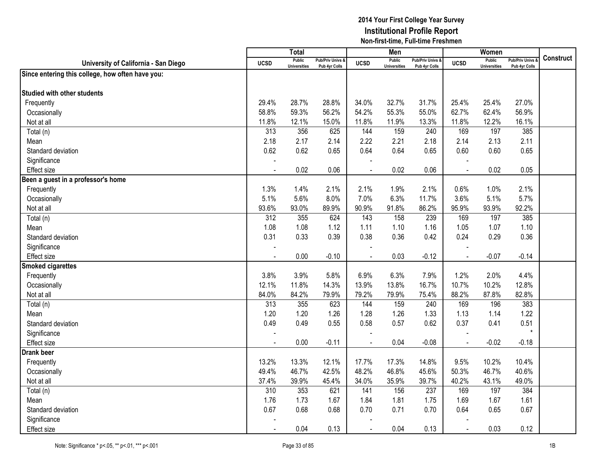|                                                  |                | Total                                |                                              |                | Men                                  |                                              |                          | Women                                |                                 |                  |
|--------------------------------------------------|----------------|--------------------------------------|----------------------------------------------|----------------|--------------------------------------|----------------------------------------------|--------------------------|--------------------------------------|---------------------------------|------------------|
| University of California - San Diego             | <b>UCSD</b>    | <b>Public</b><br><b>Universities</b> | <b>Pub/Priv Univs &amp;</b><br>Pub 4yr Colls | <b>UCSD</b>    | <b>Public</b><br><b>Universities</b> | <b>Pub/Priv Univs &amp;</b><br>Pub 4yr Colls | <b>UCSD</b>              | <b>Public</b><br><b>Universities</b> | Pub/Priv Univs<br>Pub 4yr Colls | <b>Construct</b> |
| Since entering this college, how often have you: |                |                                      |                                              |                |                                      |                                              |                          |                                      |                                 |                  |
|                                                  |                |                                      |                                              |                |                                      |                                              |                          |                                      |                                 |                  |
| <b>Studied with other students</b>               |                |                                      |                                              |                |                                      |                                              |                          |                                      |                                 |                  |
| Frequently                                       | 29.4%          | 28.7%                                | 28.8%                                        | 34.0%          | 32.7%                                | 31.7%                                        | 25.4%                    | 25.4%                                | 27.0%                           |                  |
| Occasionally                                     | 58.8%          | 59.3%                                | 56.2%                                        | 54.2%          | 55.3%                                | 55.0%                                        | 62.7%                    | 62.4%                                | 56.9%                           |                  |
| Not at all                                       | 11.8%          | 12.1%                                | 15.0%                                        | 11.8%          | 11.9%                                | 13.3%                                        | 11.8%                    | 12.2%                                | 16.1%                           |                  |
| Total (n)                                        | 313            | 356                                  | 625                                          | 144            | 159                                  | 240                                          | 169                      | 197                                  | 385                             |                  |
| Mean                                             | 2.18           | 2.17                                 | 2.14                                         | 2.22           | 2.21                                 | 2.18                                         | 2.14                     | 2.13                                 | 2.11                            |                  |
| Standard deviation                               | 0.62           | 0.62                                 | 0.65                                         | 0.64           | 0.64                                 | 0.65                                         | 0.60                     | 0.60                                 | 0.65                            |                  |
| Significance                                     |                |                                      |                                              |                |                                      |                                              |                          |                                      |                                 |                  |
| <b>Effect size</b>                               |                | 0.02                                 | 0.06                                         |                | 0.02                                 | 0.06                                         | $\overline{\phantom{a}}$ | 0.02                                 | 0.05                            |                  |
| Been a guest in a professor's home               |                |                                      |                                              |                |                                      |                                              |                          |                                      |                                 |                  |
| Frequently                                       | 1.3%           | 1.4%                                 | 2.1%                                         | 2.1%           | 1.9%                                 | 2.1%                                         | 0.6%                     | 1.0%                                 | 2.1%                            |                  |
| Occasionally                                     | 5.1%           | 5.6%                                 | 8.0%                                         | 7.0%           | 6.3%                                 | 11.7%                                        | 3.6%                     | 5.1%                                 | 5.7%                            |                  |
| Not at all                                       | 93.6%          | 93.0%                                | 89.9%                                        | 90.9%          | 91.8%                                | 86.2%                                        | 95.9%                    | 93.9%                                | 92.2%                           |                  |
| Total (n)                                        | 312            | 355                                  | 624                                          | 143            | 158                                  | 239                                          | 169                      | 197                                  | 385                             |                  |
| Mean                                             | 1.08           | 1.08                                 | 1.12                                         | 1.11           | 1.10                                 | 1.16                                         | 1.05                     | 1.07                                 | 1.10                            |                  |
| Standard deviation                               | 0.31           | 0.33                                 | 0.39                                         | 0.38           | 0.36                                 | 0.42                                         | 0.24                     | 0.29                                 | 0.36                            |                  |
| Significance                                     | $\blacksquare$ |                                      |                                              | $\blacksquare$ |                                      |                                              |                          |                                      |                                 |                  |
| <b>Effect size</b>                               | $\blacksquare$ | 0.00                                 | $-0.10$                                      |                | 0.03                                 | $-0.12$                                      | $\overline{a}$           | $-0.07$                              | $-0.14$                         |                  |
| <b>Smoked cigarettes</b>                         |                |                                      |                                              |                |                                      |                                              |                          |                                      |                                 |                  |
| Frequently                                       | 3.8%           | 3.9%                                 | 5.8%                                         | 6.9%           | 6.3%                                 | 7.9%                                         | 1.2%                     | 2.0%                                 | 4.4%                            |                  |
| Occasionally                                     | 12.1%          | 11.8%                                | 14.3%                                        | 13.9%          | 13.8%                                | 16.7%                                        | 10.7%                    | 10.2%                                | 12.8%                           |                  |
| Not at all                                       | 84.0%          | 84.2%                                | 79.9%                                        | 79.2%          | 79.9%                                | 75.4%                                        | 88.2%                    | 87.8%                                | 82.8%                           |                  |
| Total (n)                                        | 313            | 355                                  | 623                                          | 144            | 159                                  | 240                                          | 169                      | 196                                  | 383                             |                  |
| Mean                                             | 1.20           | 1.20                                 | 1.26                                         | 1.28           | 1.26                                 | 1.33                                         | 1.13                     | 1.14                                 | 1.22                            |                  |
| Standard deviation                               | 0.49           | 0.49                                 | 0.55                                         | 0.58           | 0.57                                 | 0.62                                         | 0.37                     | 0.41                                 | 0.51                            |                  |
| Significance                                     |                |                                      |                                              |                |                                      |                                              |                          |                                      | $\star$                         |                  |
| <b>Effect size</b>                               | $\blacksquare$ | 0.00                                 | $-0.11$                                      | $\blacksquare$ | 0.04                                 | $-0.08$                                      | $\blacksquare$           | $-0.02$                              | $-0.18$                         |                  |
| <b>Drank beer</b>                                |                |                                      |                                              |                |                                      |                                              |                          |                                      |                                 |                  |
| Frequently                                       | 13.2%          | 13.3%                                | 12.1%                                        | 17.7%          | 17.3%                                | 14.8%                                        | 9.5%                     | 10.2%                                | 10.4%                           |                  |
| Occasionally                                     | 49.4%          | 46.7%                                | 42.5%                                        | 48.2%          | 46.8%                                | 45.6%                                        | 50.3%                    | 46.7%                                | 40.6%                           |                  |
| Not at all                                       | 37.4%          | 39.9%                                | 45.4%                                        | 34.0%          | 35.9%                                | 39.7%                                        | 40.2%                    | 43.1%                                | 49.0%                           |                  |
| Total (n)                                        | 310            | 353                                  | 621                                          | 141            | 156                                  | 237                                          | 169                      | 197                                  | 384                             |                  |
| Mean                                             | 1.76           | 1.73                                 | 1.67                                         | 1.84           | 1.81                                 | 1.75                                         | 1.69                     | 1.67                                 | 1.61                            |                  |
| Standard deviation                               | 0.67           | 0.68                                 | 0.68                                         | 0.70           | 0.71                                 | 0.70                                         | 0.64                     | 0.65                                 | 0.67                            |                  |
| Significance                                     |                |                                      |                                              |                |                                      |                                              |                          |                                      |                                 |                  |
| <b>Effect size</b>                               |                | 0.04                                 | 0.13                                         |                | 0.04                                 | 0.13                                         | $\sim$                   | 0.03                                 | 0.12                            |                  |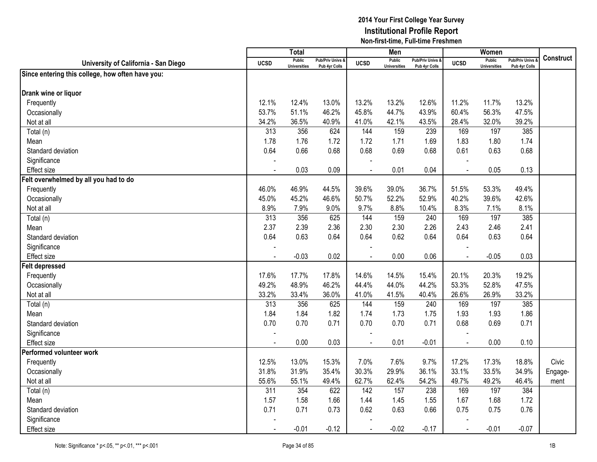|                                                  |                  | <b>Total</b>                         |                                   |                | Men                                  |                                              |                | Women                                |                                        |                  |
|--------------------------------------------------|------------------|--------------------------------------|-----------------------------------|----------------|--------------------------------------|----------------------------------------------|----------------|--------------------------------------|----------------------------------------|------------------|
| University of California - San Diego             | <b>UCSD</b>      | <b>Public</b><br><b>Universities</b> | Pub/Priv Univs &<br>Pub 4yr Colls | <b>UCSD</b>    | <b>Public</b><br><b>Universities</b> | <b>Pub/Priv Univs &amp;</b><br>Pub 4yr Colls | <b>UCSD</b>    | <b>Public</b><br><b>Universities</b> | <b>Pub/Priv Univs</b><br>Pub 4yr Colls | <b>Construct</b> |
| Since entering this college, how often have you: |                  |                                      |                                   |                |                                      |                                              |                |                                      |                                        |                  |
|                                                  |                  |                                      |                                   |                |                                      |                                              |                |                                      |                                        |                  |
| Drank wine or liquor                             |                  |                                      |                                   |                |                                      |                                              |                |                                      |                                        |                  |
| Frequently                                       | 12.1%            | 12.4%                                | 13.0%                             | 13.2%          | 13.2%                                | 12.6%                                        | 11.2%          | 11.7%                                | 13.2%                                  |                  |
| Occasionally                                     | 53.7%            | 51.1%                                | 46.2%                             | 45.8%          | 44.7%                                | 43.9%                                        | 60.4%          | 56.3%                                | 47.5%                                  |                  |
| Not at all                                       | 34.2%            | 36.5%                                | 40.9%                             | 41.0%          | 42.1%                                | 43.5%                                        | 28.4%          | 32.0%                                | 39.2%                                  |                  |
| Total (n)                                        | $\overline{313}$ | 356                                  | 624                               | 144            | 159                                  | 239                                          | 169            | 197                                  | 385                                    |                  |
| Mean                                             | 1.78             | 1.76                                 | 1.72                              | 1.72           | 1.71                                 | 1.69                                         | 1.83           | 1.80                                 | 1.74                                   |                  |
| Standard deviation                               | 0.64             | 0.66                                 | 0.68                              | 0.68           | 0.69                                 | 0.68                                         | 0.61           | 0.63                                 | 0.68                                   |                  |
| Significance                                     |                  |                                      |                                   |                |                                      |                                              |                |                                      |                                        |                  |
| <b>Effect size</b>                               |                  | 0.03                                 | 0.09                              |                | 0.01                                 | 0.04                                         | $\overline{a}$ | 0.05                                 | 0.13                                   |                  |
| Felt overwhelmed by all you had to do            |                  |                                      |                                   |                |                                      |                                              |                |                                      |                                        |                  |
| Frequently                                       | 46.0%            | 46.9%                                | 44.5%                             | 39.6%          | 39.0%                                | 36.7%                                        | 51.5%          | 53.3%                                | 49.4%                                  |                  |
| Occasionally                                     | 45.0%            | 45.2%                                | 46.6%                             | 50.7%          | 52.2%                                | 52.9%                                        | 40.2%          | 39.6%                                | 42.6%                                  |                  |
| Not at all                                       | 8.9%             | 7.9%                                 | 9.0%                              | 9.7%           | 8.8%                                 | 10.4%                                        | 8.3%           | 7.1%                                 | 8.1%                                   |                  |
| Total (n)                                        | 313              | 356                                  | 625                               | 144            | 159                                  | 240                                          | 169            | 197                                  | 385                                    |                  |
| Mean                                             | 2.37             | 2.39                                 | 2.36                              | 2.30           | 2.30                                 | 2.26                                         | 2.43           | 2.46                                 | 2.41                                   |                  |
| Standard deviation                               | 0.64             | 0.63                                 | 0.64                              | 0.64           | 0.62                                 | 0.64                                         | 0.64           | 0.63                                 | 0.64                                   |                  |
| Significance                                     |                  |                                      |                                   |                |                                      |                                              |                |                                      |                                        |                  |
| Effect size                                      |                  | $-0.03$                              | 0.02                              |                | 0.00                                 | 0.06                                         | $\blacksquare$ | $-0.05$                              | 0.03                                   |                  |
| <b>Felt depressed</b>                            |                  |                                      |                                   |                |                                      |                                              |                |                                      |                                        |                  |
| Frequently                                       | 17.6%            | 17.7%                                | 17.8%                             | 14.6%          | 14.5%                                | 15.4%                                        | 20.1%          | 20.3%                                | 19.2%                                  |                  |
| Occasionally                                     | 49.2%            | 48.9%                                | 46.2%                             | 44.4%          | 44.0%                                | 44.2%                                        | 53.3%          | 52.8%                                | 47.5%                                  |                  |
| Not at all                                       | 33.2%            | 33.4%                                | 36.0%                             | 41.0%          | 41.5%                                | 40.4%                                        | 26.6%          | 26.9%                                | 33.2%                                  |                  |
| Total (n)                                        | 313              | 356                                  | 625                               | 144            | 159                                  | 240                                          | 169            | 197                                  | 385                                    |                  |
| Mean                                             | 1.84             | 1.84                                 | 1.82                              | 1.74           | 1.73                                 | 1.75                                         | 1.93           | 1.93                                 | 1.86                                   |                  |
| Standard deviation                               | 0.70             | 0.70                                 | 0.71                              | 0.70           | 0.70                                 | 0.71                                         | 0.68           | 0.69                                 | 0.71                                   |                  |
| Significance                                     |                  |                                      |                                   |                |                                      |                                              |                |                                      |                                        |                  |
| <b>Effect size</b>                               | $\overline{a}$   | 0.00                                 | 0.03                              | $\sim$         | 0.01                                 | $-0.01$                                      | $\sim$         | 0.00                                 | 0.10                                   |                  |
| Performed volunteer work                         |                  |                                      |                                   |                |                                      |                                              |                |                                      |                                        |                  |
| Frequently                                       | 12.5%            | 13.0%                                | 15.3%                             | 7.0%           | 7.6%                                 | 9.7%                                         | 17.2%          | 17.3%                                | 18.8%                                  | Civic            |
| Occasionally                                     | 31.8%            | 31.9%                                | 35.4%                             | 30.3%          | 29.9%                                | 36.1%                                        | 33.1%          | 33.5%                                | 34.9%                                  | Engage-          |
| Not at all                                       | 55.6%            | 55.1%                                | 49.4%                             | 62.7%          | 62.4%                                | 54.2%                                        | 49.7%          | 49.2%                                | 46.4%                                  | ment             |
| Total (n)                                        | 311              | 354                                  | 622                               | 142            | 157                                  | 238                                          | 169            | 197                                  | 384                                    |                  |
| Mean                                             | 1.57             | 1.58                                 | 1.66                              | 1.44           | 1.45                                 | 1.55                                         | 1.67           | 1.68                                 | 1.72                                   |                  |
| Standard deviation                               | 0.71             | 0.71                                 | 0.73                              | 0.62           | 0.63                                 | 0.66                                         | 0.75           | 0.75                                 | 0.76                                   |                  |
| Significance                                     |                  |                                      |                                   |                |                                      |                                              |                |                                      |                                        |                  |
| Effect size                                      |                  | $-0.01$                              | $-0.12$                           | $\overline{a}$ | $-0.02$                              | $-0.17$                                      | $\sim$         | $-0.01$                              | $-0.07$                                |                  |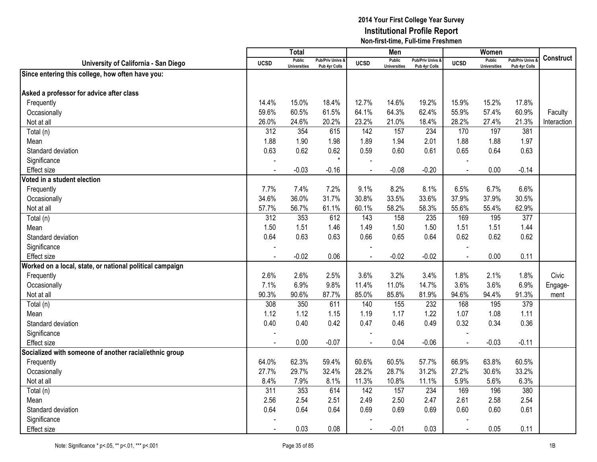|                                                          |                  | Total                                |                                   |                          | Men                           |                                              |                | Women                                |                                        |                  |
|----------------------------------------------------------|------------------|--------------------------------------|-----------------------------------|--------------------------|-------------------------------|----------------------------------------------|----------------|--------------------------------------|----------------------------------------|------------------|
| University of California - San Diego                     | <b>UCSD</b>      | <b>Public</b><br><b>Universities</b> | Pub/Priv Univs &<br>Pub 4yr Colls | <b>UCSD</b>              | Public<br><b>Universities</b> | <b>Pub/Priv Univs &amp;</b><br>Pub 4yr Colls | <b>UCSD</b>    | <b>Public</b><br><b>Universities</b> | <b>Pub/Priv Univs</b><br>Pub 4yr Colls | <b>Construct</b> |
| Since entering this college, how often have you:         |                  |                                      |                                   |                          |                               |                                              |                |                                      |                                        |                  |
|                                                          |                  |                                      |                                   |                          |                               |                                              |                |                                      |                                        |                  |
| Asked a professor for advice after class                 |                  |                                      |                                   |                          |                               |                                              |                |                                      |                                        |                  |
| Frequently                                               | 14.4%            | 15.0%                                | 18.4%                             | 12.7%                    | 14.6%                         | 19.2%                                        | 15.9%          | 15.2%                                | 17.8%                                  |                  |
| Occasionally                                             | 59.6%            | 60.5%                                | 61.5%                             | 64.1%                    | 64.3%                         | 62.4%                                        | 55.9%          | 57.4%                                | 60.9%                                  | Faculty          |
| Not at all                                               | 26.0%            | 24.6%                                | 20.2%                             | 23.2%                    | 21.0%                         | 18.4%                                        | 28.2%          | 27.4%                                | 21.3%                                  | Interaction      |
| Total (n)                                                | 312              | 354                                  | 615                               | 142                      | 157                           | 234                                          | 170            | 197                                  | 381                                    |                  |
| Mean                                                     | 1.88             | 1.90                                 | 1.98                              | 1.89                     | 1.94                          | 2.01                                         | 1.88           | 1.88                                 | 1.97                                   |                  |
| Standard deviation                                       | 0.63             | 0.62                                 | 0.62                              | 0.59                     | 0.60                          | 0.61                                         | 0.65           | 0.64                                 | 0.63                                   |                  |
| Significance                                             |                  |                                      | $\star$                           |                          |                               |                                              |                |                                      |                                        |                  |
| <b>Effect size</b>                                       |                  | $-0.03$                              | $-0.16$                           |                          | $-0.08$                       | $-0.20$                                      | $\overline{a}$ | 0.00                                 | $-0.14$                                |                  |
| Voted in a student election                              |                  |                                      |                                   |                          |                               |                                              |                |                                      |                                        |                  |
| Frequently                                               | 7.7%             | 7.4%                                 | 7.2%                              | 9.1%                     | 8.2%                          | 8.1%                                         | 6.5%           | 6.7%                                 | 6.6%                                   |                  |
| Occasionally                                             | 34.6%            | 36.0%                                | 31.7%                             | 30.8%                    | 33.5%                         | 33.6%                                        | 37.9%          | 37.9%                                | 30.5%                                  |                  |
| Not at all                                               | 57.7%            | 56.7%                                | 61.1%                             | 60.1%                    | 58.2%                         | 58.3%                                        | 55.6%          | 55.4%                                | 62.9%                                  |                  |
| Total (n)                                                | 312              | 353                                  | 612                               | 143                      | 158                           | 235                                          | 169            | 195                                  | 377                                    |                  |
| Mean                                                     | 1.50             | 1.51                                 | 1.46                              | 1.49                     | 1.50                          | 1.50                                         | 1.51           | 1.51                                 | 1.44                                   |                  |
| Standard deviation                                       | 0.64             | 0.63                                 | 0.63                              | 0.66                     | 0.65                          | 0.64                                         | 0.62           | 0.62                                 | 0.62                                   |                  |
| Significance                                             |                  |                                      |                                   |                          |                               |                                              |                |                                      |                                        |                  |
| <b>Effect size</b>                                       |                  | $-0.02$                              | 0.06                              |                          | $-0.02$                       | $-0.02$                                      | $\blacksquare$ | 0.00                                 | 0.11                                   |                  |
| Worked on a local, state, or national political campaign |                  |                                      |                                   |                          |                               |                                              |                |                                      |                                        |                  |
| Frequently                                               | 2.6%             | 2.6%                                 | 2.5%                              | 3.6%                     | 3.2%                          | 3.4%                                         | 1.8%           | 2.1%                                 | 1.8%                                   | Civic            |
| Occasionally                                             | 7.1%             | 6.9%                                 | 9.8%                              | 11.4%                    | 11.0%                         | 14.7%                                        | 3.6%           | 3.6%                                 | 6.9%                                   | Engage-          |
| Not at all                                               | 90.3%            | 90.6%                                | 87.7%                             | 85.0%                    | 85.8%                         | 81.9%                                        | 94.6%          | 94.4%                                | 91.3%                                  | ment             |
| Total (n)                                                | 308              | 350                                  | 611                               | 140                      | 155                           | 232                                          | 168            | 195                                  | 379                                    |                  |
| Mean                                                     | 1.12             | 1.12                                 | 1.15                              | 1.19                     | 1.17                          | 1.22                                         | 1.07           | 1.08                                 | 1.11                                   |                  |
| Standard deviation                                       | 0.40             | 0.40                                 | 0.42                              | 0.47                     | 0.46                          | 0.49                                         | 0.32           | 0.34                                 | 0.36                                   |                  |
| Significance                                             |                  |                                      |                                   |                          |                               |                                              |                |                                      |                                        |                  |
| Effect size                                              |                  | 0.00                                 | $-0.07$                           | $\overline{\phantom{a}}$ | 0.04                          | $-0.06$                                      | $\overline{a}$ | $-0.03$                              | $-0.11$                                |                  |
| Socialized with someone of another racial/ethnic group   |                  |                                      |                                   |                          |                               |                                              |                |                                      |                                        |                  |
| Frequently                                               | 64.0%            | 62.3%                                | 59.4%                             | 60.6%                    | 60.5%                         | 57.7%                                        | 66.9%          | 63.8%                                | 60.5%                                  |                  |
| Occasionally                                             | 27.7%            | 29.7%                                | 32.4%                             | 28.2%                    | 28.7%                         | 31.2%                                        | 27.2%          | 30.6%                                | 33.2%                                  |                  |
| Not at all                                               | 8.4%             | 7.9%                                 | 8.1%                              | 11.3%                    | 10.8%                         | 11.1%                                        | 5.9%           | 5.6%                                 | 6.3%                                   |                  |
| Total (n)                                                | $\overline{311}$ | 353                                  | 614                               | 142                      | 157                           | 234                                          | 169            | 196                                  | 380                                    |                  |
| Mean                                                     | 2.56             | 2.54                                 | 2.51                              | 2.49                     | 2.50                          | 2.47                                         | 2.61           | 2.58                                 | 2.54                                   |                  |
| Standard deviation                                       | 0.64             | 0.64                                 | 0.64                              | 0.69                     | 0.69                          | 0.69                                         | 0.60           | 0.60                                 | 0.61                                   |                  |
| Significance                                             |                  |                                      |                                   |                          |                               |                                              |                |                                      |                                        |                  |
| <b>Effect size</b>                                       |                  | 0.03                                 | 0.08                              | $\blacksquare$           | $-0.01$                       | 0.03                                         | $\sim$         | 0.05                                 | 0.11                                   |                  |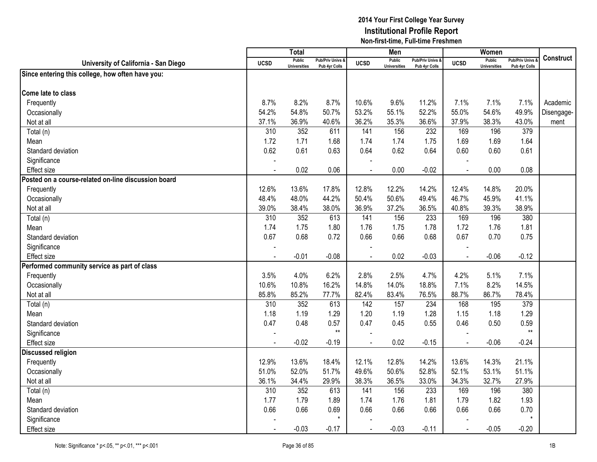|                                                     |                | Total                                |                                              |                | Men                                  |                                              |             | Women                                |                                        |                  |
|-----------------------------------------------------|----------------|--------------------------------------|----------------------------------------------|----------------|--------------------------------------|----------------------------------------------|-------------|--------------------------------------|----------------------------------------|------------------|
| University of California - San Diego                | <b>UCSD</b>    | <b>Public</b><br><b>Universities</b> | <b>Pub/Priv Univs &amp;</b><br>Pub 4yr Colls | <b>UCSD</b>    | <b>Public</b><br><b>Universities</b> | <b>Pub/Priv Univs &amp;</b><br>Pub 4yr Colls | <b>UCSD</b> | <b>Public</b><br><b>Universities</b> | <b>Pub/Priv Univs</b><br>Pub 4yr Colls | <b>Construct</b> |
| Since entering this college, how often have you:    |                |                                      |                                              |                |                                      |                                              |             |                                      |                                        |                  |
|                                                     |                |                                      |                                              |                |                                      |                                              |             |                                      |                                        |                  |
| Come late to class                                  |                |                                      |                                              |                |                                      |                                              |             |                                      |                                        |                  |
| Frequently                                          | 8.7%           | 8.2%                                 | 8.7%                                         | 10.6%          | 9.6%                                 | 11.2%                                        | 7.1%        | 7.1%                                 | 7.1%                                   | Academic         |
| Occasionally                                        | 54.2%          | 54.8%                                | 50.7%                                        | 53.2%          | 55.1%                                | 52.2%                                        | 55.0%       | 54.6%                                | 49.9%                                  | Disengage-       |
| Not at all                                          | 37.1%          | 36.9%                                | 40.6%                                        | 36.2%          | 35.3%                                | 36.6%                                        | 37.9%       | 38.3%                                | 43.0%                                  | ment             |
| Total (n)                                           | 310            | 352                                  | 611                                          | 141            | 156                                  | 232                                          | 169         | 196                                  | 379                                    |                  |
| Mean                                                | 1.72           | 1.71                                 | 1.68                                         | 1.74           | 1.74                                 | 1.75                                         | 1.69        | 1.69                                 | 1.64                                   |                  |
| Standard deviation                                  | 0.62           | 0.61                                 | 0.63                                         | 0.64           | 0.62                                 | 0.64                                         | 0.60        | 0.60                                 | 0.61                                   |                  |
| Significance                                        |                |                                      |                                              |                |                                      |                                              |             |                                      |                                        |                  |
| <b>Effect size</b>                                  | $\blacksquare$ | 0.02                                 | 0.06                                         |                | 0.00                                 | $-0.02$                                      |             | 0.00                                 | 0.08                                   |                  |
| Posted on a course-related on-line discussion board |                |                                      |                                              |                |                                      |                                              |             |                                      |                                        |                  |
| Frequently                                          | 12.6%          | 13.6%                                | 17.8%                                        | 12.8%          | 12.2%                                | 14.2%                                        | 12.4%       | 14.8%                                | 20.0%                                  |                  |
| Occasionally                                        | 48.4%          | 48.0%                                | 44.2%                                        | 50.4%          | 50.6%                                | 49.4%                                        | 46.7%       | 45.9%                                | 41.1%                                  |                  |
| Not at all                                          | 39.0%          | 38.4%                                | 38.0%                                        | 36.9%          | 37.2%                                | 36.5%                                        | 40.8%       | 39.3%                                | 38.9%                                  |                  |
| Total (n)                                           | 310            | 352                                  | 613                                          | 141            | 156                                  | 233                                          | 169         | 196                                  | 380                                    |                  |
| Mean                                                | 1.74           | 1.75                                 | 1.80                                         | 1.76           | 1.75                                 | 1.78                                         | 1.72        | 1.76                                 | 1.81                                   |                  |
| Standard deviation                                  | 0.67           | 0.68                                 | 0.72                                         | 0.66           | 0.66                                 | 0.68                                         | 0.67        | 0.70                                 | 0.75                                   |                  |
| Significance                                        | $\overline{a}$ |                                      |                                              |                |                                      |                                              |             |                                      |                                        |                  |
| <b>Effect size</b>                                  | $\blacksquare$ | $-0.01$                              | $-0.08$                                      |                | 0.02                                 | $-0.03$                                      |             | $-0.06$                              | $-0.12$                                |                  |
| Performed community service as part of class        |                |                                      |                                              |                |                                      |                                              |             |                                      |                                        |                  |
| Frequently                                          | 3.5%           | 4.0%                                 | 6.2%                                         | 2.8%           | 2.5%                                 | 4.7%                                         | 4.2%        | 5.1%                                 | 7.1%                                   |                  |
| Occasionally                                        | 10.6%          | 10.8%                                | 16.2%                                        | 14.8%          | 14.0%                                | 18.8%                                        | 7.1%        | 8.2%                                 | 14.5%                                  |                  |
| Not at all                                          | 85.8%          | 85.2%                                | 77.7%                                        | 82.4%          | 83.4%                                | 76.5%                                        | 88.7%       | 86.7%                                | 78.4%                                  |                  |
| Total (n)                                           | 310            | 352                                  | 613                                          | 142            | 157                                  | 234                                          | 168         | 195                                  | 379                                    |                  |
| Mean                                                | 1.18           | 1.19                                 | 1.29                                         | 1.20           | 1.19                                 | 1.28                                         | 1.15        | 1.18                                 | 1.29                                   |                  |
| Standard deviation                                  | 0.47           | 0.48                                 | 0.57                                         | 0.47           | 0.45                                 | 0.55                                         | 0.46        | 0.50                                 | 0.59                                   |                  |
| Significance                                        |                |                                      | $\star\star$                                 |                |                                      |                                              |             |                                      | $\star\star$                           |                  |
| Effect size                                         |                | $-0.02$                              | $-0.19$                                      | $\overline{a}$ | 0.02                                 | $-0.15$                                      |             | $-0.06$                              | $-0.24$                                |                  |
| <b>Discussed religion</b>                           |                |                                      |                                              |                |                                      |                                              |             |                                      |                                        |                  |
| Frequently                                          | 12.9%          | 13.6%                                | 18.4%                                        | 12.1%          | 12.8%                                | 14.2%                                        | 13.6%       | 14.3%                                | 21.1%                                  |                  |
| Occasionally                                        | 51.0%          | 52.0%                                | 51.7%                                        | 49.6%          | 50.6%                                | 52.8%                                        | 52.1%       | 53.1%                                | 51.1%                                  |                  |
| Not at all                                          | 36.1%          | 34.4%                                | 29.9%                                        | 38.3%          | 36.5%                                | 33.0%                                        | 34.3%       | 32.7%                                | 27.9%                                  |                  |
| Total (n)                                           | 310            | 352                                  | 613                                          | 141            | 156                                  | 233                                          | 169         | 196                                  | 380                                    |                  |
| Mean                                                | 1.77           | 1.79                                 | 1.89                                         | 1.74           | 1.76                                 | 1.81                                         | 1.79        | 1.82                                 | 1.93                                   |                  |
| Standard deviation                                  | 0.66           | 0.66                                 | 0.69                                         | 0.66           | 0.66                                 | 0.66                                         | 0.66        | 0.66                                 | 0.70                                   |                  |
| Significance                                        |                |                                      | $\star$                                      |                |                                      |                                              |             |                                      | $\star$                                |                  |
| Effect size                                         |                | $-0.03$                              | $-0.17$                                      | $\overline{a}$ | $-0.03$                              | $-0.11$                                      |             | $-0.05$                              | $-0.20$                                |                  |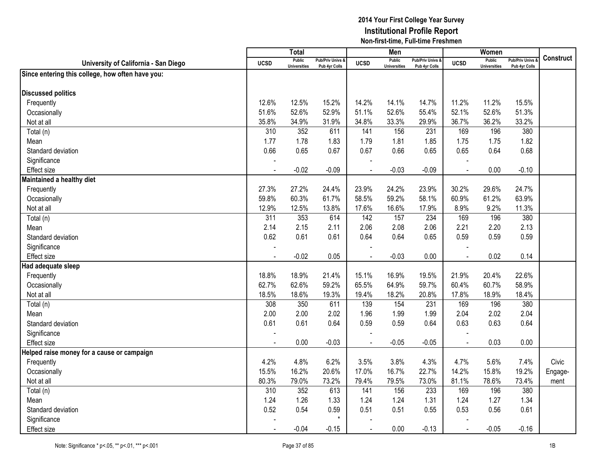|                                                  |                          | <b>Total</b>                         |                                   |                | Men                                  |                                              |                | Women                                |                                        |                  |
|--------------------------------------------------|--------------------------|--------------------------------------|-----------------------------------|----------------|--------------------------------------|----------------------------------------------|----------------|--------------------------------------|----------------------------------------|------------------|
| University of California - San Diego             | <b>UCSD</b>              | <b>Public</b><br><b>Universities</b> | Pub/Priv Univs &<br>Pub 4yr Colls | <b>UCSD</b>    | <b>Public</b><br><b>Universities</b> | <b>Pub/Priv Univs &amp;</b><br>Pub 4yr Colls | <b>UCSD</b>    | <b>Public</b><br><b>Universities</b> | <b>Pub/Priv Univs</b><br>Pub 4yr Colls | <b>Construct</b> |
| Since entering this college, how often have you: |                          |                                      |                                   |                |                                      |                                              |                |                                      |                                        |                  |
|                                                  |                          |                                      |                                   |                |                                      |                                              |                |                                      |                                        |                  |
| <b>Discussed politics</b>                        |                          |                                      |                                   |                |                                      |                                              |                |                                      |                                        |                  |
| Frequently                                       | 12.6%                    | 12.5%                                | 15.2%                             | 14.2%          | 14.1%                                | 14.7%                                        | 11.2%          | 11.2%                                | 15.5%                                  |                  |
| Occasionally                                     | 51.6%                    | 52.6%                                | 52.9%                             | 51.1%          | 52.6%                                | 55.4%                                        | 52.1%          | 52.6%                                | 51.3%                                  |                  |
| Not at all                                       | 35.8%                    | 34.9%                                | 31.9%                             | 34.8%          | 33.3%                                | 29.9%                                        | 36.7%          | 36.2%                                | 33.2%                                  |                  |
| Total (n)                                        | 310                      | 352                                  | 611                               | 141            | 156                                  | 231                                          | 169            | 196                                  | 380                                    |                  |
| Mean                                             | 1.77                     | 1.78                                 | 1.83                              | 1.79           | 1.81                                 | 1.85                                         | 1.75           | 1.75                                 | 1.82                                   |                  |
| Standard deviation                               | 0.66                     | 0.65                                 | 0.67                              | 0.67           | 0.66                                 | 0.65                                         | 0.65           | 0.64                                 | 0.68                                   |                  |
| Significance                                     |                          |                                      |                                   |                |                                      |                                              |                |                                      |                                        |                  |
| <b>Effect size</b>                               | $\blacksquare$           | $-0.02$                              | $-0.09$                           |                | $-0.03$                              | $-0.09$                                      | $\sim$         | 0.00                                 | $-0.10$                                |                  |
| Maintained a healthy diet                        |                          |                                      |                                   |                |                                      |                                              |                |                                      |                                        |                  |
| Frequently                                       | 27.3%                    | 27.2%                                | 24.4%                             | 23.9%          | 24.2%                                | 23.9%                                        | 30.2%          | 29.6%                                | 24.7%                                  |                  |
| Occasionally                                     | 59.8%                    | 60.3%                                | 61.7%                             | 58.5%          | 59.2%                                | 58.1%                                        | 60.9%          | 61.2%                                | 63.9%                                  |                  |
| Not at all                                       | 12.9%                    | 12.5%                                | 13.8%                             | 17.6%          | 16.6%                                | 17.9%                                        | 8.9%           | 9.2%                                 | 11.3%                                  |                  |
| Total (n)                                        | 311                      | 353                                  | 614                               | 142            | 157                                  | 234                                          | 169            | 196                                  | 380                                    |                  |
| Mean                                             | 2.14                     | 2.15                                 | 2.11                              | 2.06           | 2.08                                 | 2.06                                         | 2.21           | 2.20                                 | 2.13                                   |                  |
| Standard deviation                               | 0.62                     | 0.61                                 | 0.61                              | 0.64           | 0.64                                 | 0.65                                         | 0.59           | 0.59                                 | 0.59                                   |                  |
| Significance                                     |                          |                                      |                                   |                |                                      |                                              |                |                                      |                                        |                  |
| <b>Effect size</b>                               | $\overline{\phantom{a}}$ | $-0.02$                              | 0.05                              |                | $-0.03$                              | 0.00                                         | $\blacksquare$ | 0.02                                 | 0.14                                   |                  |
| Had adequate sleep                               |                          |                                      |                                   |                |                                      |                                              |                |                                      |                                        |                  |
| Frequently                                       | 18.8%                    | 18.9%                                | 21.4%                             | 15.1%          | 16.9%                                | 19.5%                                        | 21.9%          | 20.4%                                | 22.6%                                  |                  |
| Occasionally                                     | 62.7%                    | 62.6%                                | 59.2%                             | 65.5%          | 64.9%                                | 59.7%                                        | 60.4%          | 60.7%                                | 58.9%                                  |                  |
| Not at all                                       | 18.5%                    | 18.6%                                | 19.3%                             | 19.4%          | 18.2%                                | 20.8%                                        | 17.8%          | 18.9%                                | 18.4%                                  |                  |
| Total (n)                                        | 308                      | 350                                  | 611                               | 139            | 154                                  | 231                                          | 169            | 196                                  | 380                                    |                  |
| Mean                                             | 2.00                     | 2.00                                 | 2.02                              | 1.96           | 1.99                                 | 1.99                                         | 2.04           | 2.02                                 | 2.04                                   |                  |
| Standard deviation                               | 0.61                     | 0.61                                 | 0.64                              | 0.59           | 0.59                                 | 0.64                                         | 0.63           | 0.63                                 | 0.64                                   |                  |
| Significance                                     |                          |                                      |                                   |                |                                      |                                              |                |                                      |                                        |                  |
| <b>Effect size</b>                               | $\blacksquare$           | 0.00                                 | $-0.03$                           | $\sim$         | $-0.05$                              | $-0.05$                                      | $\sim$         | 0.03                                 | 0.00                                   |                  |
| Helped raise money for a cause or campaign       |                          |                                      |                                   |                |                                      |                                              |                |                                      |                                        |                  |
| Frequently                                       | 4.2%                     | 4.8%                                 | 6.2%                              | 3.5%           | 3.8%                                 | 4.3%                                         | 4.7%           | 5.6%                                 | 7.4%                                   | Civic            |
| Occasionally                                     | 15.5%                    | 16.2%                                | 20.6%                             | 17.0%          | 16.7%                                | 22.7%                                        | 14.2%          | 15.8%                                | 19.2%                                  | Engage-          |
| Not at all                                       | 80.3%                    | 79.0%                                | 73.2%                             | 79.4%          | 79.5%                                | 73.0%                                        | 81.1%          | 78.6%                                | 73.4%                                  | ment             |
| Total (n)                                        | 310                      | 352                                  | 613                               | 141            | 156                                  | 233                                          | 169            | 196                                  | 380                                    |                  |
| Mean                                             | 1.24                     | 1.26                                 | 1.33                              | 1.24           | 1.24                                 | 1.31                                         | 1.24           | 1.27                                 | 1.34                                   |                  |
| Standard deviation                               | 0.52                     | 0.54                                 | 0.59                              | 0.51           | 0.51                                 | 0.55                                         | 0.53           | 0.56                                 | 0.61                                   |                  |
| Significance                                     |                          |                                      | $\star$                           |                |                                      |                                              |                |                                      |                                        |                  |
| <b>Effect size</b>                               |                          | $-0.04$                              | $-0.15$                           | $\overline{a}$ | 0.00                                 | $-0.13$                                      | $\overline{a}$ | $-0.05$                              | $-0.16$                                |                  |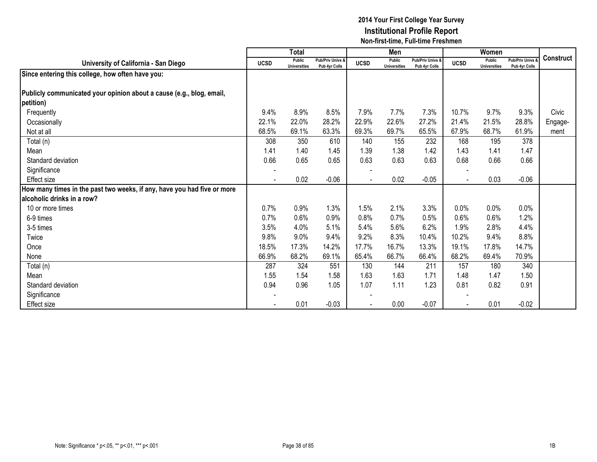|                                                                         |             | <b>Total</b>                  |                                   |                | Men                                  |                                   |                | Women                         |                                        |                  |
|-------------------------------------------------------------------------|-------------|-------------------------------|-----------------------------------|----------------|--------------------------------------|-----------------------------------|----------------|-------------------------------|----------------------------------------|------------------|
| University of California - San Diego                                    | <b>UCSD</b> | Public<br><b>Universities</b> | Pub/Priv Univs &<br>Pub 4yr Colls | <b>UCSD</b>    | <b>Public</b><br><b>Universities</b> | Pub/Priv Univs &<br>Pub 4yr Colls | <b>UCSD</b>    | Public<br><b>Universities</b> | <b>Pub/Priv Univs</b><br>Pub 4yr Colls | <b>Construct</b> |
| Since entering this college, how often have you:                        |             |                               |                                   |                |                                      |                                   |                |                               |                                        |                  |
|                                                                         |             |                               |                                   |                |                                      |                                   |                |                               |                                        |                  |
| Publicly communicated your opinion about a cause (e.g., blog, email,    |             |                               |                                   |                |                                      |                                   |                |                               |                                        |                  |
| petition)                                                               |             |                               |                                   |                |                                      |                                   |                |                               |                                        |                  |
| Frequently                                                              | 9.4%        | 8.9%                          | 8.5%                              | 7.9%           | 7.7%                                 | 7.3%                              | 10.7%          | 9.7%                          | 9.3%                                   | Civic            |
| Occasionally                                                            | 22.1%       | 22.0%                         | 28.2%                             | 22.9%          | 22.6%                                | 27.2%                             | 21.4%          | 21.5%                         | 28.8%                                  | Engage-          |
| Not at all                                                              | 68.5%       | 69.1%                         | 63.3%                             | 69.3%          | 69.7%                                | 65.5%                             | 67.9%          | 68.7%                         | 61.9%                                  | ment             |
| Total (n)                                                               | 308         | 350                           | 610                               | 140            | 155                                  | 232                               | 168            | 195                           | 378                                    |                  |
| Mean                                                                    | 1.41        | 1.40                          | 1.45                              | 1.39           | 1.38                                 | 1.42                              | 1.43           | 1.41                          | 1.47                                   |                  |
| Standard deviation                                                      | 0.66        | 0.65                          | 0.65                              | 0.63           | 0.63                                 | 0.63                              | 0.68           | 0.66                          | 0.66                                   |                  |
| Significance                                                            |             |                               |                                   |                |                                      |                                   |                |                               |                                        |                  |
| Effect size                                                             |             | 0.02                          | $-0.06$                           | $\blacksquare$ | 0.02                                 | $-0.05$                           | $\overline{a}$ | 0.03                          | $-0.06$                                |                  |
| How many times in the past two weeks, if any, have you had five or more |             |                               |                                   |                |                                      |                                   |                |                               |                                        |                  |
| alcoholic drinks in a row?                                              |             |                               |                                   |                |                                      |                                   |                |                               |                                        |                  |
| 10 or more times                                                        | 0.7%        | 0.9%                          | 1.3%                              | 1.5%           | 2.1%                                 | 3.3%                              | 0.0%           | 0.0%                          | 0.0%                                   |                  |
| 6-9 times                                                               | 0.7%        | 0.6%                          | 0.9%                              | 0.8%           | 0.7%                                 | 0.5%                              | 0.6%           | 0.6%                          | 1.2%                                   |                  |
| 3-5 times                                                               | 3.5%        | 4.0%                          | 5.1%                              | 5.4%           | 5.6%                                 | 6.2%                              | 1.9%           | 2.8%                          | 4.4%                                   |                  |
| Twice                                                                   | 9.8%        | 9.0%                          | 9.4%                              | 9.2%           | 8.3%                                 | 10.4%                             | 10.2%          | 9.4%                          | 8.8%                                   |                  |
| Once                                                                    | 18.5%       | 17.3%                         | 14.2%                             | 17.7%          | 16.7%                                | 13.3%                             | 19.1%          | 17.8%                         | 14.7%                                  |                  |
| None                                                                    | 66.9%       | 68.2%                         | 69.1%                             | 65.4%          | 66.7%                                | 66.4%                             | 68.2%          | 69.4%                         | 70.9%                                  |                  |
| Total (n)                                                               | 287         | 324                           | 551                               | 130            | 144                                  | 211                               | 157            | 180                           | 340                                    |                  |
| Mean                                                                    | 1.55        | 1.54                          | 1.58                              | 1.63           | 1.63                                 | 1.71                              | 1.48           | 1.47                          | 1.50                                   |                  |
| Standard deviation                                                      | 0.94        | 0.96                          | 1.05                              | 1.07           | 1.11                                 | 1.23                              | 0.81           | 0.82                          | 0.91                                   |                  |
| Significance                                                            |             |                               |                                   |                |                                      |                                   |                |                               |                                        |                  |
| Effect size                                                             |             | 0.01                          | $-0.03$                           |                | 0.00                                 | $-0.07$                           |                | 0.01                          | $-0.02$                                |                  |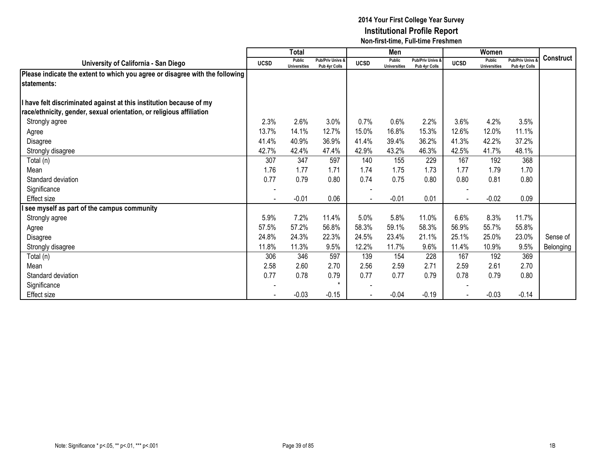|                                                                              |             | <b>Total</b>                  |                                              |             | Men                                  |                                   |             | Women                         |                                        |                  |
|------------------------------------------------------------------------------|-------------|-------------------------------|----------------------------------------------|-------------|--------------------------------------|-----------------------------------|-------------|-------------------------------|----------------------------------------|------------------|
| University of California - San Diego                                         | <b>UCSD</b> | Public<br><b>Universities</b> | <b>Pub/Priv Univs &amp;</b><br>Pub 4yr Colls | <b>UCSD</b> | <b>Public</b><br><b>Universities</b> | Pub/Priv Univs &<br>Pub 4vr Colls | <b>UCSD</b> | Public<br><b>Universities</b> | <b>Pub/Priv Univs</b><br>Pub 4yr Colls | <b>Construct</b> |
| Please indicate the extent to which you agree or disagree with the following |             |                               |                                              |             |                                      |                                   |             |                               |                                        |                  |
| lstatements:                                                                 |             |                               |                                              |             |                                      |                                   |             |                               |                                        |                  |
|                                                                              |             |                               |                                              |             |                                      |                                   |             |                               |                                        |                  |
| I have felt discriminated against at this institution because of my          |             |                               |                                              |             |                                      |                                   |             |                               |                                        |                  |
| race/ethnicity, gender, sexual orientation, or religious affiliation         |             |                               |                                              |             |                                      |                                   |             |                               |                                        |                  |
| Strongly agree                                                               | 2.3%        | 2.6%                          | 3.0%                                         | 0.7%        | 0.6%                                 | 2.2%                              | 3.6%        | 4.2%                          | 3.5%                                   |                  |
| Agree                                                                        | 13.7%       | 14.1%                         | 12.7%                                        | 15.0%       | 16.8%                                | 15.3%                             | 12.6%       | 12.0%                         | 11.1%                                  |                  |
| Disagree                                                                     | 41.4%       | 40.9%                         | 36.9%                                        | 41.4%       | 39.4%                                | 36.2%                             | 41.3%       | 42.2%                         | 37.2%                                  |                  |
| Strongly disagree                                                            | 42.7%       | 42.4%                         | 47.4%                                        | 42.9%       | 43.2%                                | 46.3%                             | 42.5%       | 41.7%                         | 48.1%                                  |                  |
| Total (n)                                                                    | 307         | 347                           | 597                                          | 140         | 155                                  | 229                               | 167         | 192                           | 368                                    |                  |
| Mean                                                                         | 1.76        | 1.77                          | 1.71                                         | 1.74        | 1.75                                 | 1.73                              | 1.77        | 1.79                          | 1.70                                   |                  |
| Standard deviation                                                           | 0.77        | 0.79                          | 0.80                                         | 0.74        | 0.75                                 | 0.80                              | 0.80        | 0.81                          | 0.80                                   |                  |
| Significance                                                                 |             |                               |                                              |             |                                      |                                   |             |                               |                                        |                  |
| Effect size                                                                  |             | $-0.01$                       | 0.06                                         |             | $-0.01$                              | 0.01                              |             | $-0.02$                       | 0.09                                   |                  |
| see myself as part of the campus community                                   |             |                               |                                              |             |                                      |                                   |             |                               |                                        |                  |
| Strongly agree                                                               | 5.9%        | 7.2%                          | 11.4%                                        | 5.0%        | 5.8%                                 | 11.0%                             | 6.6%        | 8.3%                          | 11.7%                                  |                  |
| Agree                                                                        | 57.5%       | 57.2%                         | 56.8%                                        | 58.3%       | 59.1%                                | 58.3%                             | 56.9%       | 55.7%                         | 55.8%                                  |                  |
| Disagree                                                                     | 24.8%       | 24.3%                         | 22.3%                                        | 24.5%       | 23.4%                                | 21.1%                             | 25.1%       | 25.0%                         | 23.0%                                  | Sense of         |
| Strongly disagree                                                            | 11.8%       | 11.3%                         | 9.5%                                         | 12.2%       | 11.7%                                | 9.6%                              | 11.4%       | 10.9%                         | 9.5%                                   | Belonging        |
| Total (n)                                                                    | 306         | 346                           | 597                                          | 139         | 154                                  | 228                               | 167         | 192                           | 369                                    |                  |
| Mean                                                                         | 2.58        | 2.60                          | 2.70                                         | 2.56        | 2.59                                 | 2.71                              | 2.59        | 2.61                          | 2.70                                   |                  |
| Standard deviation                                                           | 0.77        | 0.78                          | 0.79                                         | 0.77        | 0.77                                 | 0.79                              | 0.78        | 0.79                          | 0.80                                   |                  |
| Significance                                                                 |             |                               | $\star$                                      |             |                                      |                                   |             |                               |                                        |                  |
| Effect size                                                                  |             | $-0.03$                       | $-0.15$                                      |             | $-0.04$                              | $-0.19$                           |             | $-0.03$                       | $-0.14$                                |                  |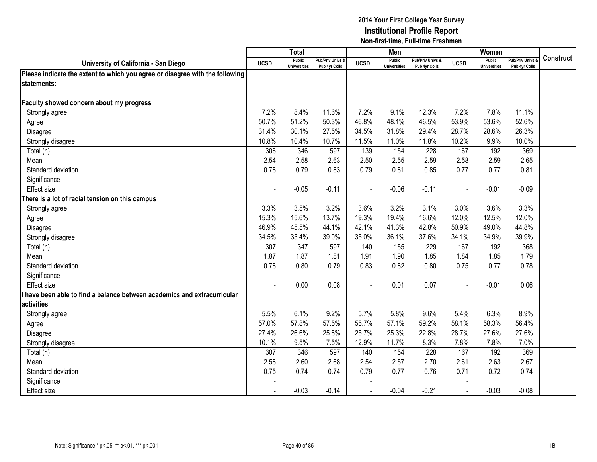|                                                                              |                | <b>Total</b>                         |                                   |                | Men                                  |                                   |                | Women                                |                                        |           |
|------------------------------------------------------------------------------|----------------|--------------------------------------|-----------------------------------|----------------|--------------------------------------|-----------------------------------|----------------|--------------------------------------|----------------------------------------|-----------|
| University of California - San Diego                                         | <b>UCSD</b>    | <b>Public</b><br><b>Universities</b> | Pub/Priv Univs &<br>Pub 4yr Colls | <b>UCSD</b>    | <b>Public</b><br><b>Universities</b> | Pub/Priv Univs &<br>Pub 4yr Colls | <b>UCSD</b>    | <b>Public</b><br><b>Universities</b> | <b>Pub/Priv Univs</b><br>Pub 4yr Colls | Construct |
| Please indicate the extent to which you agree or disagree with the following |                |                                      |                                   |                |                                      |                                   |                |                                      |                                        |           |
| statements:                                                                  |                |                                      |                                   |                |                                      |                                   |                |                                      |                                        |           |
|                                                                              |                |                                      |                                   |                |                                      |                                   |                |                                      |                                        |           |
| Faculty showed concern about my progress                                     |                |                                      |                                   |                |                                      |                                   |                |                                      |                                        |           |
| Strongly agree                                                               | 7.2%           | 8.4%                                 | 11.6%                             | 7.2%           | 9.1%                                 | 12.3%                             | 7.2%           | 7.8%                                 | 11.1%                                  |           |
| Agree                                                                        | 50.7%          | 51.2%                                | 50.3%                             | 46.8%          | 48.1%                                | 46.5%                             | 53.9%          | 53.6%                                | 52.6%                                  |           |
| Disagree                                                                     | 31.4%          | 30.1%                                | 27.5%                             | 34.5%          | 31.8%                                | 29.4%                             | 28.7%          | 28.6%                                | 26.3%                                  |           |
| Strongly disagree                                                            | 10.8%          | 10.4%                                | 10.7%                             | 11.5%          | 11.0%                                | 11.8%                             | 10.2%          | 9.9%                                 | 10.0%                                  |           |
| Total (n)                                                                    | 306            | 346                                  | 597                               | 139            | 154                                  | 228                               | 167            | 192                                  | 369                                    |           |
| Mean                                                                         | 2.54           | 2.58                                 | 2.63                              | 2.50           | 2.55                                 | 2.59                              | 2.58           | 2.59                                 | 2.65                                   |           |
| Standard deviation                                                           | 0.78           | 0.79                                 | 0.83                              | 0.79           | 0.81                                 | 0.85                              | 0.77           | 0.77                                 | 0.81                                   |           |
| Significance                                                                 | $\blacksquare$ |                                      |                                   | $\blacksquare$ |                                      |                                   |                |                                      |                                        |           |
| Effect size                                                                  | $\blacksquare$ | $-0.05$                              | $-0.11$                           | $\blacksquare$ | $-0.06$                              | $-0.11$                           | $\blacksquare$ | $-0.01$                              | $-0.09$                                |           |
| There is a lot of racial tension on this campus                              |                |                                      |                                   |                |                                      |                                   |                |                                      |                                        |           |
| Strongly agree                                                               | 3.3%           | 3.5%                                 | 3.2%                              | 3.6%           | 3.2%                                 | 3.1%                              | 3.0%           | 3.6%                                 | 3.3%                                   |           |
| Agree                                                                        | 15.3%          | 15.6%                                | 13.7%                             | 19.3%          | 19.4%                                | 16.6%                             | 12.0%          | 12.5%                                | 12.0%                                  |           |
| Disagree                                                                     | 46.9%          | 45.5%                                | 44.1%                             | 42.1%          | 41.3%                                | 42.8%                             | 50.9%          | 49.0%                                | 44.8%                                  |           |
| Strongly disagree                                                            | 34.5%          | 35.4%                                | 39.0%                             | 35.0%          | 36.1%                                | 37.6%                             | 34.1%          | 34.9%                                | 39.9%                                  |           |
| Total (n)                                                                    | 307            | 347                                  | 597                               | 140            | 155                                  | 229                               | 167            | 192                                  | 368                                    |           |
| Mean                                                                         | 1.87           | 1.87                                 | 1.81                              | 1.91           | 1.90                                 | 1.85                              | 1.84           | 1.85                                 | 1.79                                   |           |
| Standard deviation                                                           | 0.78           | 0.80                                 | 0.79                              | 0.83           | 0.82                                 | 0.80                              | 0.75           | 0.77                                 | 0.78                                   |           |
| Significance                                                                 |                |                                      |                                   |                |                                      |                                   |                |                                      |                                        |           |
| <b>Effect size</b>                                                           |                | 0.00                                 | 0.08                              |                | 0.01                                 | 0.07                              |                | $-0.01$                              | 0.06                                   |           |
| have been able to find a balance between academics and extracurricular       |                |                                      |                                   |                |                                      |                                   |                |                                      |                                        |           |
| activities                                                                   |                |                                      |                                   |                |                                      |                                   |                |                                      |                                        |           |
| Strongly agree                                                               | 5.5%           | 6.1%                                 | 9.2%                              | 5.7%           | 5.8%                                 | 9.6%                              | 5.4%           | 6.3%                                 | 8.9%                                   |           |
| Agree                                                                        | 57.0%          | 57.8%                                | 57.5%                             | 55.7%          | 57.1%                                | 59.2%                             | 58.1%          | 58.3%                                | 56.4%                                  |           |
| Disagree                                                                     | 27.4%          | 26.6%                                | 25.8%                             | 25.7%          | 25.3%                                | 22.8%                             | 28.7%          | 27.6%                                | 27.6%                                  |           |
| Strongly disagree                                                            | 10.1%          | 9.5%                                 | 7.5%                              | 12.9%          | 11.7%                                | 8.3%                              | 7.8%           | 7.8%                                 | 7.0%                                   |           |
| Total (n)                                                                    | 307            | 346                                  | 597                               | 140            | 154                                  | 228                               | 167            | 192                                  | 369                                    |           |
| Mean                                                                         | 2.58           | 2.60                                 | 2.68                              | 2.54           | 2.57                                 | 2.70                              | 2.61           | 2.63                                 | 2.67                                   |           |
| Standard deviation                                                           | 0.75           | 0.74                                 | 0.74                              | 0.79           | 0.77                                 | 0.76                              | 0.71           | 0.72                                 | 0.74                                   |           |
| Significance                                                                 |                |                                      |                                   |                |                                      |                                   |                |                                      |                                        |           |
| <b>Effect size</b>                                                           |                | $-0.03$                              | $-0.14$                           |                | $-0.04$                              | $-0.21$                           | $\sim$         | $-0.03$                              | $-0.08$                                |           |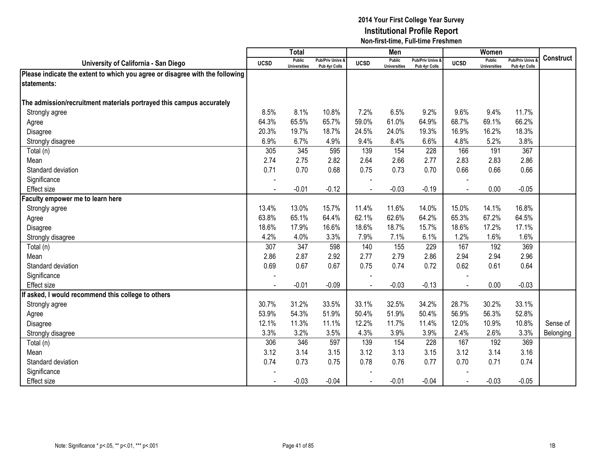|                                                                              |             | <b>Total</b>                         |                                              |             | Men                                  |                                              |             | Women                                |                                        |                  |
|------------------------------------------------------------------------------|-------------|--------------------------------------|----------------------------------------------|-------------|--------------------------------------|----------------------------------------------|-------------|--------------------------------------|----------------------------------------|------------------|
| University of California - San Diego                                         | <b>UCSD</b> | <b>Public</b><br><b>Universities</b> | <b>Pub/Priv Univs &amp;</b><br>Pub 4yr Colls | <b>UCSD</b> | <b>Public</b><br><b>Universities</b> | <b>Pub/Priv Univs &amp;</b><br>Pub 4yr Colls | <b>UCSD</b> | <b>Public</b><br><b>Universities</b> | <b>Pub/Priv Univs</b><br>Pub 4yr Colls | <b>Construct</b> |
| Please indicate the extent to which you agree or disagree with the following |             |                                      |                                              |             |                                      |                                              |             |                                      |                                        |                  |
| statements:                                                                  |             |                                      |                                              |             |                                      |                                              |             |                                      |                                        |                  |
|                                                                              |             |                                      |                                              |             |                                      |                                              |             |                                      |                                        |                  |
| The admission/recruitment materials portrayed this campus accurately         |             |                                      |                                              |             |                                      |                                              |             |                                      |                                        |                  |
| Strongly agree                                                               | 8.5%        | 8.1%                                 | 10.8%                                        | 7.2%        | 6.5%                                 | 9.2%                                         | 9.6%        | 9.4%                                 | 11.7%                                  |                  |
| Agree                                                                        | 64.3%       | 65.5%                                | 65.7%                                        | 59.0%       | 61.0%                                | 64.9%                                        | 68.7%       | 69.1%                                | 66.2%                                  |                  |
| Disagree                                                                     | 20.3%       | 19.7%                                | 18.7%                                        | 24.5%       | 24.0%                                | 19.3%                                        | 16.9%       | 16.2%                                | 18.3%                                  |                  |
| Strongly disagree                                                            | 6.9%        | 6.7%                                 | 4.9%                                         | 9.4%        | 8.4%                                 | 6.6%                                         | 4.8%        | 5.2%                                 | 3.8%                                   |                  |
| Total (n)                                                                    | 305         | 345                                  | 595                                          | 139         | 154                                  | 228                                          | 166         | 191                                  | 367                                    |                  |
| Mean                                                                         | 2.74        | 2.75                                 | 2.82                                         | 2.64        | 2.66                                 | 2.77                                         | 2.83        | 2.83                                 | 2.86                                   |                  |
| Standard deviation                                                           | 0.71        | 0.70                                 | 0.68                                         | 0.75        | 0.73                                 | 0.70                                         | 0.66        | 0.66                                 | 0.66                                   |                  |
| Significance                                                                 |             |                                      |                                              |             |                                      |                                              |             |                                      |                                        |                  |
| Effect size                                                                  |             | $-0.01$                              | $-0.12$                                      |             | $-0.03$                              | $-0.19$                                      |             | 0.00                                 | $-0.05$                                |                  |
| aculty empower me to learn here                                              |             |                                      |                                              |             |                                      |                                              |             |                                      |                                        |                  |
| Strongly agree                                                               | 13.4%       | 13.0%                                | 15.7%                                        | 11.4%       | 11.6%                                | 14.0%                                        | 15.0%       | 14.1%                                | 16.8%                                  |                  |
| Agree                                                                        | 63.8%       | 65.1%                                | 64.4%                                        | 62.1%       | 62.6%                                | 64.2%                                        | 65.3%       | 67.2%                                | 64.5%                                  |                  |
| Disagree                                                                     | 18.6%       | 17.9%                                | 16.6%                                        | 18.6%       | 18.7%                                | 15.7%                                        | 18.6%       | 17.2%                                | 17.1%                                  |                  |
| Strongly disagree                                                            | 4.2%        | 4.0%                                 | 3.3%                                         | 7.9%        | 7.1%                                 | 6.1%                                         | 1.2%        | 1.6%                                 | 1.6%                                   |                  |
| Total (n)                                                                    | 307         | 347                                  | 598                                          | 140         | 155                                  | 229                                          | 167         | 192                                  | 369                                    |                  |
| Mean                                                                         | 2.86        | 2.87                                 | 2.92                                         | 2.77        | 2.79                                 | 2.86                                         | 2.94        | 2.94                                 | 2.96                                   |                  |
| Standard deviation                                                           | 0.69        | 0.67                                 | 0.67                                         | 0.75        | 0.74                                 | 0.72                                         | 0.62        | 0.61                                 | 0.64                                   |                  |
| Significance                                                                 |             |                                      |                                              |             |                                      |                                              |             |                                      |                                        |                  |
| <b>Effect size</b>                                                           |             | $-0.01$                              | $-0.09$                                      |             | $-0.03$                              | $-0.13$                                      |             | 0.00                                 | $-0.03$                                |                  |
| If asked, I would recommend this college to others                           |             |                                      |                                              |             |                                      |                                              |             |                                      |                                        |                  |
| Strongly agree                                                               | 30.7%       | 31.2%                                | 33.5%                                        | 33.1%       | 32.5%                                | 34.2%                                        | 28.7%       | 30.2%                                | 33.1%                                  |                  |
| Agree                                                                        | 53.9%       | 54.3%                                | 51.9%                                        | 50.4%       | 51.9%                                | 50.4%                                        | 56.9%       | 56.3%                                | 52.8%                                  |                  |
| Disagree                                                                     | 12.1%       | 11.3%                                | 11.1%                                        | 12.2%       | 11.7%                                | 11.4%                                        | 12.0%       | 10.9%                                | 10.8%                                  | Sense of         |
| Strongly disagree                                                            | 3.3%        | 3.2%                                 | 3.5%                                         | 4.3%        | 3.9%                                 | 3.9%                                         | 2.4%        | 2.6%                                 | 3.3%                                   | Belonging        |
| Total (n)                                                                    | 306         | 346                                  | 597                                          | 139         | 154                                  | 228                                          | 167         | 192                                  | 369                                    |                  |
| Mean                                                                         | 3.12        | 3.14                                 | 3.15                                         | 3.12        | 3.13                                 | 3.15                                         | 3.12        | 3.14                                 | 3.16                                   |                  |
| Standard deviation                                                           | 0.74        | 0.73                                 | 0.75                                         | 0.78        | 0.76                                 | 0.77                                         | 0.70        | 0.71                                 | 0.74                                   |                  |
| Significance                                                                 |             |                                      |                                              |             |                                      |                                              |             |                                      |                                        |                  |
| Effect size                                                                  |             | $-0.03$                              | $-0.04$                                      |             | $-0.01$                              | $-0.04$                                      |             | $-0.03$                              | $-0.05$                                |                  |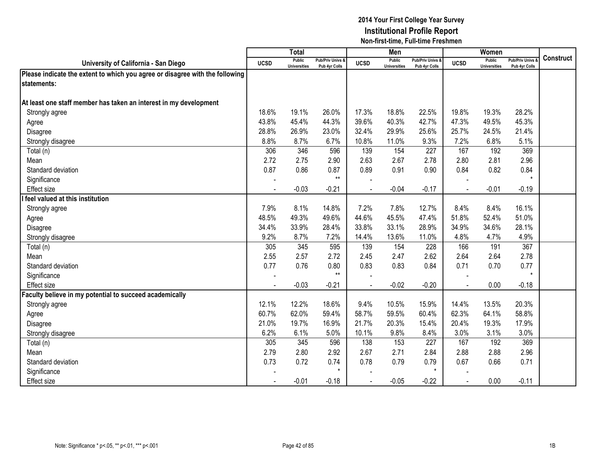|                                                                              |             | <b>Total</b>                         |                                   |             | Men                                  |                                   |             | Women                                |                                        |                  |
|------------------------------------------------------------------------------|-------------|--------------------------------------|-----------------------------------|-------------|--------------------------------------|-----------------------------------|-------------|--------------------------------------|----------------------------------------|------------------|
| University of California - San Diego                                         | <b>UCSD</b> | <b>Public</b><br><b>Universities</b> | Pub/Priv Univs &<br>Pub 4yr Colls | <b>UCSD</b> | <b>Public</b><br><b>Universities</b> | Pub/Priv Univs &<br>Pub 4yr Colls | <b>UCSD</b> | <b>Public</b><br><b>Universities</b> | <b>Pub/Priv Univs</b><br>Pub 4yr Colls | <b>Construct</b> |
| Please indicate the extent to which you agree or disagree with the following |             |                                      |                                   |             |                                      |                                   |             |                                      |                                        |                  |
| statements:                                                                  |             |                                      |                                   |             |                                      |                                   |             |                                      |                                        |                  |
|                                                                              |             |                                      |                                   |             |                                      |                                   |             |                                      |                                        |                  |
| At least one staff member has taken an interest in my development            |             |                                      |                                   |             |                                      |                                   |             |                                      |                                        |                  |
| Strongly agree                                                               | 18.6%       | 19.1%                                | 26.0%                             | 17.3%       | 18.8%                                | 22.5%                             | 19.8%       | 19.3%                                | 28.2%                                  |                  |
| Agree                                                                        | 43.8%       | 45.4%                                | 44.3%                             | 39.6%       | 40.3%                                | 42.7%                             | 47.3%       | 49.5%                                | 45.3%                                  |                  |
| Disagree                                                                     | 28.8%       | 26.9%                                | 23.0%                             | 32.4%       | 29.9%                                | 25.6%                             | 25.7%       | 24.5%                                | 21.4%                                  |                  |
| Strongly disagree                                                            | 8.8%        | 8.7%                                 | 6.7%                              | 10.8%       | 11.0%                                | 9.3%                              | 7.2%        | 6.8%                                 | 5.1%                                   |                  |
| Total (n)                                                                    | 306         | 346                                  | 596                               | 139         | 154                                  | 227                               | 167         | 192                                  | 369                                    |                  |
| Mean                                                                         | 2.72        | 2.75                                 | 2.90                              | 2.63        | 2.67                                 | 2.78                              | 2.80        | 2.81                                 | 2.96                                   |                  |
| Standard deviation                                                           | 0.87        | 0.86                                 | 0.87                              | 0.89        | 0.91                                 | 0.90                              | 0.84        | 0.82                                 | 0.84                                   |                  |
| Significance                                                                 |             |                                      | $***$                             |             |                                      |                                   |             |                                      | $\star$                                |                  |
| <b>Effect size</b>                                                           |             | $-0.03$                              | $-0.21$                           |             | $-0.04$                              | $-0.17$                           |             | $-0.01$                              | $-0.19$                                |                  |
| feel valued at this institution                                              |             |                                      |                                   |             |                                      |                                   |             |                                      |                                        |                  |
| Strongly agree                                                               | 7.9%        | 8.1%                                 | 14.8%                             | 7.2%        | 7.8%                                 | 12.7%                             | 8.4%        | 8.4%                                 | 16.1%                                  |                  |
| Agree                                                                        | 48.5%       | 49.3%                                | 49.6%                             | 44.6%       | 45.5%                                | 47.4%                             | 51.8%       | 52.4%                                | 51.0%                                  |                  |
| Disagree                                                                     | 34.4%       | 33.9%                                | 28.4%                             | 33.8%       | 33.1%                                | 28.9%                             | 34.9%       | 34.6%                                | 28.1%                                  |                  |
| Strongly disagree                                                            | 9.2%        | 8.7%                                 | 7.2%                              | 14.4%       | 13.6%                                | 11.0%                             | 4.8%        | 4.7%                                 | 4.9%                                   |                  |
| Total (n)                                                                    | 305         | 345                                  | 595                               | 139         | 154                                  | 228                               | 166         | 191                                  | 367                                    |                  |
| Mean                                                                         | 2.55        | 2.57                                 | 2.72                              | 2.45        | 2.47                                 | 2.62                              | 2.64        | 2.64                                 | 2.78                                   |                  |
| Standard deviation                                                           | 0.77        | 0.76                                 | 0.80                              | 0.83        | 0.83                                 | 0.84                              | 0.71        | 0.70                                 | 0.77                                   |                  |
| Significance                                                                 |             |                                      | $**$                              |             |                                      |                                   |             |                                      | $\star$                                |                  |
| <b>Effect</b> size                                                           |             | $-0.03$                              | $-0.21$                           |             | $-0.02$                              | $-0.20$                           |             | 0.00                                 | $-0.18$                                |                  |
| Faculty believe in my potential to succeed academically                      |             |                                      |                                   |             |                                      |                                   |             |                                      |                                        |                  |
| Strongly agree                                                               | 12.1%       | 12.2%                                | 18.6%                             | 9.4%        | 10.5%                                | 15.9%                             | 14.4%       | 13.5%                                | 20.3%                                  |                  |
| Agree                                                                        | 60.7%       | 62.0%                                | 59.4%                             | 58.7%       | 59.5%                                | 60.4%                             | 62.3%       | 64.1%                                | 58.8%                                  |                  |
| Disagree                                                                     | 21.0%       | 19.7%                                | 16.9%                             | 21.7%       | 20.3%                                | 15.4%                             | 20.4%       | 19.3%                                | 17.9%                                  |                  |
| Strongly disagree                                                            | 6.2%        | 6.1%                                 | 5.0%                              | 10.1%       | 9.8%                                 | 8.4%                              | 3.0%        | 3.1%                                 | 3.0%                                   |                  |
| Total (n)                                                                    | 305         | 345                                  | 596                               | 138         | 153                                  | 227                               | 167         | 192                                  | 369                                    |                  |
| Mean                                                                         | 2.79        | 2.80                                 | 2.92                              | 2.67        | 2.71                                 | 2.84                              | 2.88        | 2.88                                 | 2.96                                   |                  |
| Standard deviation                                                           | 0.73        | 0.72                                 | 0.74                              | 0.78        | 0.79                                 | 0.79                              | 0.67        | 0.66                                 | 0.71                                   |                  |
| Significance                                                                 |             |                                      | $\star$                           |             |                                      | $\star$                           |             |                                      |                                        |                  |
| <b>Effect size</b>                                                           |             | $-0.01$                              | $-0.18$                           |             | $-0.05$                              | $-0.22$                           |             | 0.00                                 | $-0.11$                                |                  |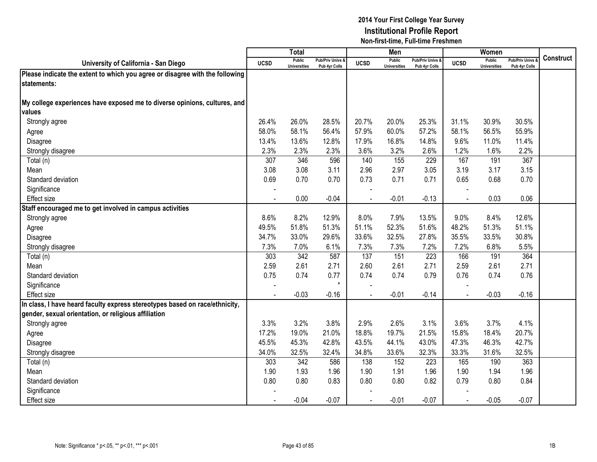|                                                                              |                | <b>Total</b>                  |                                   |                | Men                                  |                                 |                | Women                                |                                        |           |
|------------------------------------------------------------------------------|----------------|-------------------------------|-----------------------------------|----------------|--------------------------------------|---------------------------------|----------------|--------------------------------------|----------------------------------------|-----------|
| University of California - San Diego                                         | <b>UCSD</b>    | Public<br><b>Universities</b> | Pub/Priv Univs &<br>Pub 4yr Colls | <b>UCSD</b>    | <b>Public</b><br><b>Universities</b> | Pub/Priv Univs<br>Pub 4yr Colls | <b>UCSD</b>    | <b>Public</b><br><b>Universities</b> | <b>Pub/Priv Univs</b><br>Pub 4yr Colls | Construct |
| Please indicate the extent to which you agree or disagree with the following |                |                               |                                   |                |                                      |                                 |                |                                      |                                        |           |
| statements:                                                                  |                |                               |                                   |                |                                      |                                 |                |                                      |                                        |           |
|                                                                              |                |                               |                                   |                |                                      |                                 |                |                                      |                                        |           |
| My college experiences have exposed me to diverse opinions, cultures, and    |                |                               |                                   |                |                                      |                                 |                |                                      |                                        |           |
| values                                                                       |                |                               |                                   |                |                                      |                                 |                |                                      |                                        |           |
| Strongly agree                                                               | 26.4%          | 26.0%                         | 28.5%                             | 20.7%          | 20.0%                                | 25.3%                           | 31.1%          | 30.9%                                | 30.5%                                  |           |
| Agree                                                                        | 58.0%          | 58.1%                         | 56.4%                             | 57.9%          | 60.0%                                | 57.2%                           | 58.1%          | 56.5%                                | 55.9%                                  |           |
| Disagree                                                                     | 13.4%          | 13.6%                         | 12.8%                             | 17.9%          | 16.8%                                | 14.8%                           | 9.6%           | 11.0%                                | 11.4%                                  |           |
| Strongly disagree                                                            | 2.3%           | 2.3%                          | 2.3%                              | 3.6%           | 3.2%                                 | 2.6%                            | 1.2%           | 1.6%                                 | 2.2%                                   |           |
| Total (n)                                                                    | 307            | 346                           | 596                               | 140            | 155                                  | 229                             | 167            | 191                                  | 367                                    |           |
| Mean                                                                         | 3.08           | 3.08                          | 3.11                              | 2.96           | 2.97                                 | 3.05                            | 3.19           | 3.17                                 | 3.15                                   |           |
| Standard deviation                                                           | 0.69           | 0.70                          | 0.70                              | 0.73           | 0.71                                 | 0.71                            | 0.65           | 0.68                                 | 0.70                                   |           |
| Significance                                                                 |                |                               |                                   |                |                                      |                                 |                |                                      |                                        |           |
| <b>Effect size</b>                                                           | $\blacksquare$ | 0.00                          | $-0.04$                           | $\blacksquare$ | $-0.01$                              | $-0.13$                         | $\overline{a}$ | 0.03                                 | 0.06                                   |           |
| Staff encouraged me to get involved in campus activities                     |                |                               |                                   |                |                                      |                                 |                |                                      |                                        |           |
| Strongly agree                                                               | 8.6%           | 8.2%                          | 12.9%                             | 8.0%           | 7.9%                                 | 13.5%                           | 9.0%           | 8.4%                                 | 12.6%                                  |           |
| Agree                                                                        | 49.5%          | 51.8%                         | 51.3%                             | 51.1%          | 52.3%                                | 51.6%                           | 48.2%          | 51.3%                                | 51.1%                                  |           |
| Disagree                                                                     | 34.7%          | 33.0%                         | 29.6%                             | 33.6%          | 32.5%                                | 27.8%                           | 35.5%          | 33.5%                                | 30.8%                                  |           |
| Strongly disagree                                                            | 7.3%           | 7.0%                          | 6.1%                              | 7.3%           | 7.3%                                 | 7.2%                            | 7.2%           | 6.8%                                 | 5.5%                                   |           |
| Total (n)                                                                    | 303            | 342                           | 587                               | 137            | 151                                  | 223                             | 166            | 191                                  | 364                                    |           |
| Mean                                                                         | 2.59           | 2.61                          | 2.71                              | 2.60           | 2.61                                 | 2.71                            | 2.59           | 2.61                                 | 2.71                                   |           |
| Standard deviation                                                           | 0.75           | 0.74                          | 0.77                              | 0.74           | 0.74                                 | 0.79                            | 0.76           | 0.74                                 | 0.76                                   |           |
| Significance                                                                 |                |                               | $\star$                           |                |                                      |                                 |                |                                      |                                        |           |
| <b>Effect size</b>                                                           |                | $-0.03$                       | $-0.16$                           |                | $-0.01$                              | $-0.14$                         |                | $-0.03$                              | $-0.16$                                |           |
| In class, I have heard faculty express stereotypes based on race/ethnicity,  |                |                               |                                   |                |                                      |                                 |                |                                      |                                        |           |
| gender, sexual orientation, or religious affiliation                         |                |                               |                                   |                |                                      |                                 |                |                                      |                                        |           |
| Strongly agree                                                               | 3.3%           | 3.2%                          | 3.8%                              | 2.9%           | 2.6%                                 | 3.1%                            | 3.6%           | 3.7%                                 | 4.1%                                   |           |
| Agree                                                                        | 17.2%          | 19.0%                         | 21.0%                             | 18.8%          | 19.7%                                | 21.5%                           | 15.8%          | 18.4%                                | 20.7%                                  |           |
| Disagree                                                                     | 45.5%          | 45.3%                         | 42.8%                             | 43.5%          | 44.1%                                | 43.0%                           | 47.3%          | 46.3%                                | 42.7%                                  |           |
| Strongly disagree                                                            | 34.0%          | 32.5%                         | 32.4%                             | 34.8%          | 33.6%                                | 32.3%                           | 33.3%          | 31.6%                                | 32.5%                                  |           |
| Total (n)                                                                    | 303            | 342                           | 586                               | 138            | 152                                  | 223                             | 165            | 190                                  | 363                                    |           |
| Mean                                                                         | 1.90           | 1.93                          | 1.96                              | 1.90           | 1.91                                 | 1.96                            | 1.90           | 1.94                                 | 1.96                                   |           |
| Standard deviation                                                           | 0.80           | 0.80                          | 0.83                              | 0.80           | 0.80                                 | 0.82                            | 0.79           | 0.80                                 | 0.84                                   |           |
| Significance                                                                 |                |                               |                                   |                |                                      |                                 |                |                                      |                                        |           |
| Effect size                                                                  |                | $-0.04$                       | $-0.07$                           |                | $-0.01$                              | $-0.07$                         |                | $-0.05$                              | $-0.07$                                |           |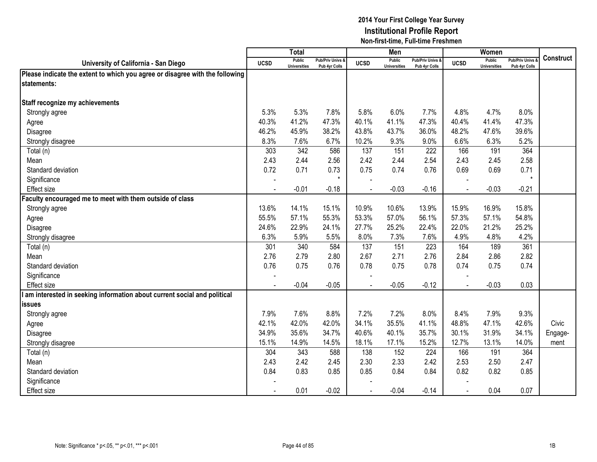|                                                                              |                | <b>Total</b>                         |                                   |                          | Men                                  |                                   |             | Women                                |                                        |           |
|------------------------------------------------------------------------------|----------------|--------------------------------------|-----------------------------------|--------------------------|--------------------------------------|-----------------------------------|-------------|--------------------------------------|----------------------------------------|-----------|
| University of California - San Diego                                         | <b>UCSD</b>    | <b>Public</b><br><b>Universities</b> | Pub/Priv Univs &<br>Pub 4yr Colls | <b>UCSD</b>              | <b>Public</b><br><b>Universities</b> | Pub/Priv Univs &<br>Pub 4yr Colls | <b>UCSD</b> | <b>Public</b><br><b>Universities</b> | <b>Pub/Priv Univs</b><br>Pub 4yr Colls | Construct |
| Please indicate the extent to which you agree or disagree with the following |                |                                      |                                   |                          |                                      |                                   |             |                                      |                                        |           |
| statements:                                                                  |                |                                      |                                   |                          |                                      |                                   |             |                                      |                                        |           |
|                                                                              |                |                                      |                                   |                          |                                      |                                   |             |                                      |                                        |           |
| Staff recognize my achievements                                              |                |                                      |                                   |                          |                                      |                                   |             |                                      |                                        |           |
| Strongly agree                                                               | 5.3%           | 5.3%                                 | 7.8%                              | 5.8%                     | 6.0%                                 | 7.7%                              | 4.8%        | 4.7%                                 | 8.0%                                   |           |
| Agree                                                                        | 40.3%          | 41.2%                                | 47.3%                             | 40.1%                    | 41.1%                                | 47.3%                             | 40.4%       | 41.4%                                | 47.3%                                  |           |
| Disagree                                                                     | 46.2%          | 45.9%                                | 38.2%                             | 43.8%                    | 43.7%                                | 36.0%                             | 48.2%       | 47.6%                                | 39.6%                                  |           |
| Strongly disagree                                                            | 8.3%           | 7.6%                                 | 6.7%                              | 10.2%                    | 9.3%                                 | 9.0%                              | 6.6%        | 6.3%                                 | 5.2%                                   |           |
| Total (n)                                                                    | 303            | 342                                  | 586                               | 137                      | 151                                  | 222                               | 166         | 191                                  | 364                                    |           |
| Mean                                                                         | 2.43           | 2.44                                 | 2.56                              | 2.42                     | 2.44                                 | 2.54                              | 2.43        | 2.45                                 | 2.58                                   |           |
| Standard deviation                                                           | 0.72           | 0.71                                 | 0.73                              | 0.75                     | 0.74                                 | 0.76                              | 0.69        | 0.69                                 | 0.71                                   |           |
| Significance                                                                 | $\blacksquare$ |                                      | $\star$                           | $\overline{\phantom{a}}$ |                                      |                                   |             |                                      | $\star$                                |           |
| Effect size                                                                  | $\blacksquare$ | $-0.01$                              | $-0.18$                           |                          | $-0.03$                              | $-0.16$                           | $\sim$      | $-0.03$                              | $-0.21$                                |           |
| aculty encouraged me to meet with them outside of class                      |                |                                      |                                   |                          |                                      |                                   |             |                                      |                                        |           |
| Strongly agree                                                               | 13.6%          | 14.1%                                | 15.1%                             | 10.9%                    | 10.6%                                | 13.9%                             | 15.9%       | 16.9%                                | 15.8%                                  |           |
| Agree                                                                        | 55.5%          | 57.1%                                | 55.3%                             | 53.3%                    | 57.0%                                | 56.1%                             | 57.3%       | 57.1%                                | 54.8%                                  |           |
| Disagree                                                                     | 24.6%          | 22.9%                                | 24.1%                             | 27.7%                    | 25.2%                                | 22.4%                             | 22.0%       | 21.2%                                | 25.2%                                  |           |
| Strongly disagree                                                            | 6.3%           | 5.9%                                 | 5.5%                              | 8.0%                     | 7.3%                                 | 7.6%                              | 4.9%        | 4.8%                                 | 4.2%                                   |           |
| Total (n)                                                                    | 301            | 340                                  | 584                               | 137                      | 151                                  | 223                               | 164         | 189                                  | 361                                    |           |
| Mean                                                                         | 2.76           | 2.79                                 | 2.80                              | 2.67                     | 2.71                                 | 2.76                              | 2.84        | 2.86                                 | 2.82                                   |           |
| Standard deviation                                                           | 0.76           | 0.75                                 | 0.76                              | 0.78                     | 0.75                                 | 0.78                              | 0.74        | 0.75                                 | 0.74                                   |           |
| Significance                                                                 |                |                                      |                                   |                          |                                      |                                   |             |                                      |                                        |           |
| <b>Effect size</b>                                                           |                | $-0.04$                              | $-0.05$                           |                          | $-0.05$                              | $-0.12$                           |             | $-0.03$                              | 0.03                                   |           |
| am interested in seeking information about current social and political      |                |                                      |                                   |                          |                                      |                                   |             |                                      |                                        |           |
| <b>issues</b>                                                                |                |                                      |                                   |                          |                                      |                                   |             |                                      |                                        |           |
| Strongly agree                                                               | 7.9%           | 7.6%                                 | 8.8%                              | 7.2%                     | 7.2%                                 | 8.0%                              | 8.4%        | 7.9%                                 | 9.3%                                   |           |
| Agree                                                                        | 42.1%          | 42.0%                                | 42.0%                             | 34.1%                    | 35.5%                                | 41.1%                             | 48.8%       | 47.1%                                | 42.6%                                  | Civic     |
| Disagree                                                                     | 34.9%          | 35.6%                                | 34.7%                             | 40.6%                    | 40.1%                                | 35.7%                             | 30.1%       | 31.9%                                | 34.1%                                  | Engage-   |
| Strongly disagree                                                            | 15.1%          | 14.9%                                | 14.5%                             | 18.1%                    | 17.1%                                | 15.2%                             | 12.7%       | 13.1%                                | 14.0%                                  | ment      |
| Total (n)                                                                    | 304            | 343                                  | 588                               | 138                      | 152                                  | 224                               | 166         | 191                                  | 364                                    |           |
| Mean                                                                         | 2.43           | 2.42                                 | 2.45                              | 2.30                     | 2.33                                 | 2.42                              | 2.53        | 2.50                                 | 2.47                                   |           |
| Standard deviation                                                           | 0.84           | 0.83                                 | 0.85                              | 0.85                     | 0.84                                 | 0.84                              | 0.82        | 0.82                                 | 0.85                                   |           |
| Significance                                                                 |                |                                      |                                   |                          |                                      |                                   |             |                                      |                                        |           |
| <b>Effect size</b>                                                           |                | 0.01                                 | $-0.02$                           |                          | $-0.04$                              | $-0.14$                           |             | 0.04                                 | 0.07                                   |           |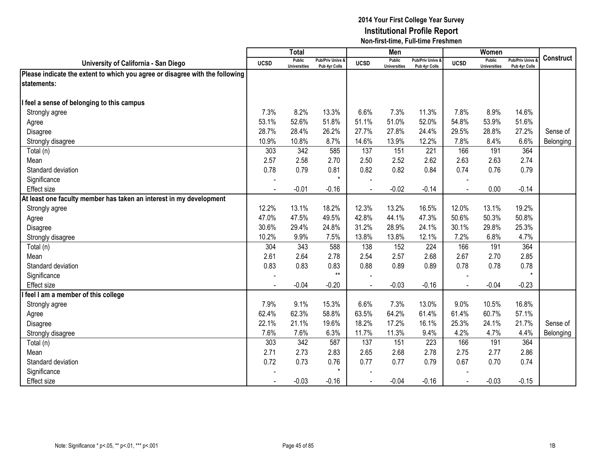|                                                                              |                | <b>Total</b>                         |                                   |             | Men                                  |                                   |                | Women                                |                                        |                  |
|------------------------------------------------------------------------------|----------------|--------------------------------------|-----------------------------------|-------------|--------------------------------------|-----------------------------------|----------------|--------------------------------------|----------------------------------------|------------------|
| University of California - San Diego                                         | <b>UCSD</b>    | <b>Public</b><br><b>Universities</b> | Pub/Priv Univs &<br>Pub 4yr Colls | <b>UCSD</b> | <b>Public</b><br><b>Universities</b> | Pub/Priv Univs &<br>Pub 4yr Colls | <b>UCSD</b>    | <b>Public</b><br><b>Universities</b> | <b>Pub/Priv Univs</b><br>Pub 4yr Colls | <b>Construct</b> |
| Please indicate the extent to which you agree or disagree with the following |                |                                      |                                   |             |                                      |                                   |                |                                      |                                        |                  |
| lstatements:                                                                 |                |                                      |                                   |             |                                      |                                   |                |                                      |                                        |                  |
|                                                                              |                |                                      |                                   |             |                                      |                                   |                |                                      |                                        |                  |
| feel a sense of belonging to this campus                                     |                |                                      |                                   |             |                                      |                                   |                |                                      |                                        |                  |
| Strongly agree                                                               | 7.3%           | 8.2%                                 | 13.3%                             | 6.6%        | 7.3%                                 | 11.3%                             | 7.8%           | 8.9%                                 | 14.6%                                  |                  |
| Agree                                                                        | 53.1%          | 52.6%                                | 51.8%                             | 51.1%       | 51.0%                                | 52.0%                             | 54.8%          | 53.9%                                | 51.6%                                  |                  |
| Disagree                                                                     | 28.7%          | 28.4%                                | 26.2%                             | 27.7%       | 27.8%                                | 24.4%                             | 29.5%          | 28.8%                                | 27.2%                                  | Sense of         |
| Strongly disagree                                                            | 10.9%          | 10.8%                                | 8.7%                              | 14.6%       | 13.9%                                | 12.2%                             | 7.8%           | 8.4%                                 | 6.6%                                   | Belonging        |
| Total (n)                                                                    | 303            | 342                                  | 585                               | 137         | 151                                  | 221                               | 166            | 191                                  | 364                                    |                  |
| Mean                                                                         | 2.57           | 2.58                                 | 2.70                              | 2.50        | 2.52                                 | 2.62                              | 2.63           | 2.63                                 | 2.74                                   |                  |
| Standard deviation                                                           | 0.78           | 0.79                                 | 0.81                              | 0.82        | 0.82                                 | 0.84                              | 0.74           | 0.76                                 | 0.79                                   |                  |
| Significance                                                                 |                |                                      | $\star$                           |             |                                      |                                   |                |                                      |                                        |                  |
| <b>Effect size</b>                                                           |                | $-0.01$                              | $-0.16$                           |             | $-0.02$                              | $-0.14$                           |                | 0.00                                 | $-0.14$                                |                  |
| At least one faculty member has taken an interest in my development          |                |                                      |                                   |             |                                      |                                   |                |                                      |                                        |                  |
| Strongly agree                                                               | 12.2%          | 13.1%                                | 18.2%                             | 12.3%       | 13.2%                                | 16.5%                             | 12.0%          | 13.1%                                | 19.2%                                  |                  |
| Agree                                                                        | 47.0%          | 47.5%                                | 49.5%                             | 42.8%       | 44.1%                                | 47.3%                             | 50.6%          | 50.3%                                | 50.8%                                  |                  |
| Disagree                                                                     | 30.6%          | 29.4%                                | 24.8%                             | 31.2%       | 28.9%                                | 24.1%                             | 30.1%          | 29.8%                                | 25.3%                                  |                  |
| Strongly disagree                                                            | 10.2%          | 9.9%                                 | 7.5%                              | 13.8%       | 13.8%                                | 12.1%                             | 7.2%           | 6.8%                                 | 4.7%                                   |                  |
| Total (n)                                                                    | 304            | 343                                  | 588                               | 138         | 152                                  | 224                               | 166            | 191                                  | 364                                    |                  |
| Mean                                                                         | 2.61           | 2.64                                 | 2.78                              | 2.54        | 2.57                                 | 2.68                              | 2.67           | 2.70                                 | 2.85                                   |                  |
| Standard deviation                                                           | 0.83           | 0.83                                 | 0.83                              | 0.88        | 0.89                                 | 0.89                              | 0.78           | 0.78                                 | 0.78                                   |                  |
| Significance                                                                 |                |                                      | $***$                             |             |                                      |                                   |                |                                      | $\star$                                |                  |
| <b>Effect size</b>                                                           | $\blacksquare$ | $-0.04$                              | $-0.20$                           |             | $-0.03$                              | $-0.16$                           |                | $-0.04$                              | $-0.23$                                |                  |
| feel I am a member of this college                                           |                |                                      |                                   |             |                                      |                                   |                |                                      |                                        |                  |
| Strongly agree                                                               | 7.9%           | 9.1%                                 | 15.3%                             | 6.6%        | 7.3%                                 | 13.0%                             | 9.0%           | 10.5%                                | 16.8%                                  |                  |
| Agree                                                                        | 62.4%          | 62.3%                                | 58.8%                             | 63.5%       | 64.2%                                | 61.4%                             | 61.4%          | 60.7%                                | 57.1%                                  |                  |
| Disagree                                                                     | 22.1%          | 21.1%                                | 19.6%                             | 18.2%       | 17.2%                                | 16.1%                             | 25.3%          | 24.1%                                | 21.7%                                  | Sense of         |
| Strongly disagree                                                            | 7.6%           | 7.6%                                 | 6.3%                              | 11.7%       | 11.3%                                | 9.4%                              | 4.2%           | 4.7%                                 | 4.4%                                   | Belonging        |
| Total (n)                                                                    | 303            | 342                                  | 587                               | 137         | 151                                  | 223                               | 166            | 191                                  | 364                                    |                  |
| Mean                                                                         | 2.71           | 2.73                                 | 2.83                              | 2.65        | 2.68                                 | 2.78                              | 2.75           | 2.77                                 | 2.86                                   |                  |
| Standard deviation                                                           | 0.72           | 0.73                                 | 0.76                              | 0.77        | 0.77                                 | 0.79                              | 0.67           | 0.70                                 | 0.74                                   |                  |
| Significance                                                                 |                |                                      | $\star$                           |             |                                      |                                   |                |                                      |                                        |                  |
| Effect size                                                                  |                | $-0.03$                              | $-0.16$                           | ÷.          | $-0.04$                              | $-0.16$                           | $\overline{a}$ | $-0.03$                              | $-0.15$                                |                  |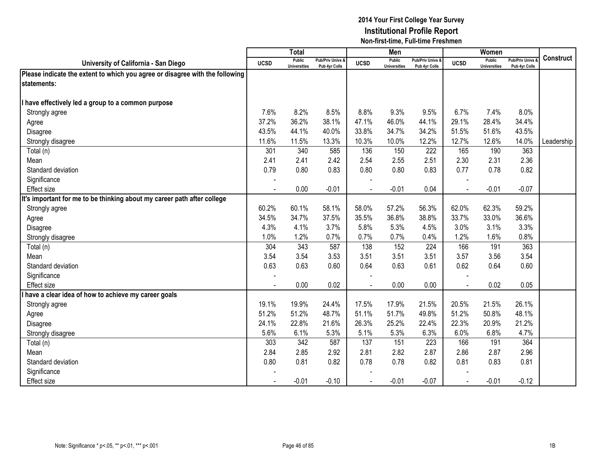|                                                                              |                | <b>Total</b>                         |                                              |             | Men                                  |                                   |             | Women                                |                                        |                  |
|------------------------------------------------------------------------------|----------------|--------------------------------------|----------------------------------------------|-------------|--------------------------------------|-----------------------------------|-------------|--------------------------------------|----------------------------------------|------------------|
| University of California - San Diego                                         | <b>UCSD</b>    | <b>Public</b><br><b>Universities</b> | <b>Pub/Priv Univs &amp;</b><br>Pub 4yr Colls | <b>UCSD</b> | <b>Public</b><br><b>Universities</b> | Pub/Priv Univs &<br>Pub 4yr Colls | <b>UCSD</b> | <b>Public</b><br><b>Universities</b> | <b>Pub/Priv Univs</b><br>Pub 4yr Colls | <b>Construct</b> |
| Please indicate the extent to which you agree or disagree with the following |                |                                      |                                              |             |                                      |                                   |             |                                      |                                        |                  |
| statements:                                                                  |                |                                      |                                              |             |                                      |                                   |             |                                      |                                        |                  |
|                                                                              |                |                                      |                                              |             |                                      |                                   |             |                                      |                                        |                  |
| have effectively led a group to a common purpose                             |                |                                      |                                              |             |                                      |                                   |             |                                      |                                        |                  |
| Strongly agree                                                               | 7.6%           | 8.2%                                 | 8.5%                                         | 8.8%        | 9.3%                                 | 9.5%                              | 6.7%        | 7.4%                                 | 8.0%                                   |                  |
| Agree                                                                        | 37.2%          | 36.2%                                | 38.1%                                        | 47.1%       | 46.0%                                | 44.1%                             | 29.1%       | 28.4%                                | 34.4%                                  |                  |
| Disagree                                                                     | 43.5%          | 44.1%                                | 40.0%                                        | 33.8%       | 34.7%                                | 34.2%                             | 51.5%       | 51.6%                                | 43.5%                                  |                  |
| Strongly disagree                                                            | 11.6%          | 11.5%                                | 13.3%                                        | 10.3%       | 10.0%                                | 12.2%                             | 12.7%       | 12.6%                                | 14.0%                                  | Leadership       |
| Total (n)                                                                    | 301            | 340                                  | 585                                          | 136         | 150                                  | 222                               | 165         | 190                                  | 363                                    |                  |
| Mean                                                                         | 2.41           | 2.41                                 | 2.42                                         | 2.54        | 2.55                                 | 2.51                              | 2.30        | 2.31                                 | 2.36                                   |                  |
| Standard deviation                                                           | 0.79           | 0.80                                 | 0.83                                         | 0.80        | 0.80                                 | 0.83                              | 0.77        | 0.78                                 | 0.82                                   |                  |
| Significance                                                                 |                |                                      |                                              |             |                                      |                                   |             |                                      |                                        |                  |
| <b>Effect size</b>                                                           |                | 0.00                                 | $-0.01$                                      |             | $-0.01$                              | 0.04                              |             | $-0.01$                              | $-0.07$                                |                  |
| It's important for me to be thinking about my career path after college      |                |                                      |                                              |             |                                      |                                   |             |                                      |                                        |                  |
| Strongly agree                                                               | 60.2%          | 60.1%                                | 58.1%                                        | 58.0%       | 57.2%                                | 56.3%                             | 62.0%       | 62.3%                                | 59.2%                                  |                  |
| Agree                                                                        | 34.5%          | 34.7%                                | 37.5%                                        | 35.5%       | 36.8%                                | 38.8%                             | 33.7%       | 33.0%                                | 36.6%                                  |                  |
| Disagree                                                                     | 4.3%           | 4.1%                                 | 3.7%                                         | 5.8%        | 5.3%                                 | 4.5%                              | 3.0%        | 3.1%                                 | 3.3%                                   |                  |
| Strongly disagree                                                            | 1.0%           | 1.2%                                 | 0.7%                                         | 0.7%        | 0.7%                                 | 0.4%                              | 1.2%        | 1.6%                                 | 0.8%                                   |                  |
| Total (n)                                                                    | 304            | 343                                  | 587                                          | 138         | 152                                  | 224                               | 166         | 191                                  | 363                                    |                  |
| Mean                                                                         | 3.54           | 3.54                                 | 3.53                                         | 3.51        | 3.51                                 | 3.51                              | 3.57        | 3.56                                 | 3.54                                   |                  |
| Standard deviation                                                           | 0.63           | 0.63                                 | 0.60                                         | 0.64        | 0.63                                 | 0.61                              | 0.62        | 0.64                                 | 0.60                                   |                  |
| Significance                                                                 |                |                                      |                                              |             |                                      |                                   |             |                                      |                                        |                  |
| Effect size                                                                  | $\blacksquare$ | 0.00                                 | 0.02                                         |             | 0.00                                 | 0.00                              |             | 0.02                                 | 0.05                                   |                  |
| have a clear idea of how to achieve my career goals                          |                |                                      |                                              |             |                                      |                                   |             |                                      |                                        |                  |
| Strongly agree                                                               | 19.1%          | 19.9%                                | 24.4%                                        | 17.5%       | 17.9%                                | 21.5%                             | 20.5%       | 21.5%                                | 26.1%                                  |                  |
| Agree                                                                        | 51.2%          | 51.2%                                | 48.7%                                        | 51.1%       | 51.7%                                | 49.8%                             | 51.2%       | 50.8%                                | 48.1%                                  |                  |
| Disagree                                                                     | 24.1%          | 22.8%                                | 21.6%                                        | 26.3%       | 25.2%                                | 22.4%                             | 22.3%       | 20.9%                                | 21.2%                                  |                  |
| Strongly disagree                                                            | 5.6%           | 6.1%                                 | 5.3%                                         | 5.1%        | 5.3%                                 | 6.3%                              | 6.0%        | 6.8%                                 | 4.7%                                   |                  |
| Total (n)                                                                    | 303            | 342                                  | 587                                          | 137         | 151                                  | 223                               | 166         | 191                                  | 364                                    |                  |
| Mean                                                                         | 2.84           | 2.85                                 | 2.92                                         | 2.81        | 2.82                                 | 2.87                              | 2.86        | 2.87                                 | 2.96                                   |                  |
| Standard deviation                                                           | 0.80           | 0.81                                 | 0.82                                         | 0.78        | 0.78                                 | 0.82                              | 0.81        | 0.83                                 | 0.81                                   |                  |
| Significance                                                                 |                |                                      |                                              |             |                                      |                                   |             |                                      |                                        |                  |
| Effect size                                                                  |                | $-0.01$                              | $-0.10$                                      |             | $-0.01$                              | $-0.07$                           |             | $-0.01$                              | $-0.12$                                |                  |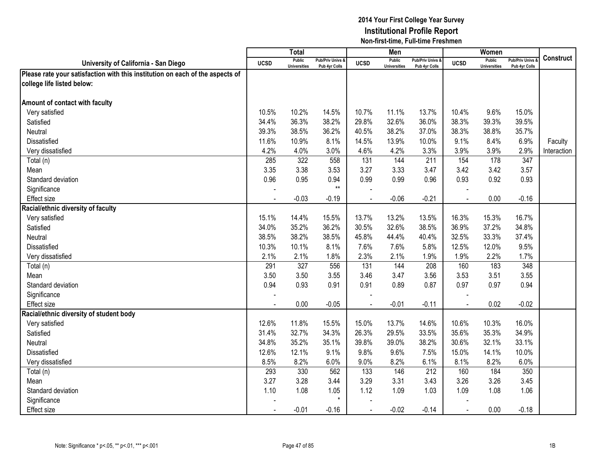|                                                                               |             | <b>Total</b>                         |                                   |                | Men                                  |                                   |                | Women                                |                                        |                  |
|-------------------------------------------------------------------------------|-------------|--------------------------------------|-----------------------------------|----------------|--------------------------------------|-----------------------------------|----------------|--------------------------------------|----------------------------------------|------------------|
| University of California - San Diego                                          | <b>UCSD</b> | <b>Public</b><br><b>Universities</b> | Pub/Priv Univs &<br>Pub 4yr Colls | <b>UCSD</b>    | <b>Public</b><br><b>Universities</b> | Pub/Priv Univs &<br>Pub 4yr Colls | <b>UCSD</b>    | <b>Public</b><br><b>Universities</b> | <b>Pub/Priv Univs</b><br>Pub 4yr Colls | <b>Construct</b> |
| Please rate your satisfaction with this institution on each of the aspects of |             |                                      |                                   |                |                                      |                                   |                |                                      |                                        |                  |
| college life listed below:                                                    |             |                                      |                                   |                |                                      |                                   |                |                                      |                                        |                  |
|                                                                               |             |                                      |                                   |                |                                      |                                   |                |                                      |                                        |                  |
| Amount of contact with faculty                                                |             |                                      |                                   |                |                                      |                                   |                |                                      |                                        |                  |
| Very satisfied                                                                | 10.5%       | 10.2%                                | 14.5%                             | 10.7%          | 11.1%                                | 13.7%                             | 10.4%          | 9.6%                                 | 15.0%                                  |                  |
| Satisfied                                                                     | 34.4%       | 36.3%                                | 38.2%                             | 29.8%          | 32.6%                                | 36.0%                             | 38.3%          | 39.3%                                | 39.5%                                  |                  |
| Neutral                                                                       | 39.3%       | 38.5%                                | 36.2%                             | 40.5%          | 38.2%                                | 37.0%                             | 38.3%          | 38.8%                                | 35.7%                                  |                  |
| Dissatisfied                                                                  | 11.6%       | 10.9%                                | 8.1%                              | 14.5%          | 13.9%                                | 10.0%                             | 9.1%           | 8.4%                                 | 6.9%                                   | Faculty          |
| Very dissatisfied                                                             | 4.2%        | 4.0%                                 | 3.0%                              | 4.6%           | 4.2%                                 | 3.3%                              | 3.9%           | 3.9%                                 | 2.9%                                   | Interaction      |
| Total (n)                                                                     | 285         | 322                                  | 558                               | 131            | 144                                  | 211                               | 154            | 178                                  | 347                                    |                  |
| Mean                                                                          | 3.35        | 3.38                                 | 3.53                              | 3.27           | 3.33                                 | 3.47                              | 3.42           | 3.42                                 | 3.57                                   |                  |
| Standard deviation                                                            | 0.96        | 0.95                                 | 0.94                              | 0.99           | 0.99                                 | 0.96                              | 0.93           | 0.92                                 | 0.93                                   |                  |
| Significance                                                                  |             |                                      | $***$                             |                |                                      |                                   |                |                                      |                                        |                  |
| <b>Effect</b> size                                                            |             | $-0.03$                              | $-0.19$                           |                | $-0.06$                              | $-0.21$                           |                | 0.00                                 | $-0.16$                                |                  |
| Racial/ethnic diversity of faculty                                            |             |                                      |                                   |                |                                      |                                   |                |                                      |                                        |                  |
| Very satisfied                                                                | 15.1%       | 14.4%                                | 15.5%                             | 13.7%          | 13.2%                                | 13.5%                             | 16.3%          | 15.3%                                | 16.7%                                  |                  |
| Satisfied                                                                     | 34.0%       | 35.2%                                | 36.2%                             | 30.5%          | 32.6%                                | 38.5%                             | 36.9%          | 37.2%                                | 34.8%                                  |                  |
| Neutral                                                                       | 38.5%       | 38.2%                                | 38.5%                             | 45.8%          | 44.4%                                | 40.4%                             | 32.5%          | 33.3%                                | 37.4%                                  |                  |
| Dissatisfied                                                                  | 10.3%       | 10.1%                                | 8.1%                              | 7.6%           | 7.6%                                 | 5.8%                              | 12.5%          | 12.0%                                | 9.5%                                   |                  |
| Very dissatisfied                                                             | 2.1%        | 2.1%                                 | 1.8%                              | 2.3%           | 2.1%                                 | 1.9%                              | 1.9%           | 2.2%                                 | 1.7%                                   |                  |
| Total (n)                                                                     | 291         | 327                                  | 556                               | 131            | 144                                  | 208                               | 160            | 183                                  | 348                                    |                  |
| Mean                                                                          | 3.50        | 3.50                                 | 3.55                              | 3.46           | 3.47                                 | 3.56                              | 3.53           | 3.51                                 | 3.55                                   |                  |
| Standard deviation                                                            | 0.94        | 0.93                                 | 0.91                              | 0.91           | 0.89                                 | 0.87                              | 0.97           | 0.97                                 | 0.94                                   |                  |
| Significance                                                                  |             |                                      |                                   |                |                                      |                                   |                |                                      |                                        |                  |
| <b>Effect size</b>                                                            |             | 0.00                                 | $-0.05$                           |                | $-0.01$                              | $-0.11$                           | $\overline{a}$ | 0.02                                 | $-0.02$                                |                  |
| Racial/ethnic diversity of student body                                       |             |                                      |                                   |                |                                      |                                   |                |                                      |                                        |                  |
| Very satisfied                                                                | 12.6%       | 11.8%                                | 15.5%                             | 15.0%          | 13.7%                                | 14.6%                             | 10.6%          | 10.3%                                | 16.0%                                  |                  |
| Satisfied                                                                     | 31.4%       | 32.7%                                | 34.3%                             | 26.3%          | 29.5%                                | 33.5%                             | 35.6%          | 35.3%                                | 34.9%                                  |                  |
| Neutral                                                                       | 34.8%       | 35.2%                                | 35.1%                             | 39.8%          | 39.0%                                | 38.2%                             | 30.6%          | 32.1%                                | 33.1%                                  |                  |
| Dissatisfied                                                                  | 12.6%       | 12.1%                                | 9.1%                              | 9.8%           | 9.6%                                 | 7.5%                              | 15.0%          | 14.1%                                | 10.0%                                  |                  |
| Very dissatisfied                                                             | 8.5%        | 8.2%                                 | 6.0%                              | 9.0%           | 8.2%                                 | 6.1%                              | 8.1%           | 8.2%                                 | 6.0%                                   |                  |
| Total (n)                                                                     | 293         | 330                                  | 562                               | 133            | 146                                  | 212                               | 160            | 184                                  | 350                                    |                  |
| Mean                                                                          | 3.27        | 3.28                                 | 3.44                              | 3.29           | 3.31                                 | 3.43                              | 3.26           | 3.26                                 | 3.45                                   |                  |
| Standard deviation                                                            | 1.10        | 1.08                                 | 1.05                              | 1.12           | 1.09                                 | 1.03                              | 1.09           | 1.08                                 | 1.06                                   |                  |
| Significance                                                                  |             |                                      | $\star$                           |                |                                      |                                   |                |                                      |                                        |                  |
| <b>Effect size</b>                                                            |             | $-0.01$                              | $-0.16$                           | $\blacksquare$ | $-0.02$                              | $-0.14$                           | $\blacksquare$ | 0.00                                 | $-0.18$                                |                  |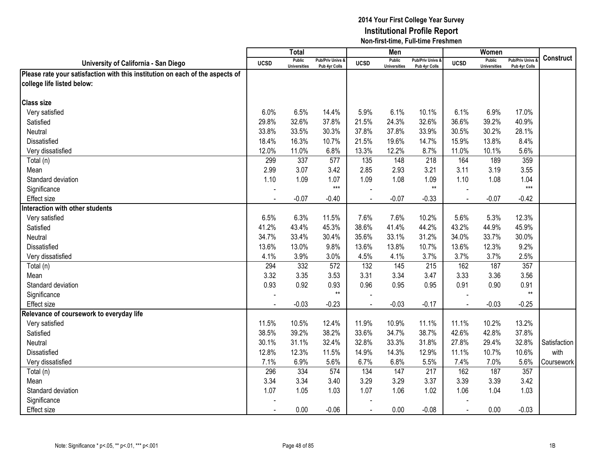|                                                                               |                | <b>Total</b>                         |                                   |             | Men                                  |                                   |                | Women                                |                                        |                  |
|-------------------------------------------------------------------------------|----------------|--------------------------------------|-----------------------------------|-------------|--------------------------------------|-----------------------------------|----------------|--------------------------------------|----------------------------------------|------------------|
| University of California - San Diego                                          | <b>UCSD</b>    | <b>Public</b><br><b>Universities</b> | Pub/Priv Univs &<br>Pub 4yr Colls | <b>UCSD</b> | <b>Public</b><br><b>Universities</b> | Pub/Priv Univs &<br>Pub 4vr Colls | <b>UCSD</b>    | <b>Public</b><br><b>Universities</b> | <b>Pub/Priv Univs</b><br>Pub 4yr Colls | <b>Construct</b> |
| Please rate your satisfaction with this institution on each of the aspects of |                |                                      |                                   |             |                                      |                                   |                |                                      |                                        |                  |
| college life listed below:                                                    |                |                                      |                                   |             |                                      |                                   |                |                                      |                                        |                  |
|                                                                               |                |                                      |                                   |             |                                      |                                   |                |                                      |                                        |                  |
| <b>Class size</b>                                                             |                |                                      |                                   |             |                                      |                                   |                |                                      |                                        |                  |
| Very satisfied                                                                | 6.0%           | 6.5%                                 | 14.4%                             | 5.9%        | 6.1%                                 | 10.1%                             | 6.1%           | 6.9%                                 | 17.0%                                  |                  |
| Satisfied                                                                     | 29.8%          | 32.6%                                | 37.8%                             | 21.5%       | 24.3%                                | 32.6%                             | 36.6%          | 39.2%                                | 40.9%                                  |                  |
| Neutral                                                                       | 33.8%          | 33.5%                                | 30.3%                             | 37.8%       | 37.8%                                | 33.9%                             | 30.5%          | 30.2%                                | 28.1%                                  |                  |
| Dissatisfied                                                                  | 18.4%          | 16.3%                                | 10.7%                             | 21.5%       | 19.6%                                | 14.7%                             | 15.9%          | 13.8%                                | 8.4%                                   |                  |
| Very dissatisfied                                                             | 12.0%          | 11.0%                                | 6.8%                              | 13.3%       | 12.2%                                | 8.7%                              | 11.0%          | 10.1%                                | 5.6%                                   |                  |
| Total (n)                                                                     | 299            | 337                                  | 577                               | 135         | 148                                  | 218                               | 164            | 189                                  | 359                                    |                  |
| Mean                                                                          | 2.99           | 3.07                                 | 3.42                              | 2.85        | 2.93                                 | 3.21                              | 3.11           | 3.19                                 | 3.55                                   |                  |
| Standard deviation                                                            | 1.10           | 1.09                                 | 1.07                              | 1.09        | 1.08                                 | 1.09                              | 1.10           | 1.08                                 | 1.04                                   |                  |
| Significance                                                                  | $\overline{a}$ |                                      | $***$                             |             |                                      | $**$                              |                |                                      | $***$                                  |                  |
| Effect size                                                                   |                | $-0.07$                              | $-0.40$                           |             | $-0.07$                              | $-0.33$                           |                | $-0.07$                              | $-0.42$                                |                  |
| Interaction with other students                                               |                |                                      |                                   |             |                                      |                                   |                |                                      |                                        |                  |
| Very satisfied                                                                | 6.5%           | 6.3%                                 | 11.5%                             | 7.6%        | 7.6%                                 | 10.2%                             | 5.6%           | 5.3%                                 | 12.3%                                  |                  |
| Satisfied                                                                     | 41.2%          | 43.4%                                | 45.3%                             | 38.6%       | 41.4%                                | 44.2%                             | 43.2%          | 44.9%                                | 45.9%                                  |                  |
| <b>Neutral</b>                                                                | 34.7%          | 33.4%                                | 30.4%                             | 35.6%       | 33.1%                                | 31.2%                             | 34.0%          | 33.7%                                | 30.0%                                  |                  |
| Dissatisfied                                                                  | 13.6%          | 13.0%                                | 9.8%                              | 13.6%       | 13.8%                                | 10.7%                             | 13.6%          | 12.3%                                | 9.2%                                   |                  |
| Very dissatisfied                                                             | 4.1%           | 3.9%                                 | 3.0%                              | 4.5%        | 4.1%                                 | 3.7%                              | 3.7%           | 3.7%                                 | 2.5%                                   |                  |
| Total (n)                                                                     | 294            | 332                                  | 572                               | 132         | 145                                  | 215                               | 162            | 187                                  | 357                                    |                  |
| Mean                                                                          | 3.32           | 3.35                                 | 3.53                              | 3.31        | 3.34                                 | 3.47                              | 3.33           | 3.36                                 | 3.56                                   |                  |
| Standard deviation                                                            | 0.93           | 0.92                                 | 0.93                              | 0.96        | 0.95                                 | 0.95                              | 0.91           | 0.90                                 | 0.91                                   |                  |
| Significance                                                                  |                |                                      | $**$                              |             |                                      |                                   |                |                                      | $***$                                  |                  |
| <b>Effect size</b>                                                            |                | $-0.03$                              | $-0.23$                           |             | $-0.03$                              | $-0.17$                           |                | $-0.03$                              | $-0.25$                                |                  |
| Relevance of coursework to everyday life                                      |                |                                      |                                   |             |                                      |                                   |                |                                      |                                        |                  |
| Very satisfied                                                                | 11.5%          | 10.5%                                | 12.4%                             | 11.9%       | 10.9%                                | 11.1%                             | 11.1%          | 10.2%                                | 13.2%                                  |                  |
| Satisfied                                                                     | 38.5%          | 39.2%                                | 38.2%                             | 33.6%       | 34.7%                                | 38.7%                             | 42.6%          | 42.8%                                | 37.8%                                  |                  |
| Neutral                                                                       | 30.1%          | 31.1%                                | 32.4%                             | 32.8%       | 33.3%                                | 31.8%                             | 27.8%          | 29.4%                                | 32.8%                                  | Satisfaction     |
| Dissatisfied                                                                  | 12.8%          | 12.3%                                | 11.5%                             | 14.9%       | 14.3%                                | 12.9%                             | 11.1%          | 10.7%                                | 10.6%                                  | with             |
| Very dissatisfied                                                             | 7.1%           | 6.9%                                 | 5.6%                              | 6.7%        | 6.8%                                 | 5.5%                              | 7.4%           | 7.0%                                 | 5.6%                                   | Coursework       |
| Total (n)                                                                     | 296            | 334                                  | 574                               | 134         | 147                                  | 217                               | 162            | 187                                  | 357                                    |                  |
| Mean                                                                          | 3.34           | 3.34                                 | 3.40                              | 3.29        | 3.29                                 | 3.37                              | 3.39           | 3.39                                 | 3.42                                   |                  |
| Standard deviation                                                            | 1.07           | 1.05                                 | 1.03                              | 1.07        | 1.06                                 | 1.02                              | 1.06           | 1.04                                 | 1.03                                   |                  |
| Significance                                                                  |                |                                      |                                   |             |                                      |                                   |                |                                      |                                        |                  |
| <b>Effect size</b>                                                            | $\blacksquare$ | 0.00                                 | $-0.06$                           | $\sim$      | 0.00                                 | $-0.08$                           | $\blacksquare$ | 0.00                                 | $-0.03$                                |                  |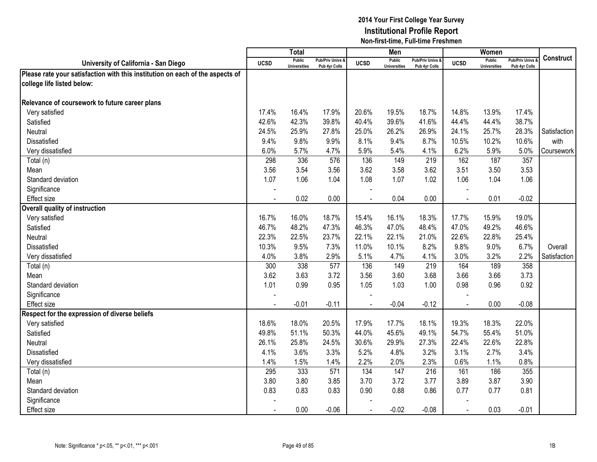|                                                                               |             | <b>Total</b>                         |                                   |             | Men                                  |                                   |                | Women                                |                                        |              |
|-------------------------------------------------------------------------------|-------------|--------------------------------------|-----------------------------------|-------------|--------------------------------------|-----------------------------------|----------------|--------------------------------------|----------------------------------------|--------------|
| University of California - San Diego                                          | <b>UCSD</b> | <b>Public</b><br><b>Universities</b> | Pub/Priv Univs &<br>Pub 4yr Colls | <b>UCSD</b> | <b>Public</b><br><b>Universities</b> | Pub/Priv Univs &<br>Pub 4yr Colls | <b>UCSD</b>    | <b>Public</b><br><b>Universities</b> | <b>Pub/Priv Univs</b><br>Pub 4yr Colls | Construct    |
| Please rate your satisfaction with this institution on each of the aspects of |             |                                      |                                   |             |                                      |                                   |                |                                      |                                        |              |
| college life listed below:                                                    |             |                                      |                                   |             |                                      |                                   |                |                                      |                                        |              |
|                                                                               |             |                                      |                                   |             |                                      |                                   |                |                                      |                                        |              |
| Relevance of coursework to future career plans                                |             |                                      |                                   |             |                                      |                                   |                |                                      |                                        |              |
| Very satisfied                                                                | 17.4%       | 16.4%                                | 17.9%                             | 20.6%       | 19.5%                                | 18.7%                             | 14.8%          | 13.9%                                | 17.4%                                  |              |
| Satisfied                                                                     | 42.6%       | 42.3%                                | 39.8%                             | 40.4%       | 39.6%                                | 41.6%                             | 44.4%          | 44.4%                                | 38.7%                                  |              |
| Neutral                                                                       | 24.5%       | 25.9%                                | 27.8%                             | 25.0%       | 26.2%                                | 26.9%                             | 24.1%          | 25.7%                                | 28.3%                                  | Satisfaction |
| Dissatisfied                                                                  | 9.4%        | 9.8%                                 | 9.9%                              | 8.1%        | 9.4%                                 | 8.7%                              | 10.5%          | 10.2%                                | 10.6%                                  | with         |
| Very dissatisfied                                                             | 6.0%        | 5.7%                                 | 4.7%                              | 5.9%        | 5.4%                                 | 4.1%                              | 6.2%           | 5.9%                                 | 5.0%                                   | Coursework   |
| Total (n)                                                                     | 298         | 336                                  | 576                               | 136         | 149                                  | 219                               | 162            | 187                                  | 357                                    |              |
| Mean                                                                          | 3.56        | 3.54                                 | 3.56                              | 3.62        | 3.58                                 | 3.62                              | 3.51           | 3.50                                 | 3.53                                   |              |
| Standard deviation                                                            | 1.07        | 1.06                                 | 1.04                              | 1.08        | 1.07                                 | 1.02                              | 1.06           | 1.04                                 | 1.06                                   |              |
| Significance                                                                  |             |                                      |                                   |             |                                      |                                   |                |                                      |                                        |              |
| <b>Effect size</b>                                                            |             | 0.02                                 | 0.00                              |             | 0.04                                 | 0.00                              |                | 0.01                                 | $-0.02$                                |              |
| Overall quality of instruction                                                |             |                                      |                                   |             |                                      |                                   |                |                                      |                                        |              |
| Very satisfied                                                                | 16.7%       | 16.0%                                | 18.7%                             | 15.4%       | 16.1%                                | 18.3%                             | 17.7%          | 15.9%                                | 19.0%                                  |              |
| Satisfied                                                                     | 46.7%       | 48.2%                                | 47.3%                             | 46.3%       | 47.0%                                | 48.4%                             | 47.0%          | 49.2%                                | 46.6%                                  |              |
| Neutral                                                                       | 22.3%       | 22.5%                                | 23.7%                             | 22.1%       | 22.1%                                | 21.0%                             | 22.6%          | 22.8%                                | 25.4%                                  |              |
| Dissatisfied                                                                  | 10.3%       | 9.5%                                 | 7.3%                              | 11.0%       | 10.1%                                | 8.2%                              | 9.8%           | 9.0%                                 | 6.7%                                   | Overall      |
| Very dissatisfied                                                             | 4.0%        | 3.8%                                 | 2.9%                              | 5.1%        | 4.7%                                 | 4.1%                              | 3.0%           | 3.2%                                 | 2.2%                                   | Satisfaction |
| Total (n)                                                                     | 300         | 338                                  | 577                               | 136         | 149                                  | 219                               | 164            | 189                                  | 358                                    |              |
| Mean                                                                          | 3.62        | 3.63                                 | 3.72                              | 3.56        | 3.60                                 | 3.68                              | 3.66           | 3.66                                 | 3.73                                   |              |
| Standard deviation                                                            | 1.01        | 0.99                                 | 0.95                              | 1.05        | 1.03                                 | 1.00                              | 0.98           | 0.96                                 | 0.92                                   |              |
| Significance                                                                  |             |                                      |                                   |             |                                      |                                   |                |                                      |                                        |              |
| <b>Effect size</b>                                                            |             | $-0.01$                              | $-0.11$                           |             | $-0.04$                              | $-0.12$                           | $\overline{a}$ | 0.00                                 | $-0.08$                                |              |
| Respect for the expression of diverse beliefs                                 |             |                                      |                                   |             |                                      |                                   |                |                                      |                                        |              |
| Very satisfied                                                                | 18.6%       | 18.0%                                | 20.5%                             | 17.9%       | 17.7%                                | 18.1%                             | 19.3%          | 18.3%                                | 22.0%                                  |              |
| Satisfied                                                                     | 49.8%       | 51.1%                                | 50.3%                             | 44.0%       | 45.6%                                | 49.1%                             | 54.7%          | 55.4%                                | 51.0%                                  |              |
| Neutral                                                                       | 26.1%       | 25.8%                                | 24.5%                             | 30.6%       | 29.9%                                | 27.3%                             | 22.4%          | 22.6%                                | 22.8%                                  |              |
| Dissatisfied                                                                  | 4.1%        | 3.6%                                 | 3.3%                              | 5.2%        | 4.8%                                 | 3.2%                              | 3.1%           | 2.7%                                 | 3.4%                                   |              |
| Very dissatisfied                                                             | 1.4%        | 1.5%                                 | 1.4%                              | 2.2%        | 2.0%                                 | 2.3%                              | 0.6%           | 1.1%                                 | 0.8%                                   |              |
| Total (n)                                                                     | 295         | 333                                  | 571                               | 134         | 147                                  | 216                               | 161            | 186                                  | 355                                    |              |
| Mean                                                                          | 3.80        | 3.80                                 | 3.85                              | 3.70        | 3.72                                 | 3.77                              | 3.89           | 3.87                                 | 3.90                                   |              |
| Standard deviation                                                            | 0.83        | 0.83                                 | 0.83                              | 0.90        | 0.88                                 | 0.86                              | 0.77           | 0.77                                 | 0.81                                   |              |
| Significance                                                                  |             |                                      |                                   |             |                                      |                                   |                |                                      |                                        |              |
| <b>Effect size</b>                                                            |             | 0.00                                 | $-0.06$                           | $\sim$      | $-0.02$                              | $-0.08$                           | $\blacksquare$ | 0.03                                 | $-0.01$                                |              |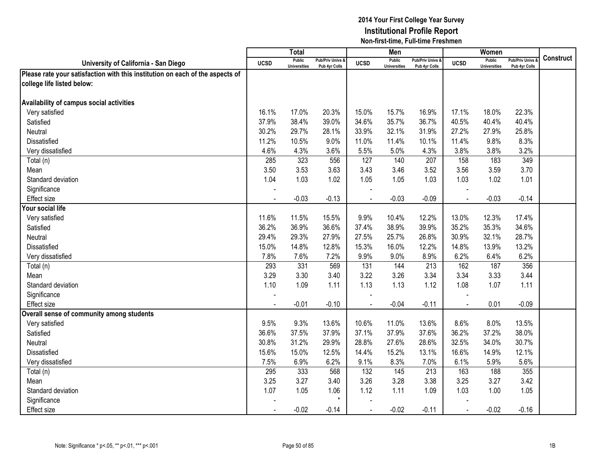|                                                                               |                | <b>Total</b>                         |                                   |                | Men                                  |                                              |                | Women                                |                                        |                  |
|-------------------------------------------------------------------------------|----------------|--------------------------------------|-----------------------------------|----------------|--------------------------------------|----------------------------------------------|----------------|--------------------------------------|----------------------------------------|------------------|
| University of California - San Diego                                          | <b>UCSD</b>    | <b>Public</b><br><b>Universities</b> | Pub/Priv Univs &<br>Pub 4yr Colls | <b>UCSD</b>    | <b>Public</b><br><b>Universities</b> | <b>Pub/Priv Univs &amp;</b><br>Pub 4yr Colls | <b>UCSD</b>    | <b>Public</b><br><b>Universities</b> | <b>Pub/Priv Univs</b><br>Pub 4yr Colls | <b>Construct</b> |
| Please rate your satisfaction with this institution on each of the aspects of |                |                                      |                                   |                |                                      |                                              |                |                                      |                                        |                  |
| college life listed below:                                                    |                |                                      |                                   |                |                                      |                                              |                |                                      |                                        |                  |
|                                                                               |                |                                      |                                   |                |                                      |                                              |                |                                      |                                        |                  |
| Availability of campus social activities                                      |                |                                      |                                   |                |                                      |                                              |                |                                      |                                        |                  |
| Very satisfied                                                                | 16.1%          | 17.0%                                | 20.3%                             | 15.0%          | 15.7%                                | 16.9%                                        | 17.1%          | 18.0%                                | 22.3%                                  |                  |
| Satisfied                                                                     | 37.9%          | 38.4%                                | 39.0%                             | 34.6%          | 35.7%                                | 36.7%                                        | 40.5%          | 40.4%                                | 40.4%                                  |                  |
| Neutral                                                                       | 30.2%          | 29.7%                                | 28.1%                             | 33.9%          | 32.1%                                | 31.9%                                        | 27.2%          | 27.9%                                | 25.8%                                  |                  |
| Dissatisfied                                                                  | 11.2%          | 10.5%                                | 9.0%                              | 11.0%          | 11.4%                                | 10.1%                                        | 11.4%          | 9.8%                                 | 8.3%                                   |                  |
| Very dissatisfied                                                             | 4.6%           | 4.3%                                 | 3.6%                              | 5.5%           | 5.0%                                 | 4.3%                                         | 3.8%           | 3.8%                                 | 3.2%                                   |                  |
| Total (n)                                                                     | 285            | 323                                  | 556                               | 127            | 140                                  | 207                                          | 158            | 183                                  | 349                                    |                  |
| Mean                                                                          | 3.50           | 3.53                                 | 3.63                              | 3.43           | 3.46                                 | 3.52                                         | 3.56           | 3.59                                 | 3.70                                   |                  |
| Standard deviation                                                            | 1.04           | 1.03                                 | 1.02                              | 1.05           | 1.05                                 | 1.03                                         | 1.03           | 1.02                                 | 1.01                                   |                  |
| Significance                                                                  |                |                                      |                                   |                |                                      |                                              |                |                                      |                                        |                  |
| Effect size                                                                   |                | $-0.03$                              | $-0.13$                           |                | $-0.03$                              | $-0.09$                                      |                | $-0.03$                              | $-0.14$                                |                  |
| Your social life                                                              |                |                                      |                                   |                |                                      |                                              |                |                                      |                                        |                  |
| Very satisfied                                                                | 11.6%          | 11.5%                                | 15.5%                             | 9.9%           | 10.4%                                | 12.2%                                        | 13.0%          | 12.3%                                | 17.4%                                  |                  |
| Satisfied                                                                     | 36.2%          | 36.9%                                | 36.6%                             | 37.4%          | 38.9%                                | 39.9%                                        | 35.2%          | 35.3%                                | 34.6%                                  |                  |
| <b>Neutral</b>                                                                | 29.4%          | 29.3%                                | 27.9%                             | 27.5%          | 25.7%                                | 26.8%                                        | 30.9%          | 32.1%                                | 28.7%                                  |                  |
| <b>Dissatisfied</b>                                                           | 15.0%          | 14.8%                                | 12.8%                             | 15.3%          | 16.0%                                | 12.2%                                        | 14.8%          | 13.9%                                | 13.2%                                  |                  |
| Very dissatisfied                                                             | 7.8%           | 7.6%                                 | 7.2%                              | 9.9%           | 9.0%                                 | 8.9%                                         | 6.2%           | 6.4%                                 | 6.2%                                   |                  |
| Total (n)                                                                     | 293            | 331                                  | 569                               | 131            | 144                                  | 213                                          | 162            | 187                                  | 356                                    |                  |
| Mean                                                                          | 3.29           | 3.30                                 | 3.40                              | 3.22           | 3.26                                 | 3.34                                         | 3.34           | 3.33                                 | 3.44                                   |                  |
| Standard deviation                                                            | 1.10           | 1.09                                 | 1.11                              | 1.13           | 1.13                                 | 1.12                                         | 1.08           | 1.07                                 | 1.11                                   |                  |
| Significance                                                                  |                |                                      |                                   |                |                                      |                                              |                |                                      |                                        |                  |
| <b>Effect size</b>                                                            |                | $-0.01$                              | $-0.10$                           |                | $-0.04$                              | $-0.11$                                      |                | 0.01                                 | $-0.09$                                |                  |
| Overall sense of community among students                                     |                |                                      |                                   |                |                                      |                                              |                |                                      |                                        |                  |
| Very satisfied                                                                | 9.5%           | 9.3%                                 | 13.6%                             | 10.6%          | 11.0%                                | 13.6%                                        | 8.6%           | 8.0%                                 | 13.5%                                  |                  |
| Satisfied                                                                     | 36.6%          | 37.5%                                | 37.9%                             | 37.1%          | 37.9%                                | 37.6%                                        | 36.2%          | 37.2%                                | 38.0%                                  |                  |
| Neutral                                                                       | 30.8%          | 31.2%                                | 29.9%                             | 28.8%          | 27.6%                                | 28.6%                                        | 32.5%          | 34.0%                                | 30.7%                                  |                  |
| <b>Dissatisfied</b>                                                           | 15.6%          | 15.0%                                | 12.5%                             | 14.4%          | 15.2%                                | 13.1%                                        | 16.6%          | 14.9%                                | 12.1%                                  |                  |
| Very dissatisfied                                                             | 7.5%           | 6.9%                                 | 6.2%                              | 9.1%           | 8.3%                                 | 7.0%                                         | 6.1%           | 5.9%                                 | 5.6%                                   |                  |
| Total (n)                                                                     | 295            | 333                                  | 568                               | 132            | 145                                  | 213                                          | 163            | 188                                  | 355                                    |                  |
| Mean                                                                          | 3.25           | 3.27                                 | 3.40                              | 3.26           | 3.28                                 | 3.38                                         | 3.25           | 3.27                                 | 3.42                                   |                  |
| Standard deviation                                                            | 1.07           | 1.05                                 | 1.06                              | 1.12           | 1.11                                 | 1.09                                         | 1.03           | 1.00                                 | 1.05                                   |                  |
| Significance                                                                  |                |                                      | $\star$                           |                |                                      |                                              |                |                                      |                                        |                  |
| <b>Effect size</b>                                                            | $\blacksquare$ | $-0.02$                              | $-0.14$                           | $\blacksquare$ | $-0.02$                              | $-0.11$                                      | $\blacksquare$ | $-0.02$                              | $-0.16$                                |                  |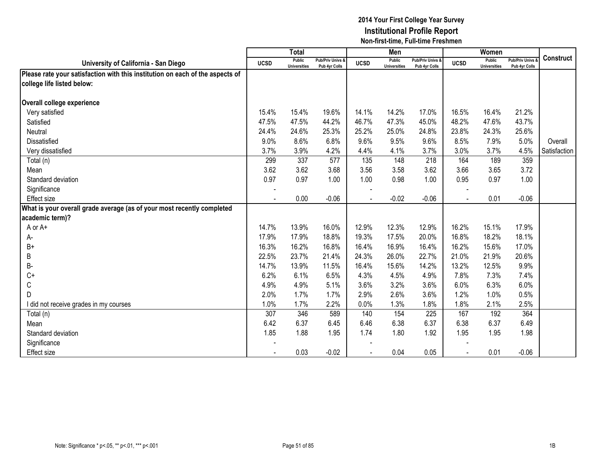|                                                                               |             | Total                         |                                   |             | Men                           |                                   |             | Women                         |                                        |                  |
|-------------------------------------------------------------------------------|-------------|-------------------------------|-----------------------------------|-------------|-------------------------------|-----------------------------------|-------------|-------------------------------|----------------------------------------|------------------|
| University of California - San Diego                                          | <b>UCSD</b> | Public<br><b>Universities</b> | Pub/Priv Univs &<br>Pub 4yr Colls | <b>UCSD</b> | Public<br><b>Universities</b> | Pub/Priv Univs &<br>Pub 4yr Colls | <b>UCSD</b> | Public<br><b>Universities</b> | <b>Pub/Priv Univs</b><br>Pub 4yr Colls | <b>Construct</b> |
| Please rate your satisfaction with this institution on each of the aspects of |             |                               |                                   |             |                               |                                   |             |                               |                                        |                  |
| college life listed below:                                                    |             |                               |                                   |             |                               |                                   |             |                               |                                        |                  |
| Overall college experience                                                    |             |                               |                                   |             |                               |                                   |             |                               |                                        |                  |
| Very satisfied                                                                | 15.4%       | 15.4%                         | 19.6%                             | 14.1%       | 14.2%                         | 17.0%                             | 16.5%       | 16.4%                         | 21.2%                                  |                  |
| Satisfied                                                                     | 47.5%       | 47.5%                         | 44.2%                             | 46.7%       | 47.3%                         | 45.0%                             | 48.2%       | 47.6%                         | 43.7%                                  |                  |
| Neutral                                                                       | 24.4%       | 24.6%                         | 25.3%                             | 25.2%       | 25.0%                         | 24.8%                             | 23.8%       | 24.3%                         | 25.6%                                  |                  |
| <b>Dissatisfied</b>                                                           | 9.0%        | 8.6%                          | 6.8%                              | 9.6%        | 9.5%                          | 9.6%                              | 8.5%        | 7.9%                          | 5.0%                                   | Overall          |
| Very dissatisfied                                                             | 3.7%        | 3.9%                          | 4.2%                              | 4.4%        | 4.1%                          | 3.7%                              | 3.0%        | 3.7%                          | 4.5%                                   | Satisfaction     |
| Total (n)                                                                     | 299         | 337                           | 577                               | 135         | 148                           | 218                               | 164         | 189                           | 359                                    |                  |
| Mean                                                                          | 3.62        | 3.62                          | 3.68                              | 3.56        | 3.58                          | 3.62                              | 3.66        | 3.65                          | 3.72                                   |                  |
| Standard deviation                                                            | 0.97        | 0.97                          | 1.00                              | 1.00        | 0.98                          | 1.00                              | 0.95        | 0.97                          | 1.00                                   |                  |
| Significance                                                                  |             |                               |                                   |             |                               |                                   |             |                               |                                        |                  |
| <b>Effect size</b>                                                            |             | 0.00                          | $-0.06$                           |             | $-0.02$                       | $-0.06$                           |             | 0.01                          | $-0.06$                                |                  |
| What is your overall grade average (as of your most recently completed        |             |                               |                                   |             |                               |                                   |             |                               |                                        |                  |
| academic term)?                                                               |             |                               |                                   |             |                               |                                   |             |                               |                                        |                  |
| A or A+                                                                       | 14.7%       | 13.9%                         | 16.0%                             | 12.9%       | 12.3%                         | 12.9%                             | 16.2%       | 15.1%                         | 17.9%                                  |                  |
| А-                                                                            | 17.9%       | 17.9%                         | 18.8%                             | 19.3%       | 17.5%                         | 20.0%                             | 16.8%       | 18.2%                         | 18.1%                                  |                  |
| $B+$                                                                          | 16.3%       | 16.2%                         | 16.8%                             | 16.4%       | 16.9%                         | 16.4%                             | 16.2%       | 15.6%                         | 17.0%                                  |                  |
| В                                                                             | 22.5%       | 23.7%                         | 21.4%                             | 24.3%       | 26.0%                         | 22.7%                             | 21.0%       | 21.9%                         | 20.6%                                  |                  |
| B-                                                                            | 14.7%       | 13.9%                         | 11.5%                             | 16.4%       | 15.6%                         | 14.2%                             | 13.2%       | 12.5%                         | 9.9%                                   |                  |
| $C+$                                                                          | 6.2%        | 6.1%                          | 6.5%                              | 4.3%        | 4.5%                          | 4.9%                              | 7.8%        | 7.3%                          | 7.4%                                   |                  |
| C                                                                             | 4.9%        | 4.9%                          | 5.1%                              | 3.6%        | 3.2%                          | 3.6%                              | 6.0%        | 6.3%                          | 6.0%                                   |                  |
| D                                                                             | 2.0%        | 1.7%                          | 1.7%                              | 2.9%        | 2.6%                          | 3.6%                              | 1.2%        | 1.0%                          | 0.5%                                   |                  |
| I did not receive grades in my courses                                        | 1.0%        | 1.7%                          | 2.2%                              | 0.0%        | 1.3%                          | 1.8%                              | 1.8%        | 2.1%                          | 2.5%                                   |                  |
| Total (n)                                                                     | 307         | 346                           | 589                               | 140         | 154                           | 225                               | 167         | 192                           | 364                                    |                  |
| Mean                                                                          | 6.42        | 6.37                          | 6.45                              | 6.46        | 6.38                          | 6.37                              | 6.38        | 6.37                          | 6.49                                   |                  |
| Standard deviation                                                            | 1.85        | 1.88                          | 1.95                              | 1.74        | 1.80                          | 1.92                              | 1.95        | 1.95                          | 1.98                                   |                  |
| Significance                                                                  |             |                               |                                   |             |                               |                                   |             |                               |                                        |                  |
| Effect size                                                                   |             | 0.03                          | $-0.02$                           |             | 0.04                          | 0.05                              |             | 0.01                          | $-0.06$                                |                  |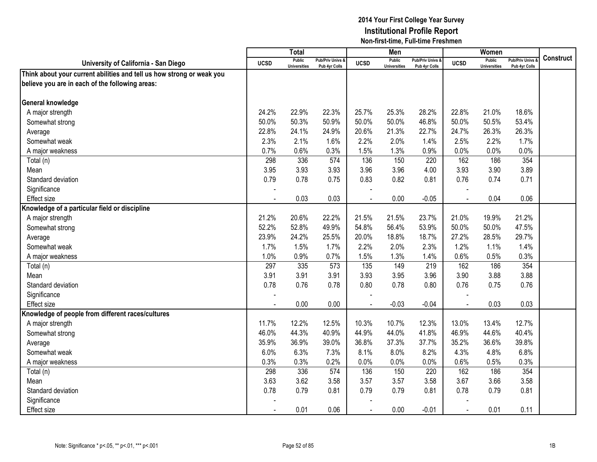|                                                                       |                | <b>Total</b>                         |                                   |                | Men                                  |                                   |                | Women                                |                                        |           |
|-----------------------------------------------------------------------|----------------|--------------------------------------|-----------------------------------|----------------|--------------------------------------|-----------------------------------|----------------|--------------------------------------|----------------------------------------|-----------|
| University of California - San Diego                                  | <b>UCSD</b>    | <b>Public</b><br><b>Universities</b> | Pub/Priv Univs &<br>Pub 4yr Colls | <b>UCSD</b>    | <b>Public</b><br><b>Universities</b> | Pub/Priv Univs &<br>Pub 4yr Colls | <b>UCSD</b>    | <b>Public</b><br><b>Universities</b> | <b>Pub/Priv Univs</b><br>Pub 4yr Colls | Construct |
| Think about your current abilities and tell us how strong or weak you |                |                                      |                                   |                |                                      |                                   |                |                                      |                                        |           |
| believe you are in each of the following areas:                       |                |                                      |                                   |                |                                      |                                   |                |                                      |                                        |           |
|                                                                       |                |                                      |                                   |                |                                      |                                   |                |                                      |                                        |           |
| General knowledge                                                     |                |                                      |                                   |                |                                      |                                   |                |                                      |                                        |           |
| A major strength                                                      | 24.2%          | 22.9%                                | 22.3%                             | 25.7%          | 25.3%                                | 28.2%                             | 22.8%          | 21.0%                                | 18.6%                                  |           |
| Somewhat strong                                                       | 50.0%          | 50.3%                                | 50.9%                             | 50.0%          | 50.0%                                | 46.8%                             | 50.0%          | 50.5%                                | 53.4%                                  |           |
| Average                                                               | 22.8%          | 24.1%                                | 24.9%                             | 20.6%          | 21.3%                                | 22.7%                             | 24.7%          | 26.3%                                | 26.3%                                  |           |
| Somewhat weak                                                         | 2.3%           | 2.1%                                 | 1.6%                              | 2.2%           | 2.0%                                 | 1.4%                              | 2.5%           | 2.2%                                 | 1.7%                                   |           |
| A major weakness                                                      | 0.7%           | 0.6%                                 | 0.3%                              | 1.5%           | 1.3%                                 | 0.9%                              | 0.0%           | 0.0%                                 | 0.0%                                   |           |
| Total (n)                                                             | 298            | 336                                  | 574                               | 136            | 150                                  | 220                               | 162            | 186                                  | 354                                    |           |
| Mean                                                                  | 3.95           | 3.93                                 | 3.93                              | 3.96           | 3.96                                 | 4.00                              | 3.93           | 3.90                                 | 3.89                                   |           |
| Standard deviation                                                    | 0.79           | 0.78                                 | 0.75                              | 0.83           | 0.82                                 | 0.81                              | 0.76           | 0.74                                 | 0.71                                   |           |
| Significance                                                          |                |                                      |                                   |                |                                      |                                   |                |                                      |                                        |           |
| Effect size                                                           |                | 0.03                                 | 0.03                              |                | 0.00                                 | $-0.05$                           |                | 0.04                                 | 0.06                                   |           |
| Knowledge of a particular field or discipline                         |                |                                      |                                   |                |                                      |                                   |                |                                      |                                        |           |
| A major strength                                                      | 21.2%          | 20.6%                                | 22.2%                             | 21.5%          | 21.5%                                | 23.7%                             | 21.0%          | 19.9%                                | 21.2%                                  |           |
| Somewhat strong                                                       | 52.2%          | 52.8%                                | 49.9%                             | 54.8%          | 56.4%                                | 53.9%                             | 50.0%          | 50.0%                                | 47.5%                                  |           |
| Average                                                               | 23.9%          | 24.2%                                | 25.5%                             | 20.0%          | 18.8%                                | 18.7%                             | 27.2%          | 28.5%                                | 29.7%                                  |           |
| Somewhat weak                                                         | 1.7%           | 1.5%                                 | 1.7%                              | 2.2%           | 2.0%                                 | 2.3%                              | 1.2%           | 1.1%                                 | 1.4%                                   |           |
| A major weakness                                                      | 1.0%           | 0.9%                                 | 0.7%                              | 1.5%           | 1.3%                                 | 1.4%                              | 0.6%           | 0.5%                                 | 0.3%                                   |           |
| Total (n)                                                             | 297            | 335                                  | 573                               | 135            | 149                                  | 219                               | 162            | 186                                  | 354                                    |           |
| Mean                                                                  | 3.91           | 3.91                                 | 3.91                              | 3.93           | 3.95                                 | 3.96                              | 3.90           | 3.88                                 | 3.88                                   |           |
| Standard deviation                                                    | 0.78           | 0.76                                 | 0.78                              | 0.80           | 0.78                                 | 0.80                              | 0.76           | 0.75                                 | 0.76                                   |           |
| Significance                                                          |                |                                      |                                   |                |                                      |                                   |                |                                      |                                        |           |
| <b>Effect size</b>                                                    |                | 0.00                                 | 0.00                              |                | $-0.03$                              | $-0.04$                           | $\overline{a}$ | 0.03                                 | 0.03                                   |           |
| Knowledge of people from different races/cultures                     |                |                                      |                                   |                |                                      |                                   |                |                                      |                                        |           |
| A major strength                                                      | 11.7%          | 12.2%                                | 12.5%                             | 10.3%          | 10.7%                                | 12.3%                             | 13.0%          | 13.4%                                | 12.7%                                  |           |
| Somewhat strong                                                       | 46.0%          | 44.3%                                | 40.9%                             | 44.9%          | 44.0%                                | 41.8%                             | 46.9%          | 44.6%                                | 40.4%                                  |           |
| Average                                                               | 35.9%          | 36.9%                                | 39.0%                             | 36.8%          | 37.3%                                | 37.7%                             | 35.2%          | 36.6%                                | 39.8%                                  |           |
| Somewhat weak                                                         | 6.0%           | 6.3%                                 | 7.3%                              | 8.1%           | 8.0%                                 | 8.2%                              | 4.3%           | 4.8%                                 | 6.8%                                   |           |
| A major weakness                                                      | 0.3%           | 0.3%                                 | 0.2%                              | 0.0%           | 0.0%                                 | 0.0%                              | 0.6%           | 0.5%                                 | 0.3%                                   |           |
| Total (n)                                                             | 298            | 336                                  | 574                               | 136            | 150                                  | 220                               | 162            | 186                                  | 354                                    |           |
| Mean                                                                  | 3.63           | 3.62                                 | 3.58                              | 3.57           | 3.57                                 | 3.58                              | 3.67           | 3.66                                 | 3.58                                   |           |
| Standard deviation                                                    | 0.78           | 0.79                                 | 0.81                              | 0.79           | 0.79                                 | 0.81                              | 0.78           | 0.79                                 | 0.81                                   |           |
| Significance                                                          |                |                                      |                                   |                |                                      |                                   |                |                                      |                                        |           |
| <b>Effect size</b>                                                    | $\blacksquare$ | 0.01                                 | 0.06                              | $\blacksquare$ | 0.00                                 | $-0.01$                           | $\blacksquare$ | 0.01                                 | 0.11                                   |           |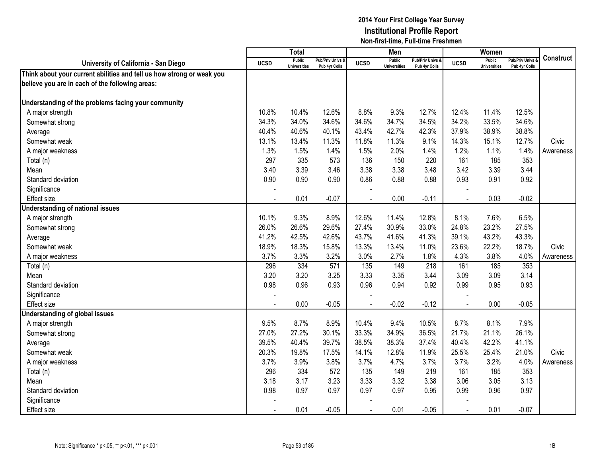|                                                                       |                | Total                                |                                   |                | Men                           |                                   |                | Women                                |                                        |                  |
|-----------------------------------------------------------------------|----------------|--------------------------------------|-----------------------------------|----------------|-------------------------------|-----------------------------------|----------------|--------------------------------------|----------------------------------------|------------------|
| University of California - San Diego                                  | <b>UCSD</b>    | <b>Public</b><br><b>Universities</b> | Pub/Priv Univs &<br>Pub 4yr Colls | <b>UCSD</b>    | Public<br><b>Universities</b> | Pub/Priv Univs &<br>Pub 4yr Colls | <b>UCSD</b>    | <b>Public</b><br><b>Universities</b> | <b>Pub/Priv Univs</b><br>Pub 4yr Colls | <b>Construct</b> |
| Think about your current abilities and tell us how strong or weak you |                |                                      |                                   |                |                               |                                   |                |                                      |                                        |                  |
| believe you are in each of the following areas:                       |                |                                      |                                   |                |                               |                                   |                |                                      |                                        |                  |
|                                                                       |                |                                      |                                   |                |                               |                                   |                |                                      |                                        |                  |
| Understanding of the problems facing your community                   |                |                                      |                                   |                |                               |                                   |                |                                      |                                        |                  |
| A major strength                                                      | 10.8%          | 10.4%                                | 12.6%                             | 8.8%           | 9.3%                          | 12.7%                             | 12.4%          | 11.4%                                | 12.5%                                  |                  |
| Somewhat strong                                                       | 34.3%          | 34.0%                                | 34.6%                             | 34.6%          | 34.7%                         | 34.5%                             | 34.2%          | 33.5%                                | 34.6%                                  |                  |
| Average                                                               | 40.4%          | 40.6%                                | 40.1%                             | 43.4%          | 42.7%                         | 42.3%                             | 37.9%          | 38.9%                                | 38.8%                                  |                  |
| Somewhat weak                                                         | 13.1%          | 13.4%                                | 11.3%                             | 11.8%          | 11.3%                         | 9.1%                              | 14.3%          | 15.1%                                | 12.7%                                  | Civic            |
| A major weakness                                                      | 1.3%           | 1.5%                                 | 1.4%                              | 1.5%           | 2.0%                          | 1.4%                              | 1.2%           | 1.1%                                 | 1.4%                                   | Awareness        |
| Total (n)                                                             | 297            | 335                                  | $\overline{573}$                  | 136            | 150                           | 220                               | 161            | 185                                  | 353                                    |                  |
| Mean                                                                  | 3.40           | 3.39                                 | 3.46                              | 3.38           | 3.38                          | 3.48                              | 3.42           | 3.39                                 | 3.44                                   |                  |
| Standard deviation                                                    | 0.90           | 0.90                                 | 0.90                              | 0.86           | 0.88                          | 0.88                              | 0.93           | 0.91                                 | 0.92                                   |                  |
| Significance                                                          |                |                                      |                                   |                |                               |                                   |                |                                      |                                        |                  |
| <b>Effect size</b>                                                    |                | 0.01                                 | $-0.07$                           |                | 0.00                          | $-0.11$                           | $\overline{a}$ | 0.03                                 | $-0.02$                                |                  |
| Understanding of national issues                                      |                |                                      |                                   |                |                               |                                   |                |                                      |                                        |                  |
| A major strength                                                      | 10.1%          | 9.3%                                 | 8.9%                              | 12.6%          | 11.4%                         | 12.8%                             | 8.1%           | 7.6%                                 | 6.5%                                   |                  |
| Somewhat strong                                                       | 26.0%          | 26.6%                                | 29.6%                             | 27.4%          | 30.9%                         | 33.0%                             | 24.8%          | 23.2%                                | 27.5%                                  |                  |
| Average                                                               | 41.2%          | 42.5%                                | 42.6%                             | 43.7%          | 41.6%                         | 41.3%                             | 39.1%          | 43.2%                                | 43.3%                                  |                  |
| Somewhat weak                                                         | 18.9%          | 18.3%                                | 15.8%                             | 13.3%          | 13.4%                         | 11.0%                             | 23.6%          | 22.2%                                | 18.7%                                  | Civic            |
| A major weakness                                                      | 3.7%           | 3.3%                                 | 3.2%                              | 3.0%           | 2.7%                          | 1.8%                              | 4.3%           | 3.8%                                 | 4.0%                                   | Awareness        |
| Total (n)                                                             | 296            | 334                                  | 571                               | 135            | 149                           | 218                               | 161            | 185                                  | 353                                    |                  |
| Mean                                                                  | 3.20           | 3.20                                 | 3.25                              | 3.33           | 3.35                          | 3.44                              | 3.09           | 3.09                                 | 3.14                                   |                  |
| Standard deviation                                                    | 0.98           | 0.96                                 | 0.93                              | 0.96           | 0.94                          | 0.92                              | 0.99           | 0.95                                 | 0.93                                   |                  |
| Significance                                                          |                |                                      |                                   |                |                               |                                   |                |                                      |                                        |                  |
| <b>Effect size</b>                                                    |                | 0.00                                 | $-0.05$                           | $\overline{a}$ | $-0.02$                       | $-0.12$                           | $\blacksquare$ | 0.00                                 | $-0.05$                                |                  |
| Understanding of global issues                                        |                |                                      |                                   |                |                               |                                   |                |                                      |                                        |                  |
| A major strength                                                      | 9.5%           | 8.7%                                 | 8.9%                              | 10.4%          | 9.4%                          | 10.5%                             | 8.7%           | 8.1%                                 | 7.9%                                   |                  |
| Somewhat strong                                                       | 27.0%          | 27.2%                                | 30.1%                             | 33.3%          | 34.9%                         | 36.5%                             | 21.7%          | 21.1%                                | 26.1%                                  |                  |
| Average                                                               | 39.5%          | 40.4%                                | 39.7%                             | 38.5%          | 38.3%                         | 37.4%                             | 40.4%          | 42.2%                                | 41.1%                                  |                  |
| Somewhat weak                                                         | 20.3%          | 19.8%                                | 17.5%                             | 14.1%          | 12.8%                         | 11.9%                             | 25.5%          | 25.4%                                | 21.0%                                  | Civic            |
| A major weakness                                                      | 3.7%           | 3.9%                                 | 3.8%                              | 3.7%           | 4.7%                          | 3.7%                              | 3.7%           | 3.2%                                 | 4.0%                                   | Awareness        |
| Total (n)                                                             | 296            | 334                                  | 572                               | 135            | 149                           | 219                               | 161            | 185                                  | 353                                    |                  |
| Mean                                                                  | 3.18           | 3.17                                 | 3.23                              | 3.33           | 3.32                          | 3.38                              | 3.06           | 3.05                                 | 3.13                                   |                  |
| Standard deviation                                                    | 0.98           | 0.97                                 | 0.97                              | 0.97           | 0.97                          | 0.95                              | 0.99           | 0.96                                 | 0.97                                   |                  |
| Significance                                                          |                |                                      |                                   |                |                               |                                   |                |                                      |                                        |                  |
| <b>Effect size</b>                                                    | $\blacksquare$ | 0.01                                 | $-0.05$                           | $\blacksquare$ | 0.01                          | $-0.05$                           | $\mathbf{r}$   | 0.01                                 | $-0.07$                                |                  |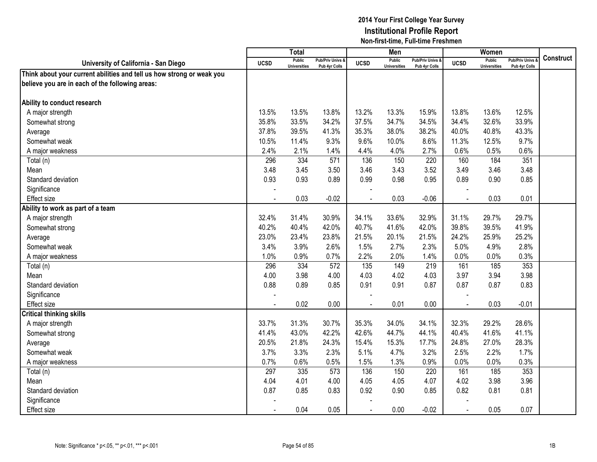|                                                                       |                | <b>Total</b>                         |                                   |             | Men                                  |                                   |                | Women                                |                                        |           |
|-----------------------------------------------------------------------|----------------|--------------------------------------|-----------------------------------|-------------|--------------------------------------|-----------------------------------|----------------|--------------------------------------|----------------------------------------|-----------|
| University of California - San Diego                                  | <b>UCSD</b>    | <b>Public</b><br><b>Universities</b> | Pub/Priv Univs &<br>Pub 4yr Colls | <b>UCSD</b> | <b>Public</b><br><b>Universities</b> | Pub/Priv Univs &<br>Pub 4yr Colls | <b>UCSD</b>    | <b>Public</b><br><b>Universities</b> | <b>Pub/Priv Univs</b><br>Pub 4yr Colls | Construct |
| Think about your current abilities and tell us how strong or weak you |                |                                      |                                   |             |                                      |                                   |                |                                      |                                        |           |
| believe you are in each of the following areas:                       |                |                                      |                                   |             |                                      |                                   |                |                                      |                                        |           |
|                                                                       |                |                                      |                                   |             |                                      |                                   |                |                                      |                                        |           |
| Ability to conduct research                                           |                |                                      |                                   |             |                                      |                                   |                |                                      |                                        |           |
| A major strength                                                      | 13.5%          | 13.5%                                | 13.8%                             | 13.2%       | 13.3%                                | 15.9%                             | 13.8%          | 13.6%                                | 12.5%                                  |           |
| Somewhat strong                                                       | 35.8%          | 33.5%                                | 34.2%                             | 37.5%       | 34.7%                                | 34.5%                             | 34.4%          | 32.6%                                | 33.9%                                  |           |
| Average                                                               | 37.8%          | 39.5%                                | 41.3%                             | 35.3%       | 38.0%                                | 38.2%                             | 40.0%          | 40.8%                                | 43.3%                                  |           |
| Somewhat weak                                                         | 10.5%          | 11.4%                                | 9.3%                              | 9.6%        | 10.0%                                | 8.6%                              | 11.3%          | 12.5%                                | 9.7%                                   |           |
| A major weakness                                                      | 2.4%           | 2.1%                                 | 1.4%                              | 4.4%        | 4.0%                                 | 2.7%                              | 0.6%           | 0.5%                                 | 0.6%                                   |           |
| Total (n)                                                             | 296            | 334                                  | 571                               | 136         | 150                                  | 220                               | 160            | 184                                  | 351                                    |           |
| Mean                                                                  | 3.48           | 3.45                                 | 3.50                              | 3.46        | 3.43                                 | 3.52                              | 3.49           | 3.46                                 | 3.48                                   |           |
| Standard deviation                                                    | 0.93           | 0.93                                 | 0.89                              | 0.99        | 0.98                                 | 0.95                              | 0.89           | 0.90                                 | 0.85                                   |           |
| Significance                                                          |                |                                      |                                   |             |                                      |                                   |                |                                      |                                        |           |
| Effect size                                                           |                | 0.03                                 | $-0.02$                           |             | 0.03                                 | $-0.06$                           |                | 0.03                                 | 0.01                                   |           |
| Ability to work as part of a team                                     |                |                                      |                                   |             |                                      |                                   |                |                                      |                                        |           |
| A major strength                                                      | 32.4%          | 31.4%                                | 30.9%                             | 34.1%       | 33.6%                                | 32.9%                             | 31.1%          | 29.7%                                | 29.7%                                  |           |
| Somewhat strong                                                       | 40.2%          | 40.4%                                | 42.0%                             | 40.7%       | 41.6%                                | 42.0%                             | 39.8%          | 39.5%                                | 41.9%                                  |           |
| Average                                                               | 23.0%          | 23.4%                                | 23.8%                             | 21.5%       | 20.1%                                | 21.5%                             | 24.2%          | 25.9%                                | 25.2%                                  |           |
| Somewhat weak                                                         | 3.4%           | 3.9%                                 | 2.6%                              | 1.5%        | 2.7%                                 | 2.3%                              | 5.0%           | 4.9%                                 | 2.8%                                   |           |
| A major weakness                                                      | 1.0%           | 0.9%                                 | 0.7%                              | 2.2%        | 2.0%                                 | 1.4%                              | 0.0%           | 0.0%                                 | 0.3%                                   |           |
| Total (n)                                                             | 296            | 334                                  | $\overline{572}$                  | 135         | 149                                  | 219                               | 161            | 185                                  | 353                                    |           |
| Mean                                                                  | 4.00           | 3.98                                 | 4.00                              | 4.03        | 4.02                                 | 4.03                              | 3.97           | 3.94                                 | 3.98                                   |           |
| Standard deviation                                                    | 0.88           | 0.89                                 | 0.85                              | 0.91        | 0.91                                 | 0.87                              | 0.87           | 0.87                                 | 0.83                                   |           |
| Significance                                                          |                |                                      |                                   |             |                                      |                                   |                |                                      |                                        |           |
| <b>Effect size</b>                                                    |                | 0.02                                 | 0.00                              |             | 0.01                                 | 0.00                              | $\blacksquare$ | 0.03                                 | $-0.01$                                |           |
| <b>Critical thinking skills</b>                                       |                |                                      |                                   |             |                                      |                                   |                |                                      |                                        |           |
| A major strength                                                      | 33.7%          | 31.3%                                | 30.7%                             | 35.3%       | 34.0%                                | 34.1%                             | 32.3%          | 29.2%                                | 28.6%                                  |           |
| Somewhat strong                                                       | 41.4%          | 43.0%                                | 42.2%                             | 42.6%       | 44.7%                                | 44.1%                             | 40.4%          | 41.6%                                | 41.1%                                  |           |
| Average                                                               | 20.5%          | 21.8%                                | 24.3%                             | 15.4%       | 15.3%                                | 17.7%                             | 24.8%          | 27.0%                                | 28.3%                                  |           |
| Somewhat weak                                                         | 3.7%           | 3.3%                                 | 2.3%                              | 5.1%        | 4.7%                                 | 3.2%                              | 2.5%           | 2.2%                                 | 1.7%                                   |           |
| A major weakness                                                      | 0.7%           | 0.6%                                 | 0.5%                              | 1.5%        | 1.3%                                 | 0.9%                              | 0.0%           | 0.0%                                 | 0.3%                                   |           |
| Total (n)                                                             | 297            | 335                                  | 573                               | 136         | 150                                  | 220                               | 161            | 185                                  | 353                                    |           |
| Mean                                                                  | 4.04           | 4.01                                 | 4.00                              | 4.05        | 4.05                                 | 4.07                              | 4.02           | 3.98                                 | 3.96                                   |           |
| Standard deviation                                                    | 0.87           | 0.85                                 | 0.83                              | 0.92        | 0.90                                 | 0.85                              | 0.82           | 0.81                                 | 0.81                                   |           |
| Significance                                                          |                |                                      |                                   |             |                                      |                                   |                |                                      |                                        |           |
| <b>Effect size</b>                                                    | $\blacksquare$ | 0.04                                 | 0.05                              | $\sim$      | 0.00                                 | $-0.02$                           | $\blacksquare$ | 0.05                                 | 0.07                                   |           |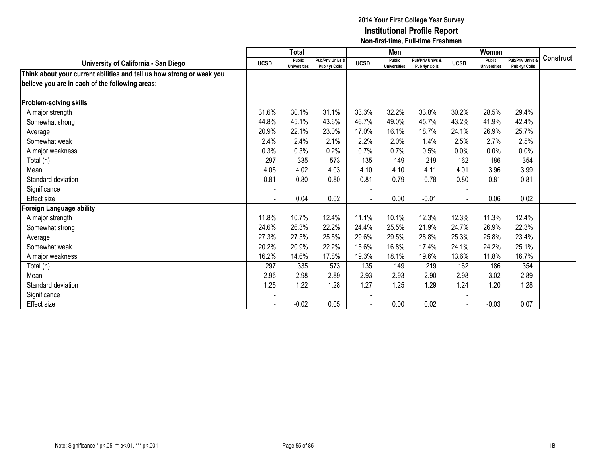|                                                                       |                          | <b>Total</b>                  |                                   |             | Men                                  |                                   |             | Women                         |                                        |                  |
|-----------------------------------------------------------------------|--------------------------|-------------------------------|-----------------------------------|-------------|--------------------------------------|-----------------------------------|-------------|-------------------------------|----------------------------------------|------------------|
| University of California - San Diego                                  | <b>UCSD</b>              | Public<br><b>Universities</b> | Pub/Priv Univs &<br>Pub 4yr Colls | <b>UCSD</b> | <b>Public</b><br><b>Universities</b> | Pub/Priv Univs &<br>Pub 4yr Colls | <b>UCSD</b> | Public<br><b>Universities</b> | <b>Pub/Priv Univs</b><br>Pub 4yr Colls | <b>Construct</b> |
| Think about your current abilities and tell us how strong or weak you |                          |                               |                                   |             |                                      |                                   |             |                               |                                        |                  |
| believe you are in each of the following areas:                       |                          |                               |                                   |             |                                      |                                   |             |                               |                                        |                  |
|                                                                       |                          |                               |                                   |             |                                      |                                   |             |                               |                                        |                  |
| <b>Problem-solving skills</b>                                         |                          |                               |                                   |             |                                      |                                   |             |                               |                                        |                  |
| A major strength                                                      | 31.6%                    | 30.1%                         | 31.1%                             | 33.3%       | 32.2%                                | 33.8%                             | 30.2%       | 28.5%                         | 29.4%                                  |                  |
| Somewhat strong                                                       | 44.8%                    | 45.1%                         | 43.6%                             | 46.7%       | 49.0%                                | 45.7%                             | 43.2%       | 41.9%                         | 42.4%                                  |                  |
| Average                                                               | 20.9%                    | 22.1%                         | 23.0%                             | 17.0%       | 16.1%                                | 18.7%                             | 24.1%       | 26.9%                         | 25.7%                                  |                  |
| Somewhat weak                                                         | 2.4%                     | 2.4%                          | 2.1%                              | 2.2%        | 2.0%                                 | 1.4%                              | 2.5%        | 2.7%                          | 2.5%                                   |                  |
| A major weakness                                                      | 0.3%                     | 0.3%                          | 0.2%                              | 0.7%        | 0.7%                                 | 0.5%                              | 0.0%        | 0.0%                          | 0.0%                                   |                  |
| Total (n)                                                             | 297                      | 335                           | 573                               | 135         | 149                                  | 219                               | 162         | 186                           | 354                                    |                  |
| Mean                                                                  | 4.05                     | 4.02                          | 4.03                              | 4.10        | 4.10                                 | 4.11                              | 4.01        | 3.96                          | 3.99                                   |                  |
| Standard deviation                                                    | 0.81                     | 0.80                          | 0.80                              | 0.81        | 0.79                                 | 0.78                              | 0.80        | 0.81                          | 0.81                                   |                  |
| Significance                                                          | $\overline{\phantom{0}}$ |                               |                                   |             |                                      |                                   |             |                               |                                        |                  |
| Effect size                                                           |                          | 0.04                          | 0.02                              |             | 0.00                                 | $-0.01$                           |             | 0.06                          | 0.02                                   |                  |
| <b>Foreign Language ability</b>                                       |                          |                               |                                   |             |                                      |                                   |             |                               |                                        |                  |
| A major strength                                                      | 11.8%                    | 10.7%                         | 12.4%                             | 11.1%       | 10.1%                                | 12.3%                             | 12.3%       | 11.3%                         | 12.4%                                  |                  |
| Somewhat strong                                                       | 24.6%                    | 26.3%                         | 22.2%                             | 24.4%       | 25.5%                                | 21.9%                             | 24.7%       | 26.9%                         | 22.3%                                  |                  |
| Average                                                               | 27.3%                    | 27.5%                         | 25.5%                             | 29.6%       | 29.5%                                | 28.8%                             | 25.3%       | 25.8%                         | 23.4%                                  |                  |
| Somewhat weak                                                         | 20.2%                    | 20.9%                         | 22.2%                             | 15.6%       | 16.8%                                | 17.4%                             | 24.1%       | 24.2%                         | 25.1%                                  |                  |
| A major weakness                                                      | 16.2%                    | 14.6%                         | 17.8%                             | 19.3%       | 18.1%                                | 19.6%                             | 13.6%       | 11.8%                         | 16.7%                                  |                  |
| Total (n)                                                             | 297                      | 335                           | 573                               | 135         | 149                                  | 219                               | 162         | 186                           | 354                                    |                  |
| Mean                                                                  | 2.96                     | 2.98                          | 2.89                              | 2.93        | 2.93                                 | 2.90                              | 2.98        | 3.02                          | 2.89                                   |                  |
| Standard deviation                                                    | 1.25                     | 1.22                          | 1.28                              | 1.27        | 1.25                                 | 1.29                              | 1.24        | 1.20                          | 1.28                                   |                  |
| Significance                                                          |                          |                               |                                   |             |                                      |                                   |             |                               |                                        |                  |
| Effect size                                                           |                          | $-0.02$                       | 0.05                              |             | 0.00                                 | 0.02                              |             | $-0.03$                       | 0.07                                   |                  |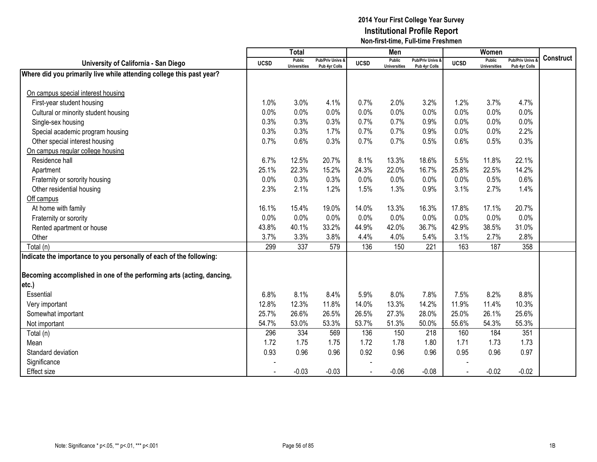|                                                                       |             | <b>Total</b>                         |                                   |             | Men                                  |                                   |             | Women                                |                                        |                  |
|-----------------------------------------------------------------------|-------------|--------------------------------------|-----------------------------------|-------------|--------------------------------------|-----------------------------------|-------------|--------------------------------------|----------------------------------------|------------------|
| University of California - San Diego                                  | <b>UCSD</b> | <b>Public</b><br><b>Universities</b> | Pub/Priv Univs &<br>Pub 4yr Colls | <b>UCSD</b> | <b>Public</b><br><b>Universities</b> | Pub/Priv Univs &<br>Pub 4yr Colls | <b>UCSD</b> | <b>Public</b><br><b>Universities</b> | <b>Pub/Priv Univs</b><br>Pub 4yr Colls | <b>Construct</b> |
| Where did you primarily live while attending college this past year?  |             |                                      |                                   |             |                                      |                                   |             |                                      |                                        |                  |
|                                                                       |             |                                      |                                   |             |                                      |                                   |             |                                      |                                        |                  |
| On campus special interest housing                                    |             |                                      |                                   |             |                                      |                                   |             |                                      |                                        |                  |
| First-year student housing                                            | 1.0%        | 3.0%                                 | 4.1%                              | 0.7%        | 2.0%                                 | 3.2%                              | 1.2%        | 3.7%                                 | 4.7%                                   |                  |
| Cultural or minority student housing                                  | 0.0%        | 0.0%                                 | 0.0%                              | 0.0%        | 0.0%                                 | 0.0%                              | 0.0%        | 0.0%                                 | 0.0%                                   |                  |
| Single-sex housing                                                    | 0.3%        | 0.3%                                 | 0.3%                              | 0.7%        | 0.7%                                 | 0.9%                              | 0.0%        | 0.0%                                 | 0.0%                                   |                  |
| Special academic program housing                                      | 0.3%        | 0.3%                                 | 1.7%                              | 0.7%        | 0.7%                                 | 0.9%                              | 0.0%        | 0.0%                                 | 2.2%                                   |                  |
| Other special interest housing                                        | 0.7%        | 0.6%                                 | 0.3%                              | 0.7%        | 0.7%                                 | 0.5%                              | 0.6%        | 0.5%                                 | 0.3%                                   |                  |
| On campus regular college housing                                     |             |                                      |                                   |             |                                      |                                   |             |                                      |                                        |                  |
| Residence hall                                                        | 6.7%        | 12.5%                                | 20.7%                             | 8.1%        | 13.3%                                | 18.6%                             | 5.5%        | 11.8%                                | 22.1%                                  |                  |
| Apartment                                                             | 25.1%       | 22.3%                                | 15.2%                             | 24.3%       | 22.0%                                | 16.7%                             | 25.8%       | 22.5%                                | 14.2%                                  |                  |
| Fraternity or sorority housing                                        | 0.0%        | 0.3%                                 | 0.3%                              | 0.0%        | 0.0%                                 | 0.0%                              | 0.0%        | 0.5%                                 | 0.6%                                   |                  |
| Other residential housing                                             | 2.3%        | 2.1%                                 | 1.2%                              | 1.5%        | 1.3%                                 | 0.9%                              | 3.1%        | 2.7%                                 | 1.4%                                   |                  |
| Off campus                                                            |             |                                      |                                   |             |                                      |                                   |             |                                      |                                        |                  |
| At home with family                                                   | 16.1%       | 15.4%                                | 19.0%                             | 14.0%       | 13.3%                                | 16.3%                             | 17.8%       | 17.1%                                | 20.7%                                  |                  |
| Fraternity or sorority                                                | 0.0%        | 0.0%                                 | 0.0%                              | 0.0%        | 0.0%                                 | 0.0%                              | 0.0%        | 0.0%                                 | 0.0%                                   |                  |
| Rented apartment or house                                             | 43.8%       | 40.1%                                | 33.2%                             | 44.9%       | 42.0%                                | 36.7%                             | 42.9%       | 38.5%                                | 31.0%                                  |                  |
| Other                                                                 | 3.7%        | 3.3%                                 | 3.8%                              | 4.4%        | 4.0%                                 | 5.4%                              | 3.1%        | 2.7%                                 | 2.8%                                   |                  |
| Total (n)                                                             | 299         | 337                                  | 579                               | 136         | 150                                  | 221                               | 163         | 187                                  | 358                                    |                  |
| Indicate the importance to you personally of each of the following:   |             |                                      |                                   |             |                                      |                                   |             |                                      |                                        |                  |
|                                                                       |             |                                      |                                   |             |                                      |                                   |             |                                      |                                        |                  |
| Becoming accomplished in one of the performing arts (acting, dancing, |             |                                      |                                   |             |                                      |                                   |             |                                      |                                        |                  |
| etc.)                                                                 |             |                                      |                                   |             |                                      |                                   |             |                                      |                                        |                  |
| Essential                                                             | 6.8%        | 8.1%                                 | 8.4%                              | 5.9%        | 8.0%                                 | 7.8%                              | 7.5%        | 8.2%                                 | 8.8%                                   |                  |
| Very important                                                        | 12.8%       | 12.3%                                | 11.8%                             | 14.0%       | 13.3%                                | 14.2%                             | 11.9%       | 11.4%                                | 10.3%                                  |                  |
| Somewhat important                                                    | 25.7%       | 26.6%                                | 26.5%                             | 26.5%       | 27.3%                                | 28.0%                             | 25.0%       | 26.1%                                | 25.6%                                  |                  |
| Not important                                                         | 54.7%       | 53.0%                                | 53.3%                             | 53.7%       | 51.3%                                | 50.0%                             | 55.6%       | 54.3%                                | 55.3%                                  |                  |
| Total (n)                                                             | 296         | 334                                  | 569                               | 136         | 150                                  | 218                               | 160         | 184                                  | 351                                    |                  |
| Mean                                                                  | 1.72        | 1.75                                 | 1.75                              | 1.72        | 1.78                                 | 1.80                              | 1.71        | 1.73                                 | 1.73                                   |                  |
| Standard deviation                                                    | 0.93        | 0.96                                 | 0.96                              | 0.92        | 0.96                                 | 0.96                              | 0.95        | 0.96                                 | 0.97                                   |                  |
| Significance                                                          |             |                                      |                                   |             |                                      |                                   |             |                                      |                                        |                  |
| <b>Effect size</b>                                                    |             | $-0.03$                              | $-0.03$                           |             | $-0.06$                              | $-0.08$                           | $\sim$      | $-0.02$                              | $-0.02$                                |                  |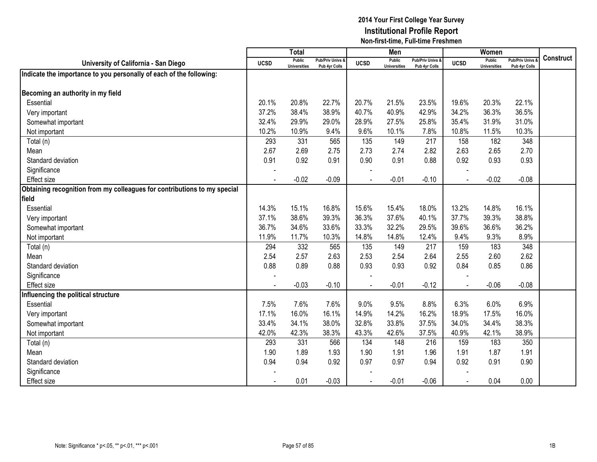|                                                                          |             | <b>Total</b>                         |                                   |             | Men                                  |                                   |             | Women                                |                                        |                  |
|--------------------------------------------------------------------------|-------------|--------------------------------------|-----------------------------------|-------------|--------------------------------------|-----------------------------------|-------------|--------------------------------------|----------------------------------------|------------------|
| University of California - San Diego                                     | <b>UCSD</b> | <b>Public</b><br><b>Universities</b> | Pub/Priv Univs &<br>Pub 4yr Colls | <b>UCSD</b> | <b>Public</b><br><b>Universities</b> | Pub/Priv Univs &<br>Pub 4yr Colls | <b>UCSD</b> | <b>Public</b><br><b>Universities</b> | <b>Pub/Priv Univs</b><br>Pub 4yr Colls | <b>Construct</b> |
| Indicate the importance to you personally of each of the following:      |             |                                      |                                   |             |                                      |                                   |             |                                      |                                        |                  |
|                                                                          |             |                                      |                                   |             |                                      |                                   |             |                                      |                                        |                  |
| Becoming an authority in my field                                        |             |                                      |                                   |             |                                      |                                   |             |                                      |                                        |                  |
| Essential                                                                | 20.1%       | 20.8%                                | 22.7%                             | 20.7%       | 21.5%                                | 23.5%                             | 19.6%       | 20.3%                                | 22.1%                                  |                  |
| Very important                                                           | 37.2%       | 38.4%                                | 38.9%                             | 40.7%       | 40.9%                                | 42.9%                             | 34.2%       | 36.3%                                | 36.5%                                  |                  |
| Somewhat important                                                       | 32.4%       | 29.9%                                | 29.0%                             | 28.9%       | 27.5%                                | 25.8%                             | 35.4%       | 31.9%                                | 31.0%                                  |                  |
| Not important                                                            | 10.2%       | 10.9%                                | 9.4%                              | 9.6%        | 10.1%                                | 7.8%                              | 10.8%       | 11.5%                                | 10.3%                                  |                  |
| Total (n)                                                                | 293         | 331                                  | 565                               | 135         | 149                                  | 217                               | 158         | 182                                  | 348                                    |                  |
| Mean                                                                     | 2.67        | 2.69                                 | 2.75                              | 2.73        | 2.74                                 | 2.82                              | 2.63        | 2.65                                 | 2.70                                   |                  |
| Standard deviation                                                       | 0.91        | 0.92                                 | 0.91                              | 0.90        | 0.91                                 | 0.88                              | 0.92        | 0.93                                 | 0.93                                   |                  |
| Significance                                                             |             |                                      |                                   |             |                                      |                                   |             |                                      |                                        |                  |
| <b>Effect size</b>                                                       |             | $-0.02$                              | $-0.09$                           |             | $-0.01$                              | $-0.10$                           |             | $-0.02$                              | $-0.08$                                |                  |
| Obtaining recognition from my colleagues for contributions to my special |             |                                      |                                   |             |                                      |                                   |             |                                      |                                        |                  |
| field                                                                    |             |                                      |                                   |             |                                      |                                   |             |                                      |                                        |                  |
| Essential                                                                | 14.3%       | 15.1%                                | 16.8%                             | 15.6%       | 15.4%                                | 18.0%                             | 13.2%       | 14.8%                                | 16.1%                                  |                  |
| Very important                                                           | 37.1%       | 38.6%                                | 39.3%                             | 36.3%       | 37.6%                                | 40.1%                             | 37.7%       | 39.3%                                | 38.8%                                  |                  |
| Somewhat important                                                       | 36.7%       | 34.6%                                | 33.6%                             | 33.3%       | 32.2%                                | 29.5%                             | 39.6%       | 36.6%                                | 36.2%                                  |                  |
| Not important                                                            | 11.9%       | 11.7%                                | 10.3%                             | 14.8%       | 14.8%                                | 12.4%                             | 9.4%        | 9.3%                                 | 8.9%                                   |                  |
| Total (n)                                                                | 294         | 332                                  | 565                               | 135         | 149                                  | 217                               | 159         | 183                                  | 348                                    |                  |
| Mean                                                                     | 2.54        | 2.57                                 | 2.63                              | 2.53        | 2.54                                 | 2.64                              | 2.55        | 2.60                                 | 2.62                                   |                  |
| Standard deviation                                                       | 0.88        | 0.89                                 | 0.88                              | 0.93        | 0.93                                 | 0.92                              | 0.84        | 0.85                                 | 0.86                                   |                  |
| Significance                                                             |             |                                      |                                   |             |                                      |                                   |             |                                      |                                        |                  |
| <b>Effect size</b>                                                       |             | $-0.03$                              | $-0.10$                           |             | $-0.01$                              | $-0.12$                           |             | $-0.06$                              | $-0.08$                                |                  |
| Influencing the political structure                                      |             |                                      |                                   |             |                                      |                                   |             |                                      |                                        |                  |
| Essential                                                                | 7.5%        | 7.6%                                 | 7.6%                              | 9.0%        | 9.5%                                 | 8.8%                              | 6.3%        | 6.0%                                 | 6.9%                                   |                  |
| Very important                                                           | 17.1%       | 16.0%                                | 16.1%                             | 14.9%       | 14.2%                                | 16.2%                             | 18.9%       | 17.5%                                | 16.0%                                  |                  |
| Somewhat important                                                       | 33.4%       | 34.1%                                | 38.0%                             | 32.8%       | 33.8%                                | 37.5%                             | 34.0%       | 34.4%                                | 38.3%                                  |                  |
| Not important                                                            | 42.0%       | 42.3%                                | 38.3%                             | 43.3%       | 42.6%                                | 37.5%                             | 40.9%       | 42.1%                                | 38.9%                                  |                  |
| Total (n)                                                                | 293         | 331                                  | 566                               | 134         | 148                                  | 216                               | 159         | 183                                  | 350                                    |                  |
| Mean                                                                     | 1.90        | 1.89                                 | 1.93                              | 1.90        | 1.91                                 | 1.96                              | 1.91        | 1.87                                 | 1.91                                   |                  |
| Standard deviation                                                       | 0.94        | 0.94                                 | 0.92                              | 0.97        | 0.97                                 | 0.94                              | 0.92        | 0.91                                 | 0.90                                   |                  |
| Significance                                                             |             |                                      |                                   |             |                                      |                                   |             |                                      |                                        |                  |
| <b>Effect size</b>                                                       |             | 0.01                                 | $-0.03$                           |             | $-0.01$                              | $-0.06$                           |             | 0.04                                 | 0.00                                   |                  |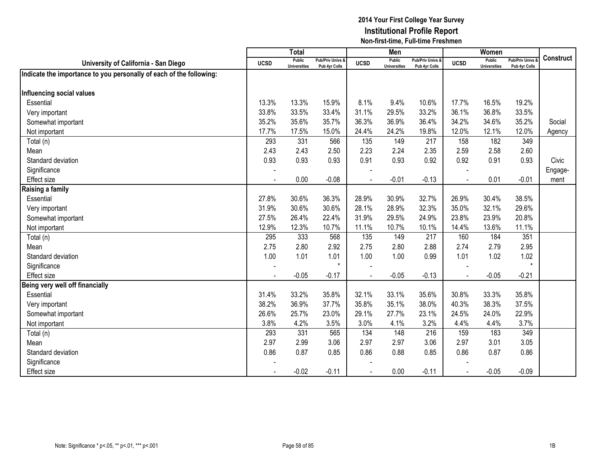|                                                                     |                | <b>Total</b>                         |                                   |                | Men                                  |                                              |              | Women                                |                                        |                  |
|---------------------------------------------------------------------|----------------|--------------------------------------|-----------------------------------|----------------|--------------------------------------|----------------------------------------------|--------------|--------------------------------------|----------------------------------------|------------------|
| University of California - San Diego                                | <b>UCSD</b>    | <b>Public</b><br><b>Universities</b> | Pub/Priv Univs &<br>Pub 4yr Colls | <b>UCSD</b>    | <b>Public</b><br><b>Universities</b> | <b>Pub/Priv Univs &amp;</b><br>Pub 4yr Colls | <b>UCSD</b>  | <b>Public</b><br><b>Universities</b> | <b>Pub/Priv Univs</b><br>Pub 4yr Colls | <b>Construct</b> |
| Indicate the importance to you personally of each of the following: |                |                                      |                                   |                |                                      |                                              |              |                                      |                                        |                  |
|                                                                     |                |                                      |                                   |                |                                      |                                              |              |                                      |                                        |                  |
| Influencing social values                                           |                |                                      |                                   |                |                                      |                                              |              |                                      |                                        |                  |
| Essential                                                           | 13.3%          | 13.3%                                | 15.9%                             | 8.1%           | 9.4%                                 | 10.6%                                        | 17.7%        | 16.5%                                | 19.2%                                  |                  |
| Very important                                                      | 33.8%          | 33.5%                                | 33.4%                             | 31.1%          | 29.5%                                | 33.2%                                        | 36.1%        | 36.8%                                | 33.5%                                  |                  |
| Somewhat important                                                  | 35.2%          | 35.6%                                | 35.7%                             | 36.3%          | 36.9%                                | 36.4%                                        | 34.2%        | 34.6%                                | 35.2%                                  | Social           |
| Not important                                                       | 17.7%          | 17.5%                                | 15.0%                             | 24.4%          | 24.2%                                | 19.8%                                        | 12.0%        | 12.1%                                | 12.0%                                  | Agency           |
| Total (n)                                                           | 293            | 331                                  | 566                               | 135            | 149                                  | 217                                          | 158          | 182                                  | 349                                    |                  |
| Mean                                                                | 2.43           | 2.43                                 | 2.50                              | 2.23           | 2.24                                 | 2.35                                         | 2.59         | 2.58                                 | 2.60                                   |                  |
| Standard deviation                                                  | 0.93           | 0.93                                 | 0.93                              | 0.91           | 0.93                                 | 0.92                                         | 0.92         | 0.91                                 | 0.93                                   | Civic            |
| Significance                                                        |                |                                      |                                   |                |                                      |                                              |              |                                      |                                        | Engage-          |
| <b>Effect size</b>                                                  | $\blacksquare$ | 0.00                                 | $-0.08$                           | $\overline{a}$ | $-0.01$                              | $-0.13$                                      | $\mathbf{r}$ | 0.01                                 | $-0.01$                                | ment             |
| Raising a family                                                    |                |                                      |                                   |                |                                      |                                              |              |                                      |                                        |                  |
| Essential                                                           | 27.8%          | 30.6%                                | 36.3%                             | 28.9%          | 30.9%                                | 32.7%                                        | 26.9%        | 30.4%                                | 38.5%                                  |                  |
| Very important                                                      | 31.9%          | 30.6%                                | 30.6%                             | 28.1%          | 28.9%                                | 32.3%                                        | 35.0%        | 32.1%                                | 29.6%                                  |                  |
| Somewhat important                                                  | 27.5%          | 26.4%                                | 22.4%                             | 31.9%          | 29.5%                                | 24.9%                                        | 23.8%        | 23.9%                                | 20.8%                                  |                  |
| Not important                                                       | 12.9%          | 12.3%                                | 10.7%                             | 11.1%          | 10.7%                                | 10.1%                                        | 14.4%        | 13.6%                                | 11.1%                                  |                  |
| Total (n)                                                           | 295            | 333                                  | 568                               | 135            | 149                                  | 217                                          | 160          | 184                                  | 351                                    |                  |
| Mean                                                                | 2.75           | 2.80                                 | 2.92                              | 2.75           | 2.80                                 | 2.88                                         | 2.74         | 2.79                                 | 2.95                                   |                  |
| Standard deviation                                                  | 1.00           | 1.01                                 | 1.01                              | 1.00           | 1.00                                 | 0.99                                         | 1.01         | 1.02                                 | 1.02                                   |                  |
| Significance                                                        |                |                                      | $\star$                           |                |                                      |                                              |              |                                      | $\star$                                |                  |
| <b>Effect size</b>                                                  |                | $-0.05$                              | $-0.17$                           |                | $-0.05$                              | $-0.13$                                      |              | $-0.05$                              | $-0.21$                                |                  |
| Being very well off financially                                     |                |                                      |                                   |                |                                      |                                              |              |                                      |                                        |                  |
| Essential                                                           | 31.4%          | 33.2%                                | 35.8%                             | 32.1%          | 33.1%                                | 35.6%                                        | 30.8%        | 33.3%                                | 35.8%                                  |                  |
| Very important                                                      | 38.2%          | 36.9%                                | 37.7%                             | 35.8%          | 35.1%                                | 38.0%                                        | 40.3%        | 38.3%                                | 37.5%                                  |                  |
| Somewhat important                                                  | 26.6%          | 25.7%                                | 23.0%                             | 29.1%          | 27.7%                                | 23.1%                                        | 24.5%        | 24.0%                                | 22.9%                                  |                  |
| Not important                                                       | 3.8%           | 4.2%                                 | 3.5%                              | 3.0%           | 4.1%                                 | 3.2%                                         | 4.4%         | 4.4%                                 | 3.7%                                   |                  |
| Total (n)                                                           | 293            | 331                                  | 565                               | 134            | 148                                  | 216                                          | 159          | 183                                  | 349                                    |                  |
| Mean                                                                | 2.97           | 2.99                                 | 3.06                              | 2.97           | 2.97                                 | 3.06                                         | 2.97         | 3.01                                 | 3.05                                   |                  |
| Standard deviation                                                  | 0.86           | 0.87                                 | 0.85                              | 0.86           | 0.88                                 | 0.85                                         | 0.86         | 0.87                                 | 0.86                                   |                  |
| Significance                                                        |                |                                      |                                   |                |                                      |                                              |              |                                      |                                        |                  |
| <b>Effect</b> size                                                  |                | $-0.02$                              | $-0.11$                           |                | 0.00                                 | $-0.11$                                      |              | $-0.05$                              | $-0.09$                                |                  |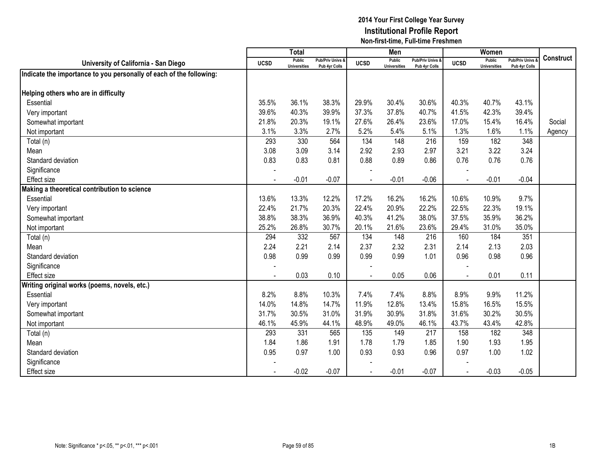|                                                                     |                | Total                                |                                   |                | Men                                  |                                   |             | Women                                |                                        |                  |
|---------------------------------------------------------------------|----------------|--------------------------------------|-----------------------------------|----------------|--------------------------------------|-----------------------------------|-------------|--------------------------------------|----------------------------------------|------------------|
| University of California - San Diego                                | <b>UCSD</b>    | <b>Public</b><br><b>Universities</b> | Pub/Priv Univs &<br>Pub 4yr Colls | <b>UCSD</b>    | <b>Public</b><br><b>Universities</b> | Pub/Priv Univs &<br>Pub 4yr Colls | <b>UCSD</b> | <b>Public</b><br><b>Universities</b> | <b>Pub/Priv Univs</b><br>Pub 4yr Colls | <b>Construct</b> |
| Indicate the importance to you personally of each of the following: |                |                                      |                                   |                |                                      |                                   |             |                                      |                                        |                  |
|                                                                     |                |                                      |                                   |                |                                      |                                   |             |                                      |                                        |                  |
| Helping others who are in difficulty                                |                |                                      |                                   |                |                                      |                                   |             |                                      |                                        |                  |
| Essential                                                           | 35.5%          | 36.1%                                | 38.3%                             | 29.9%          | 30.4%                                | 30.6%                             | 40.3%       | 40.7%                                | 43.1%                                  |                  |
| Very important                                                      | 39.6%          | 40.3%                                | 39.9%                             | 37.3%          | 37.8%                                | 40.7%                             | 41.5%       | 42.3%                                | 39.4%                                  |                  |
| Somewhat important                                                  | 21.8%          | 20.3%                                | 19.1%                             | 27.6%          | 26.4%                                | 23.6%                             | 17.0%       | 15.4%                                | 16.4%                                  | Social           |
| Not important                                                       | 3.1%           | 3.3%                                 | 2.7%                              | 5.2%           | 5.4%                                 | 5.1%                              | 1.3%        | 1.6%                                 | 1.1%                                   | Agency           |
| Total (n)                                                           | 293            | 330                                  | 564                               | 134            | 148                                  | 216                               | 159         | 182                                  | 348                                    |                  |
| Mean                                                                | 3.08           | 3.09                                 | 3.14                              | 2.92           | 2.93                                 | 2.97                              | 3.21        | 3.22                                 | 3.24                                   |                  |
| Standard deviation                                                  | 0.83           | 0.83                                 | 0.81                              | 0.88           | 0.89                                 | 0.86                              | 0.76        | 0.76                                 | 0.76                                   |                  |
| Significance                                                        |                |                                      |                                   |                |                                      |                                   |             |                                      |                                        |                  |
| <b>Effect size</b>                                                  | $\overline{a}$ | $-0.01$                              | $-0.07$                           | $\overline{a}$ | $-0.01$                              | $-0.06$                           | $\sim$      | $-0.01$                              | $-0.04$                                |                  |
| Making a theoretical contribution to science                        |                |                                      |                                   |                |                                      |                                   |             |                                      |                                        |                  |
| Essential                                                           | 13.6%          | 13.3%                                | 12.2%                             | 17.2%          | 16.2%                                | 16.2%                             | 10.6%       | 10.9%                                | 9.7%                                   |                  |
| Very important                                                      | 22.4%          | 21.7%                                | 20.3%                             | 22.4%          | 20.9%                                | 22.2%                             | 22.5%       | 22.3%                                | 19.1%                                  |                  |
| Somewhat important                                                  | 38.8%          | 38.3%                                | 36.9%                             | 40.3%          | 41.2%                                | 38.0%                             | 37.5%       | 35.9%                                | 36.2%                                  |                  |
| Not important                                                       | 25.2%          | 26.8%                                | 30.7%                             | 20.1%          | 21.6%                                | 23.6%                             | 29.4%       | 31.0%                                | 35.0%                                  |                  |
| Total (n)                                                           | 294            | 332                                  | 567                               | 134            | 148                                  | 216                               | 160         | 184                                  | 351                                    |                  |
| Mean                                                                | 2.24           | 2.21                                 | 2.14                              | 2.37           | 2.32                                 | 2.31                              | 2.14        | 2.13                                 | 2.03                                   |                  |
| Standard deviation                                                  | 0.98           | 0.99                                 | 0.99                              | 0.99           | 0.99                                 | 1.01                              | 0.96        | 0.98                                 | 0.96                                   |                  |
| Significance                                                        |                |                                      |                                   |                |                                      |                                   |             |                                      |                                        |                  |
| Effect size                                                         |                | 0.03                                 | 0.10                              |                | 0.05                                 | 0.06                              |             | 0.01                                 | 0.11                                   |                  |
| Writing original works (poems, novels, etc.)                        |                |                                      |                                   |                |                                      |                                   |             |                                      |                                        |                  |
| Essential                                                           | 8.2%           | 8.8%                                 | 10.3%                             | 7.4%           | 7.4%                                 | 8.8%                              | 8.9%        | 9.9%                                 | 11.2%                                  |                  |
| Very important                                                      | 14.0%          | 14.8%                                | 14.7%                             | 11.9%          | 12.8%                                | 13.4%                             | 15.8%       | 16.5%                                | 15.5%                                  |                  |
| Somewhat important                                                  | 31.7%          | 30.5%                                | 31.0%                             | 31.9%          | 30.9%                                | 31.8%                             | 31.6%       | 30.2%                                | 30.5%                                  |                  |
| Not important                                                       | 46.1%          | 45.9%                                | 44.1%                             | 48.9%          | 49.0%                                | 46.1%                             | 43.7%       | 43.4%                                | 42.8%                                  |                  |
| Total (n)                                                           | 293            | 331                                  | 565                               | 135            | 149                                  | 217                               | 158         | 182                                  | 348                                    |                  |
| Mean                                                                | 1.84           | 1.86                                 | 1.91                              | 1.78           | 1.79                                 | 1.85                              | 1.90        | 1.93                                 | 1.95                                   |                  |
| Standard deviation                                                  | 0.95           | 0.97                                 | 1.00                              | 0.93           | 0.93                                 | 0.96                              | 0.97        | 1.00                                 | 1.02                                   |                  |
| Significance                                                        |                |                                      |                                   |                |                                      |                                   |             |                                      |                                        |                  |
| <b>Effect size</b>                                                  |                | $-0.02$                              | $-0.07$                           |                | $-0.01$                              | $-0.07$                           |             | $-0.03$                              | $-0.05$                                |                  |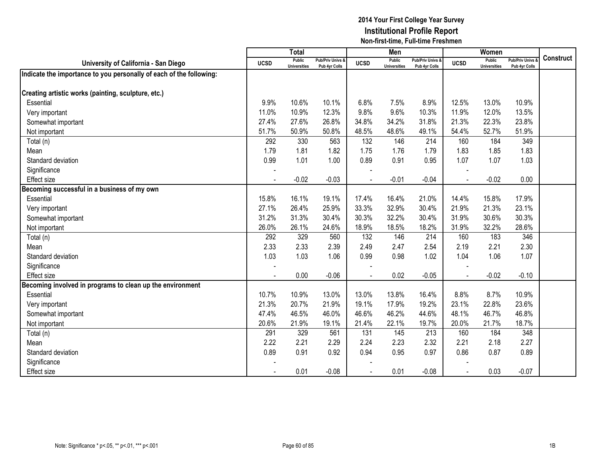|                                                                     |                | <b>Total</b>                         |                                              |                | Men                                  |                                              |             | Women                                |                                        |                  |
|---------------------------------------------------------------------|----------------|--------------------------------------|----------------------------------------------|----------------|--------------------------------------|----------------------------------------------|-------------|--------------------------------------|----------------------------------------|------------------|
| University of California - San Diego                                | <b>UCSD</b>    | <b>Public</b><br><b>Universities</b> | <b>Pub/Priv Univs &amp;</b><br>Pub 4yr Colls | <b>UCSD</b>    | <b>Public</b><br><b>Universities</b> | <b>Pub/Priv Univs &amp;</b><br>Pub 4yr Colls | <b>UCSD</b> | <b>Public</b><br><b>Universities</b> | <b>Pub/Priv Univs</b><br>Pub 4yr Colls | <b>Construct</b> |
| Indicate the importance to you personally of each of the following: |                |                                      |                                              |                |                                      |                                              |             |                                      |                                        |                  |
|                                                                     |                |                                      |                                              |                |                                      |                                              |             |                                      |                                        |                  |
| Creating artistic works (painting, sculpture, etc.)                 |                |                                      |                                              |                |                                      |                                              |             |                                      |                                        |                  |
| Essential                                                           | 9.9%           | 10.6%                                | 10.1%                                        | 6.8%           | 7.5%                                 | 8.9%                                         | 12.5%       | 13.0%                                | 10.9%                                  |                  |
| Very important                                                      | 11.0%          | 10.9%                                | 12.3%                                        | 9.8%           | 9.6%                                 | 10.3%                                        | 11.9%       | 12.0%                                | 13.5%                                  |                  |
| Somewhat important                                                  | 27.4%          | 27.6%                                | 26.8%                                        | 34.8%          | 34.2%                                | 31.8%                                        | 21.3%       | 22.3%                                | 23.8%                                  |                  |
| Not important                                                       | 51.7%          | 50.9%                                | 50.8%                                        | 48.5%          | 48.6%                                | 49.1%                                        | 54.4%       | 52.7%                                | 51.9%                                  |                  |
| Total (n)                                                           | 292            | 330                                  | 563                                          | 132            | 146                                  | 214                                          | 160         | 184                                  | 349                                    |                  |
| Mean                                                                | 1.79           | 1.81                                 | 1.82                                         | 1.75           | 1.76                                 | 1.79                                         | 1.83        | 1.85                                 | 1.83                                   |                  |
| Standard deviation                                                  | 0.99           | 1.01                                 | 1.00                                         | 0.89           | 0.91                                 | 0.95                                         | 1.07        | 1.07                                 | 1.03                                   |                  |
| Significance                                                        |                |                                      |                                              |                |                                      |                                              |             |                                      |                                        |                  |
| <b>Effect size</b>                                                  | $\blacksquare$ | $-0.02$                              | $-0.03$                                      | $\blacksquare$ | $-0.01$                              | $-0.04$                                      |             | $-0.02$                              | 0.00                                   |                  |
| Becoming successful in a business of my own                         |                |                                      |                                              |                |                                      |                                              |             |                                      |                                        |                  |
| Essential                                                           | 15.8%          | 16.1%                                | 19.1%                                        | 17.4%          | 16.4%                                | 21.0%                                        | 14.4%       | 15.8%                                | 17.9%                                  |                  |
| Very important                                                      | 27.1%          | 26.4%                                | 25.9%                                        | 33.3%          | 32.9%                                | 30.4%                                        | 21.9%       | 21.3%                                | 23.1%                                  |                  |
| Somewhat important                                                  | 31.2%          | 31.3%                                | 30.4%                                        | 30.3%          | 32.2%                                | 30.4%                                        | 31.9%       | 30.6%                                | 30.3%                                  |                  |
| Not important                                                       | 26.0%          | 26.1%                                | 24.6%                                        | 18.9%          | 18.5%                                | 18.2%                                        | 31.9%       | 32.2%                                | 28.6%                                  |                  |
| Total (n)                                                           | 292            | 329                                  | 560                                          | 132            | 146                                  | 214                                          | 160         | 183                                  | 346                                    |                  |
| Mean                                                                | 2.33           | 2.33                                 | 2.39                                         | 2.49           | 2.47                                 | 2.54                                         | 2.19        | 2.21                                 | 2.30                                   |                  |
| Standard deviation                                                  | 1.03           | 1.03                                 | 1.06                                         | 0.99           | 0.98                                 | 1.02                                         | 1.04        | 1.06                                 | 1.07                                   |                  |
| Significance                                                        |                |                                      |                                              |                |                                      |                                              |             |                                      |                                        |                  |
| <b>Effect size</b>                                                  |                | 0.00                                 | $-0.06$                                      |                | 0.02                                 | $-0.05$                                      |             | $-0.02$                              | $-0.10$                                |                  |
| Becoming involved in programs to clean up the environment           |                |                                      |                                              |                |                                      |                                              |             |                                      |                                        |                  |
| Essential                                                           | 10.7%          | 10.9%                                | 13.0%                                        | 13.0%          | 13.8%                                | 16.4%                                        | 8.8%        | 8.7%                                 | 10.9%                                  |                  |
| Very important                                                      | 21.3%          | 20.7%                                | 21.9%                                        | 19.1%          | 17.9%                                | 19.2%                                        | 23.1%       | 22.8%                                | 23.6%                                  |                  |
| Somewhat important                                                  | 47.4%          | 46.5%                                | 46.0%                                        | 46.6%          | 46.2%                                | 44.6%                                        | 48.1%       | 46.7%                                | 46.8%                                  |                  |
| Not important                                                       | 20.6%          | 21.9%                                | 19.1%                                        | 21.4%          | 22.1%                                | 19.7%                                        | 20.0%       | 21.7%                                | 18.7%                                  |                  |
| Total (n)                                                           | 291            | 329                                  | 561                                          | 131            | 145                                  | 213                                          | 160         | 184                                  | 348                                    |                  |
| Mean                                                                | 2.22           | 2.21                                 | 2.29                                         | 2.24           | 2.23                                 | 2.32                                         | 2.21        | 2.18                                 | 2.27                                   |                  |
| Standard deviation                                                  | 0.89           | 0.91                                 | 0.92                                         | 0.94           | 0.95                                 | 0.97                                         | 0.86        | 0.87                                 | 0.89                                   |                  |
| Significance                                                        |                |                                      |                                              |                |                                      |                                              |             |                                      |                                        |                  |
| <b>Effect size</b>                                                  |                | 0.01                                 | $-0.08$                                      |                | 0.01                                 | $-0.08$                                      |             | 0.03                                 | $-0.07$                                |                  |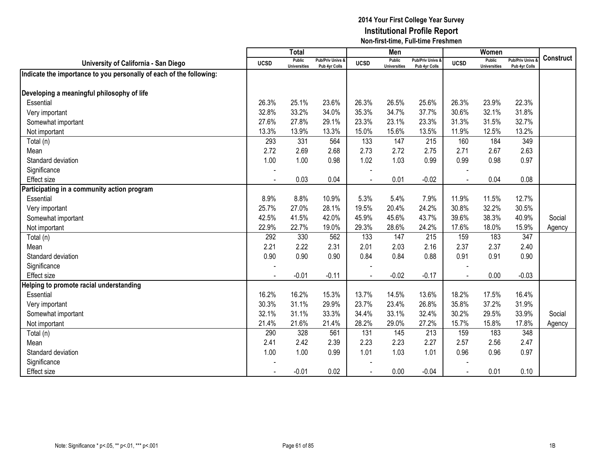|                                                                     |                | <b>Total</b>                         |                                              |                | Men                                  |                                              |             | Women                                |                                        |                  |
|---------------------------------------------------------------------|----------------|--------------------------------------|----------------------------------------------|----------------|--------------------------------------|----------------------------------------------|-------------|--------------------------------------|----------------------------------------|------------------|
| University of California - San Diego                                | <b>UCSD</b>    | <b>Public</b><br><b>Universities</b> | <b>Pub/Priv Univs &amp;</b><br>Pub 4yr Colls | <b>UCSD</b>    | <b>Public</b><br><b>Universities</b> | <b>Pub/Priv Univs &amp;</b><br>Pub 4yr Colls | <b>UCSD</b> | <b>Public</b><br><b>Universities</b> | <b>Pub/Priv Univs</b><br>Pub 4yr Colls | <b>Construct</b> |
| Indicate the importance to you personally of each of the following: |                |                                      |                                              |                |                                      |                                              |             |                                      |                                        |                  |
|                                                                     |                |                                      |                                              |                |                                      |                                              |             |                                      |                                        |                  |
| Developing a meaningful philosophy of life                          |                |                                      |                                              |                |                                      |                                              |             |                                      |                                        |                  |
| Essential                                                           | 26.3%          | 25.1%                                | 23.6%                                        | 26.3%          | 26.5%                                | 25.6%                                        | 26.3%       | 23.9%                                | 22.3%                                  |                  |
| Very important                                                      | 32.8%          | 33.2%                                | 34.0%                                        | 35.3%          | 34.7%                                | 37.7%                                        | 30.6%       | 32.1%                                | 31.8%                                  |                  |
| Somewhat important                                                  | 27.6%          | 27.8%                                | 29.1%                                        | 23.3%          | 23.1%                                | 23.3%                                        | 31.3%       | 31.5%                                | 32.7%                                  |                  |
| Not important                                                       | 13.3%          | 13.9%                                | 13.3%                                        | 15.0%          | 15.6%                                | 13.5%                                        | 11.9%       | 12.5%                                | 13.2%                                  |                  |
| Total (n)                                                           | 293            | 331                                  | 564                                          | 133            | 147                                  | 215                                          | 160         | 184                                  | 349                                    |                  |
| Mean                                                                | 2.72           | 2.69                                 | 2.68                                         | 2.73           | 2.72                                 | 2.75                                         | 2.71        | 2.67                                 | 2.63                                   |                  |
| Standard deviation                                                  | 1.00           | 1.00                                 | 0.98                                         | 1.02           | 1.03                                 | 0.99                                         | 0.99        | 0.98                                 | 0.97                                   |                  |
| Significance                                                        |                |                                      |                                              |                |                                      |                                              |             |                                      |                                        |                  |
| <b>Effect size</b>                                                  | $\blacksquare$ | 0.03                                 | 0.04                                         | $\blacksquare$ | 0.01                                 | $-0.02$                                      | $\sim$      | 0.04                                 | 0.08                                   |                  |
| Participating in a community action program                         |                |                                      |                                              |                |                                      |                                              |             |                                      |                                        |                  |
| Essential                                                           | 8.9%           | 8.8%                                 | 10.9%                                        | 5.3%           | 5.4%                                 | 7.9%                                         | 11.9%       | 11.5%                                | 12.7%                                  |                  |
| Very important                                                      | 25.7%          | 27.0%                                | 28.1%                                        | 19.5%          | 20.4%                                | 24.2%                                        | 30.8%       | 32.2%                                | 30.5%                                  |                  |
| Somewhat important                                                  | 42.5%          | 41.5%                                | 42.0%                                        | 45.9%          | 45.6%                                | 43.7%                                        | 39.6%       | 38.3%                                | 40.9%                                  | Social           |
| Not important                                                       | 22.9%          | 22.7%                                | 19.0%                                        | 29.3%          | 28.6%                                | 24.2%                                        | 17.6%       | 18.0%                                | 15.9%                                  | Agency           |
| Total (n)                                                           | 292            | 330                                  | 562                                          | 133            | 147                                  | 215                                          | 159         | 183                                  | 347                                    |                  |
| Mean                                                                | 2.21           | 2.22                                 | 2.31                                         | 2.01           | 2.03                                 | 2.16                                         | 2.37        | 2.37                                 | 2.40                                   |                  |
| Standard deviation                                                  | 0.90           | 0.90                                 | 0.90                                         | 0.84           | 0.84                                 | 0.88                                         | 0.91        | 0.91                                 | 0.90                                   |                  |
| Significance                                                        |                |                                      |                                              |                |                                      |                                              |             |                                      |                                        |                  |
| Effect size                                                         |                | $-0.01$                              | $-0.11$                                      |                | $-0.02$                              | $-0.17$                                      | $\sim$      | 0.00                                 | $-0.03$                                |                  |
| Helping to promote racial understanding                             |                |                                      |                                              |                |                                      |                                              |             |                                      |                                        |                  |
| Essential                                                           | 16.2%          | 16.2%                                | 15.3%                                        | 13.7%          | 14.5%                                | 13.6%                                        | 18.2%       | 17.5%                                | 16.4%                                  |                  |
| Very important                                                      | 30.3%          | 31.1%                                | 29.9%                                        | 23.7%          | 23.4%                                | 26.8%                                        | 35.8%       | 37.2%                                | 31.9%                                  |                  |
| Somewhat important                                                  | 32.1%          | 31.1%                                | 33.3%                                        | 34.4%          | 33.1%                                | 32.4%                                        | 30.2%       | 29.5%                                | 33.9%                                  | Social           |
| Not important                                                       | 21.4%          | 21.6%                                | 21.4%                                        | 28.2%          | 29.0%                                | 27.2%                                        | 15.7%       | 15.8%                                | 17.8%                                  | Agency           |
| Total (n)                                                           | 290            | 328                                  | 561                                          | 131            | 145                                  | 213                                          | 159         | 183                                  | 348                                    |                  |
| Mean                                                                | 2.41           | 2.42                                 | 2.39                                         | 2.23           | 2.23                                 | 2.27                                         | 2.57        | 2.56                                 | 2.47                                   |                  |
| Standard deviation                                                  | 1.00           | 1.00                                 | 0.99                                         | 1.01           | 1.03                                 | 1.01                                         | 0.96        | 0.96                                 | 0.97                                   |                  |
| Significance                                                        |                |                                      |                                              |                |                                      |                                              |             |                                      |                                        |                  |
| <b>Effect size</b>                                                  |                | $-0.01$                              | 0.02                                         |                | 0.00                                 | $-0.04$                                      |             | 0.01                                 | 0.10                                   |                  |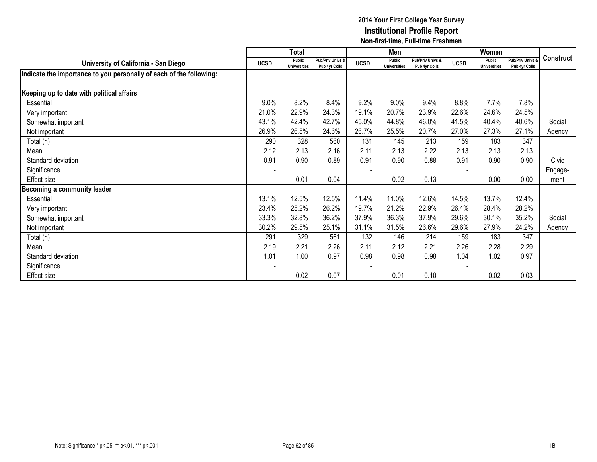|                                                                     |                          | Total                         |                                   |                | Men                           |                                   |                          | Women                         |                                        |           |
|---------------------------------------------------------------------|--------------------------|-------------------------------|-----------------------------------|----------------|-------------------------------|-----------------------------------|--------------------------|-------------------------------|----------------------------------------|-----------|
| University of California - San Diego                                | <b>UCSD</b>              | Public<br><b>Universities</b> | Pub/Priv Univs &<br>Pub 4yr Colls | <b>UCSD</b>    | Public<br><b>Universities</b> | Pub/Priv Univs &<br>Pub 4yr Colls | <b>UCSD</b>              | Public<br><b>Universities</b> | <b>Pub/Priv Univs</b><br>Pub 4yr Colls | Construct |
| Indicate the importance to you personally of each of the following: |                          |                               |                                   |                |                               |                                   |                          |                               |                                        |           |
| Keeping up to date with political affairs                           |                          |                               |                                   |                |                               |                                   |                          |                               |                                        |           |
| Essential                                                           | 9.0%                     | 8.2%                          | 8.4%                              | 9.2%           | 9.0%                          | 9.4%                              | 8.8%                     | 7.7%                          | 7.8%                                   |           |
| Very important                                                      | 21.0%                    | 22.9%                         | 24.3%                             | 19.1%          | 20.7%                         | 23.9%                             | 22.6%                    | 24.6%                         | 24.5%                                  |           |
| Somewhat important                                                  | 43.1%                    | 42.4%                         | 42.7%                             | 45.0%          | 44.8%                         | 46.0%                             | 41.5%                    | 40.4%                         | 40.6%                                  | Social    |
| Not important                                                       | 26.9%                    | 26.5%                         | 24.6%                             | 26.7%          | 25.5%                         | 20.7%                             | 27.0%                    | 27.3%                         | 27.1%                                  | Agency    |
| Total (n)                                                           | 290                      | 328                           | 560                               | 131            | 145                           | 213                               | 159                      | 183                           | 347                                    |           |
| Mean                                                                | 2.12                     | 2.13                          | 2.16                              | 2.11           | 2.13                          | 2.22                              | 2.13                     | 2.13                          | 2.13                                   |           |
| Standard deviation                                                  | 0.91                     | 0.90                          | 0.89                              | 0.91           | 0.90                          | 0.88                              | 0.91                     | 0.90                          | 0.90                                   | Civic     |
| Significance                                                        | $\overline{\phantom{a}}$ |                               |                                   |                |                               |                                   |                          |                               |                                        | Engage-   |
| Effect size                                                         | $\overline{\phantom{a}}$ | $-0.01$                       | $-0.04$                           | $\blacksquare$ | $-0.02$                       | $-0.13$                           | $\overline{\phantom{a}}$ | 0.00                          | 0.00                                   | ment      |
| Becoming a community leader                                         |                          |                               |                                   |                |                               |                                   |                          |                               |                                        |           |
| Essential                                                           | 13.1%                    | 12.5%                         | 12.5%                             | 11.4%          | 11.0%                         | 12.6%                             | 14.5%                    | 13.7%                         | 12.4%                                  |           |
| Very important                                                      | 23.4%                    | 25.2%                         | 26.2%                             | 19.7%          | 21.2%                         | 22.9%                             | 26.4%                    | 28.4%                         | 28.2%                                  |           |
| Somewhat important                                                  | 33.3%                    | 32.8%                         | 36.2%                             | 37.9%          | 36.3%                         | 37.9%                             | 29.6%                    | 30.1%                         | 35.2%                                  | Social    |
| Not important                                                       | 30.2%                    | 29.5%                         | 25.1%                             | 31.1%          | 31.5%                         | 26.6%                             | 29.6%                    | 27.9%                         | 24.2%                                  | Agency    |
| Total (n)                                                           | 291                      | 329                           | 561                               | 132            | 146                           | 214                               | 159                      | 183                           | 347                                    |           |
| Mean                                                                | 2.19                     | 2.21                          | 2.26                              | 2.11           | 2.12                          | 2.21                              | 2.26                     | 2.28                          | 2.29                                   |           |
| Standard deviation                                                  | 1.01                     | 1.00                          | 0.97                              | 0.98           | 0.98                          | 0.98                              | 1.04                     | 1.02                          | 0.97                                   |           |
| Significance                                                        |                          |                               |                                   |                |                               |                                   |                          |                               |                                        |           |
| Effect size                                                         |                          | $-0.02$                       | $-0.07$                           |                | $-0.01$                       | $-0.10$                           |                          | $-0.02$                       | $-0.03$                                |           |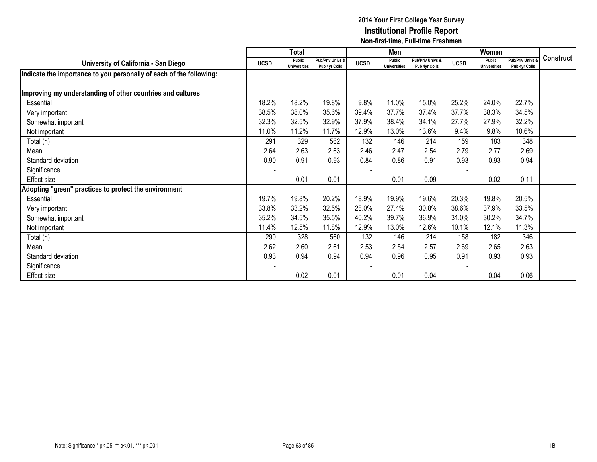|                                                                     |                | <b>Total</b>                  |                                   |                          | Men                           |                                   |                          | Women                         |                                        |           |
|---------------------------------------------------------------------|----------------|-------------------------------|-----------------------------------|--------------------------|-------------------------------|-----------------------------------|--------------------------|-------------------------------|----------------------------------------|-----------|
| University of California - San Diego                                | <b>UCSD</b>    | Public<br><b>Universities</b> | Pub/Priv Univs &<br>Pub 4yr Colls | <b>UCSD</b>              | Public<br><b>Universities</b> | Pub/Priv Univs &<br>Pub 4yr Colls | <b>UCSD</b>              | Public<br><b>Universities</b> | <b>Pub/Priv Univs</b><br>Pub 4yr Colls | Construct |
| Indicate the importance to you personally of each of the following: |                |                               |                                   |                          |                               |                                   |                          |                               |                                        |           |
|                                                                     |                |                               |                                   |                          |                               |                                   |                          |                               |                                        |           |
| Improving my understanding of other countries and cultures          |                |                               |                                   |                          |                               |                                   |                          |                               |                                        |           |
| Essential                                                           | 18.2%          | 18.2%                         | 19.8%                             | 9.8%                     | 11.0%                         | 15.0%                             | 25.2%                    | 24.0%                         | 22.7%                                  |           |
| Very important                                                      | 38.5%          | 38.0%                         | 35.6%                             | 39.4%                    | 37.7%                         | 37.4%                             | 37.7%                    | 38.3%                         | 34.5%                                  |           |
| Somewhat important                                                  | 32.3%          | 32.5%                         | 32.9%                             | 37.9%                    | 38.4%                         | 34.1%                             | 27.7%                    | 27.9%                         | 32.2%                                  |           |
| Not important                                                       | 11.0%          | 11.2%                         | 11.7%                             | 12.9%                    | 13.0%                         | 13.6%                             | 9.4%                     | 9.8%                          | 10.6%                                  |           |
| Total (n)                                                           | 291            | 329                           | 562                               | 132                      | 146                           | 214                               | 159                      | 183                           | 348                                    |           |
| Mean                                                                | 2.64           | 2.63                          | 2.63                              | 2.46                     | 2.47                          | 2.54                              | 2.79                     | 2.77                          | 2.69                                   |           |
| Standard deviation                                                  | 0.90           | 0.91                          | 0.93                              | 0.84                     | 0.86                          | 0.91                              | 0.93                     | 0.93                          | 0.94                                   |           |
| Significance                                                        | $\blacksquare$ |                               |                                   |                          |                               |                                   |                          |                               |                                        |           |
| Effect size                                                         | $\blacksquare$ | 0.01                          | 0.01                              | $\overline{\phantom{a}}$ | $-0.01$                       | $-0.09$                           | $\overline{\phantom{a}}$ | 0.02                          | 0.11                                   |           |
| Adopting "green" practices to protect the environment               |                |                               |                                   |                          |                               |                                   |                          |                               |                                        |           |
| Essential                                                           | 19.7%          | 19.8%                         | 20.2%                             | 18.9%                    | 19.9%                         | 19.6%                             | 20.3%                    | 19.8%                         | 20.5%                                  |           |
| Very important                                                      | 33.8%          | 33.2%                         | 32.5%                             | 28.0%                    | 27.4%                         | 30.8%                             | 38.6%                    | 37.9%                         | 33.5%                                  |           |
| Somewhat important                                                  | 35.2%          | 34.5%                         | 35.5%                             | 40.2%                    | 39.7%                         | 36.9%                             | 31.0%                    | 30.2%                         | 34.7%                                  |           |
| Not important                                                       | 11.4%          | 12.5%                         | 11.8%                             | 12.9%                    | 13.0%                         | 12.6%                             | 10.1%                    | 12.1%                         | 11.3%                                  |           |
| Total (n)                                                           | 290            | 328                           | 560                               | 132                      | 146                           | 214                               | 158                      | 182                           | 346                                    |           |
| Mean                                                                | 2.62           | 2.60                          | 2.61                              | 2.53                     | 2.54                          | 2.57                              | 2.69                     | 2.65                          | 2.63                                   |           |
| Standard deviation                                                  | 0.93           | 0.94                          | 0.94                              | 0.94                     | 0.96                          | 0.95                              | 0.91                     | 0.93                          | 0.93                                   |           |
| Significance                                                        |                |                               |                                   |                          |                               |                                   |                          |                               |                                        |           |
| Effect size                                                         |                | 0.02                          | 0.01                              |                          | $-0.01$                       | $-0.04$                           |                          | 0.04                          | 0.06                                   |           |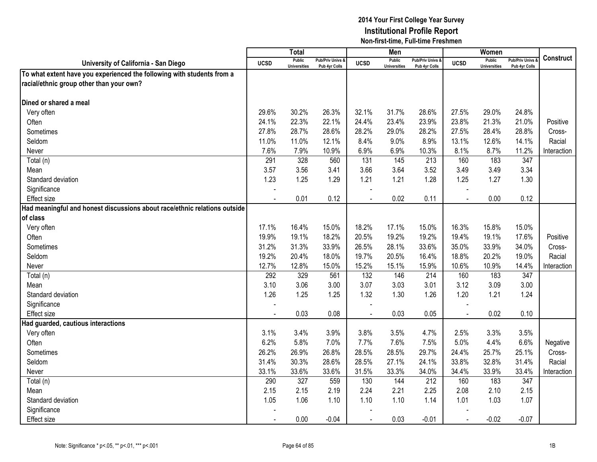|                                                                           |             | Total                                |                                              |                | Men                                  |                                   |                | Women                         |                                        |                  |
|---------------------------------------------------------------------------|-------------|--------------------------------------|----------------------------------------------|----------------|--------------------------------------|-----------------------------------|----------------|-------------------------------|----------------------------------------|------------------|
| University of California - San Diego                                      | <b>UCSD</b> | <b>Public</b><br><b>Universities</b> | <b>Pub/Priv Univs &amp;</b><br>Pub 4yr Colls | <b>UCSD</b>    | <b>Public</b><br><b>Universities</b> | Pub/Priv Univs &<br>Pub 4vr Colls | <b>UCSD</b>    | Public<br><b>Universities</b> | <b>Pub/Priv Univs</b><br>Pub 4yr Colls | <b>Construct</b> |
| To what extent have you experienced the following with students from a    |             |                                      |                                              |                |                                      |                                   |                |                               |                                        |                  |
| racial/ethnic group other than your own?                                  |             |                                      |                                              |                |                                      |                                   |                |                               |                                        |                  |
|                                                                           |             |                                      |                                              |                |                                      |                                   |                |                               |                                        |                  |
| Dined or shared a meal                                                    |             |                                      |                                              |                |                                      |                                   |                |                               |                                        |                  |
| Very often                                                                | 29.6%       | 30.2%                                | 26.3%                                        | 32.1%          | 31.7%                                | 28.6%                             | 27.5%          | 29.0%                         | 24.8%                                  |                  |
| Often                                                                     | 24.1%       | 22.3%                                | 22.1%                                        | 24.4%          | 23.4%                                | 23.9%                             | 23.8%          | 21.3%                         | 21.0%                                  | Positive         |
| Sometimes                                                                 | 27.8%       | 28.7%                                | 28.6%                                        | 28.2%          | 29.0%                                | 28.2%                             | 27.5%          | 28.4%                         | 28.8%                                  | Cross-           |
| Seldom                                                                    | 11.0%       | 11.0%                                | 12.1%                                        | 8.4%           | 9.0%                                 | 8.9%                              | 13.1%          | 12.6%                         | 14.1%                                  | Racial           |
| Never                                                                     | 7.6%        | 7.9%                                 | 10.9%                                        | 6.9%           | 6.9%                                 | 10.3%                             | 8.1%           | 8.7%                          | 11.2%                                  | Interaction      |
| Total (n)                                                                 | 291         | 328                                  | 560                                          | 131            | 145                                  | 213                               | 160            | 183                           | 347                                    |                  |
| Mean                                                                      | 3.57        | 3.56                                 | 3.41                                         | 3.66           | 3.64                                 | 3.52                              | 3.49           | 3.49                          | 3.34                                   |                  |
| Standard deviation                                                        | 1.23        | 1.25                                 | 1.29                                         | 1.21           | 1.21                                 | 1.28                              | 1.25           | 1.27                          | 1.30                                   |                  |
| Significance                                                              |             |                                      |                                              |                |                                      |                                   |                |                               |                                        |                  |
| <b>Effect size</b>                                                        | $\sim$      | 0.01                                 | 0.12                                         | $\sim$         | 0.02                                 | 0.11                              | $\blacksquare$ | 0.00                          | 0.12                                   |                  |
| Had meaningful and honest discussions about race/ethnic relations outside |             |                                      |                                              |                |                                      |                                   |                |                               |                                        |                  |
| lof class                                                                 |             |                                      |                                              |                |                                      |                                   |                |                               |                                        |                  |
| Very often                                                                | 17.1%       | 16.4%                                | 15.0%                                        | 18.2%          | 17.1%                                | 15.0%                             | 16.3%          | 15.8%                         | 15.0%                                  |                  |
| Often                                                                     | 19.9%       | 19.1%                                | 18.2%                                        | 20.5%          | 19.2%                                | 19.2%                             | 19.4%          | 19.1%                         | 17.6%                                  | Positive         |
| Sometimes                                                                 | 31.2%       | 31.3%                                | 33.9%                                        | 26.5%          | 28.1%                                | 33.6%                             | 35.0%          | 33.9%                         | 34.0%                                  | Cross-           |
| Seldom                                                                    | 19.2%       | 20.4%                                | 18.0%                                        | 19.7%          | 20.5%                                | 16.4%                             | 18.8%          | 20.2%                         | 19.0%                                  | Racial           |
| Never                                                                     | 12.7%       | 12.8%                                | 15.0%                                        | 15.2%          | 15.1%                                | 15.9%                             | 10.6%          | 10.9%                         | 14.4%                                  | Interaction      |
| Total (n)                                                                 | 292         | 329                                  | 561                                          | 132            | 146                                  | 214                               | 160            | 183                           | 347                                    |                  |
| Mean                                                                      | 3.10        | 3.06                                 | 3.00                                         | 3.07           | 3.03                                 | 3.01                              | 3.12           | 3.09                          | 3.00                                   |                  |
| Standard deviation                                                        | 1.26        | 1.25                                 | 1.25                                         | 1.32           | 1.30                                 | 1.26                              | 1.20           | 1.21                          | 1.24                                   |                  |
| Significance                                                              |             |                                      |                                              |                |                                      |                                   |                |                               |                                        |                  |
| Effect size                                                               |             | 0.03                                 | 0.08                                         |                | 0.03                                 | 0.05                              | $\overline{a}$ | 0.02                          | 0.10                                   |                  |
| Had guarded, cautious interactions                                        |             |                                      |                                              |                |                                      |                                   |                |                               |                                        |                  |
| Very often                                                                | 3.1%        | 3.4%                                 | 3.9%                                         | 3.8%           | 3.5%                                 | 4.7%                              | 2.5%           | 3.3%                          | 3.5%                                   |                  |
| Often                                                                     | 6.2%        | 5.8%                                 | 7.0%                                         | 7.7%           | 7.6%                                 | 7.5%                              | 5.0%           | 4.4%                          | 6.6%                                   | Negative         |
| Sometimes                                                                 | 26.2%       | 26.9%                                | 26.8%                                        | 28.5%          | 28.5%                                | 29.7%                             | 24.4%          | 25.7%                         | 25.1%                                  | Cross-           |
| Seldom                                                                    | 31.4%       | 30.3%                                | 28.6%                                        | 28.5%          | 27.1%                                | 24.1%                             | 33.8%          | 32.8%                         | 31.4%                                  | Racial           |
| Never                                                                     | 33.1%       | 33.6%                                | 33.6%                                        | 31.5%          | 33.3%                                | 34.0%                             | 34.4%          | 33.9%                         | 33.4%                                  | Interaction      |
| $\overline{\mathrm{Total}}$ (n)                                           | 290         | 327                                  | 559                                          | 130            | 144                                  | 212                               | 160            | 183                           | 347                                    |                  |
| Mean                                                                      | 2.15        | 2.15                                 | 2.19                                         | 2.24           | 2.21                                 | 2.25                              | 2.08           | 2.10                          | 2.15                                   |                  |
| Standard deviation                                                        | 1.05        | 1.06                                 | 1.10                                         | 1.10           | 1.10                                 | 1.14                              | 1.01           | 1.03                          | 1.07                                   |                  |
| Significance                                                              |             |                                      |                                              |                |                                      |                                   |                |                               |                                        |                  |
| Effect size                                                               | $\sim$      | 0.00                                 | $-0.04$                                      | $\blacksquare$ | 0.03                                 | $-0.01$                           | $\overline{a}$ | $-0.02$                       | $-0.07$                                |                  |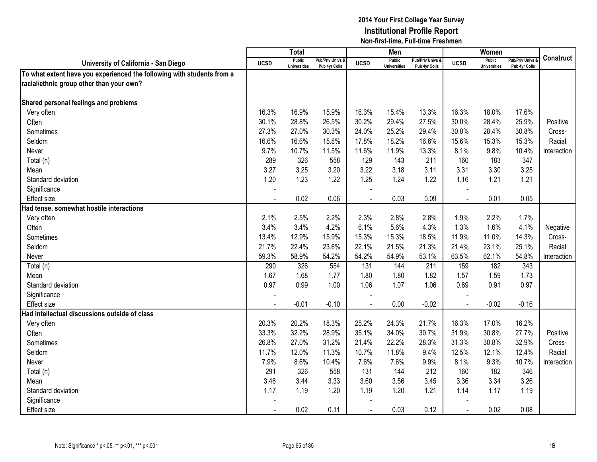|                                                                        |                | <b>Total</b>                         |                                   |                | Men                                  |                                   |                | Women                                |                                        |                  |
|------------------------------------------------------------------------|----------------|--------------------------------------|-----------------------------------|----------------|--------------------------------------|-----------------------------------|----------------|--------------------------------------|----------------------------------------|------------------|
| University of California - San Diego                                   | <b>UCSD</b>    | <b>Public</b><br><b>Universities</b> | Pub/Priv Univs &<br>Pub 4yr Colls | <b>UCSD</b>    | <b>Public</b><br><b>Universities</b> | Pub/Priv Univs &<br>Pub 4yr Colls | <b>UCSD</b>    | <b>Public</b><br><b>Universities</b> | <b>Pub/Priv Univs</b><br>Pub 4yr Colls | <b>Construct</b> |
| To what extent have you experienced the following with students from a |                |                                      |                                   |                |                                      |                                   |                |                                      |                                        |                  |
| racial/ethnic group other than your own?                               |                |                                      |                                   |                |                                      |                                   |                |                                      |                                        |                  |
|                                                                        |                |                                      |                                   |                |                                      |                                   |                |                                      |                                        |                  |
| Shared personal feelings and problems                                  |                |                                      |                                   |                |                                      |                                   |                |                                      |                                        |                  |
| Very often                                                             | 16.3%          | 16.9%                                | 15.9%                             | 16.3%          | 15.4%                                | 13.3%                             | 16.3%          | 18.0%                                | 17.6%                                  |                  |
| Often                                                                  | 30.1%          | 28.8%                                | 26.5%                             | 30.2%          | 29.4%                                | 27.5%                             | 30.0%          | 28.4%                                | 25.9%                                  | Positive         |
| Sometimes                                                              | 27.3%          | 27.0%                                | 30.3%                             | 24.0%          | 25.2%                                | 29.4%                             | 30.0%          | 28.4%                                | 30.8%                                  | Cross-           |
| Seldom                                                                 | 16.6%          | 16.6%                                | 15.8%                             | 17.8%          | 18.2%                                | 16.6%                             | 15.6%          | 15.3%                                | 15.3%                                  | Racial           |
| Never                                                                  | 9.7%           | 10.7%                                | 11.5%                             | 11.6%          | 11.9%                                | 13.3%                             | 8.1%           | 9.8%                                 | 10.4%                                  | Interaction      |
| Total (n)                                                              | 289            | 326                                  | 558                               | 129            | 143                                  | 211                               | 160            | 183                                  | 347                                    |                  |
| Mean                                                                   | 3.27           | 3.25                                 | 3.20                              | 3.22           | 3.18                                 | 3.11                              | 3.31           | 3.30                                 | 3.25                                   |                  |
| Standard deviation                                                     | 1.20           | 1.23                                 | 1.22                              | 1.25           | 1.24                                 | 1.22                              | 1.16           | 1.21                                 | 1.21                                   |                  |
| Significance                                                           |                |                                      |                                   |                |                                      |                                   |                |                                      |                                        |                  |
| Effect size                                                            |                | 0.02                                 | 0.06                              |                | 0.03                                 | 0.09                              |                | 0.01                                 | 0.05                                   |                  |
| Had tense, somewhat hostile interactions                               |                |                                      |                                   |                |                                      |                                   |                |                                      |                                        |                  |
| Very often                                                             | 2.1%           | 2.5%                                 | 2.2%                              | 2.3%           | 2.8%                                 | 2.8%                              | 1.9%           | 2.2%                                 | 1.7%                                   |                  |
| Often                                                                  | 3.4%           | 3.4%                                 | 4.2%                              | 6.1%           | 5.6%                                 | 4.3%                              | 1.3%           | 1.6%                                 | 4.1%                                   | Negative         |
| Sometimes                                                              | 13.4%          | 12.9%                                | 15.9%                             | 15.3%          | 15.3%                                | 18.5%                             | 11.9%          | 11.0%                                | 14.3%                                  | Cross-           |
| Seldom                                                                 | 21.7%          | 22.4%                                | 23.6%                             | 22.1%          | 21.5%                                | 21.3%                             | 21.4%          | 23.1%                                | 25.1%                                  | Racial           |
| Never                                                                  | 59.3%          | 58.9%                                | 54.2%                             | 54.2%          | 54.9%                                | 53.1%                             | 63.5%          | 62.1%                                | 54.8%                                  | Interaction      |
| Total (n)                                                              | 290            | 326                                  | 554                               | 131            | 144                                  | 211                               | 159            | 182                                  | 343                                    |                  |
| Mean                                                                   | 1.67           | 1.68                                 | 1.77                              | 1.80           | 1.80                                 | 1.82                              | 1.57           | 1.59                                 | 1.73                                   |                  |
| Standard deviation                                                     | 0.97           | 0.99                                 | 1.00                              | 1.06           | 1.07                                 | 1.06                              | 0.89           | 0.91                                 | 0.97                                   |                  |
| Significance                                                           |                |                                      |                                   |                |                                      |                                   |                |                                      |                                        |                  |
| Effect size                                                            |                | $-0.01$                              | $-0.10$                           | $\overline{a}$ | 0.00                                 | $-0.02$                           | $\blacksquare$ | $-0.02$                              | $-0.16$                                |                  |
| Had intellectual discussions outside of class                          |                |                                      |                                   |                |                                      |                                   |                |                                      |                                        |                  |
| Very often                                                             | 20.3%          | 20.2%                                | 18.3%                             | 25.2%          | 24.3%                                | 21.7%                             | 16.3%          | 17.0%                                | 16.2%                                  |                  |
| Often                                                                  | 33.3%          | 32.2%                                | 28.9%                             | 35.1%          | 34.0%                                | 30.7%                             | 31.9%          | 30.8%                                | 27.7%                                  | Positive         |
| Sometimes                                                              | 26.8%          | 27.0%                                | 31.2%                             | 21.4%          | 22.2%                                | 28.3%                             | 31.3%          | 30.8%                                | 32.9%                                  | Cross-           |
| Seldom                                                                 | 11.7%          | 12.0%                                | 11.3%                             | 10.7%          | 11.8%                                | 9.4%                              | 12.5%          | 12.1%                                | 12.4%                                  | Racial           |
| Never                                                                  | 7.9%           | 8.6%                                 | 10.4%                             | 7.6%           | 7.6%                                 | 9.9%                              | 8.1%           | 9.3%                                 | 10.7%                                  | Interaction      |
| Total (n)                                                              | 291            | 326                                  | 558                               | 131            | 144                                  | 212                               | 160            | 182                                  | 346                                    |                  |
| Mean                                                                   | 3.46           | 3.44                                 | 3.33                              | 3.60           | 3.56                                 | 3.45                              | 3.36           | 3.34                                 | 3.26                                   |                  |
| Standard deviation                                                     | 1.17           | 1.19                                 | 1.20                              | 1.19           | 1.20                                 | 1.21                              | 1.14           | 1.17                                 | 1.19                                   |                  |
| Significance                                                           |                |                                      |                                   |                |                                      |                                   |                |                                      |                                        |                  |
| Effect size                                                            | $\blacksquare$ | 0.02                                 | 0.11                              | $\blacksquare$ | 0.03                                 | 0.12                              | $\blacksquare$ | 0.02                                 | 0.08                                   |                  |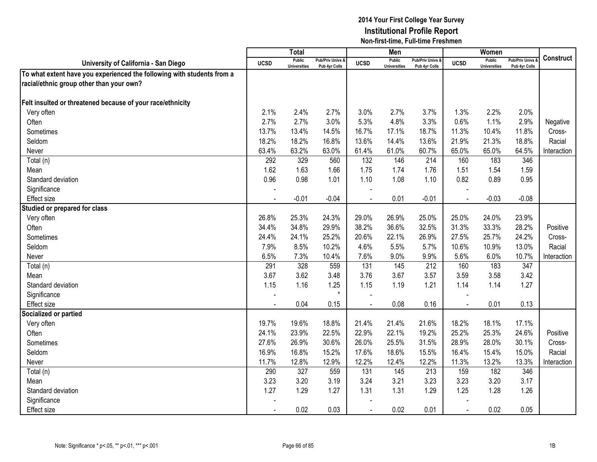|                                                                        |                | <b>Total</b>                         |                                   |                | Men                           |                                   |                | Women                                |                                        |             |
|------------------------------------------------------------------------|----------------|--------------------------------------|-----------------------------------|----------------|-------------------------------|-----------------------------------|----------------|--------------------------------------|----------------------------------------|-------------|
| University of California - San Diego                                   | <b>UCSD</b>    | <b>Public</b><br><b>Universities</b> | Pub/Priv Univs &<br>Pub 4yr Colls | <b>UCSD</b>    | Public<br><b>Universities</b> | Pub/Priv Univs &<br>Pub 4yr Colls | <b>UCSD</b>    | <b>Public</b><br><b>Universities</b> | <b>Pub/Priv Univs</b><br>Pub 4yr Colls | Construct   |
| To what extent have you experienced the following with students from a |                |                                      |                                   |                |                               |                                   |                |                                      |                                        |             |
| racial/ethnic group other than your own?                               |                |                                      |                                   |                |                               |                                   |                |                                      |                                        |             |
|                                                                        |                |                                      |                                   |                |                               |                                   |                |                                      |                                        |             |
| Felt insulted or threatened because of your race/ethnicity             |                |                                      |                                   |                |                               |                                   |                |                                      |                                        |             |
| Very often                                                             | 2.1%           | 2.4%                                 | 2.7%                              | 3.0%           | 2.7%                          | 3.7%                              | 1.3%           | 2.2%                                 | 2.0%                                   |             |
| Often                                                                  | 2.7%           | 2.7%                                 | 3.0%                              | 5.3%           | 4.8%                          | 3.3%                              | 0.6%           | 1.1%                                 | 2.9%                                   | Negative    |
| Sometimes                                                              | 13.7%          | 13.4%                                | 14.5%                             | 16.7%          | 17.1%                         | 18.7%                             | 11.3%          | 10.4%                                | 11.8%                                  | Cross-      |
| Seldom                                                                 | 18.2%          | 18.2%                                | 16.8%                             | 13.6%          | 14.4%                         | 13.6%                             | 21.9%          | 21.3%                                | 18.8%                                  | Racial      |
| Never                                                                  | 63.4%          | 63.2%                                | 63.0%                             | 61.4%          | 61.0%                         | 60.7%                             | 65.0%          | 65.0%                                | 64.5%                                  | Interaction |
| Total(n)                                                               | 292            | 329                                  | 560                               | 132            | 146                           | 214                               | 160            | 183                                  | 346                                    |             |
| Mean                                                                   | 1.62           | 1.63                                 | 1.66                              | 1.75           | 1.74                          | 1.76                              | 1.51           | 1.54                                 | 1.59                                   |             |
| Standard deviation                                                     | 0.96           | 0.98                                 | 1.01                              | 1.10           | 1.08                          | 1.10                              | 0.82           | 0.89                                 | 0.95                                   |             |
| Significance                                                           |                |                                      |                                   |                |                               |                                   |                |                                      |                                        |             |
| Effect size                                                            |                | $-0.01$                              | $-0.04$                           |                | 0.01                          | $-0.01$                           | $\overline{a}$ | $-0.03$                              | $-0.08$                                |             |
| Studied or prepared for class                                          |                |                                      |                                   |                |                               |                                   |                |                                      |                                        |             |
| Very often                                                             | 26.8%          | 25.3%                                | 24.3%                             | 29.0%          | 26.9%                         | 25.0%                             | 25.0%          | 24.0%                                | 23.9%                                  |             |
| Often                                                                  | 34.4%          | 34.8%                                | 29.9%                             | 38.2%          | 36.6%                         | 32.5%                             | 31.3%          | 33.3%                                | 28.2%                                  | Positive    |
| Sometimes                                                              | 24.4%          | 24.1%                                | 25.2%                             | 20.6%          | 22.1%                         | 26.9%                             | 27.5%          | 25.7%                                | 24.2%                                  | Cross-      |
| Seldom                                                                 | 7.9%           | 8.5%                                 | 10.2%                             | 4.6%           | 5.5%                          | 5.7%                              | 10.6%          | 10.9%                                | 13.0%                                  | Racial      |
| Never                                                                  | 6.5%           | 7.3%                                 | 10.4%                             | 7.6%           | 9.0%                          | 9.9%                              | 5.6%           | 6.0%                                 | 10.7%                                  | Interaction |
| Total (n)                                                              | 291            | 328                                  | 559                               | 131            | 145                           | 212                               | 160            | 183                                  | 347                                    |             |
| Mean                                                                   | 3.67           | 3.62                                 | 3.48                              | 3.76           | 3.67                          | 3.57                              | 3.59           | 3.58                                 | 3.42                                   |             |
| Standard deviation                                                     | 1.15           | 1.16                                 | 1.25                              | 1.15           | 1.19                          | 1.21                              | 1.14           | 1.14                                 | 1.27                                   |             |
| Significance                                                           |                |                                      | $\star$                           |                |                               |                                   |                |                                      |                                        |             |
| Effect size                                                            |                | 0.04                                 | 0.15                              |                | 0.08                          | 0.16                              | $\blacksquare$ | 0.01                                 | 0.13                                   |             |
| Socialized or partied                                                  |                |                                      |                                   |                |                               |                                   |                |                                      |                                        |             |
| Very often                                                             | 19.7%          | 19.6%                                | 18.8%                             | 21.4%          | 21.4%                         | 21.6%                             | 18.2%          | 18.1%                                | 17.1%                                  |             |
| Often                                                                  | 24.1%          | 23.9%                                | 22.5%                             | 22.9%          | 22.1%                         | 19.2%                             | 25.2%          | 25.3%                                | 24.6%                                  | Positive    |
| Sometimes                                                              | 27.6%          | 26.9%                                | 30.6%                             | 26.0%          | 25.5%                         | 31.5%                             | 28.9%          | 28.0%                                | 30.1%                                  | Cross-      |
| Seldom                                                                 | 16.9%          | 16.8%                                | 15.2%                             | 17.6%          | 18.6%                         | 15.5%                             | 16.4%          | 15.4%                                | 15.0%                                  | Racial      |
| Never                                                                  | 11.7%          | 12.8%                                | 12.9%                             | 12.2%          | 12.4%                         | 12.2%                             | 11.3%          | 13.2%                                | 13.3%                                  | Interaction |
| Total (n)                                                              | 290            | 327                                  | 559                               | 131            | 145                           | 213                               | 159            | 182                                  | 346                                    |             |
| Mean                                                                   | 3.23           | 3.20                                 | 3.19                              | 3.24           | 3.21                          | 3.23                              | 3.23           | 3.20                                 | 3.17                                   |             |
| Standard deviation                                                     | 1.27           | 1.29                                 | 1.27                              | 1.31           | 1.31                          | 1.29                              | 1.25           | 1.28                                 | 1.26                                   |             |
| Significance                                                           |                |                                      |                                   |                |                               |                                   |                |                                      |                                        |             |
| <b>Effect size</b>                                                     | $\blacksquare$ | 0.02                                 | 0.03                              | $\blacksquare$ | 0.02                          | 0.01                              | $\blacksquare$ | 0.02                                 | 0.05                                   |             |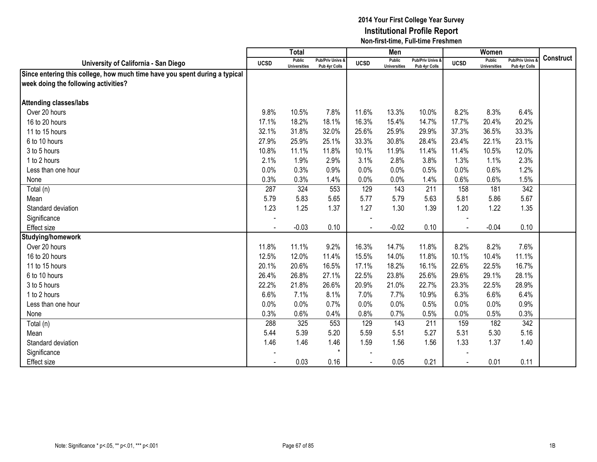|                                                                            |             | <b>Total</b>                  |                                   |             | Men                           |                                   |                | Women                         |                                        |                  |
|----------------------------------------------------------------------------|-------------|-------------------------------|-----------------------------------|-------------|-------------------------------|-----------------------------------|----------------|-------------------------------|----------------------------------------|------------------|
| University of California - San Diego                                       | <b>UCSD</b> | Public<br><b>Universities</b> | Pub/Priv Univs &<br>Pub 4yr Colls | <b>UCSD</b> | Public<br><b>Universities</b> | Pub/Priv Univs &<br>Pub 4yr Colls | <b>UCSD</b>    | Public<br><b>Universities</b> | <b>Pub/Priv Univs</b><br>Pub 4yr Colls | <b>Construct</b> |
| Since entering this college, how much time have you spent during a typical |             |                               |                                   |             |                               |                                   |                |                               |                                        |                  |
| week doing the following activities?                                       |             |                               |                                   |             |                               |                                   |                |                               |                                        |                  |
|                                                                            |             |                               |                                   |             |                               |                                   |                |                               |                                        |                  |
| <b>Attending classes/labs</b>                                              |             |                               |                                   |             |                               |                                   |                |                               |                                        |                  |
| Over 20 hours                                                              | 9.8%        | 10.5%                         | 7.8%                              | 11.6%       | 13.3%                         | 10.0%                             | 8.2%           | 8.3%                          | 6.4%                                   |                  |
| 16 to 20 hours                                                             | 17.1%       | 18.2%                         | 18.1%                             | 16.3%       | 15.4%                         | 14.7%                             | 17.7%          | 20.4%                         | 20.2%                                  |                  |
| 11 to 15 hours                                                             | 32.1%       | 31.8%                         | 32.0%                             | 25.6%       | 25.9%                         | 29.9%                             | 37.3%          | 36.5%                         | 33.3%                                  |                  |
| 6 to 10 hours                                                              | 27.9%       | 25.9%                         | 25.1%                             | 33.3%       | 30.8%                         | 28.4%                             | 23.4%          | 22.1%                         | 23.1%                                  |                  |
| 3 to 5 hours                                                               | 10.8%       | 11.1%                         | 11.8%                             | 10.1%       | 11.9%                         | 11.4%                             | 11.4%          | 10.5%                         | 12.0%                                  |                  |
| 1 to 2 hours                                                               | 2.1%        | 1.9%                          | 2.9%                              | 3.1%        | 2.8%                          | 3.8%                              | 1.3%           | 1.1%                          | 2.3%                                   |                  |
| Less than one hour                                                         | 0.0%        | 0.3%                          | 0.9%                              | 0.0%        | 0.0%                          | 0.5%                              | 0.0%           | 0.6%                          | 1.2%                                   |                  |
| None                                                                       | 0.3%        | 0.3%                          | 1.4%                              | 0.0%        | 0.0%                          | 1.4%                              | 0.6%           | 0.6%                          | 1.5%                                   |                  |
| Total (n)                                                                  | 287         | 324                           | 553                               | 129         | 143                           | 211                               | 158            | 181                           | 342                                    |                  |
| Mean                                                                       | 5.79        | 5.83                          | 5.65                              | 5.77        | 5.79                          | 5.63                              | 5.81           | 5.86                          | 5.67                                   |                  |
| Standard deviation                                                         | 1.23        | 1.25                          | 1.37                              | 1.27        | 1.30                          | 1.39                              | 1.20           | 1.22                          | 1.35                                   |                  |
| Significance                                                               |             |                               |                                   |             |                               |                                   |                |                               |                                        |                  |
| Effect size                                                                |             | $-0.03$                       | 0.10                              |             | $-0.02$                       | 0.10                              | $\sim$         | $-0.04$                       | 0.10                                   |                  |
| Studying/homework                                                          |             |                               |                                   |             |                               |                                   |                |                               |                                        |                  |
| Over 20 hours                                                              | 11.8%       | 11.1%                         | 9.2%                              | 16.3%       | 14.7%                         | 11.8%                             | 8.2%           | 8.2%                          | 7.6%                                   |                  |
| 16 to 20 hours                                                             | 12.5%       | 12.0%                         | 11.4%                             | 15.5%       | 14.0%                         | 11.8%                             | 10.1%          | 10.4%                         | 11.1%                                  |                  |
| 11 to 15 hours                                                             | 20.1%       | 20.6%                         | 16.5%                             | 17.1%       | 18.2%                         | 16.1%                             | 22.6%          | 22.5%                         | 16.7%                                  |                  |
| 6 to 10 hours                                                              | 26.4%       | 26.8%                         | 27.1%                             | 22.5%       | 23.8%                         | 25.6%                             | 29.6%          | 29.1%                         | 28.1%                                  |                  |
| 3 to 5 hours                                                               | 22.2%       | 21.8%                         | 26.6%                             | 20.9%       | 21.0%                         | 22.7%                             | 23.3%          | 22.5%                         | 28.9%                                  |                  |
| 1 to 2 hours                                                               | 6.6%        | 7.1%                          | 8.1%                              | 7.0%        | 7.7%                          | 10.9%                             | 6.3%           | 6.6%                          | 6.4%                                   |                  |
| Less than one hour                                                         | 0.0%        | 0.0%                          | 0.7%                              | 0.0%        | 0.0%                          | 0.5%                              | 0.0%           | 0.0%                          | 0.9%                                   |                  |
| None                                                                       | 0.3%        | 0.6%                          | 0.4%                              | 0.8%        | 0.7%                          | 0.5%                              | 0.0%           | 0.5%                          | 0.3%                                   |                  |
| Total (n)                                                                  | 288         | 325                           | 553                               | 129         | 143                           | 211                               | 159            | 182                           | 342                                    |                  |
| Mean                                                                       | 5.44        | 5.39                          | 5.20                              | 5.59        | 5.51                          | 5.27                              | 5.31           | 5.30                          | 5.16                                   |                  |
| Standard deviation                                                         | 1.46        | 1.46                          | 1.46                              | 1.59        | 1.56                          | 1.56                              | 1.33           | 1.37                          | 1.40                                   |                  |
| Significance                                                               |             |                               | $\star$                           |             |                               |                                   |                |                               |                                        |                  |
| <b>Effect size</b>                                                         |             | 0.03                          | 0.16                              |             | 0.05                          | 0.21                              | $\blacksquare$ | 0.01                          | 0.11                                   |                  |
|                                                                            |             |                               |                                   |             |                               |                                   |                |                               |                                        |                  |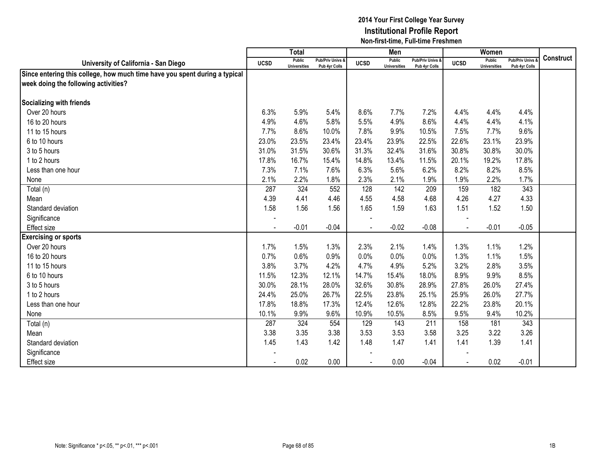|                                                                            |                          | <b>Total</b>                  |                                   |                | Men                           |                                   |             | Women                         |                                        |                  |
|----------------------------------------------------------------------------|--------------------------|-------------------------------|-----------------------------------|----------------|-------------------------------|-----------------------------------|-------------|-------------------------------|----------------------------------------|------------------|
| University of California - San Diego                                       | <b>UCSD</b>              | Public<br><b>Universities</b> | Pub/Priv Univs &<br>Pub 4yr Colls | <b>UCSD</b>    | Public<br><b>Universities</b> | Pub/Priv Univs &<br>Pub 4yr Colls | <b>UCSD</b> | Public<br><b>Universities</b> | <b>Pub/Priv Univs</b><br>Pub 4yr Colls | <b>Construct</b> |
| Since entering this college, how much time have you spent during a typical |                          |                               |                                   |                |                               |                                   |             |                               |                                        |                  |
| week doing the following activities?                                       |                          |                               |                                   |                |                               |                                   |             |                               |                                        |                  |
|                                                                            |                          |                               |                                   |                |                               |                                   |             |                               |                                        |                  |
| <b>Socializing with friends</b>                                            |                          |                               |                                   |                |                               |                                   |             |                               |                                        |                  |
| Over 20 hours                                                              | 6.3%                     | 5.9%                          | 5.4%                              | 8.6%           | 7.7%                          | 7.2%                              | 4.4%        | 4.4%                          | 4.4%                                   |                  |
| 16 to 20 hours                                                             | 4.9%                     | 4.6%                          | 5.8%                              | 5.5%           | 4.9%                          | 8.6%                              | 4.4%        | 4.4%                          | 4.1%                                   |                  |
| 11 to 15 hours                                                             | 7.7%                     | 8.6%                          | 10.0%                             | 7.8%           | 9.9%                          | 10.5%                             | 7.5%        | 7.7%                          | 9.6%                                   |                  |
| 6 to 10 hours                                                              | 23.0%                    | 23.5%                         | 23.4%                             | 23.4%          | 23.9%                         | 22.5%                             | 22.6%       | 23.1%                         | 23.9%                                  |                  |
| 3 to 5 hours                                                               | 31.0%                    | 31.5%                         | 30.6%                             | 31.3%          | 32.4%                         | 31.6%                             | 30.8%       | 30.8%                         | 30.0%                                  |                  |
| 1 to 2 hours                                                               | 17.8%                    | 16.7%                         | 15.4%                             | 14.8%          | 13.4%                         | 11.5%                             | 20.1%       | 19.2%                         | 17.8%                                  |                  |
| Less than one hour                                                         | 7.3%                     | 7.1%                          | 7.6%                              | 6.3%           | 5.6%                          | 6.2%                              | 8.2%        | 8.2%                          | 8.5%                                   |                  |
| None                                                                       | 2.1%                     | 2.2%                          | 1.8%                              | 2.3%           | 2.1%                          | 1.9%                              | 1.9%        | 2.2%                          | 1.7%                                   |                  |
| Total (n)                                                                  | 287                      | 324                           | 552                               | 128            | 142                           | 209                               | 159         | 182                           | 343                                    |                  |
| Mean                                                                       | 4.39                     | 4.41                          | 4.46                              | 4.55           | 4.58                          | 4.68                              | 4.26        | 4.27                          | 4.33                                   |                  |
| Standard deviation                                                         | 1.58                     | 1.56                          | 1.56                              | 1.65           | 1.59                          | 1.63                              | 1.51        | 1.52                          | 1.50                                   |                  |
| Significance                                                               |                          |                               |                                   |                |                               |                                   |             |                               |                                        |                  |
| <b>Effect size</b>                                                         |                          | $-0.01$                       | $-0.04$                           | $\blacksquare$ | $-0.02$                       | $-0.08$                           | $\sim$      | $-0.01$                       | $-0.05$                                |                  |
| <b>Exercising or sports</b>                                                |                          |                               |                                   |                |                               |                                   |             |                               |                                        |                  |
| Over 20 hours                                                              | 1.7%                     | 1.5%                          | 1.3%                              | 2.3%           | 2.1%                          | 1.4%                              | 1.3%        | 1.1%                          | 1.2%                                   |                  |
| 16 to 20 hours                                                             | 0.7%                     | 0.6%                          | 0.9%                              | 0.0%           | 0.0%                          | 0.0%                              | 1.3%        | 1.1%                          | 1.5%                                   |                  |
| 11 to 15 hours                                                             | 3.8%                     | 3.7%                          | 4.2%                              | 4.7%           | 4.9%                          | 5.2%                              | 3.2%        | 2.8%                          | 3.5%                                   |                  |
| 6 to 10 hours                                                              | 11.5%                    | 12.3%                         | 12.1%                             | 14.7%          | 15.4%                         | 18.0%                             | 8.9%        | 9.9%                          | 8.5%                                   |                  |
| 3 to 5 hours                                                               | 30.0%                    | 28.1%                         | 28.0%                             | 32.6%          | 30.8%                         | 28.9%                             | 27.8%       | 26.0%                         | 27.4%                                  |                  |
| 1 to 2 hours                                                               | 24.4%                    | 25.0%                         | 26.7%                             | 22.5%          | 23.8%                         | 25.1%                             | 25.9%       | 26.0%                         | 27.7%                                  |                  |
| Less than one hour                                                         | 17.8%                    | 18.8%                         | 17.3%                             | 12.4%          | 12.6%                         | 12.8%                             | 22.2%       | 23.8%                         | 20.1%                                  |                  |
| None                                                                       | 10.1%                    | 9.9%                          | 9.6%                              | 10.9%          | 10.5%                         | 8.5%                              | 9.5%        | 9.4%                          | 10.2%                                  |                  |
| Total (n)                                                                  | 287                      | 324                           | 554                               | 129            | 143                           | 211                               | 158         | 181                           | 343                                    |                  |
| Mean                                                                       | 3.38                     | 3.35                          | 3.38                              | 3.53           | 3.53                          | 3.58                              | 3.25        | 3.22                          | 3.26                                   |                  |
| Standard deviation                                                         | 1.45                     | 1.43                          | 1.42                              | 1.48           | 1.47                          | 1.41                              | 1.41        | 1.39                          | 1.41                                   |                  |
| Significance                                                               |                          |                               |                                   |                |                               |                                   |             |                               |                                        |                  |
| <b>Effect size</b>                                                         | $\overline{\phantom{a}}$ | 0.02                          | 0.00                              | $\blacksquare$ | 0.00                          | $-0.04$                           |             | 0.02                          | $-0.01$                                |                  |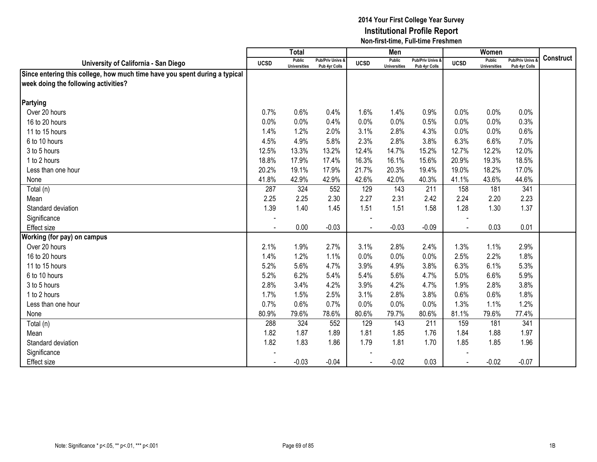|                                                                            |                | <b>Total</b>                  |                                   |                | Men                           |                                   |                | Women                         |                                        |                  |
|----------------------------------------------------------------------------|----------------|-------------------------------|-----------------------------------|----------------|-------------------------------|-----------------------------------|----------------|-------------------------------|----------------------------------------|------------------|
| University of California - San Diego                                       | <b>UCSD</b>    | Public<br><b>Universities</b> | Pub/Priv Univs &<br>Pub 4yr Colls | <b>UCSD</b>    | Public<br><b>Universities</b> | Pub/Priv Univs &<br>Pub 4yr Colls | <b>UCSD</b>    | Public<br><b>Universities</b> | <b>Pub/Priv Univs</b><br>Pub 4yr Colls | <b>Construct</b> |
| Since entering this college, how much time have you spent during a typical |                |                               |                                   |                |                               |                                   |                |                               |                                        |                  |
| week doing the following activities?                                       |                |                               |                                   |                |                               |                                   |                |                               |                                        |                  |
|                                                                            |                |                               |                                   |                |                               |                                   |                |                               |                                        |                  |
| Partying                                                                   |                |                               |                                   |                |                               |                                   |                |                               |                                        |                  |
| Over 20 hours                                                              | 0.7%           | 0.6%                          | 0.4%                              | 1.6%           | 1.4%                          | 0.9%                              | 0.0%           | 0.0%                          | 0.0%                                   |                  |
| 16 to 20 hours                                                             | 0.0%           | 0.0%                          | 0.4%                              | 0.0%           | 0.0%                          | 0.5%                              | 0.0%           | 0.0%                          | 0.3%                                   |                  |
| 11 to 15 hours                                                             | 1.4%           | 1.2%                          | 2.0%                              | 3.1%           | 2.8%                          | 4.3%                              | 0.0%           | 0.0%                          | 0.6%                                   |                  |
| 6 to 10 hours                                                              | 4.5%           | 4.9%                          | 5.8%                              | 2.3%           | 2.8%                          | 3.8%                              | 6.3%           | 6.6%                          | 7.0%                                   |                  |
| 3 to 5 hours                                                               | 12.5%          | 13.3%                         | 13.2%                             | 12.4%          | 14.7%                         | 15.2%                             | 12.7%          | 12.2%                         | 12.0%                                  |                  |
| 1 to 2 hours                                                               | 18.8%          | 17.9%                         | 17.4%                             | 16.3%          | 16.1%                         | 15.6%                             | 20.9%          | 19.3%                         | 18.5%                                  |                  |
| Less than one hour                                                         | 20.2%          | 19.1%                         | 17.9%                             | 21.7%          | 20.3%                         | 19.4%                             | 19.0%          | 18.2%                         | 17.0%                                  |                  |
| None                                                                       | 41.8%          | 42.9%                         | 42.9%                             | 42.6%          | 42.0%                         | 40.3%                             | 41.1%          | 43.6%                         | 44.6%                                  |                  |
| Total (n)                                                                  | 287            | 324                           | 552                               | 129            | 143                           | 211                               | 158            | 181                           | 341                                    |                  |
| Mean                                                                       | 2.25           | 2.25                          | 2.30                              | 2.27           | 2.31                          | 2.42                              | 2.24           | 2.20                          | 2.23                                   |                  |
| Standard deviation                                                         | 1.39           | 1.40                          | 1.45                              | 1.51           | 1.51                          | 1.58                              | 1.28           | 1.30                          | 1.37                                   |                  |
| Significance                                                               |                |                               |                                   |                |                               |                                   |                |                               |                                        |                  |
| <b>Effect size</b>                                                         |                | 0.00                          | $-0.03$                           | $\blacksquare$ | $-0.03$                       | $-0.09$                           | $\sim$         | 0.03                          | 0.01                                   |                  |
| Working (for pay) on campus                                                |                |                               |                                   |                |                               |                                   |                |                               |                                        |                  |
| Over 20 hours                                                              | 2.1%           | 1.9%                          | 2.7%                              | 3.1%           | 2.8%                          | 2.4%                              | 1.3%           | 1.1%                          | 2.9%                                   |                  |
| 16 to 20 hours                                                             | 1.4%           | 1.2%                          | 1.1%                              | 0.0%           | 0.0%                          | 0.0%                              | 2.5%           | 2.2%                          | 1.8%                                   |                  |
| 11 to 15 hours                                                             | 5.2%           | 5.6%                          | 4.7%                              | 3.9%           | 4.9%                          | 3.8%                              | 6.3%           | 6.1%                          | 5.3%                                   |                  |
| 6 to 10 hours                                                              | 5.2%           | 6.2%                          | 5.4%                              | 5.4%           | 5.6%                          | 4.7%                              | 5.0%           | 6.6%                          | 5.9%                                   |                  |
| 3 to 5 hours                                                               | 2.8%           | 3.4%                          | 4.2%                              | 3.9%           | 4.2%                          | 4.7%                              | 1.9%           | 2.8%                          | 3.8%                                   |                  |
| 1 to 2 hours                                                               | 1.7%           | 1.5%                          | 2.5%                              | 3.1%           | 2.8%                          | 3.8%                              | 0.6%           | 0.6%                          | 1.8%                                   |                  |
| Less than one hour                                                         | 0.7%           | 0.6%                          | 0.7%                              | 0.0%           | 0.0%                          | 0.0%                              | 1.3%           | 1.1%                          | 1.2%                                   |                  |
| None                                                                       | 80.9%          | 79.6%                         | 78.6%                             | 80.6%          | 79.7%                         | 80.6%                             | 81.1%          | 79.6%                         | 77.4%                                  |                  |
| Total (n)                                                                  | 288            | 324                           | 552                               | 129            | 143                           | 211                               | 159            | 181                           | 341                                    |                  |
| Mean                                                                       | 1.82           | 1.87                          | 1.89                              | 1.81           | 1.85                          | 1.76                              | 1.84           | 1.88                          | 1.97                                   |                  |
| Standard deviation                                                         | 1.82           | 1.83                          | 1.86                              | 1.79           | 1.81                          | 1.70                              | 1.85           | 1.85                          | 1.96                                   |                  |
| Significance                                                               |                |                               |                                   |                |                               |                                   |                |                               |                                        |                  |
| <b>Effect size</b>                                                         | $\blacksquare$ | $-0.03$                       | $-0.04$                           |                | $-0.02$                       | 0.03                              | $\blacksquare$ | $-0.02$                       | $-0.07$                                |                  |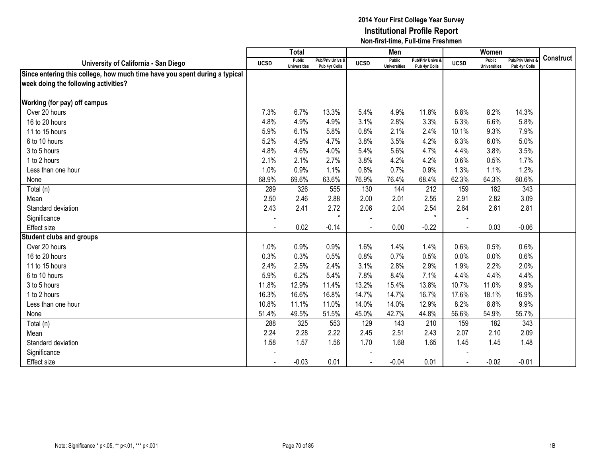|                                                                            |                | <b>Total</b>                  |                                   |             | Men                           |                                   |             | Women                         |                                        |                  |
|----------------------------------------------------------------------------|----------------|-------------------------------|-----------------------------------|-------------|-------------------------------|-----------------------------------|-------------|-------------------------------|----------------------------------------|------------------|
| University of California - San Diego                                       | <b>UCSD</b>    | Public<br><b>Universities</b> | Pub/Priv Univs &<br>Pub 4yr Colls | <b>UCSD</b> | Public<br><b>Universities</b> | Pub/Priv Univs &<br>Pub 4yr Colls | <b>UCSD</b> | Public<br><b>Universities</b> | <b>Pub/Priv Univs</b><br>Pub 4yr Colls | <b>Construct</b> |
| Since entering this college, how much time have you spent during a typical |                |                               |                                   |             |                               |                                   |             |                               |                                        |                  |
| week doing the following activities?                                       |                |                               |                                   |             |                               |                                   |             |                               |                                        |                  |
|                                                                            |                |                               |                                   |             |                               |                                   |             |                               |                                        |                  |
| Working (for pay) off campus                                               |                |                               |                                   |             |                               |                                   |             |                               |                                        |                  |
| Over 20 hours                                                              | 7.3%           | 6.7%                          | 13.3%                             | 5.4%        | 4.9%                          | 11.8%                             | 8.8%        | 8.2%                          | 14.3%                                  |                  |
| 16 to 20 hours                                                             | 4.8%           | 4.9%                          | 4.9%                              | 3.1%        | 2.8%                          | 3.3%                              | 6.3%        | 6.6%                          | 5.8%                                   |                  |
| 11 to 15 hours                                                             | 5.9%           | 6.1%                          | 5.8%                              | 0.8%        | 2.1%                          | 2.4%                              | 10.1%       | 9.3%                          | 7.9%                                   |                  |
| 6 to 10 hours                                                              | 5.2%           | 4.9%                          | 4.7%                              | 3.8%        | 3.5%                          | 4.2%                              | 6.3%        | 6.0%                          | 5.0%                                   |                  |
| 3 to 5 hours                                                               | 4.8%           | 4.6%                          | 4.0%                              | 5.4%        | 5.6%                          | 4.7%                              | 4.4%        | 3.8%                          | 3.5%                                   |                  |
| 1 to 2 hours                                                               | 2.1%           | 2.1%                          | 2.7%                              | 3.8%        | 4.2%                          | 4.2%                              | 0.6%        | 0.5%                          | 1.7%                                   |                  |
| Less than one hour                                                         | 1.0%           | 0.9%                          | 1.1%                              | 0.8%        | 0.7%                          | 0.9%                              | 1.3%        | 1.1%                          | 1.2%                                   |                  |
| None                                                                       | 68.9%          | 69.6%                         | 63.6%                             | 76.9%       | 76.4%                         | 68.4%                             | 62.3%       | 64.3%                         | 60.6%                                  |                  |
| Total (n)                                                                  | 289            | 326                           | 555                               | 130         | 144                           | 212                               | 159         | 182                           | 343                                    |                  |
| Mean                                                                       | 2.50           | 2.46                          | 2.88                              | 2.00        | 2.01                          | 2.55                              | 2.91        | 2.82                          | 3.09                                   |                  |
| Standard deviation                                                         | 2.43           | 2.41                          | 2.72                              | 2.06        | 2.04                          | 2.54                              | 2.64        | 2.61                          | 2.81                                   |                  |
| Significance                                                               |                |                               | $\star$                           |             |                               | $\star$                           |             |                               |                                        |                  |
| Effect size                                                                | $\blacksquare$ | 0.02                          | $-0.14$                           |             | 0.00                          | $-0.22$                           |             | 0.03                          | $-0.06$                                |                  |
| <b>Student clubs and groups</b>                                            |                |                               |                                   |             |                               |                                   |             |                               |                                        |                  |
| Over 20 hours                                                              | 1.0%           | 0.9%                          | 0.9%                              | 1.6%        | 1.4%                          | 1.4%                              | 0.6%        | 0.5%                          | 0.6%                                   |                  |
| 16 to 20 hours                                                             | 0.3%           | 0.3%                          | 0.5%                              | 0.8%        | 0.7%                          | 0.5%                              | 0.0%        | 0.0%                          | 0.6%                                   |                  |
| 11 to 15 hours                                                             | 2.4%           | 2.5%                          | 2.4%                              | 3.1%        | 2.8%                          | 2.9%                              | 1.9%        | 2.2%                          | 2.0%                                   |                  |
| 6 to 10 hours                                                              | 5.9%           | 6.2%                          | 5.4%                              | 7.8%        | 8.4%                          | 7.1%                              | 4.4%        | 4.4%                          | 4.4%                                   |                  |
| 3 to 5 hours                                                               | 11.8%          | 12.9%                         | 11.4%                             | 13.2%       | 15.4%                         | 13.8%                             | 10.7%       | 11.0%                         | 9.9%                                   |                  |
| 1 to 2 hours                                                               | 16.3%          | 16.6%                         | 16.8%                             | 14.7%       | 14.7%                         | 16.7%                             | 17.6%       | 18.1%                         | 16.9%                                  |                  |
| Less than one hour                                                         | 10.8%          | 11.1%                         | 11.0%                             | 14.0%       | 14.0%                         | 12.9%                             | 8.2%        | 8.8%                          | 9.9%                                   |                  |
| None                                                                       | 51.4%          | 49.5%                         | 51.5%                             | 45.0%       | 42.7%                         | 44.8%                             | 56.6%       | 54.9%                         | 55.7%                                  |                  |
| Total (n)                                                                  | 288            | 325                           | 553                               | 129         | 143                           | 210                               | 159         | 182                           | 343                                    |                  |
| Mean                                                                       | 2.24           | 2.28                          | 2.22                              | 2.45        | 2.51                          | 2.43                              | 2.07        | 2.10                          | 2.09                                   |                  |
| Standard deviation                                                         | 1.58           | 1.57                          | 1.56                              | 1.70        | 1.68                          | 1.65                              | 1.45        | 1.45                          | 1.48                                   |                  |
| Significance                                                               |                |                               |                                   |             |                               |                                   |             |                               |                                        |                  |
| <b>Effect size</b>                                                         |                | $-0.03$                       | 0.01                              |             | $-0.04$                       | 0.01                              |             | $-0.02$                       | $-0.01$                                |                  |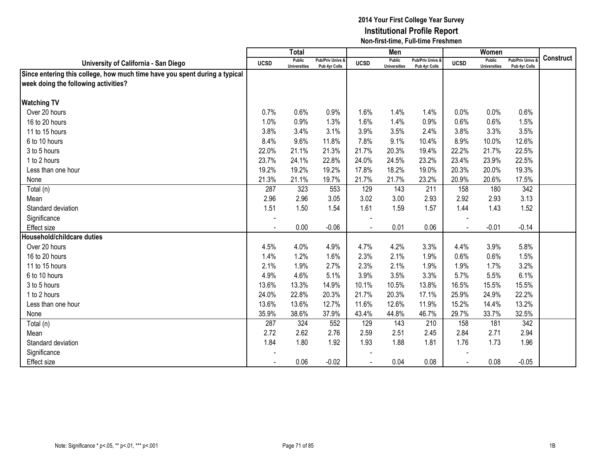|                                                                            |             | <b>Total</b>                  |                                   |                          | Men                           |                                   |             | Women                         |                                        |                  |
|----------------------------------------------------------------------------|-------------|-------------------------------|-----------------------------------|--------------------------|-------------------------------|-----------------------------------|-------------|-------------------------------|----------------------------------------|------------------|
| University of California - San Diego                                       | <b>UCSD</b> | Public<br><b>Universities</b> | Pub/Priv Univs &<br>Pub 4yr Colls | <b>UCSD</b>              | Public<br><b>Universities</b> | Pub/Priv Univs &<br>Pub 4yr Colls | <b>UCSD</b> | Public<br><b>Universities</b> | <b>Pub/Priv Univs</b><br>Pub 4yr Colls | <b>Construct</b> |
| Since entering this college, how much time have you spent during a typical |             |                               |                                   |                          |                               |                                   |             |                               |                                        |                  |
| week doing the following activities?                                       |             |                               |                                   |                          |                               |                                   |             |                               |                                        |                  |
|                                                                            |             |                               |                                   |                          |                               |                                   |             |                               |                                        |                  |
| <b>Watching TV</b>                                                         |             |                               |                                   |                          |                               |                                   |             |                               |                                        |                  |
| Over 20 hours                                                              | 0.7%        | 0.6%                          | 0.9%                              | 1.6%                     | 1.4%                          | 1.4%                              | 0.0%        | 0.0%                          | 0.6%                                   |                  |
| 16 to 20 hours                                                             | 1.0%        | 0.9%                          | 1.3%                              | 1.6%                     | 1.4%                          | 0.9%                              | 0.6%        | 0.6%                          | 1.5%                                   |                  |
| 11 to 15 hours                                                             | 3.8%        | 3.4%                          | 3.1%                              | 3.9%                     | 3.5%                          | 2.4%                              | 3.8%        | 3.3%                          | 3.5%                                   |                  |
| 6 to 10 hours                                                              | 8.4%        | 9.6%                          | 11.8%                             | 7.8%                     | 9.1%                          | 10.4%                             | 8.9%        | 10.0%                         | 12.6%                                  |                  |
| 3 to 5 hours                                                               | 22.0%       | 21.1%                         | 21.3%                             | 21.7%                    | 20.3%                         | 19.4%                             | 22.2%       | 21.7%                         | 22.5%                                  |                  |
| 1 to 2 hours                                                               | 23.7%       | 24.1%                         | 22.8%                             | 24.0%                    | 24.5%                         | 23.2%                             | 23.4%       | 23.9%                         | 22.5%                                  |                  |
| Less than one hour                                                         | 19.2%       | 19.2%                         | 19.2%                             | 17.8%                    | 18.2%                         | 19.0%                             | 20.3%       | 20.0%                         | 19.3%                                  |                  |
| None                                                                       | 21.3%       | 21.1%                         | 19.7%                             | 21.7%                    | 21.7%                         | 23.2%                             | 20.9%       | 20.6%                         | 17.5%                                  |                  |
| Total (n)                                                                  | 287         | 323                           | 553                               | 129                      | 143                           | 211                               | 158         | 180                           | 342                                    |                  |
| Mean                                                                       | 2.96        | 2.96                          | 3.05                              | 3.02                     | 3.00                          | 2.93                              | 2.92        | 2.93                          | 3.13                                   |                  |
| Standard deviation                                                         | 1.51        | 1.50                          | 1.54                              | 1.61                     | 1.59                          | 1.57                              | 1.44        | 1.43                          | 1.52                                   |                  |
| Significance                                                               |             |                               |                                   |                          |                               |                                   |             |                               |                                        |                  |
| <b>Effect size</b>                                                         | ÷,          | 0.00                          | $-0.06$                           | $\overline{\phantom{a}}$ | 0.01                          | 0.06                              | $\sim$      | $-0.01$                       | $-0.14$                                |                  |
| Household/childcare duties                                                 |             |                               |                                   |                          |                               |                                   |             |                               |                                        |                  |
| Over 20 hours                                                              | 4.5%        | 4.0%                          | 4.9%                              | 4.7%                     | 4.2%                          | 3.3%                              | 4.4%        | 3.9%                          | 5.8%                                   |                  |
| 16 to 20 hours                                                             | 1.4%        | 1.2%                          | 1.6%                              | 2.3%                     | 2.1%                          | 1.9%                              | 0.6%        | 0.6%                          | 1.5%                                   |                  |
| 11 to 15 hours                                                             | 2.1%        | 1.9%                          | 2.7%                              | 2.3%                     | 2.1%                          | 1.9%                              | 1.9%        | 1.7%                          | 3.2%                                   |                  |
| 6 to 10 hours                                                              | 4.9%        | 4.6%                          | 5.1%                              | 3.9%                     | 3.5%                          | 3.3%                              | 5.7%        | 5.5%                          | 6.1%                                   |                  |
| 3 to 5 hours                                                               | 13.6%       | 13.3%                         | 14.9%                             | 10.1%                    | 10.5%                         | 13.8%                             | 16.5%       | 15.5%                         | 15.5%                                  |                  |
| 1 to 2 hours                                                               | 24.0%       | 22.8%                         | 20.3%                             | 21.7%                    | 20.3%                         | 17.1%                             | 25.9%       | 24.9%                         | 22.2%                                  |                  |
| Less than one hour                                                         | 13.6%       | 13.6%                         | 12.7%                             | 11.6%                    | 12.6%                         | 11.9%                             | 15.2%       | 14.4%                         | 13.2%                                  |                  |
| None                                                                       | 35.9%       | 38.6%                         | 37.9%                             | 43.4%                    | 44.8%                         | 46.7%                             | 29.7%       | 33.7%                         | 32.5%                                  |                  |
| Total (n)                                                                  | 287         | 324                           | 552                               | 129                      | 143                           | 210                               | 158         | 181                           | 342                                    |                  |
| Mean                                                                       | 2.72        | 2.62                          | 2.76                              | 2.59                     | 2.51                          | 2.45                              | 2.84        | 2.71                          | 2.94                                   |                  |
| Standard deviation                                                         | 1.84        | 1.80                          | 1.92                              | 1.93                     | 1.88                          | 1.81                              | 1.76        | 1.73                          | 1.96                                   |                  |
| Significance                                                               |             |                               |                                   |                          |                               |                                   |             |                               |                                        |                  |
| <b>Effect size</b>                                                         |             | 0.06                          | $-0.02$                           |                          | 0.04                          | 0.08                              |             | 0.08                          | $-0.05$                                |                  |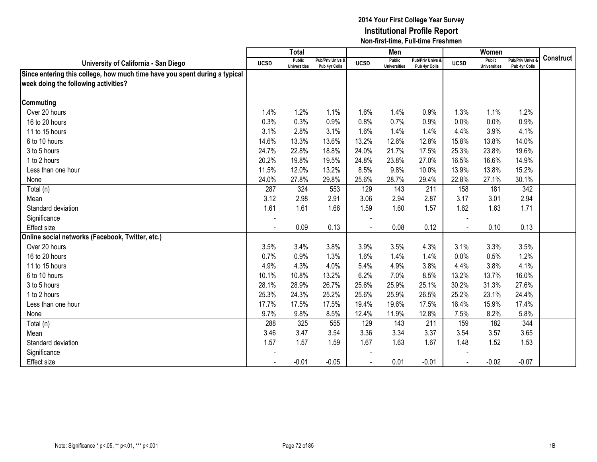|                                                                            |             | <b>Total</b>                  |                                   |                | Men                           |                                   |                | Women                                |                                        |                  |
|----------------------------------------------------------------------------|-------------|-------------------------------|-----------------------------------|----------------|-------------------------------|-----------------------------------|----------------|--------------------------------------|----------------------------------------|------------------|
| University of California - San Diego                                       | <b>UCSD</b> | Public<br><b>Universities</b> | Pub/Priv Univs &<br>Pub 4yr Colls | <b>UCSD</b>    | Public<br><b>Universities</b> | Pub/Priv Univs &<br>Pub 4yr Colls | <b>UCSD</b>    | <b>Public</b><br><b>Universities</b> | <b>Pub/Priv Univs</b><br>Pub 4yr Colls | <b>Construct</b> |
| Since entering this college, how much time have you spent during a typical |             |                               |                                   |                |                               |                                   |                |                                      |                                        |                  |
| week doing the following activities?                                       |             |                               |                                   |                |                               |                                   |                |                                      |                                        |                  |
|                                                                            |             |                               |                                   |                |                               |                                   |                |                                      |                                        |                  |
| <b>Commuting</b>                                                           |             |                               |                                   |                |                               |                                   |                |                                      |                                        |                  |
| Over 20 hours                                                              | 1.4%        | 1.2%                          | 1.1%                              | 1.6%           | 1.4%                          | 0.9%                              | 1.3%           | 1.1%                                 | 1.2%                                   |                  |
| 16 to 20 hours                                                             | 0.3%        | 0.3%                          | 0.9%                              | 0.8%           | 0.7%                          | 0.9%                              | 0.0%           | 0.0%                                 | 0.9%                                   |                  |
| 11 to 15 hours                                                             | 3.1%        | 2.8%                          | 3.1%                              | 1.6%           | 1.4%                          | 1.4%                              | 4.4%           | 3.9%                                 | 4.1%                                   |                  |
| 6 to 10 hours                                                              | 14.6%       | 13.3%                         | 13.6%                             | 13.2%          | 12.6%                         | 12.8%                             | 15.8%          | 13.8%                                | 14.0%                                  |                  |
| 3 to 5 hours                                                               | 24.7%       | 22.8%                         | 18.8%                             | 24.0%          | 21.7%                         | 17.5%                             | 25.3%          | 23.8%                                | 19.6%                                  |                  |
| 1 to 2 hours                                                               | 20.2%       | 19.8%                         | 19.5%                             | 24.8%          | 23.8%                         | 27.0%                             | 16.5%          | 16.6%                                | 14.9%                                  |                  |
| Less than one hour                                                         | 11.5%       | 12.0%                         | 13.2%                             | 8.5%           | 9.8%                          | 10.0%                             | 13.9%          | 13.8%                                | 15.2%                                  |                  |
| None                                                                       | 24.0%       | 27.8%                         | 29.8%                             | 25.6%          | 28.7%                         | 29.4%                             | 22.8%          | 27.1%                                | 30.1%                                  |                  |
| Total (n)                                                                  | 287         | 324                           | 553                               | 129            | 143                           | 211                               | 158            | 181                                  | 342                                    |                  |
| Mean                                                                       | 3.12        | 2.98                          | 2.91                              | 3.06           | 2.94                          | 2.87                              | 3.17           | 3.01                                 | 2.94                                   |                  |
| Standard deviation                                                         | 1.61        | 1.61                          | 1.66                              | 1.59           | 1.60                          | 1.57                              | 1.62           | 1.63                                 | 1.71                                   |                  |
| Significance                                                               |             |                               |                                   |                |                               |                                   |                |                                      |                                        |                  |
| Effect size                                                                |             | 0.09                          | 0.13                              | $\blacksquare$ | 0.08                          | 0.12                              | $\blacksquare$ | 0.10                                 | 0.13                                   |                  |
| Online social networks (Facebook, Twitter, etc.)                           |             |                               |                                   |                |                               |                                   |                |                                      |                                        |                  |
| Over 20 hours                                                              | 3.5%        | 3.4%                          | 3.8%                              | 3.9%           | 3.5%                          | 4.3%                              | 3.1%           | 3.3%                                 | 3.5%                                   |                  |
| 16 to 20 hours                                                             | 0.7%        | 0.9%                          | 1.3%                              | 1.6%           | 1.4%                          | 1.4%                              | 0.0%           | 0.5%                                 | 1.2%                                   |                  |
| 11 to 15 hours                                                             | 4.9%        | 4.3%                          | 4.0%                              | 5.4%           | 4.9%                          | 3.8%                              | 4.4%           | 3.8%                                 | 4.1%                                   |                  |
| 6 to 10 hours                                                              | 10.1%       | 10.8%                         | 13.2%                             | 6.2%           | 7.0%                          | 8.5%                              | 13.2%          | 13.7%                                | 16.0%                                  |                  |
| 3 to 5 hours                                                               | 28.1%       | 28.9%                         | 26.7%                             | 25.6%          | 25.9%                         | 25.1%                             | 30.2%          | 31.3%                                | 27.6%                                  |                  |
| 1 to 2 hours                                                               | 25.3%       | 24.3%                         | 25.2%                             | 25.6%          | 25.9%                         | 26.5%                             | 25.2%          | 23.1%                                | 24.4%                                  |                  |
| Less than one hour                                                         | 17.7%       | 17.5%                         | 17.5%                             | 19.4%          | 19.6%                         | 17.5%                             | 16.4%          | 15.9%                                | 17.4%                                  |                  |
| None                                                                       | 9.7%        | 9.8%                          | 8.5%                              | 12.4%          | 11.9%                         | 12.8%                             | 7.5%           | 8.2%                                 | 5.8%                                   |                  |
| Total (n)                                                                  | 288         | 325                           | 555                               | 129            | 143                           | 211                               | 159            | 182                                  | 344                                    |                  |
| Mean                                                                       | 3.46        | 3.47                          | 3.54                              | 3.36           | 3.34                          | 3.37                              | 3.54           | 3.57                                 | 3.65                                   |                  |
| Standard deviation                                                         | 1.57        | 1.57                          | 1.59                              | 1.67           | 1.63                          | 1.67                              | 1.48           | 1.52                                 | 1.53                                   |                  |
| Significance                                                               |             |                               |                                   |                |                               |                                   |                |                                      |                                        |                  |
| <b>Effect size</b>                                                         |             | $-0.01$                       | $-0.05$                           |                | 0.01                          | $-0.01$                           |                | $-0.02$                              | $-0.07$                                |                  |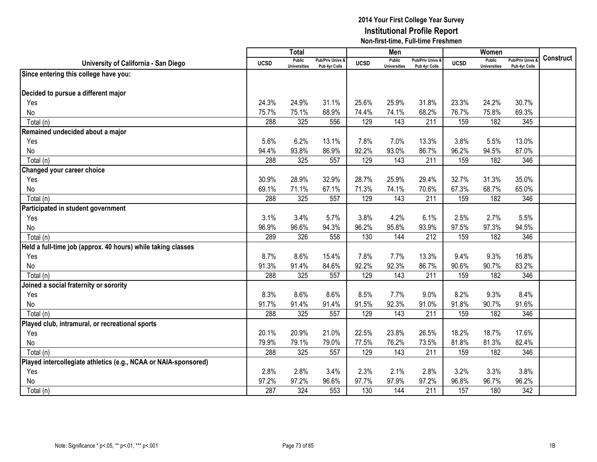|                                                                 |             | <b>Total</b>                         |                                   |             | Men                                  |                                   |             | Women                                |                                        |                  |
|-----------------------------------------------------------------|-------------|--------------------------------------|-----------------------------------|-------------|--------------------------------------|-----------------------------------|-------------|--------------------------------------|----------------------------------------|------------------|
| University of California - San Diego                            | <b>UCSD</b> | <b>Public</b><br><b>Universities</b> | Pub/Priv Univs &<br>Pub 4yr Colls | <b>UCSD</b> | <b>Public</b><br><b>Universities</b> | Pub/Priv Univs &<br>Pub 4yr Colls | <b>UCSD</b> | <b>Public</b><br><b>Universities</b> | <b>Pub/Priv Univs</b><br>Pub 4yr Colls | <b>Construct</b> |
| Since entering this college have you:                           |             |                                      |                                   |             |                                      |                                   |             |                                      |                                        |                  |
|                                                                 |             |                                      |                                   |             |                                      |                                   |             |                                      |                                        |                  |
| Decided to pursue a different major                             |             |                                      |                                   |             |                                      |                                   |             |                                      |                                        |                  |
| Yes                                                             | 24.3%       | 24.9%                                | 31.1%                             | 25.6%       | 25.9%                                | 31.8%                             | 23.3%       | 24.2%                                | 30.7%                                  |                  |
| No                                                              | 75.7%       | 75.1%                                | 68.9%                             | 74.4%       | 74.1%                                | 68.2%                             | 76.7%       | 75.8%                                | 69.3%                                  |                  |
| Total (n)                                                       | 288         | 325                                  | 556                               | 129         | 143                                  | 211                               | 159         | 182                                  | 345                                    |                  |
| Remained undecided about a major                                |             |                                      |                                   |             |                                      |                                   |             |                                      |                                        |                  |
| Yes                                                             | 5.6%        | 6.2%                                 | 13.1%                             | 7.8%        | 7.0%                                 | 13.3%                             | 3.8%        | 5.5%                                 | 13.0%                                  |                  |
| No                                                              | 94.4%       | 93.8%                                | 86.9%                             | 92.2%       | 93.0%                                | 86.7%                             | 96.2%       | 94.5%                                | 87.0%                                  |                  |
| Total (n)                                                       | 288         | 325                                  | 557                               | 129         | 143                                  | 211                               | 159         | 182                                  | 346                                    |                  |
| Changed your career choice                                      |             |                                      |                                   |             |                                      |                                   |             |                                      |                                        |                  |
| Yes                                                             | 30.9%       | 28.9%                                | 32.9%                             | 28.7%       | 25.9%                                | 29.4%                             | 32.7%       | 31.3%                                | 35.0%                                  |                  |
| No                                                              | 69.1%       | 71.1%                                | 67.1%                             | 71.3%       | 74.1%                                | 70.6%                             | 67.3%       | 68.7%                                | 65.0%                                  |                  |
| Total (n)                                                       | 288         | 325                                  | 557                               | 129         | 143                                  | 211                               | 159         | 182                                  | 346                                    |                  |
| Participated in student government                              |             |                                      |                                   |             |                                      |                                   |             |                                      |                                        |                  |
| Yes                                                             | 3.1%        | 3.4%                                 | 5.7%                              | 3.8%        | 4.2%                                 | 6.1%                              | 2.5%        | 2.7%                                 | 5.5%                                   |                  |
| No                                                              | 96.9%       | 96.6%                                | 94.3%                             | 96.2%       | 95.8%                                | 93.9%                             | 97.5%       | 97.3%                                | 94.5%                                  |                  |
| Total (n)                                                       | 289         | 326                                  | 558                               | 130         | 144                                  | 212                               | 159         | 182                                  | 346                                    |                  |
| Held a full-time job (approx. 40 hours) while taking classes    |             |                                      |                                   |             |                                      |                                   |             |                                      |                                        |                  |
| Yes                                                             | 8.7%        | 8.6%                                 | 15.4%                             | 7.8%        | 7.7%                                 | 13.3%                             | 9.4%        | 9.3%                                 | 16.8%                                  |                  |
| No                                                              | 91.3%       | 91.4%                                | 84.6%                             | 92.2%       | 92.3%                                | 86.7%                             | 90.6%       | 90.7%                                | 83.2%                                  |                  |
| Total (n)                                                       | 288         | 325                                  | 557                               | 129         | 143                                  | 211                               | 159         | 182                                  | 346                                    |                  |
| Joined a social fraternity or sorority                          |             |                                      |                                   |             |                                      |                                   |             |                                      |                                        |                  |
| Yes                                                             | 8.3%        | 8.6%                                 | 8.6%                              | 8.5%        | 7.7%                                 | 9.0%                              | 8.2%        | 9.3%                                 | 8.4%                                   |                  |
| No                                                              | 91.7%       | 91.4%                                | 91.4%                             | 91.5%       | 92.3%                                | 91.0%                             | 91.8%       | 90.7%                                | 91.6%                                  |                  |
| Total (n)                                                       | 288         | 325                                  | 557                               | 129         | 143                                  | 211                               | 159         | 182                                  | 346                                    |                  |
| Played club, intramural, or recreational sports                 |             |                                      |                                   |             |                                      |                                   |             |                                      |                                        |                  |
| Yes                                                             | 20.1%       | 20.9%                                | 21.0%                             | 22.5%       | 23.8%                                | 26.5%                             | 18.2%       | 18.7%                                | 17.6%                                  |                  |
| No                                                              | 79.9%       | 79.1%                                | 79.0%                             | 77.5%       | 76.2%                                | 73.5%                             | 81.8%       | 81.3%                                | 82.4%                                  |                  |
| Total (n)                                                       | 288         | 325                                  | 557                               | 129         | 143                                  | 211                               | 159         | 182                                  | 346                                    |                  |
| Played intercollegiate athletics (e.g., NCAA or NAIA-sponsored) |             |                                      |                                   |             |                                      |                                   |             |                                      |                                        |                  |
| Yes                                                             | 2.8%        | 2.8%                                 | 3.4%                              | 2.3%        | 2.1%                                 | 2.8%                              | 3.2%        | 3.3%                                 | 3.8%                                   |                  |
| No                                                              | 97.2%       | 97.2%                                | 96.6%                             | 97.7%       | 97.9%                                | 97.2%                             | 96.8%       | 96.7%                                | 96.2%                                  |                  |
| Total (n)                                                       | 287         | 324                                  | 553                               | 130         | 144                                  | 211                               | 157         | 180                                  | 342                                    |                  |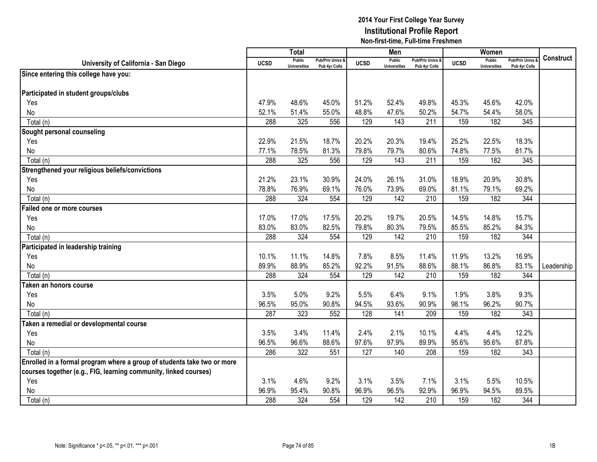|                                                                         |             | <b>Total</b>                         |                                              |             | Men                           |                                   |             | Women                                |                                        |            |
|-------------------------------------------------------------------------|-------------|--------------------------------------|----------------------------------------------|-------------|-------------------------------|-----------------------------------|-------------|--------------------------------------|----------------------------------------|------------|
| University of California - San Diego                                    | <b>UCSD</b> | <b>Public</b><br><b>Universities</b> | <b>Pub/Priv Univs &amp;</b><br>Pub 4yr Colls | <b>UCSD</b> | Public<br><b>Universities</b> | Pub/Priv Univs &<br>Pub 4yr Colls | <b>UCSD</b> | <b>Public</b><br><b>Universities</b> | <b>Pub/Priv Univs</b><br>Pub 4yr Colls | Construct  |
| Since entering this college have you:                                   |             |                                      |                                              |             |                               |                                   |             |                                      |                                        |            |
|                                                                         |             |                                      |                                              |             |                               |                                   |             |                                      |                                        |            |
| Participated in student groups/clubs                                    |             |                                      |                                              |             |                               |                                   |             |                                      |                                        |            |
| Yes                                                                     | 47.9%       | 48.6%                                | 45.0%                                        | 51.2%       | 52.4%                         | 49.8%                             | 45.3%       | 45.6%                                | 42.0%                                  |            |
| No                                                                      | 52.1%       | 51.4%                                | 55.0%                                        | 48.8%       | 47.6%                         | 50.2%                             | 54.7%       | 54.4%                                | 58.0%                                  |            |
| Total (n)                                                               | 288         | 325                                  | 556                                          | 129         | 143                           | 211                               | 159         | 182                                  | 345                                    |            |
| Sought personal counseling                                              |             |                                      |                                              |             |                               |                                   |             |                                      |                                        |            |
| Yes                                                                     | 22.9%       | 21.5%                                | 18.7%                                        | 20.2%       | 20.3%                         | 19.4%                             | 25.2%       | 22.5%                                | 18.3%                                  |            |
| No                                                                      | 77.1%       | 78.5%                                | 81.3%                                        | 79.8%       | 79.7%                         | 80.6%                             | 74.8%       | 77.5%                                | 81.7%                                  |            |
| Total (n)                                                               | 288         | 325                                  | 556                                          | 129         | 143                           | 211                               | 159         | 182                                  | 345                                    |            |
| Strengthened your religious beliefs/convictions                         |             |                                      |                                              |             |                               |                                   |             |                                      |                                        |            |
| Yes                                                                     | 21.2%       | 23.1%                                | 30.9%                                        | 24.0%       | 26.1%                         | 31.0%                             | 18.9%       | 20.9%                                | 30.8%                                  |            |
| No                                                                      | 78.8%       | 76.9%                                | 69.1%                                        | 76.0%       | 73.9%                         | 69.0%                             | 81.1%       | 79.1%                                | 69.2%                                  |            |
| Total (n)                                                               | 288         | 324                                  | 554                                          | 129         | 142                           | 210                               | 159         | 182                                  | 344                                    |            |
| <b>Failed one or more courses</b>                                       |             |                                      |                                              |             |                               |                                   |             |                                      |                                        |            |
| Yes                                                                     | 17.0%       | 17.0%                                | 17.5%                                        | 20.2%       | 19.7%                         | 20.5%                             | 14.5%       | 14.8%                                | 15.7%                                  |            |
| No                                                                      | 83.0%       | 83.0%                                | 82.5%                                        | 79.8%       | 80.3%                         | 79.5%                             | 85.5%       | 85.2%                                | 84.3%                                  |            |
| Total (n)                                                               | 288         | 324                                  | 554                                          | 129         | 142                           | 210                               | 159         | 182                                  | 344                                    |            |
| Participated in leadership training                                     |             |                                      |                                              |             |                               |                                   |             |                                      |                                        |            |
| Yes                                                                     | 10.1%       | 11.1%                                | 14.8%                                        | 7.8%        | 8.5%                          | 11.4%                             | 11.9%       | 13.2%                                | 16.9%                                  |            |
| No                                                                      | 89.9%       | 88.9%                                | 85.2%                                        | 92.2%       | 91.5%                         | 88.6%                             | 88.1%       | 86.8%                                | 83.1%                                  | Leadership |
| Total (n)                                                               | 288         | 324                                  | 554                                          | 129         | 142                           | 210                               | 159         | 182                                  | 344                                    |            |
| Taken an honors course                                                  |             |                                      |                                              |             |                               |                                   |             |                                      |                                        |            |
| Yes                                                                     | 3.5%        | 5.0%                                 | 9.2%                                         | 5.5%        | 6.4%                          | 9.1%                              | 1.9%        | 3.8%                                 | 9.3%                                   |            |
| No                                                                      | 96.5%       | 95.0%                                | 90.8%                                        | 94.5%       | 93.6%                         | 90.9%                             | 98.1%       | 96.2%                                | 90.7%                                  |            |
| Total (n)                                                               | 287         | 323                                  | 552                                          | 128         | 141                           | 209                               | 159         | 182                                  | 343                                    |            |
| Taken a remedial or developmental course                                |             |                                      |                                              |             |                               |                                   |             |                                      |                                        |            |
| Yes                                                                     | 3.5%        | 3.4%                                 | 11.4%                                        | 2.4%        | 2.1%                          | 10.1%                             | 4.4%        | 4.4%                                 | 12.2%                                  |            |
| No                                                                      | 96.5%       | 96.6%                                | 88.6%                                        | 97.6%       | 97.9%                         | 89.9%                             | 95.6%       | 95.6%                                | 87.8%                                  |            |
| Total (n)                                                               | 286         | 322                                  | 551                                          | 127         | 140                           | 208                               | 159         | 182                                  | 343                                    |            |
| Enrolled in a formal program where a group of students take two or more |             |                                      |                                              |             |                               |                                   |             |                                      |                                        |            |
| courses together (e.g., FIG, learning community, linked courses)        |             |                                      |                                              |             |                               |                                   |             |                                      |                                        |            |
| Yes                                                                     | 3.1%        | 4.6%                                 | 9.2%                                         | 3.1%        | 3.5%                          | 7.1%                              | 3.1%        | 5.5%                                 | 10.5%                                  |            |
| No                                                                      | 96.9%       | 95.4%                                | 90.8%                                        | 96.9%       | 96.5%                         | 92.9%                             | 96.9%       | 94.5%                                | 89.5%                                  |            |
| Total (n)                                                               | 288         | 324                                  | 554                                          | 129         | 142                           | 210                               | 159         | 182                                  | 344                                    |            |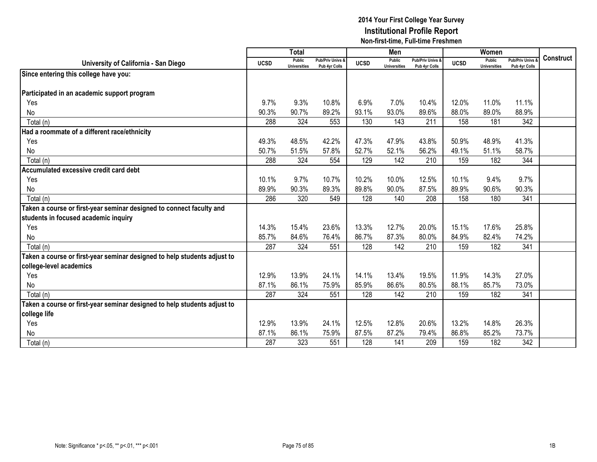|                                                                          |             | <b>Total</b>                  |                                   |             | Men                                  |                                   |             | Women                         |                                        |                  |
|--------------------------------------------------------------------------|-------------|-------------------------------|-----------------------------------|-------------|--------------------------------------|-----------------------------------|-------------|-------------------------------|----------------------------------------|------------------|
| University of California - San Diego                                     | <b>UCSD</b> | Public<br><b>Universities</b> | Pub/Priv Univs &<br>Pub 4yr Colls | <b>UCSD</b> | <b>Public</b><br><b>Universities</b> | Pub/Priv Univs &<br>Pub 4yr Colls | <b>UCSD</b> | Public<br><b>Universities</b> | <b>Pub/Priv Univs</b><br>Pub 4yr Colls | <b>Construct</b> |
| Since entering this college have you:                                    |             |                               |                                   |             |                                      |                                   |             |                               |                                        |                  |
|                                                                          |             |                               |                                   |             |                                      |                                   |             |                               |                                        |                  |
| Participated in an academic support program                              |             |                               |                                   |             |                                      |                                   |             |                               |                                        |                  |
| Yes                                                                      | 9.7%        | 9.3%                          | 10.8%                             | 6.9%        | 7.0%                                 | 10.4%                             | 12.0%       | 11.0%                         | 11.1%                                  |                  |
| No                                                                       | 90.3%       | 90.7%                         | 89.2%                             | 93.1%       | 93.0%                                | 89.6%                             | 88.0%       | 89.0%                         | 88.9%                                  |                  |
| Total (n)                                                                | 288         | 324                           | 553                               | 130         | 143                                  | 211                               | 158         | 181                           | 342                                    |                  |
| Had a roommate of a different race/ethnicity                             |             |                               |                                   |             |                                      |                                   |             |                               |                                        |                  |
| Yes                                                                      | 49.3%       | 48.5%                         | 42.2%                             | 47.3%       | 47.9%                                | 43.8%                             | 50.9%       | 48.9%                         | 41.3%                                  |                  |
| No                                                                       | 50.7%       | 51.5%                         | 57.8%                             | 52.7%       | 52.1%                                | 56.2%                             | 49.1%       | 51.1%                         | 58.7%                                  |                  |
| Total (n)                                                                | 288         | 324                           | 554                               | 129         | 142                                  | 210                               | 159         | 182                           | 344                                    |                  |
| Accumulated excessive credit card debt                                   |             |                               |                                   |             |                                      |                                   |             |                               |                                        |                  |
| Yes                                                                      | 10.1%       | 9.7%                          | 10.7%                             | 10.2%       | 10.0%                                | 12.5%                             | 10.1%       | 9.4%                          | 9.7%                                   |                  |
| No                                                                       | 89.9%       | 90.3%                         | 89.3%                             | 89.8%       | 90.0%                                | 87.5%                             | 89.9%       | 90.6%                         | 90.3%                                  |                  |
| Total (n)                                                                | 286         | 320                           | 549                               | 128         | 140                                  | 208                               | 158         | 180                           | 341                                    |                  |
| Taken a course or first-year seminar designed to connect faculty and     |             |                               |                                   |             |                                      |                                   |             |                               |                                        |                  |
| students in focused academic inquiry                                     |             |                               |                                   |             |                                      |                                   |             |                               |                                        |                  |
| Yes                                                                      | 14.3%       | 15.4%                         | 23.6%                             | 13.3%       | 12.7%                                | 20.0%                             | 15.1%       | 17.6%                         | 25.8%                                  |                  |
| No                                                                       | 85.7%       | 84.6%                         | 76.4%                             | 86.7%       | 87.3%                                | 80.0%                             | 84.9%       | 82.4%                         | 74.2%                                  |                  |
| Total (n)                                                                | 287         | 324                           | 551                               | 128         | 142                                  | 210                               | 159         | 182                           | 341                                    |                  |
| Taken a course or first-year seminar designed to help students adjust to |             |                               |                                   |             |                                      |                                   |             |                               |                                        |                  |
| college-level academics                                                  |             |                               |                                   |             |                                      |                                   |             |                               |                                        |                  |
| Yes                                                                      | 12.9%       | 13.9%                         | 24.1%                             | 14.1%       | 13.4%                                | 19.5%                             | 11.9%       | 14.3%                         | 27.0%                                  |                  |
| No                                                                       | 87.1%       | 86.1%                         | 75.9%                             | 85.9%       | 86.6%                                | 80.5%                             | 88.1%       | 85.7%                         | 73.0%                                  |                  |
| Total (n)                                                                | 287         | 324                           | 551                               | 128         | 142                                  | 210                               | 159         | 182                           | 341                                    |                  |
| Taken a course or first-year seminar designed to help students adjust to |             |                               |                                   |             |                                      |                                   |             |                               |                                        |                  |
| college life                                                             |             |                               |                                   |             |                                      |                                   |             |                               |                                        |                  |
| Yes                                                                      | 12.9%       | 13.9%                         | 24.1%                             | 12.5%       | 12.8%                                | 20.6%                             | 13.2%       | 14.8%                         | 26.3%                                  |                  |
| No                                                                       | 87.1%       | 86.1%                         | 75.9%                             | 87.5%       | 87.2%                                | 79.4%                             | 86.8%       | 85.2%                         | 73.7%                                  |                  |
| Total (n)                                                                | 287         | 323                           | 551                               | 128         | 141                                  | 209                               | 159         | 182                           | 342                                    |                  |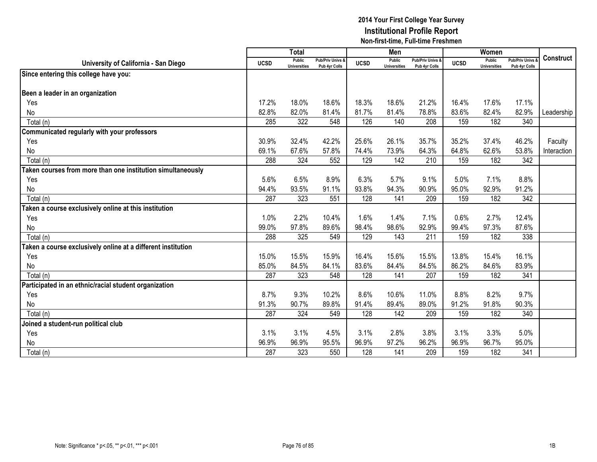|                                                              |             | <b>Total</b>                         |                                   |             | Men                                  |                                   |             | Women                                |                                        |                  |
|--------------------------------------------------------------|-------------|--------------------------------------|-----------------------------------|-------------|--------------------------------------|-----------------------------------|-------------|--------------------------------------|----------------------------------------|------------------|
| University of California - San Diego                         | <b>UCSD</b> | <b>Public</b><br><b>Universities</b> | Pub/Priv Univs &<br>Pub 4yr Colls | <b>UCSD</b> | <b>Public</b><br><b>Universities</b> | Pub/Priv Univs &<br>Pub 4yr Colls | <b>UCSD</b> | <b>Public</b><br><b>Universities</b> | <b>Pub/Priv Univs</b><br>Pub 4yr Colls | <b>Construct</b> |
| Since entering this college have you:                        |             |                                      |                                   |             |                                      |                                   |             |                                      |                                        |                  |
|                                                              |             |                                      |                                   |             |                                      |                                   |             |                                      |                                        |                  |
| Been a leader in an organization                             |             |                                      |                                   |             |                                      |                                   |             |                                      |                                        |                  |
| Yes                                                          | 17.2%       | 18.0%                                | 18.6%                             | 18.3%       | 18.6%                                | 21.2%                             | 16.4%       | 17.6%                                | 17.1%                                  |                  |
| No                                                           | 82.8%       | 82.0%                                | 81.4%                             | 81.7%       | 81.4%                                | 78.8%                             | 83.6%       | 82.4%                                | 82.9%                                  | Leadership       |
| Total (n)                                                    | 285         | 322                                  | 548                               | 126         | 140                                  | 208                               | 159         | 182                                  | 340                                    |                  |
| Communicated regularly with your professors                  |             |                                      |                                   |             |                                      |                                   |             |                                      |                                        |                  |
| Yes                                                          | 30.9%       | 32.4%                                | 42.2%                             | 25.6%       | 26.1%                                | 35.7%                             | 35.2%       | 37.4%                                | 46.2%                                  | Faculty          |
| No                                                           | 69.1%       | 67.6%                                | 57.8%                             | 74.4%       | 73.9%                                | 64.3%                             | 64.8%       | 62.6%                                | 53.8%                                  | Interaction      |
| Total (n)                                                    | 288         | 324                                  | 552                               | 129         | 142                                  | 210                               | 159         | 182                                  | 342                                    |                  |
| Taken courses from more than one institution simultaneously  |             |                                      |                                   |             |                                      |                                   |             |                                      |                                        |                  |
| Yes                                                          | 5.6%        | 6.5%                                 | 8.9%                              | 6.3%        | 5.7%                                 | 9.1%                              | 5.0%        | 7.1%                                 | 8.8%                                   |                  |
| No                                                           | 94.4%       | 93.5%                                | 91.1%                             | 93.8%       | 94.3%                                | 90.9%                             | 95.0%       | 92.9%                                | 91.2%                                  |                  |
| Total (n)                                                    | 287         | 323                                  | 551                               | 128         | 141                                  | 209                               | 159         | 182                                  | 342                                    |                  |
| Taken a course exclusively online at this institution        |             |                                      |                                   |             |                                      |                                   |             |                                      |                                        |                  |
| Yes                                                          | 1.0%        | 2.2%                                 | 10.4%                             | 1.6%        | 1.4%                                 | 7.1%                              | 0.6%        | 2.7%                                 | 12.4%                                  |                  |
| No                                                           | 99.0%       | 97.8%                                | 89.6%                             | 98.4%       | 98.6%                                | 92.9%                             | 99.4%       | 97.3%                                | 87.6%                                  |                  |
| Total (n)                                                    | 288         | 325                                  | 549                               | 129         | 143                                  | 211                               | 159         | 182                                  | 338                                    |                  |
| Taken a course exclusively online at a different institution |             |                                      |                                   |             |                                      |                                   |             |                                      |                                        |                  |
| Yes                                                          | 15.0%       | 15.5%                                | 15.9%                             | 16.4%       | 15.6%                                | 15.5%                             | 13.8%       | 15.4%                                | 16.1%                                  |                  |
| No                                                           | 85.0%       | 84.5%                                | 84.1%                             | 83.6%       | 84.4%                                | 84.5%                             | 86.2%       | 84.6%                                | 83.9%                                  |                  |
| Total (n)                                                    | 287         | 323                                  | 548                               | 128         | 141                                  | 207                               | 159         | 182                                  | 341                                    |                  |
| Participated in an ethnic/racial student organization        |             |                                      |                                   |             |                                      |                                   |             |                                      |                                        |                  |
| Yes                                                          | 8.7%        | 9.3%                                 | 10.2%                             | 8.6%        | 10.6%                                | 11.0%                             | 8.8%        | 8.2%                                 | 9.7%                                   |                  |
| No                                                           | 91.3%       | 90.7%                                | 89.8%                             | 91.4%       | 89.4%                                | 89.0%                             | 91.2%       | 91.8%                                | 90.3%                                  |                  |
| Total (n)                                                    | 287         | 324                                  | 549                               | 128         | 142                                  | 209                               | 159         | 182                                  | 340                                    |                  |
| Joined a student-run political club                          |             |                                      |                                   |             |                                      |                                   |             |                                      |                                        |                  |
| Yes                                                          | 3.1%        | 3.1%                                 | 4.5%                              | 3.1%        | 2.8%                                 | 3.8%                              | 3.1%        | 3.3%                                 | 5.0%                                   |                  |
| No                                                           | 96.9%       | 96.9%                                | 95.5%                             | 96.9%       | 97.2%                                | 96.2%                             | 96.9%       | 96.7%                                | 95.0%                                  |                  |
| Total (n)                                                    | 287         | 323                                  | 550                               | 128         | 141                                  | 209                               | 159         | 182                                  | 341                                    |                  |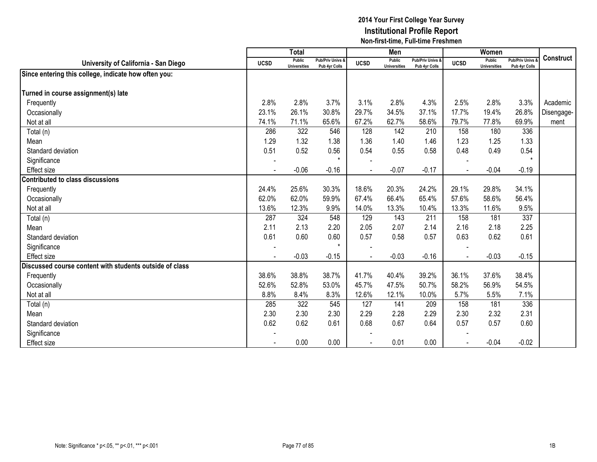|                                                         |                          | <b>Total</b>                         |                                   |             | Men                           |                                   |             | Women                                |                                 |                  |
|---------------------------------------------------------|--------------------------|--------------------------------------|-----------------------------------|-------------|-------------------------------|-----------------------------------|-------------|--------------------------------------|---------------------------------|------------------|
| University of California - San Diego                    | <b>UCSD</b>              | <b>Public</b><br><b>Universities</b> | Pub/Priv Univs &<br>Pub 4yr Colls | <b>UCSD</b> | Public<br><b>Universities</b> | Pub/Priv Univs &<br>Pub 4yr Colls | <b>UCSD</b> | <b>Public</b><br><b>Universities</b> | Pub/Priv Univs<br>Pub 4yr Colls | <b>Construct</b> |
| Since entering this college, indicate how often you:    |                          |                                      |                                   |             |                               |                                   |             |                                      |                                 |                  |
| Turned in course assignment(s) late                     |                          |                                      |                                   |             |                               |                                   |             |                                      |                                 |                  |
| Frequently                                              | 2.8%                     | 2.8%                                 | 3.7%                              | 3.1%        | 2.8%                          | 4.3%                              | 2.5%        | 2.8%                                 | 3.3%                            | Academic         |
| Occasionally                                            | 23.1%                    | 26.1%                                | 30.8%                             | 29.7%       | 34.5%                         | 37.1%                             | 17.7%       | 19.4%                                | 26.8%                           | Disengage-       |
| Not at all                                              | 74.1%                    | 71.1%                                | 65.6%                             | 67.2%       | 62.7%                         | 58.6%                             | 79.7%       | 77.8%                                | 69.9%                           | ment             |
| Total (n)                                               | 286                      | 322                                  | 546                               | 128         | 142                           | 210                               | 158         | 180                                  | 336                             |                  |
| Mean                                                    | 1.29                     | 1.32                                 | 1.38                              | 1.36        | 1.40                          | 1.46                              | 1.23        | 1.25                                 | 1.33                            |                  |
| Standard deviation                                      | 0.51                     | 0.52                                 | 0.56                              | 0.54        | 0.55                          | 0.58                              | 0.48        | 0.49                                 | 0.54                            |                  |
| Significance                                            | $\overline{\phantom{a}}$ |                                      | $\star$                           |             |                               |                                   |             |                                      |                                 |                  |
| Effect size                                             | $\blacksquare$           | $-0.06$                              | $-0.16$                           |             | $-0.07$                       | $-0.17$                           |             | $-0.04$                              | $-0.19$                         |                  |
| <b>Contributed to class discussions</b>                 |                          |                                      |                                   |             |                               |                                   |             |                                      |                                 |                  |
| Frequently                                              | 24.4%                    | 25.6%                                | 30.3%                             | 18.6%       | 20.3%                         | 24.2%                             | 29.1%       | 29.8%                                | 34.1%                           |                  |
| Occasionally                                            | 62.0%                    | 62.0%                                | 59.9%                             | 67.4%       | 66.4%                         | 65.4%                             | 57.6%       | 58.6%                                | 56.4%                           |                  |
| Not at all                                              | 13.6%                    | 12.3%                                | 9.9%                              | 14.0%       | 13.3%                         | 10.4%                             | 13.3%       | 11.6%                                | 9.5%                            |                  |
| Total (n)                                               | 287                      | 324                                  | 548                               | 129         | 143                           | 211                               | 158         | 181                                  | 337                             |                  |
| Mean                                                    | 2.11                     | 2.13                                 | 2.20                              | 2.05        | 2.07                          | 2.14                              | 2.16        | 2.18                                 | 2.25                            |                  |
| Standard deviation                                      | 0.61                     | 0.60                                 | 0.60                              | 0.57        | 0.58                          | 0.57                              | 0.63        | 0.62                                 | 0.61                            |                  |
| Significance                                            | $\sim$                   |                                      | $\star$                           |             |                               |                                   |             |                                      |                                 |                  |
| Effect size                                             |                          | $-0.03$                              | $-0.15$                           |             | $-0.03$                       | $-0.16$                           |             | $-0.03$                              | $-0.15$                         |                  |
| Discussed course content with students outside of class |                          |                                      |                                   |             |                               |                                   |             |                                      |                                 |                  |
| Frequently                                              | 38.6%                    | 38.8%                                | 38.7%                             | 41.7%       | 40.4%                         | 39.2%                             | 36.1%       | 37.6%                                | 38.4%                           |                  |
| Occasionally                                            | 52.6%                    | 52.8%                                | 53.0%                             | 45.7%       | 47.5%                         | 50.7%                             | 58.2%       | 56.9%                                | 54.5%                           |                  |
| Not at all                                              | 8.8%                     | 8.4%                                 | 8.3%                              | 12.6%       | 12.1%                         | 10.0%                             | 5.7%        | 5.5%                                 | 7.1%                            |                  |
| Total (n)                                               | 285                      | 322                                  | 545                               | 127         | 141                           | 209                               | 158         | 181                                  | 336                             |                  |
| Mean                                                    | 2.30                     | 2.30                                 | 2.30                              | 2.29        | 2.28                          | 2.29                              | 2.30        | 2.32                                 | 2.31                            |                  |
| Standard deviation                                      | 0.62                     | 0.62                                 | 0.61                              | 0.68        | 0.67                          | 0.64                              | 0.57        | 0.57                                 | 0.60                            |                  |
| Significance                                            |                          |                                      |                                   |             |                               |                                   |             |                                      |                                 |                  |
| <b>Effect size</b>                                      |                          | 0.00                                 | 0.00                              |             | 0.01                          | 0.00                              |             | $-0.04$                              | $-0.02$                         |                  |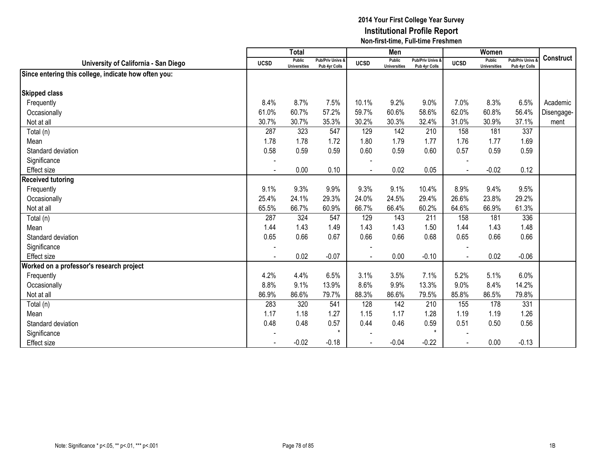|                          | <b>Total</b>                                                                          |                                                                                                                   |                                                                                                                                       | Men                                                                            |                                                                                                            |                                                                                                                                       | Women                                                                         |                                                                                                            |                                                                                                                   |
|--------------------------|---------------------------------------------------------------------------------------|-------------------------------------------------------------------------------------------------------------------|---------------------------------------------------------------------------------------------------------------------------------------|--------------------------------------------------------------------------------|------------------------------------------------------------------------------------------------------------|---------------------------------------------------------------------------------------------------------------------------------------|-------------------------------------------------------------------------------|------------------------------------------------------------------------------------------------------------|-------------------------------------------------------------------------------------------------------------------|
| <b>UCSD</b>              | <b>Universities</b>                                                                   |                                                                                                                   | <b>UCSD</b>                                                                                                                           | <b>Universities</b>                                                            |                                                                                                            | <b>UCSD</b>                                                                                                                           | <b>Universities</b>                                                           | <b>Pub/Priv Univs</b>                                                                                      | <b>Construct</b>                                                                                                  |
|                          |                                                                                       |                                                                                                                   |                                                                                                                                       |                                                                                |                                                                                                            |                                                                                                                                       |                                                                               |                                                                                                            |                                                                                                                   |
|                          |                                                                                       |                                                                                                                   |                                                                                                                                       |                                                                                |                                                                                                            |                                                                                                                                       |                                                                               |                                                                                                            |                                                                                                                   |
|                          |                                                                                       |                                                                                                                   |                                                                                                                                       |                                                                                |                                                                                                            |                                                                                                                                       |                                                                               |                                                                                                            |                                                                                                                   |
|                          |                                                                                       |                                                                                                                   |                                                                                                                                       |                                                                                |                                                                                                            |                                                                                                                                       |                                                                               |                                                                                                            | Academic                                                                                                          |
|                          |                                                                                       |                                                                                                                   |                                                                                                                                       |                                                                                |                                                                                                            |                                                                                                                                       |                                                                               |                                                                                                            | Disengage-                                                                                                        |
|                          |                                                                                       |                                                                                                                   |                                                                                                                                       |                                                                                |                                                                                                            |                                                                                                                                       |                                                                               |                                                                                                            | ment                                                                                                              |
|                          |                                                                                       |                                                                                                                   |                                                                                                                                       |                                                                                |                                                                                                            |                                                                                                                                       |                                                                               |                                                                                                            |                                                                                                                   |
|                          |                                                                                       |                                                                                                                   |                                                                                                                                       |                                                                                |                                                                                                            |                                                                                                                                       |                                                                               |                                                                                                            |                                                                                                                   |
|                          |                                                                                       |                                                                                                                   |                                                                                                                                       |                                                                                |                                                                                                            |                                                                                                                                       |                                                                               |                                                                                                            |                                                                                                                   |
|                          |                                                                                       |                                                                                                                   |                                                                                                                                       |                                                                                |                                                                                                            |                                                                                                                                       |                                                                               |                                                                                                            |                                                                                                                   |
| $\blacksquare$           |                                                                                       |                                                                                                                   |                                                                                                                                       |                                                                                |                                                                                                            |                                                                                                                                       |                                                                               |                                                                                                            |                                                                                                                   |
|                          |                                                                                       |                                                                                                                   |                                                                                                                                       |                                                                                |                                                                                                            |                                                                                                                                       |                                                                               |                                                                                                            |                                                                                                                   |
| 9.1%                     | 9.3%                                                                                  | 9.9%                                                                                                              | 9.3%                                                                                                                                  | 9.1%                                                                           | 10.4%                                                                                                      | 8.9%                                                                                                                                  | 9.4%                                                                          | 9.5%                                                                                                       |                                                                                                                   |
| 25.4%                    | 24.1%                                                                                 | 29.3%                                                                                                             | 24.0%                                                                                                                                 | 24.5%                                                                          | 29.4%                                                                                                      | 26.6%                                                                                                                                 | 23.8%                                                                         | 29.2%                                                                                                      |                                                                                                                   |
| 65.5%                    | 66.7%                                                                                 | 60.9%                                                                                                             | 66.7%                                                                                                                                 | 66.4%                                                                          | 60.2%                                                                                                      | 64.6%                                                                                                                                 | 66.9%                                                                         | 61.3%                                                                                                      |                                                                                                                   |
| 287                      | 324                                                                                   | 547                                                                                                               | 129                                                                                                                                   | 143                                                                            | 211                                                                                                        | 158                                                                                                                                   | 181                                                                           | 336                                                                                                        |                                                                                                                   |
| 1.44                     | 1.43                                                                                  | 1.49                                                                                                              | 1.43                                                                                                                                  | 1.43                                                                           | 1.50                                                                                                       | 1.44                                                                                                                                  | 1.43                                                                          | 1.48                                                                                                       |                                                                                                                   |
| 0.65                     | 0.66                                                                                  | 0.67                                                                                                              | 0.66                                                                                                                                  | 0.66                                                                           | 0.68                                                                                                       | 0.65                                                                                                                                  | 0.66                                                                          | 0.66                                                                                                       |                                                                                                                   |
| $\overline{\phantom{a}}$ |                                                                                       |                                                                                                                   |                                                                                                                                       |                                                                                |                                                                                                            |                                                                                                                                       |                                                                               |                                                                                                            |                                                                                                                   |
| $\sim$                   | 0.02                                                                                  | $-0.07$                                                                                                           |                                                                                                                                       | 0.00                                                                           | $-0.10$                                                                                                    |                                                                                                                                       | 0.02                                                                          | $-0.06$                                                                                                    |                                                                                                                   |
|                          |                                                                                       |                                                                                                                   |                                                                                                                                       |                                                                                |                                                                                                            |                                                                                                                                       |                                                                               |                                                                                                            |                                                                                                                   |
| 4.2%                     | 4.4%                                                                                  | 6.5%                                                                                                              | 3.1%                                                                                                                                  | 3.5%                                                                           | 7.1%                                                                                                       | 5.2%                                                                                                                                  | 5.1%                                                                          | 6.0%                                                                                                       |                                                                                                                   |
|                          | 9.1%                                                                                  | 13.9%                                                                                                             | 8.6%                                                                                                                                  | 9.9%                                                                           | 13.3%                                                                                                      | 9.0%                                                                                                                                  | 8.4%                                                                          | 14.2%                                                                                                      |                                                                                                                   |
|                          |                                                                                       |                                                                                                                   |                                                                                                                                       |                                                                                |                                                                                                            |                                                                                                                                       |                                                                               |                                                                                                            |                                                                                                                   |
|                          |                                                                                       |                                                                                                                   |                                                                                                                                       |                                                                                |                                                                                                            |                                                                                                                                       |                                                                               |                                                                                                            |                                                                                                                   |
|                          |                                                                                       |                                                                                                                   |                                                                                                                                       |                                                                                |                                                                                                            |                                                                                                                                       |                                                                               |                                                                                                            |                                                                                                                   |
|                          |                                                                                       |                                                                                                                   |                                                                                                                                       |                                                                                |                                                                                                            |                                                                                                                                       |                                                                               |                                                                                                            |                                                                                                                   |
|                          |                                                                                       | $\star$                                                                                                           |                                                                                                                                       |                                                                                | $\star$                                                                                                    |                                                                                                                                       |                                                                               |                                                                                                            |                                                                                                                   |
|                          |                                                                                       |                                                                                                                   |                                                                                                                                       |                                                                                |                                                                                                            |                                                                                                                                       |                                                                               |                                                                                                            |                                                                                                                   |
|                          | 8.4%<br>61.0%<br>30.7%<br>287<br>1.78<br>0.58<br>8.8%<br>86.9%<br>283<br>1.17<br>0.48 | <b>Public</b><br>8.7%<br>60.7%<br>30.7%<br>323<br>1.78<br>0.59<br>0.00<br>86.6%<br>320<br>1.18<br>0.48<br>$-0.02$ | Pub/Priv Univs &<br>Pub 4yr Colls<br>7.5%<br>57.2%<br>35.3%<br>547<br>1.72<br>0.59<br>0.10<br>79.7%<br>541<br>1.27<br>0.57<br>$-0.18$ | 10.1%<br>59.7%<br>30.2%<br>129<br>1.80<br>0.60<br>88.3%<br>128<br>1.15<br>0.44 | Public<br>9.2%<br>60.6%<br>30.3%<br>142<br>1.79<br>0.59<br>0.02<br>86.6%<br>142<br>1.17<br>0.46<br>$-0.04$ | Pub/Priv Univs &<br>Pub 4yr Colls<br>9.0%<br>58.6%<br>32.4%<br>210<br>1.77<br>0.60<br>0.05<br>79.5%<br>210<br>1.28<br>0.59<br>$-0.22$ | 7.0%<br>62.0%<br>31.0%<br>158<br>1.76<br>0.57<br>85.8%<br>155<br>1.19<br>0.51 | Public<br>8.3%<br>60.8%<br>30.9%<br>181<br>1.77<br>0.59<br>$-0.02$<br>86.5%<br>178<br>1.19<br>0.50<br>0.00 | Pub 4yr Colls<br>6.5%<br>56.4%<br>37.1%<br>337<br>1.69<br>0.59<br>0.12<br>79.8%<br>331<br>1.26<br>0.56<br>$-0.13$ |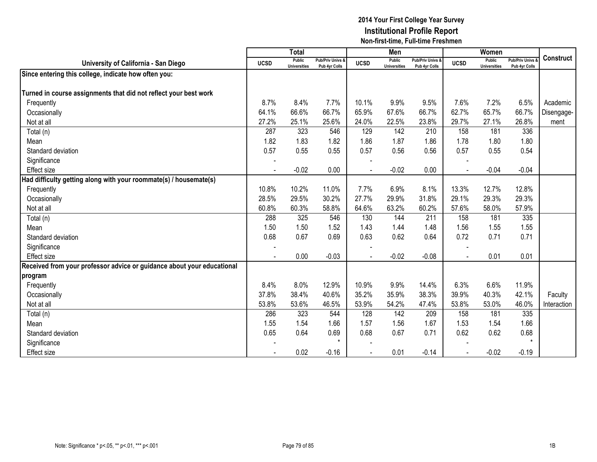|                                                                        |                | <b>Total</b>                  |                                              |             | Men                           |                                   |                          | Women                         |                                        |             |
|------------------------------------------------------------------------|----------------|-------------------------------|----------------------------------------------|-------------|-------------------------------|-----------------------------------|--------------------------|-------------------------------|----------------------------------------|-------------|
| University of California - San Diego                                   | <b>UCSD</b>    | Public<br><b>Universities</b> | <b>Pub/Priv Univs &amp;</b><br>Pub 4yr Colls | <b>UCSD</b> | Public<br><b>Universities</b> | Pub/Priv Univs &<br>Pub 4yr Colls | <b>UCSD</b>              | Public<br><b>Universities</b> | <b>Pub/Priv Univs</b><br>Pub 4yr Colls | Construct   |
| Since entering this college, indicate how often you:                   |                |                               |                                              |             |                               |                                   |                          |                               |                                        |             |
|                                                                        |                |                               |                                              |             |                               |                                   |                          |                               |                                        |             |
| Turned in course assignments that did not reflect your best work       |                |                               |                                              |             |                               |                                   |                          |                               |                                        |             |
| Frequently                                                             | 8.7%           | 8.4%                          | 7.7%                                         | 10.1%       | 9.9%                          | 9.5%                              | 7.6%                     | 7.2%                          | 6.5%                                   | Academic    |
| Occasionally                                                           | 64.1%          | 66.6%                         | 66.7%                                        | 65.9%       | 67.6%                         | 66.7%                             | 62.7%                    | 65.7%                         | 66.7%                                  | Disengage-  |
| Not at all                                                             | 27.2%          | 25.1%                         | 25.6%                                        | 24.0%       | 22.5%                         | 23.8%                             | 29.7%                    | 27.1%                         | 26.8%                                  | ment        |
| Total (n)                                                              | 287            | 323                           | 546                                          | 129         | 142                           | 210                               | 158                      | 181                           | 336                                    |             |
| Mean                                                                   | 1.82           | 1.83                          | 1.82                                         | 1.86        | 1.87                          | 1.86                              | 1.78                     | 1.80                          | 1.80                                   |             |
| Standard deviation                                                     | 0.57           | 0.55                          | 0.55                                         | 0.57        | 0.56                          | 0.56                              | 0.57                     | 0.55                          | 0.54                                   |             |
| Significance                                                           |                |                               |                                              |             |                               |                                   |                          |                               |                                        |             |
| Effect size                                                            |                | $-0.02$                       | 0.00                                         |             | $-0.02$                       | 0.00                              |                          | $-0.04$                       | $-0.04$                                |             |
| Had difficulty getting along with your roommate(s) / housemate(s)      |                |                               |                                              |             |                               |                                   |                          |                               |                                        |             |
| Frequently                                                             | 10.8%          | 10.2%                         | 11.0%                                        | 7.7%        | 6.9%                          | 8.1%                              | 13.3%                    | 12.7%                         | 12.8%                                  |             |
| Occasionally                                                           | 28.5%          | 29.5%                         | 30.2%                                        | 27.7%       | 29.9%                         | 31.8%                             | 29.1%                    | 29.3%                         | 29.3%                                  |             |
| Not at all                                                             | 60.8%          | 60.3%                         | 58.8%                                        | 64.6%       | 63.2%                         | 60.2%                             | 57.6%                    | 58.0%                         | 57.9%                                  |             |
| Total (n)                                                              | 288            | 325                           | 546                                          | 130         | 144                           | 211                               | 158                      | 181                           | 335                                    |             |
| Mean                                                                   | 1.50           | 1.50                          | 1.52                                         | 1.43        | 1.44                          | 1.48                              | 1.56                     | 1.55                          | 1.55                                   |             |
| Standard deviation                                                     | 0.68           | 0.67                          | 0.69                                         | 0.63        | 0.62                          | 0.64                              | 0.72                     | 0.71                          | 0.71                                   |             |
| Significance                                                           | $\overline{a}$ |                               |                                              |             |                               |                                   |                          |                               |                                        |             |
| <b>Effect size</b>                                                     |                | 0.00                          | $-0.03$                                      |             | $-0.02$                       | $-0.08$                           | $\overline{\phantom{a}}$ | 0.01                          | 0.01                                   |             |
| Received from your professor advice or guidance about your educational |                |                               |                                              |             |                               |                                   |                          |                               |                                        |             |
| program                                                                |                |                               |                                              |             |                               |                                   |                          |                               |                                        |             |
| Frequently                                                             | 8.4%           | 8.0%                          | 12.9%                                        | 10.9%       | 9.9%                          | 14.4%                             | 6.3%                     | 6.6%                          | 11.9%                                  |             |
| Occasionally                                                           | 37.8%          | 38.4%                         | 40.6%                                        | 35.2%       | 35.9%                         | 38.3%                             | 39.9%                    | 40.3%                         | 42.1%                                  | Faculty     |
| Not at all                                                             | 53.8%          | 53.6%                         | 46.5%                                        | 53.9%       | 54.2%                         | 47.4%                             | 53.8%                    | 53.0%                         | 46.0%                                  | Interaction |
| Total (n)                                                              | 286            | 323                           | 544                                          | 128         | 142                           | 209                               | 158                      | 181                           | 335                                    |             |
| Mean                                                                   | 1.55           | 1.54                          | 1.66                                         | 1.57        | 1.56                          | 1.67                              | 1.53                     | 1.54                          | 1.66                                   |             |
| Standard deviation                                                     | 0.65           | 0.64                          | 0.69                                         | 0.68        | 0.67                          | 0.71                              | 0.62                     | 0.62                          | 0.68                                   |             |
| Significance                                                           |                |                               | $\star$                                      |             |                               |                                   |                          |                               | $\star$                                |             |
| <b>Effect size</b>                                                     |                | 0.02                          | $-0.16$                                      |             | 0.01                          | $-0.14$                           |                          | $-0.02$                       | $-0.19$                                |             |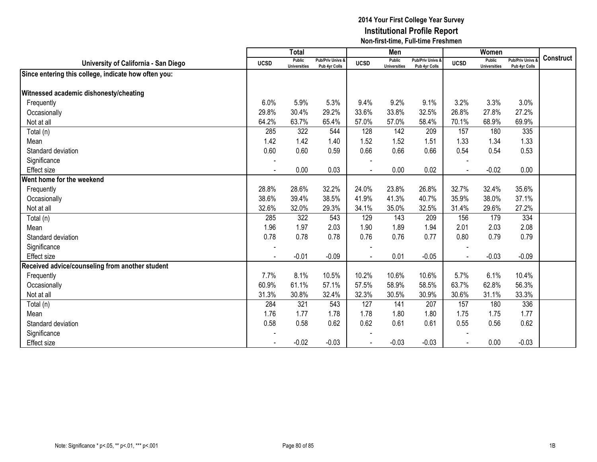|                                                      |                          | <b>Total</b>                  |                                   |             | Men                                  |                                              |              | Women                                |                                        |           |
|------------------------------------------------------|--------------------------|-------------------------------|-----------------------------------|-------------|--------------------------------------|----------------------------------------------|--------------|--------------------------------------|----------------------------------------|-----------|
| University of California - San Diego                 | <b>UCSD</b>              | Public<br><b>Universities</b> | Pub/Priv Univs &<br>Pub 4yr Colls | <b>UCSD</b> | <b>Public</b><br><b>Universities</b> | <b>Pub/Priv Univs &amp;</b><br>Pub 4yr Colls | <b>UCSD</b>  | <b>Public</b><br><b>Universities</b> | <b>Pub/Priv Univs</b><br>Pub 4yr Colls | Construct |
| Since entering this college, indicate how often you: |                          |                               |                                   |             |                                      |                                              |              |                                      |                                        |           |
|                                                      |                          |                               |                                   |             |                                      |                                              |              |                                      |                                        |           |
| Witnessed academic dishonesty/cheating               |                          |                               |                                   |             |                                      |                                              |              |                                      |                                        |           |
| Frequently                                           | 6.0%                     | 5.9%                          | 5.3%                              | 9.4%        | 9.2%                                 | 9.1%                                         | 3.2%         | 3.3%                                 | 3.0%                                   |           |
| Occasionally                                         | 29.8%                    | 30.4%                         | 29.2%                             | 33.6%       | 33.8%                                | 32.5%                                        | 26.8%        | 27.8%                                | 27.2%                                  |           |
| Not at all                                           | 64.2%                    | 63.7%                         | 65.4%                             | 57.0%       | 57.0%                                | 58.4%                                        | 70.1%        | 68.9%                                | 69.9%                                  |           |
| Total (n)                                            | 285                      | 322                           | 544                               | 128         | 142                                  | 209                                          | 157          | 180                                  | 335                                    |           |
| Mean                                                 | 1.42                     | 1.42                          | 1.40                              | 1.52        | 1.52                                 | 1.51                                         | 1.33         | 1.34                                 | 1.33                                   |           |
| Standard deviation                                   | 0.60                     | 0.60                          | 0.59                              | 0.66        | 0.66                                 | 0.66                                         | 0.54         | 0.54                                 | 0.53                                   |           |
| Significance                                         |                          |                               |                                   |             |                                      |                                              |              |                                      |                                        |           |
| <b>Effect size</b>                                   | $\blacksquare$           | 0.00                          | 0.03                              |             | 0.00                                 | 0.02                                         |              | $-0.02$                              | 0.00                                   |           |
| Went home for the weekend                            |                          |                               |                                   |             |                                      |                                              |              |                                      |                                        |           |
| Frequently                                           | 28.8%                    | 28.6%                         | 32.2%                             | 24.0%       | 23.8%                                | 26.8%                                        | 32.7%        | 32.4%                                | 35.6%                                  |           |
| Occasionally                                         | 38.6%                    | 39.4%                         | 38.5%                             | 41.9%       | 41.3%                                | 40.7%                                        | 35.9%        | 38.0%                                | 37.1%                                  |           |
| Not at all                                           | 32.6%                    | 32.0%                         | 29.3%                             | 34.1%       | 35.0%                                | 32.5%                                        | 31.4%        | 29.6%                                | 27.2%                                  |           |
| Total (n)                                            | 285                      | 322                           | 543                               | 129         | 143                                  | 209                                          | 156          | 179                                  | 334                                    |           |
| Mean                                                 | 1.96                     | 1.97                          | 2.03                              | 1.90        | 1.89                                 | 1.94                                         | 2.01         | 2.03                                 | 2.08                                   |           |
| Standard deviation                                   | 0.78                     | 0.78                          | 0.78                              | 0.76        | 0.76                                 | 0.77                                         | 0.80         | 0.79                                 | 0.79                                   |           |
| Significance                                         | $\overline{\phantom{a}}$ |                               |                                   |             |                                      |                                              |              |                                      |                                        |           |
| <b>Effect size</b>                                   |                          | $-0.01$                       | $-0.09$                           | $\sim$      | 0.01                                 | $-0.05$                                      | $\mathbf{r}$ | $-0.03$                              | $-0.09$                                |           |
| Received advice/counseling from another student      |                          |                               |                                   |             |                                      |                                              |              |                                      |                                        |           |
| Frequently                                           | 7.7%                     | 8.1%                          | 10.5%                             | 10.2%       | 10.6%                                | 10.6%                                        | 5.7%         | 6.1%                                 | 10.4%                                  |           |
| Occasionally                                         | 60.9%                    | 61.1%                         | 57.1%                             | 57.5%       | 58.9%                                | 58.5%                                        | 63.7%        | 62.8%                                | 56.3%                                  |           |
| Not at all                                           | 31.3%                    | 30.8%                         | 32.4%                             | 32.3%       | 30.5%                                | 30.9%                                        | 30.6%        | 31.1%                                | 33.3%                                  |           |
| Total (n)                                            | 284                      | 321                           | 543                               | 127         | 141                                  | 207                                          | 157          | 180                                  | 336                                    |           |
| Mean                                                 | 1.76                     | 1.77                          | 1.78                              | 1.78        | 1.80                                 | 1.80                                         | 1.75         | 1.75                                 | 1.77                                   |           |
| Standard deviation                                   | 0.58                     | 0.58                          | 0.62                              | 0.62        | 0.61                                 | 0.61                                         | 0.55         | 0.56                                 | 0.62                                   |           |
| Significance                                         |                          |                               |                                   |             |                                      |                                              |              |                                      |                                        |           |
| <b>Effect size</b>                                   |                          | $-0.02$                       | $-0.03$                           |             | $-0.03$                              | $-0.03$                                      |              | 0.00                                 | $-0.03$                                |           |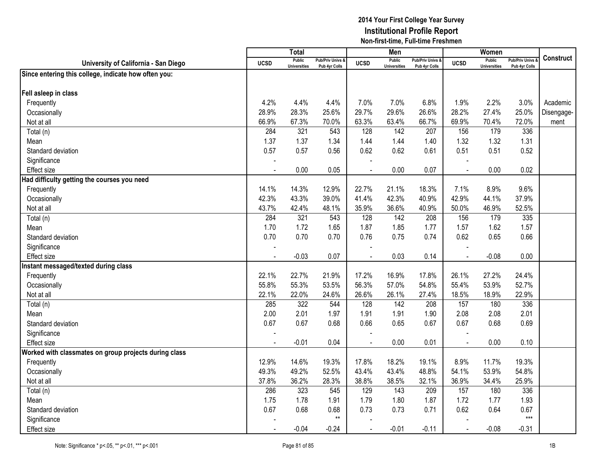|                                                       |             | Total                                |                                              |                | Men                                  |                                              |             | Women                                |                                        |            |
|-------------------------------------------------------|-------------|--------------------------------------|----------------------------------------------|----------------|--------------------------------------|----------------------------------------------|-------------|--------------------------------------|----------------------------------------|------------|
| University of California - San Diego                  | <b>UCSD</b> | <b>Public</b><br><b>Universities</b> | <b>Pub/Priv Univs &amp;</b><br>Pub 4yr Colls | <b>UCSD</b>    | <b>Public</b><br><b>Universities</b> | <b>Pub/Priv Univs &amp;</b><br>Pub 4yr Colls | <b>UCSD</b> | <b>Public</b><br><b>Universities</b> | <b>Pub/Priv Univs</b><br>Pub 4yr Colls | Construct  |
| Since entering this college, indicate how often you:  |             |                                      |                                              |                |                                      |                                              |             |                                      |                                        |            |
|                                                       |             |                                      |                                              |                |                                      |                                              |             |                                      |                                        |            |
| Fell asleep in class                                  |             |                                      |                                              |                |                                      |                                              |             |                                      |                                        |            |
| Frequently                                            | 4.2%        | 4.4%                                 | 4.4%                                         | 7.0%           | 7.0%                                 | 6.8%                                         | 1.9%        | 2.2%                                 | 3.0%                                   | Academic   |
| Occasionally                                          | 28.9%       | 28.3%                                | 25.6%                                        | 29.7%          | 29.6%                                | 26.6%                                        | 28.2%       | 27.4%                                | 25.0%                                  | Disengage- |
| Not at all                                            | 66.9%       | 67.3%                                | 70.0%                                        | 63.3%          | 63.4%                                | 66.7%                                        | 69.9%       | 70.4%                                | 72.0%                                  | ment       |
| Total (n)                                             | 284         | 321                                  | 543                                          | 128            | 142                                  | 207                                          | 156         | 179                                  | 336                                    |            |
| Mean                                                  | 1.37        | 1.37                                 | 1.34                                         | 1.44           | 1.44                                 | 1.40                                         | 1.32        | 1.32                                 | 1.31                                   |            |
| Standard deviation                                    | 0.57        | 0.57                                 | 0.56                                         | 0.62           | 0.62                                 | 0.61                                         | 0.51        | 0.51                                 | 0.52                                   |            |
| Significance                                          |             |                                      |                                              |                |                                      |                                              |             |                                      |                                        |            |
| <b>Effect size</b>                                    |             | 0.00                                 | 0.05                                         |                | 0.00                                 | 0.07                                         | $\sim$      | 0.00                                 | 0.02                                   |            |
| Had difficulty getting the courses you need           |             |                                      |                                              |                |                                      |                                              |             |                                      |                                        |            |
| Frequently                                            | 14.1%       | 14.3%                                | 12.9%                                        | 22.7%          | 21.1%                                | 18.3%                                        | 7.1%        | 8.9%                                 | 9.6%                                   |            |
| Occasionally                                          | 42.3%       | 43.3%                                | 39.0%                                        | 41.4%          | 42.3%                                | 40.9%                                        | 42.9%       | 44.1%                                | 37.9%                                  |            |
| Not at all                                            | 43.7%       | 42.4%                                | 48.1%                                        | 35.9%          | 36.6%                                | 40.9%                                        | 50.0%       | 46.9%                                | 52.5%                                  |            |
| Total (n)                                             | 284         | 321                                  | 543                                          | 128            | 142                                  | 208                                          | 156         | 179                                  | 335                                    |            |
| Mean                                                  | 1.70        | 1.72                                 | 1.65                                         | 1.87           | 1.85                                 | 1.77                                         | 1.57        | 1.62                                 | 1.57                                   |            |
| Standard deviation                                    | 0.70        | 0.70                                 | 0.70                                         | 0.76           | 0.75                                 | 0.74                                         | 0.62        | 0.65                                 | 0.66                                   |            |
| Significance                                          |             |                                      |                                              |                |                                      |                                              |             |                                      |                                        |            |
| <b>Effect size</b>                                    |             | $-0.03$                              | 0.07                                         |                | 0.03                                 | 0.14                                         |             | $-0.08$                              | 0.00                                   |            |
| Instant messaged/texted during class                  |             |                                      |                                              |                |                                      |                                              |             |                                      |                                        |            |
| Frequently                                            | 22.1%       | 22.7%                                | 21.9%                                        | 17.2%          | 16.9%                                | 17.8%                                        | 26.1%       | 27.2%                                | 24.4%                                  |            |
| Occasionally                                          | 55.8%       | 55.3%                                | 53.5%                                        | 56.3%          | 57.0%                                | 54.8%                                        | 55.4%       | 53.9%                                | 52.7%                                  |            |
| Not at all                                            | 22.1%       | 22.0%                                | 24.6%                                        | 26.6%          | 26.1%                                | 27.4%                                        | 18.5%       | 18.9%                                | 22.9%                                  |            |
| Total (n)                                             | 285         | 322                                  | 544                                          | 128            | 142                                  | 208                                          | 157         | 180                                  | 336                                    |            |
| Mean                                                  | 2.00        | 2.01                                 | 1.97                                         | 1.91           | 1.91                                 | 1.90                                         | 2.08        | 2.08                                 | 2.01                                   |            |
| Standard deviation                                    | 0.67        | 0.67                                 | 0.68                                         | 0.66           | 0.65                                 | 0.67                                         | 0.67        | 0.68                                 | 0.69                                   |            |
| Significance                                          |             |                                      |                                              |                |                                      |                                              |             |                                      |                                        |            |
| <b>Effect size</b>                                    |             | $-0.01$                              | 0.04                                         | $\blacksquare$ | 0.00                                 | 0.01                                         |             | 0.00                                 | 0.10                                   |            |
| Worked with classmates on group projects during class |             |                                      |                                              |                |                                      |                                              |             |                                      |                                        |            |
| Frequently                                            | 12.9%       | 14.6%                                | 19.3%                                        | 17.8%          | 18.2%                                | 19.1%                                        | 8.9%        | 11.7%                                | 19.3%                                  |            |
| Occasionally                                          | 49.3%       | 49.2%                                | 52.5%                                        | 43.4%          | 43.4%                                | 48.8%                                        | 54.1%       | 53.9%                                | 54.8%                                  |            |
| Not at all                                            | 37.8%       | 36.2%                                | 28.3%                                        | 38.8%          | 38.5%                                | 32.1%                                        | 36.9%       | 34.4%                                | 25.9%                                  |            |
| Total (n)                                             | 286         | 323                                  | 545                                          | 129            | 143                                  | 209                                          | 157         | 180                                  | 336                                    |            |
| Mean                                                  | 1.75        | 1.78                                 | 1.91                                         | 1.79           | 1.80                                 | 1.87                                         | 1.72        | 1.77                                 | 1.93                                   |            |
| Standard deviation                                    | 0.67        | 0.68                                 | 0.68                                         | 0.73           | 0.73                                 | 0.71                                         | 0.62        | 0.64                                 | 0.67                                   |            |
| Significance                                          |             |                                      | $\star\star$                                 |                |                                      |                                              |             |                                      | $***$                                  |            |
| <b>Effect size</b>                                    |             | $-0.04$                              | $-0.24$                                      | $\overline{a}$ | $-0.01$                              | $-0.11$                                      |             | $-0.08$                              | $-0.31$                                |            |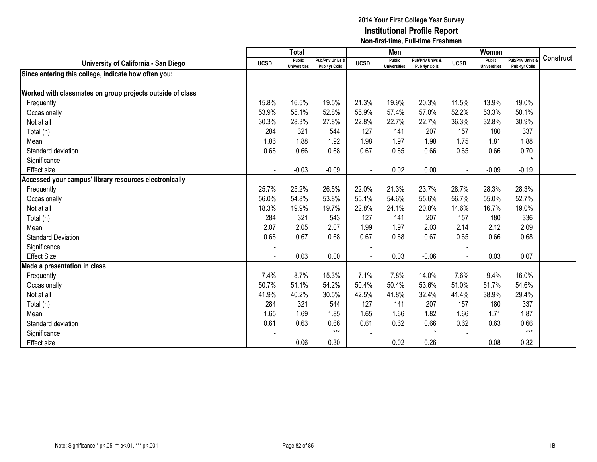|                                                           |                          | <b>Total</b>                  |                                   |             | Men                                  |                                              |             | Women                         |                                        |           |
|-----------------------------------------------------------|--------------------------|-------------------------------|-----------------------------------|-------------|--------------------------------------|----------------------------------------------|-------------|-------------------------------|----------------------------------------|-----------|
| University of California - San Diego                      | <b>UCSD</b>              | Public<br><b>Universities</b> | Pub/Priv Univs &<br>Pub 4yr Colls | <b>UCSD</b> | <b>Public</b><br><b>Universities</b> | <b>Pub/Priv Univs &amp;</b><br>Pub 4yr Colls | <b>UCSD</b> | Public<br><b>Universities</b> | <b>Pub/Priv Univs</b><br>Pub 4yr Colls | Construct |
| Since entering this college, indicate how often you:      |                          |                               |                                   |             |                                      |                                              |             |                               |                                        |           |
|                                                           |                          |                               |                                   |             |                                      |                                              |             |                               |                                        |           |
| Worked with classmates on group projects outside of class |                          |                               |                                   |             |                                      |                                              |             |                               |                                        |           |
| Frequently                                                | 15.8%                    | 16.5%                         | 19.5%                             | 21.3%       | 19.9%                                | 20.3%                                        | 11.5%       | 13.9%                         | 19.0%                                  |           |
| Occasionally                                              | 53.9%                    | 55.1%                         | 52.8%                             | 55.9%       | 57.4%                                | 57.0%                                        | 52.2%       | 53.3%                         | 50.1%                                  |           |
| Not at all                                                | 30.3%                    | 28.3%                         | 27.8%                             | 22.8%       | 22.7%                                | 22.7%                                        | 36.3%       | 32.8%                         | 30.9%                                  |           |
| Total (n)                                                 | 284                      | 321                           | 544                               | 127         | 141                                  | 207                                          | 157         | 180                           | 337                                    |           |
| Mean                                                      | 1.86                     | 1.88                          | 1.92                              | 1.98        | 1.97                                 | 1.98                                         | 1.75        | 1.81                          | 1.88                                   |           |
| Standard deviation                                        | 0.66                     | 0.66                          | 0.68                              | 0.67        | 0.65                                 | 0.66                                         | 0.65        | 0.66                          | 0.70                                   |           |
| Significance                                              |                          |                               |                                   |             |                                      |                                              |             |                               | $\star$                                |           |
| <b>Effect size</b>                                        | $\blacksquare$           | $-0.03$                       | $-0.09$                           |             | 0.02                                 | 0.00                                         |             | $-0.09$                       | $-0.19$                                |           |
| Accessed your campus' library resources electronically    |                          |                               |                                   |             |                                      |                                              |             |                               |                                        |           |
| Frequently                                                | 25.7%                    | 25.2%                         | 26.5%                             | 22.0%       | 21.3%                                | 23.7%                                        | 28.7%       | 28.3%                         | 28.3%                                  |           |
| Occasionally                                              | 56.0%                    | 54.8%                         | 53.8%                             | 55.1%       | 54.6%                                | 55.6%                                        | 56.7%       | 55.0%                         | 52.7%                                  |           |
| Not at all                                                | 18.3%                    | 19.9%                         | 19.7%                             | 22.8%       | 24.1%                                | 20.8%                                        | 14.6%       | 16.7%                         | 19.0%                                  |           |
| Total (n)                                                 | 284                      | 321                           | 543                               | 127         | 141                                  | 207                                          | 157         | 180                           | 336                                    |           |
| Mean                                                      | 2.07                     | 2.05                          | 2.07                              | 1.99        | 1.97                                 | 2.03                                         | 2.14        | 2.12                          | 2.09                                   |           |
| <b>Standard Deviation</b>                                 | 0.66                     | 0.67                          | 0.68                              | 0.67        | 0.68                                 | 0.67                                         | 0.65        | 0.66                          | 0.68                                   |           |
| Significance                                              | $\overline{\phantom{a}}$ |                               |                                   |             |                                      |                                              |             |                               |                                        |           |
| <b>Effect Size</b>                                        |                          | 0.03                          | 0.00                              | $\sim$      | 0.03                                 | $-0.06$                                      |             | 0.03                          | 0.07                                   |           |
| Made a presentation in class                              |                          |                               |                                   |             |                                      |                                              |             |                               |                                        |           |
| Frequently                                                | 7.4%                     | 8.7%                          | 15.3%                             | 7.1%        | 7.8%                                 | 14.0%                                        | 7.6%        | 9.4%                          | 16.0%                                  |           |
| Occasionally                                              | 50.7%                    | 51.1%                         | 54.2%                             | 50.4%       | 50.4%                                | 53.6%                                        | 51.0%       | 51.7%                         | 54.6%                                  |           |
| Not at all                                                | 41.9%                    | 40.2%                         | 30.5%                             | 42.5%       | 41.8%                                | 32.4%                                        | 41.4%       | 38.9%                         | 29.4%                                  |           |
| Total (n)                                                 | 284                      | 321                           | 544                               | 127         | 141                                  | 207                                          | 157         | 180                           | 337                                    |           |
| Mean                                                      | 1.65                     | 1.69                          | 1.85                              | 1.65        | 1.66                                 | 1.82                                         | 1.66        | 1.71                          | 1.87                                   |           |
| Standard deviation                                        | 0.61                     | 0.63                          | 0.66                              | 0.61        | 0.62                                 | 0.66                                         | 0.62        | 0.63                          | 0.66                                   |           |
| Significance                                              |                          |                               | $***$                             |             |                                      | $\star$                                      |             |                               | $***$                                  |           |
| <b>Effect size</b>                                        |                          | $-0.06$                       | $-0.30$                           |             | $-0.02$                              | $-0.26$                                      |             | $-0.08$                       | $-0.32$                                |           |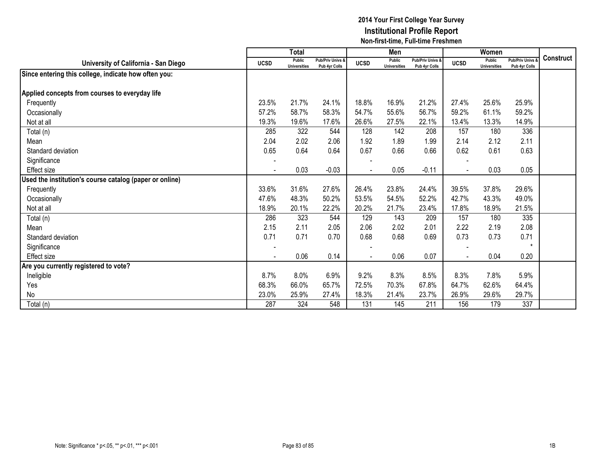|                                                         |                          | <b>Total</b>                  |                                   |             | Men                                  |                                   |             | Women                                |                                 |           |
|---------------------------------------------------------|--------------------------|-------------------------------|-----------------------------------|-------------|--------------------------------------|-----------------------------------|-------------|--------------------------------------|---------------------------------|-----------|
| University of California - San Diego                    | <b>UCSD</b>              | Public<br><b>Universities</b> | Pub/Priv Univs &<br>Pub 4yr Colls | <b>UCSD</b> | <b>Public</b><br><b>Universities</b> | Pub/Priv Univs &<br>Pub 4yr Colls | <b>UCSD</b> | <b>Public</b><br><b>Universities</b> | Pub/Priv Univs<br>Pub 4yr Colls | Construct |
| Since entering this college, indicate how often you:    |                          |                               |                                   |             |                                      |                                   |             |                                      |                                 |           |
|                                                         |                          |                               |                                   |             |                                      |                                   |             |                                      |                                 |           |
| Applied concepts from courses to everyday life          |                          |                               |                                   |             |                                      |                                   |             |                                      |                                 |           |
| Frequently                                              | 23.5%                    | 21.7%                         | 24.1%                             | 18.8%       | 16.9%                                | 21.2%                             | 27.4%       | 25.6%                                | 25.9%                           |           |
| Occasionally                                            | 57.2%                    | 58.7%                         | 58.3%                             | 54.7%       | 55.6%                                | 56.7%                             | 59.2%       | 61.1%                                | 59.2%                           |           |
| Not at all                                              | 19.3%                    | 19.6%                         | 17.6%                             | 26.6%       | 27.5%                                | 22.1%                             | 13.4%       | 13.3%                                | 14.9%                           |           |
| Total (n)                                               | 285                      | 322                           | 544                               | 128         | 142                                  | 208                               | 157         | 180                                  | 336                             |           |
| Mean                                                    | 2.04                     | 2.02                          | 2.06                              | 1.92        | 1.89                                 | 1.99                              | 2.14        | 2.12                                 | 2.11                            |           |
| Standard deviation                                      | 0.65                     | 0.64                          | 0.64                              | 0.67        | 0.66                                 | 0.66                              | 0.62        | 0.61                                 | 0.63                            |           |
| Significance                                            | $\overline{\phantom{a}}$ |                               |                                   |             |                                      |                                   |             |                                      |                                 |           |
| <b>Effect size</b>                                      |                          | 0.03                          | $-0.03$                           |             | 0.05                                 | $-0.11$                           |             | 0.03                                 | 0.05                            |           |
| Used the institution's course catalog (paper or online) |                          |                               |                                   |             |                                      |                                   |             |                                      |                                 |           |
| Frequently                                              | 33.6%                    | 31.6%                         | 27.6%                             | 26.4%       | 23.8%                                | 24.4%                             | 39.5%       | 37.8%                                | 29.6%                           |           |
| Occasionally                                            | 47.6%                    | 48.3%                         | 50.2%                             | 53.5%       | 54.5%                                | 52.2%                             | 42.7%       | 43.3%                                | 49.0%                           |           |
| Not at all                                              | 18.9%                    | 20.1%                         | 22.2%                             | 20.2%       | 21.7%                                | 23.4%                             | 17.8%       | 18.9%                                | 21.5%                           |           |
| Total (n)                                               | 286                      | 323                           | 544                               | 129         | 143                                  | 209                               | 157         | 180                                  | 335                             |           |
| Mean                                                    | 2.15                     | 2.11                          | 2.05                              | 2.06        | 2.02                                 | 2.01                              | 2.22        | 2.19                                 | 2.08                            |           |
| Standard deviation                                      | 0.71                     | 0.71                          | 0.70                              | 0.68        | 0.68                                 | 0.69                              | 0.73        | 0.73                                 | 0.71                            |           |
| Significance                                            |                          |                               |                                   |             |                                      |                                   |             |                                      | $\star$                         |           |
| Effect size                                             | $\blacksquare$           | 0.06                          | 0.14                              |             | 0.06                                 | 0.07                              |             | 0.04                                 | 0.20                            |           |
| Are you currently registered to vote?                   |                          |                               |                                   |             |                                      |                                   |             |                                      |                                 |           |
| Ineligible                                              | 8.7%                     | 8.0%                          | 6.9%                              | 9.2%        | 8.3%                                 | 8.5%                              | 8.3%        | 7.8%                                 | 5.9%                            |           |
| Yes                                                     | 68.3%                    | 66.0%                         | 65.7%                             | 72.5%       | 70.3%                                | 67.8%                             | 64.7%       | 62.6%                                | 64.4%                           |           |
| No                                                      | 23.0%                    | 25.9%                         | 27.4%                             | 18.3%       | 21.4%                                | 23.7%                             | 26.9%       | 29.6%                                | 29.7%                           |           |
| Total (n)                                               | 287                      | 324                           | 548                               | 131         | 145                                  | 211                               | 156         | 179                                  | 337                             |           |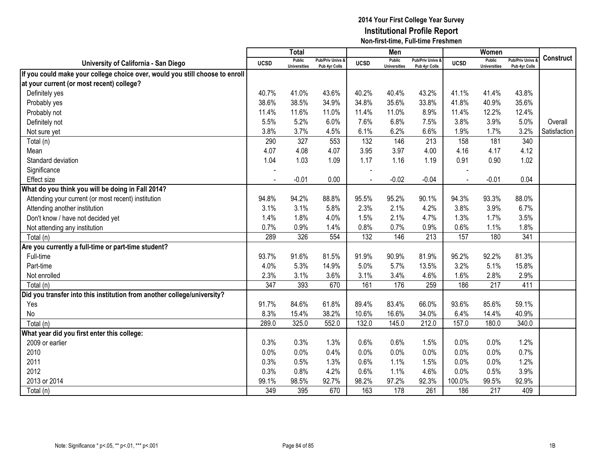|                                                                              |                | <b>Total</b>                  |                                   |                          | Men                                  |                                   |                | Women                         |                                        |                  |
|------------------------------------------------------------------------------|----------------|-------------------------------|-----------------------------------|--------------------------|--------------------------------------|-----------------------------------|----------------|-------------------------------|----------------------------------------|------------------|
| University of California - San Diego                                         | <b>UCSD</b>    | Public<br><b>Universities</b> | Pub/Priv Univs &<br>Pub 4yr Colls | <b>UCSD</b>              | <b>Public</b><br><b>Universities</b> | Pub/Priv Univs &<br>Pub 4yr Colls | <b>UCSD</b>    | Public<br><b>Universities</b> | <b>Pub/Priv Univs</b><br>Pub 4yr Colls | <b>Construct</b> |
| If you could make your college choice over, would you still choose to enroll |                |                               |                                   |                          |                                      |                                   |                |                               |                                        |                  |
| at your current (or most recent) college?                                    |                |                               |                                   |                          |                                      |                                   |                |                               |                                        |                  |
| Definitely yes                                                               | 40.7%          | 41.0%                         | 43.6%                             | 40.2%                    | 40.4%                                | 43.2%                             | 41.1%          | 41.4%                         | 43.8%                                  |                  |
| Probably yes                                                                 | 38.6%          | 38.5%                         | 34.9%                             | 34.8%                    | 35.6%                                | 33.8%                             | 41.8%          | 40.9%                         | 35.6%                                  |                  |
| Probably not                                                                 | 11.4%          | 11.6%                         | 11.0%                             | 11.4%                    | 11.0%                                | 8.9%                              | 11.4%          | 12.2%                         | 12.4%                                  |                  |
| Definitely not                                                               | 5.5%           | 5.2%                          | 6.0%                              | 7.6%                     | 6.8%                                 | 7.5%                              | 3.8%           | 3.9%                          | 5.0%                                   | Overall          |
| Not sure yet                                                                 | 3.8%           | 3.7%                          | 4.5%                              | 6.1%                     | 6.2%                                 | 6.6%                              | 1.9%           | 1.7%                          | 3.2%                                   | Satisfaction     |
| Total (n)                                                                    | 290            | 327                           | 553                               | 132                      | 146                                  | 213                               | 158            | 181                           | 340                                    |                  |
| Mean                                                                         | 4.07           | 4.08                          | 4.07                              | 3.95                     | 3.97                                 | 4.00                              | 4.16           | 4.17                          | 4.12                                   |                  |
| Standard deviation                                                           | 1.04           | 1.03                          | 1.09                              | 1.17                     | 1.16                                 | 1.19                              | 0.91           | 0.90                          | 1.02                                   |                  |
| Significance                                                                 |                |                               |                                   |                          |                                      |                                   |                |                               |                                        |                  |
| <b>Effect</b> size                                                           | $\blacksquare$ | $-0.01$                       | 0.00                              | $\overline{\phantom{a}}$ | $-0.02$                              | $-0.04$                           | $\blacksquare$ | $-0.01$                       | 0.04                                   |                  |
| What do you think you will be doing in Fall 2014?                            |                |                               |                                   |                          |                                      |                                   |                |                               |                                        |                  |
| Attending your current (or most recent) institution                          | 94.8%          | 94.2%                         | 88.8%                             | 95.5%                    | 95.2%                                | 90.1%                             | 94.3%          | 93.3%                         | 88.0%                                  |                  |
| Attending another institution                                                | 3.1%           | 3.1%                          | 5.8%                              | 2.3%                     | 2.1%                                 | 4.2%                              | 3.8%           | 3.9%                          | 6.7%                                   |                  |
| Don't know / have not decided yet                                            | 1.4%           | 1.8%                          | 4.0%                              | 1.5%                     | 2.1%                                 | 4.7%                              | 1.3%           | 1.7%                          | 3.5%                                   |                  |
| Not attending any institution                                                | 0.7%           | 0.9%                          | 1.4%                              | 0.8%                     | 0.7%                                 | 0.9%                              | 0.6%           | 1.1%                          | 1.8%                                   |                  |
| Total (n)                                                                    | 289            | 326                           | 554                               | 132                      | 146                                  | 213                               | 157            | 180                           | 341                                    |                  |
| Are you currently a full-time or part-time student?                          |                |                               |                                   |                          |                                      |                                   |                |                               |                                        |                  |
| Full-time                                                                    | 93.7%          | 91.6%                         | 81.5%                             | 91.9%                    | 90.9%                                | 81.9%                             | 95.2%          | 92.2%                         | 81.3%                                  |                  |
| Part-time                                                                    | 4.0%           | 5.3%                          | 14.9%                             | 5.0%                     | 5.7%                                 | 13.5%                             | 3.2%           | 5.1%                          | 15.8%                                  |                  |
| Not enrolled                                                                 | 2.3%           | 3.1%                          | 3.6%                              | 3.1%                     | 3.4%                                 | 4.6%                              | 1.6%           | 2.8%                          | 2.9%                                   |                  |
| Total (n)                                                                    | 347            | 393                           | 670                               | 161                      | 176                                  | 259                               | 186            | 217                           | 411                                    |                  |
| Did you transfer into this institution from another college/university?      |                |                               |                                   |                          |                                      |                                   |                |                               |                                        |                  |
| Yes                                                                          | 91.7%          | 84.6%                         | 61.8%                             | 89.4%                    | 83.4%                                | 66.0%                             | 93.6%          | 85.6%                         | 59.1%                                  |                  |
| No                                                                           | 8.3%           | 15.4%                         | 38.2%                             | 10.6%                    | 16.6%                                | 34.0%                             | 6.4%           | 14.4%                         | 40.9%                                  |                  |
| Total (n)                                                                    | 289.0          | 325.0                         | 552.0                             | 132.0                    | 145.0                                | 212.0                             | 157.0          | 180.0                         | 340.0                                  |                  |
| What year did you first enter this college:                                  |                |                               |                                   |                          |                                      |                                   |                |                               |                                        |                  |
| 2009 or earlier                                                              | 0.3%           | 0.3%                          | 1.3%                              | 0.6%                     | 0.6%                                 | 1.5%                              | 0.0%           | 0.0%                          | 1.2%                                   |                  |
| 2010                                                                         | 0.0%           | 0.0%                          | 0.4%                              | 0.0%                     | 0.0%                                 | 0.0%                              | 0.0%           | 0.0%                          | 0.7%                                   |                  |
| 2011                                                                         | 0.3%           | 0.5%                          | 1.3%                              | 0.6%                     | 1.1%                                 | 1.5%                              | 0.0%           | 0.0%                          | 1.2%                                   |                  |
| 2012                                                                         | 0.3%           | 0.8%                          | 4.2%                              | 0.6%                     | 1.1%                                 | 4.6%                              | 0.0%           | 0.5%                          | 3.9%                                   |                  |
| 2013 or 2014                                                                 | 99.1%          | 98.5%                         | 92.7%                             | 98.2%                    | 97.2%                                | 92.3%                             | 100.0%         | 99.5%                         | 92.9%                                  |                  |
| Total (n)                                                                    | 349            | 395                           | 670                               | 163                      | 178                                  | 261                               | 186            | 217                           | 409                                    |                  |